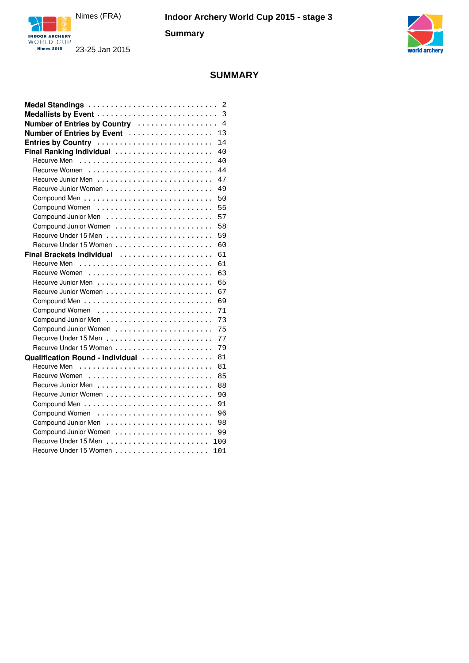

**Summary**





# **SUMMARY**

| Number of Entries by Country  4        |
|----------------------------------------|
| 13<br>Number of Entries by Event       |
| Entries by Country<br>14               |
| Final Ranking Individual<br>40         |
| 40                                     |
| 44                                     |
| 47                                     |
| 49                                     |
| 50                                     |
| Compound Women<br>55                   |
| 57                                     |
| Compound Junior Women<br>58            |
| 59                                     |
| 60                                     |
| 61<br>Final Brackets Individual        |
| 61                                     |
| 63                                     |
| 65                                     |
| 67                                     |
| 69                                     |
| 71                                     |
| 73                                     |
| 75<br>Compound Junior Women            |
| 77                                     |
| 79<br>Recurve Under 15 Women           |
| Qualification Round - Individual<br>81 |
| 81                                     |
| 85                                     |
| 88                                     |
| 90                                     |
| 91                                     |
| Compound Women<br>96                   |
| 98                                     |
| Compound Junior Women<br>99            |
| 100                                    |
| 101                                    |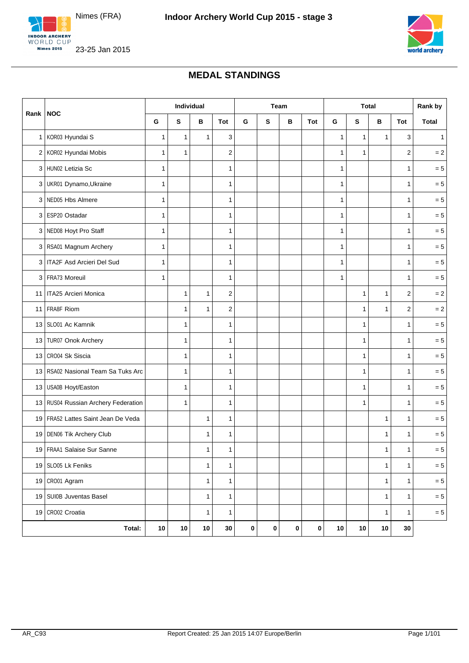

<span id="page-1-0"></span>INDOOR ARCHERY **Nimes 2015** 



23-25 Jan 2015

#### **MEDAL STANDINGS**

|              |                                     | Individual   |              |              | <b>Team</b>             |           |           | <b>Total</b> |            |              | Rank by      |              |                  |              |
|--------------|-------------------------------------|--------------|--------------|--------------|-------------------------|-----------|-----------|--------------|------------|--------------|--------------|--------------|------------------|--------------|
| Rank         | <b>NOC</b>                          | G            | S            | в            | Tot                     | G         | S         | в            | <b>Tot</b> | G            | S            | в            | Tot              | <b>Total</b> |
| $\mathbf{1}$ | KOR03 Hyundai S                     | $\mathbf{1}$ | 1            | 1            | 3                       |           |           |              |            | 1            | 1            | 1            | 3                | 1            |
|              | 2 KOR02 Hyundai Mobis               | 1            | 1            |              | $\overline{2}$          |           |           |              |            | $\mathbf{1}$ | $\mathbf{1}$ |              | $\overline{2}$   | $= 2$        |
|              | 3 HUN02 Letizia Sc                  | 1            |              |              | $\mathbf{1}$            |           |           |              |            | $\mathbf{1}$ |              |              | $\mathbf{1}$     | $= 5$        |
| 3            | UKR01 Dynamo, Ukraine               | $\mathbf{1}$ |              |              | 1                       |           |           |              |            | $\mathbf{1}$ |              |              | 1                | $= 5$        |
| 3            | NED05 Hbs Almere                    | $\mathbf{1}$ |              |              | $\mathbf{1}$            |           |           |              |            | $\mathbf{1}$ |              |              | $\mathbf{1}$     | $= 5$        |
| 3            | ESP20 Ostadar                       | 1            |              |              | $\mathbf{1}$            |           |           |              |            | $\mathbf{1}$ |              |              | $\mathbf{1}$     | $= 5$        |
| 3            | NED08 Hoyt Pro Staff                | 1            |              |              | 1                       |           |           |              |            | 1            |              |              | 1                | $= 5$        |
| 3            | RSA01 Magnum Archery                | 1            |              |              | 1                       |           |           |              |            | 1            |              |              | 1                | $= 5$        |
| 3            | ITA2F Asd Arcieri Del Sud           | $\mathbf{1}$ |              |              | 1                       |           |           |              |            | $\mathbf{1}$ |              |              | $\mathbf{1}$     | $= 5$        |
| 3            | <b>FRA73 Moreuil</b>                | 1            |              |              | 1                       |           |           |              |            | $\mathbf{1}$ |              |              | $\mathbf{1}$     | $= 5$        |
| 11           | ITA25 Arcieri Monica                |              | 1            | 1            | $\overline{\mathbf{c}}$ |           |           |              |            |              | 1            | 1            | $\sqrt{2}$       | $= 2$        |
| 11           | <b>FRA8F Riom</b>                   |              | 1            | $\mathbf{1}$ | $\overline{2}$          |           |           |              |            |              | $\mathbf{1}$ | 1            | $\boldsymbol{2}$ | $= 2$        |
| 13           | SLO01 Ac Kamnik                     |              | 1            |              | 1                       |           |           |              |            |              | $\mathbf{1}$ |              | $\mathbf{1}$     | $= 5$        |
| 13           | TUR07 Onok Archery                  |              | 1            |              | $\mathbf{1}$            |           |           |              |            |              | $\mathbf{1}$ |              | $\mathbf{1}$     | $= 5$        |
| 13           | CRO04 Sk Siscia                     |              | 1            |              | 1                       |           |           |              |            |              | 1            |              | $\mathbf{1}$     | $= 5$        |
| 13           | RSA02 Nasional Team Sa Tuks Arc     |              | $\mathbf{1}$ |              | 1                       |           |           |              |            |              | 1            |              | $\mathbf{1}$     | $= 5$        |
| 13           | USA0B Hoyt/Easton                   |              | 1            |              | 1                       |           |           |              |            |              | $\mathbf{1}$ |              | 1                | $= 5$        |
|              | 13 RUS04 Russian Archery Federation |              | 1            |              | 1                       |           |           |              |            |              | 1            |              | $\mathbf{1}$     | $= 5$        |
|              | 19 FRA52 Lattes Saint Jean De Veda  |              |              | $\mathbf{1}$ | $\mathbf{1}$            |           |           |              |            |              |              | 1            | $\mathbf{1}$     | $= 5$        |
| 19           | DEN06 Tik Archery Club              |              |              | 1            | 1                       |           |           |              |            |              |              | 1            | 1                | $= 5$        |
|              | 19 FRAA1 Salaise Sur Sanne          |              |              | 1            | $\mathbf{1}$            |           |           |              |            |              |              | 1            | 1                | $= 5$        |
|              | 19 SLO05 Lk Feniks                  |              |              | $\mathbf{1}$ | $\mathbf{1}$            |           |           |              |            |              |              | $\mathbf{1}$ | $\mathbf{1}$     | $= 5$        |
|              | 19 CR001 Agram                      |              |              | $\mathbf{1}$ | $\mathbf{1}$            |           |           |              |            |              |              | 1            | $\mathbf{1}$     | $= 5$        |
|              | 19 SUI0B Juventas Basel             |              |              | $\mathbf{1}$ | $\mathbf{1}$            |           |           |              |            |              |              | $\mathbf{1}$ | $\mathbf{1}$     | $= 5$        |
|              | 19 CRO02 Croatia                    |              |              | $\mathbf{1}$ | $\mathbf{1}$            |           |           |              |            |              |              | $\mathbf{1}$ | $\mathbf{1}$     | $= 5$        |
|              | Total:                              | $10$         | $10$         | 10           | 30                      | $\pmb{0}$ | $\pmb{0}$ | $\pmb{0}$    | $\pmb{0}$  | 10           | $10$         | 10           | 30               |              |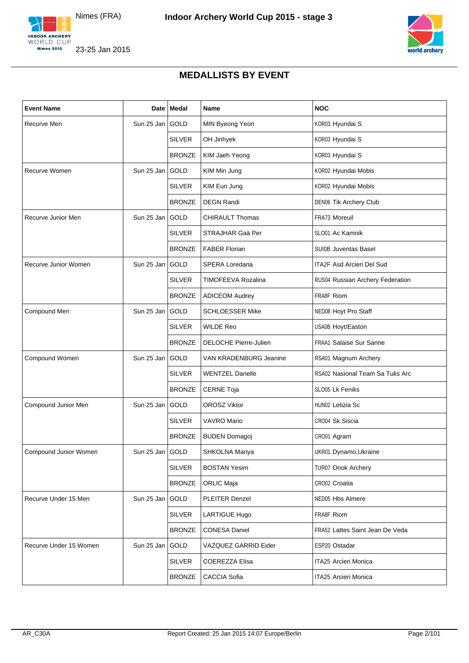



# **MEDALLISTS BY EVENT**

<span id="page-2-0"></span>

| <b>Event Name</b>      |                   | Date   Medal  | Name                         | <b>NOC</b>                       |
|------------------------|-------------------|---------------|------------------------------|----------------------------------|
| Recurve Men            | Sun 25 Jan GOLD   |               | MIN Byeong Yeon              | KOR03 Hyundai S                  |
|                        |                   | <b>SILVER</b> | OH Jinhyek                   | KOR03 Hyundai S                  |
|                        |                   | <b>BRONZE</b> | KIM Jaeh Yeong               | KOR03 Hyundai S                  |
| Recurve Women          | Sun 25 Jan GOLD   |               | KIM Min Jung                 | KOR02 Hyundai Mobis              |
|                        |                   | <b>SILVER</b> | KIM Eun Jung                 | KOR02 Hyundai Mobis              |
|                        |                   | <b>BRONZE</b> | <b>DEGN Randi</b>            | DEN06 Tik Archery Club           |
| Recurve Junior Men     | Sun 25 Jan GOLD   |               | <b>CHIRAULT Thomas</b>       | <b>FRA73 Moreuil</b>             |
|                        |                   | <b>SILVER</b> | STRAJHAR Gaä Per             | SLO01 Ac Kamnik                  |
|                        |                   | <b>BRONZE</b> | <b>FABER Florian</b>         | <b>SUI0B Juventas Basel</b>      |
| Recurve Junior Women   | Sun 25 Jan GOLD   |               | SPERA Loredana               | ITA2F Asd Arcieri Del Sud        |
|                        |                   | <b>SILVER</b> | TIMOFEEVA Rozalina           | RUS04 Russian Archery Federation |
|                        |                   | <b>BRONZE</b> | <b>ADICEOM Audrey</b>        | FRA8F Riom                       |
| Compound Men           | Sun 25 Jan GOLD   |               | <b>SCHLOESSER Mike</b>       | NED08 Hoyt Pro Staff             |
|                        |                   | <b>SILVER</b> | <b>WILDE Reo</b>             | USA0B Hoyt/Easton                |
|                        |                   | <b>BRONZE</b> | <b>DELOCHE Pierre-Julien</b> | <b>FRAA1 Salaise Sur Sanne</b>   |
| Compound Women         | Sun 25 Jan GOLD   |               | VAN KRADENBURG Jeanine       | RSA01 Magnum Archery             |
|                        |                   | <b>SILVER</b> | <b>WENTZEL Danelle</b>       | RSA02 Nasional Team Sa Tuks Arc  |
|                        |                   | <b>BRONZE</b> | <b>CERNE Toja</b>            | SLO05 Lk Feniks                  |
| Compound Junior Men    | Sun 25 Jan GOLD   |               | <b>OROSZ Viktor</b>          | HUN02 Letizia Sc                 |
|                        |                   | <b>SILVER</b> | <b>VAVRO Mario</b>           | CRO04 Sk Siscia                  |
|                        |                   | <b>BRONZE</b> | <b>BUDEN Domagoj</b>         | CRO01 Agram                      |
| Compound Junior Women  | Sun 25 Jan   GOLD |               | SHKOLNA Mariya               | UKR01 Dynamo, Ukraine            |
|                        |                   | <b>SILVER</b> | <b>BOSTAN Yesim</b>          | <b>TUR07 Onok Archery</b>        |
|                        |                   | <b>BRONZE</b> | ORLIC Maja                   | CRO02 Croatia                    |
| Recurve Under 15 Men   | Sun 25 Jan GOLD   |               | PLEITER Denzel               | NED05 Hbs Almere                 |
|                        |                   | <b>SILVER</b> | LARTIGUE Hugo                | FRA8F Riom                       |
|                        |                   | <b>BRONZE</b> | <b>CONESA Daniel</b>         | FRA52 Lattes Saint Jean De Veda  |
| Recurve Under 15 Women | Sun 25 Jan GOLD   |               | VAZQUEZ GARRID Eider         | ESP20 Ostadar                    |
|                        |                   | <b>SILVER</b> | COEREZZA Elisa               | ITA25 Arcieri Monica             |
|                        |                   | <b>BRONZE</b> | CACCIA Sofia                 | ITA25 Arcieri Monica             |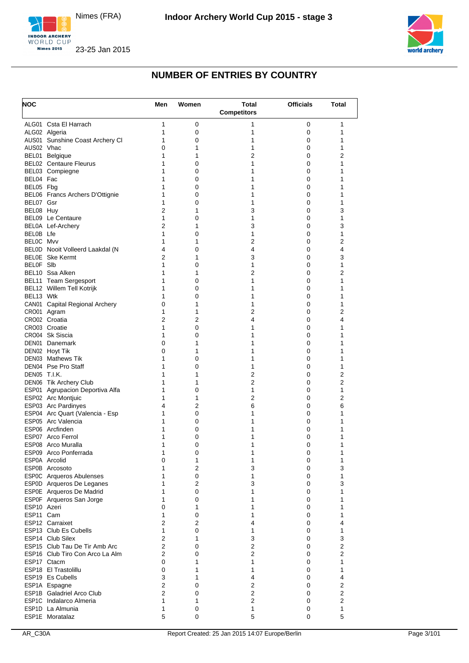





<span id="page-3-0"></span>

| <b>NOC</b>             |                                            | Men                 | Women               | <b>Total</b><br><b>Competitors</b> | <b>Officials</b> | <b>Total</b>      |
|------------------------|--------------------------------------------|---------------------|---------------------|------------------------------------|------------------|-------------------|
|                        | ALG01 Csta El Harrach                      | 1                   | 0                   | 1                                  | 0                | 1                 |
|                        | ALG02 Algeria                              | 1                   | 0                   | 1                                  | 0                | 1                 |
|                        | AUS01 Sunshine Coast Archery CI            | 1                   | 0                   | 1                                  | 0                | 1                 |
| AUS02 Vhac             |                                            | 0                   | 1                   | 1                                  | 0                | 1                 |
|                        | BEL01 Belgique                             | 1                   | 1                   | $\overline{2}$                     | 0                | 2                 |
|                        | <b>BEL02</b> Centaure Fleurus              | 1                   | 0                   | 1                                  | 0                | 1                 |
|                        | BEL03 Compiegne                            | 1                   | 0                   | 1                                  | 0                | 1                 |
| BEL04 Fac<br>BEL05 Fbg |                                            | 1<br>1              | 0<br>0              | 1<br>1                             | 0<br>0           | 1<br>1            |
|                        | BEL06 Francs Archers D'Ottignie            | 1                   | 0                   | 1                                  | 0                | 1                 |
| BEL07 Gsr              |                                            | 1                   | 0                   | 1                                  | 0                | 1                 |
| BEL08 Huy              |                                            | 2                   | 1                   | 3                                  | 0                | 3                 |
|                        | BEL09 Le Centaure                          | 1                   | 0                   | 1                                  | 0                | 1                 |
|                        | BEL0A Lef-Archery                          | $\overline{2}$      | 1                   | 3                                  | 0                | 3                 |
| BELOB Lfe              |                                            | 1                   | 0                   | 1                                  | 0                | 1                 |
| BELOC Mvv              |                                            | 1                   | 1                   | $\overline{2}$                     | 0                | 2                 |
|                        | BEL0D Nooit Volleerd Laakdal (N            | 4                   | 0                   | 4                                  | 0                | 4                 |
| BELOF SIb              | <b>BELOE</b> Ske Kermt                     | $\overline{2}$<br>1 | 1                   | 3                                  | 0                | 3                 |
|                        | BEL10 Ssa Alken                            | 1                   | 0<br>1              | 1<br>2                             | 0<br>0           | 1<br>2            |
|                        | BEL11 Team Sergesport                      | 1                   | 0                   | 1                                  | 0                | 1                 |
|                        | BEL12 Willem Tell Kotrijk                  | 1                   | 0                   | 1                                  | 0                | 1                 |
| BEL13 Wtk              |                                            | 1                   | 0                   | 1                                  | 0                | 1                 |
|                        | CAN01 Capital Regional Archery             | 0                   | 1                   | 1                                  | 0                | 1                 |
|                        | CRO01 Agram                                | 1                   | 1                   | 2                                  | 0                | 2                 |
|                        | CRO02 Croatia                              | 2                   | $\overline{2}$      | 4                                  | 0                | 4                 |
|                        | CRO03 Croatie                              | 1                   | 0                   | 1                                  | 0                | 1                 |
|                        | CRO04 Sk Siscia                            | 1                   | 0                   | 1                                  | 0                | 1                 |
|                        | DEN01 Danemark                             | 0                   | 1                   | 1                                  | 0                | 1                 |
|                        | DEN02 Hoyt Tik<br><b>DEN03</b> Mathews Tik | 0<br>1              | 1<br>0              | 1<br>1                             | 0<br>0           | 1<br>1            |
|                        | DEN04 Pse Pro Staff                        | 1                   | 0                   | 1                                  | 0                | 1                 |
| DEN05 T.I.K.           |                                            | 1                   | 1                   | 2                                  | 0                | 2                 |
|                        | DEN06 Tik Archery Club                     | 1                   | 1                   | $\overline{2}$                     | 0                | 2                 |
|                        | ESP01 Agrupacion Deportiva Alfa            | 1                   | 0                   | 1                                  | 0                | 1                 |
|                        | ESP02 Arc Montjuic                         | 1                   | 1                   | 2                                  | 0                | 2                 |
|                        | ESP03 Arc Pardinyes                        | 4                   | 2                   | 6                                  | 0                | 6                 |
|                        | ESP04 Arc Quart (Valencia - Esp            | 1                   | 0                   | 1                                  | 0                | 1                 |
|                        | ESP05 Arc Valencia                         | 1                   | 0                   | 1                                  | 0                | 1                 |
|                        | ESP06 Arcfinden                            | 1                   | 0                   | 1                                  | 0                | 1                 |
|                        | ESP07 Arco Ferrol<br>ESP08 Arco Muralla    | 1<br>1              | 0<br>0              | 1<br>1                             | 0<br>0           | 1<br>$\mathbf{1}$ |
|                        | ESP09 Arco Ponferrada                      | 1                   | 0                   | 1                                  | 0                | 1                 |
|                        | ESP0A Arcolid                              | 0                   | 1                   | 1                                  | 0                | 1                 |
|                        | ESP0B Arcosoto                             | 1                   | 2                   | 3                                  | 0                | 3                 |
|                        | ESP0C Arqueros Abulenses                   | 1                   | 0                   | 1                                  | 0                | 1                 |
|                        | ESP0D Arqueros De Leganes                  | 1                   | 2                   | 3                                  | 0                | 3                 |
|                        | ESP0E Arqueros De Madrid                   | 1                   | 0                   | 1                                  | 0                | 1                 |
|                        | ESP0F Arqueros San Jorge                   | 1                   | 0                   | 1                                  | 0                | 1                 |
| ESP10 Azeri            |                                            | 0                   | 1                   | 1                                  | 0                | 1                 |
| ESP11 Cam              |                                            | 1<br>$\overline{2}$ | 0<br>$\overline{2}$ | 1                                  | 0                | 1<br>4            |
|                        | ESP12 Carraixet<br>ESP13 Club Es Cubells   | 1                   | 0                   | 4<br>$\mathbf{1}$                  | 0<br>0           | 1                 |
|                        | ESP14 Club Silex                           | $\overline{2}$      | 1                   | 3                                  | 0                | 3                 |
|                        | ESP15 Club Tau De Tir Amb Arc              | $\overline{2}$      | 0                   | $\overline{2}$                     | 0                | $\overline{2}$    |
|                        | ESP16 Club Tiro Con Arco La Alm            | $\overline{2}$      | 0                   | $\overline{2}$                     | 0                | $\overline{2}$    |
|                        | ESP17 Ctacm                                | 0                   | 1                   | 1                                  | 0                | 1                 |
|                        | ESP18 El Trastolillu                       | 0                   | 1                   | 1                                  | 0                | 1                 |
|                        | ESP19 Es Cubells                           | 3                   | 1                   | 4                                  | 0                | 4                 |
|                        | ESP1A Espagne                              | 2                   | 0                   | $\overline{2}$                     | 0                | $\overline{2}$    |
|                        | ESP1B Galadriel Arco Club                  | $\overline{2}$      | 0                   | $\overline{2}$                     | 0                | 2                 |
|                        | ESP1C Indalarco Almeria                    | 1                   | 1                   | $\overline{2}$                     | 0                | $\overline{2}$    |
|                        | ESP1D La Almunia<br>ESP1E Moratalaz        | 1<br>5              | 0<br>0              | 1<br>5                             | 0<br>0           | 1<br>5            |
|                        |                                            |                     |                     |                                    |                  |                   |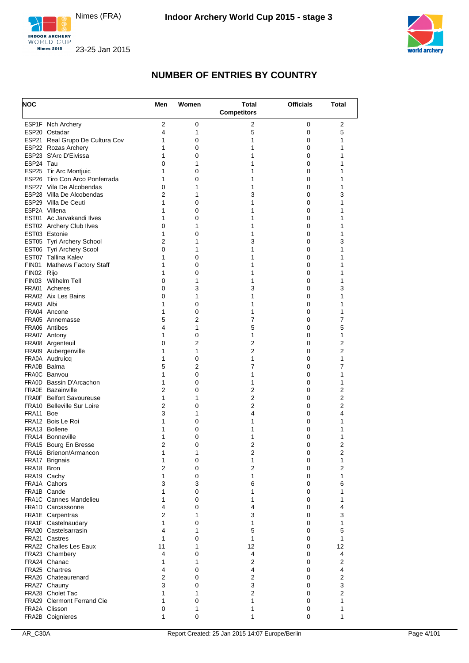





| <b>NOC</b> |                                                          | Men               | Women     | <b>Total</b><br><b>Competitors</b> | <b>Officials</b> | Total               |
|------------|----------------------------------------------------------|-------------------|-----------|------------------------------------|------------------|---------------------|
|            | ESP1F Nch Archery                                        | 2                 | 0         | 2                                  | 0                | 2                   |
|            | ESP20 Ostadar                                            | 4                 | 1         | 5                                  | 0                | 5                   |
|            | ESP21 Real Grupo De Cultura Cov                          | 1                 | 0         | 1                                  | 0                | 1                   |
|            | ESP22 Rozas Archery                                      | 1                 | 0         | 1                                  | 0                | 1                   |
|            | ESP23 S'Arc D'Eivissa                                    | 1                 | 0         | 1                                  | 0                | 1                   |
| ESP24 Tau  |                                                          | 0<br>1            | 1<br>0    | 1<br>1                             | 0<br>0           | 1<br>1              |
|            | ESP25 Tir Arc Montjuic<br>ESP26 Tiro Con Arco Ponferrada | 1                 | 0         | 1                                  | 0                | 1                   |
|            | ESP27 Vila De Alcobendas                                 | 0                 | 1         | 1                                  | 0                | 1                   |
|            | ESP28 Villa De Alcobendas                                | 2                 | 1         | 3                                  | 0                | 3                   |
|            | ESP29 Villa De Ceuti                                     | 1                 | 0         | 1                                  | $\Omega$         | 1                   |
|            | ESP2A Villena                                            | 1                 | 0         | 1                                  | 0                | 1                   |
|            | EST01 Ac Jarvakandi Ilves                                | 1                 | 0         | 1                                  | 0                | 1                   |
|            | EST02 Archery Club Ilves                                 | 0                 | 1         | 1                                  | 0                | 1                   |
|            | EST03 Estonie                                            | 1                 | 0         | 1                                  | 0                | 1                   |
|            | EST05 Tyri Archery School                                | 2                 | 1         | 3                                  | 0                | 3                   |
|            | EST06 Tyri Archery Scool<br>EST07 Tallina Kalev          | 0<br>1            | 1<br>0    | 1<br>1                             | 0<br>0           | 1<br>1              |
| FIN01      | <b>Mathews Factory Staff</b>                             | 1                 | 0         | 1                                  | 0                | 1                   |
| FIN02 Rijo |                                                          | 1                 | 0         | 1                                  | 0                | 1                   |
|            | FIN03 Wilhelm Tell                                       | 0                 | 1         | 1                                  | 0                | 1                   |
|            | FRA01 Acheres                                            | 0                 | 3         | 3                                  | 0                | 3                   |
|            | FRA02 Aix Les Bains                                      | 0                 | 1         | 1                                  | 0                | 1                   |
| FRA03 Albi |                                                          | 1                 | 0         | 1                                  | 0                | 1                   |
|            | FRA04 Ancone                                             | 1                 | 0         | 1                                  | 0                | 1                   |
|            | FRA05 Annemasse                                          | 5                 | 2         | 7                                  | 0                | 7                   |
|            | FRA06 Antibes                                            | 4                 | 1         | 5                                  | 0                | 5                   |
|            | FRA07 Antony                                             | 1                 | 0         | 1                                  | 0                | 1                   |
|            | FRA08 Argenteuil                                         | 0<br>1            | 2<br>1    | $\overline{2}$<br>$\overline{2}$   | 0<br>0           | 2<br>$\overline{2}$ |
|            | FRA09 Aubergenville<br>FRA0A Audruicq                    | 1                 | 0         | 1                                  | 0                | 1                   |
|            | FRA0B Balma                                              | 5                 | 2         | 7                                  | 0                | 7                   |
|            | FRA0C Banvou                                             | 1                 | 0         | 1                                  | 0                | 1                   |
|            | FRA0D Bassin D'Arcachon                                  | 1                 | 0         | 1                                  | 0                | 1                   |
|            | FRA0E Bazainville                                        | 2                 | 0         | 2                                  | 0                | 2                   |
|            | <b>FRA0F</b> Belfort Savoureuse                          | 1                 | 1         | 2                                  | 0                | $\overline{2}$      |
|            | FRA10 Belleville Sur Loire                               | 2                 | 0         | 2                                  | $\Omega$         | 2                   |
| FRA11 Boe  |                                                          | 3                 | 1         | 4                                  | 0                | 4                   |
|            | FRA12 Bois Le Roi                                        | 1                 | 0         | 1                                  | 0                | 1                   |
|            | FRA13 Bollene<br>FRA14 Bonneville                        | 1<br>1            | 0<br>0    | 1<br>1                             | 0<br>0           | 1<br>1              |
|            | FRA15 Bourg En Bresse                                    | 2                 | 0         | $\overline{2}$                     | 0                | $\overline{2}$      |
|            | FRA16 Brienon/Armancon                                   | 1                 | 1         | 2                                  | 0                | 2                   |
|            | FRA17 Brignais                                           | 1                 | $\pmb{0}$ | 1                                  | 0                | 1                   |
| FRA18 Bron |                                                          | 2                 | 0         | $\overline{2}$                     | 0                | 2                   |
|            | FRA19 Cachy                                              | 1                 | 0         | 1                                  | 0                | $\mathbf{1}$        |
|            | FRA1A Cahors                                             | 3                 | 3         | 6                                  | 0                | 6                   |
|            | FRA1B Cande                                              | 1                 | 0         | 1                                  | 0                | 1                   |
|            | <b>FRA1C</b> Cannes Mandelieu                            | 1                 | 0         | 1                                  | 0                | 1                   |
|            | FRA1D Carcassonne                                        | 4                 | 0         | 4                                  | 0                | 4<br>3              |
|            | FRA1E Carpentras<br>FRA1F Castelnaudary                  | 2<br>$\mathbf{1}$ | 1<br>0    | 3<br>1                             | 0<br>0           | $\mathbf{1}$        |
|            | FRA20 Castelsarrasin                                     | 4                 | 1         | 5                                  | 0                | 5                   |
|            | FRA21 Castres                                            | 1                 | 0         | 1                                  | 0                | 1                   |
|            | <b>FRA22</b> Challes Les Eaux                            | 11                | 1         | 12                                 | 0                | 12                  |
|            | FRA23 Chambery                                           | 4                 | 0         | 4                                  | 0                | 4                   |
|            | FRA24 Chanac                                             | 1                 | 1         | $\overline{2}$                     | $\Omega$         | 2                   |
|            | FRA25 Chartres                                           | 4                 | 0         | 4                                  | 0                | 4                   |
|            | FRA26 Chateaurenard                                      | 2                 | 0         | $\overline{2}$                     | 0                | $\overline{2}$      |
|            | FRA27 Chauny                                             | 3                 | 0         | 3                                  | 0                | 3                   |
|            | FRA28 Cholet Tac                                         | 1                 | 1         | $\overline{2}$                     | 0                | 2                   |
|            | <b>FRA29 Clermont Ferrand Cie</b><br>FRA2A Clisson       | 1<br>0            | 0<br>1    | 1<br>1                             | 0<br>0           | 1<br>1              |
|            | FRA2B Coignieres                                         | 1                 | 0         | 1                                  | 0                | 1                   |
|            |                                                          |                   |           |                                    |                  |                     |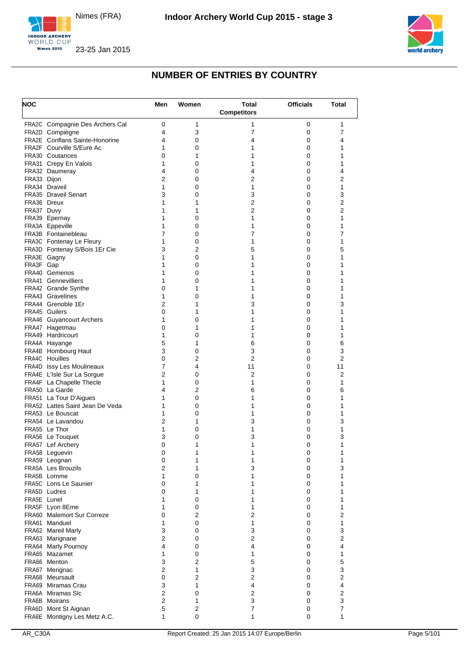





| <b>NOC</b>  |                                               | Men            | Women               | <b>Total</b><br><b>Competitors</b> | <b>Officials</b> | Total               |
|-------------|-----------------------------------------------|----------------|---------------------|------------------------------------|------------------|---------------------|
|             | FRA2C Compagnie Des Archers Cal               | 0              | 1                   | 1                                  | 0                | 1                   |
|             | FRA2D Compiègne                               | 4              | 3                   | 7                                  | 0                | 7                   |
|             | <b>FRA2E</b> Conflans Sainte-Honorine         | 4              | 0                   | 4                                  | 0                | 4                   |
|             | FRA2F Courville S/Eure Ac                     | 1              | 0                   | 1                                  | 0                | 1                   |
|             | FRA30 Coutances                               | 0              | 1                   | 1                                  | 0                | 1                   |
|             | FRA31 Crepy En Valois                         | 1              | 0                   | 1                                  | 0                | 1                   |
| FRA33 Dijon | FRA32 Daumeray                                | 4<br>2         | 0<br>0              | 4<br>2                             | 0<br>0           | 4<br>2              |
|             | FRA34 Draveil                                 | 1              | 0                   | 1                                  | 0                | 1                   |
|             | FRA35 Draveil Senart                          | 3              | 0                   | 3                                  | 0                | 3                   |
|             | FRA36 Dreux                                   | 1              | 1                   | 2                                  | 0                | $\overline{2}$      |
| FRA37 Duvy  |                                               | 1              | 1                   | 2                                  | 0                | 2                   |
|             | FRA39 Epernay                                 | 1              | 0                   | 1                                  | 0                | 1                   |
|             | FRA3A Eppeville                               | 1              | 0                   | 1                                  | 0                | 1                   |
|             | FRA3B Fontainebleau                           | 7              | 0                   | 7                                  | 0                | 7                   |
|             | FRA3C Fontenay Le Fleury                      | 1              | 0                   | 1                                  | 0                | 1                   |
|             | FRA3D Fontenay S/Bois 1Er Cie<br>FRA3E Gagny  | 3<br>1         | 2<br>0              | 5<br>1                             | 0<br>0           | 5<br>1              |
| FRA3F Gap   |                                               | 1              | 0                   | 1                                  | 0                | 1                   |
|             | FRA40 Gemenos                                 | 1              | 0                   | 1                                  | $\Omega$         | 1                   |
|             | <b>FRA41 Gennevilliers</b>                    | 1              | 0                   | 1                                  | 0                | 1                   |
|             | FRA42 Grande Synthe                           | 0              | 1                   | 1                                  | 0                | 1                   |
|             | FRA43 Gravelines                              | 1              | 0                   | 1                                  | $\Omega$         | 1                   |
|             | FRA44 Grenoble 1Er                            | 2              | 1                   | 3                                  | 0                | 3                   |
|             | FRA45 Guilers                                 | 0              | 1                   | 1                                  | 0                | 1                   |
|             | FRA46 Guyancourt Archers                      | 1              | 0                   | 1                                  | 0                | 1                   |
|             | FRA47 Hagetmau                                | 0              | 1                   | 1                                  | 0                | 1                   |
|             | FRA49 Hardricourt                             | 1<br>5         | 0<br>1              | 1                                  | 0                | 1                   |
|             | FRA4A Hayange<br>FRA4B Hombourg Haut          | 3              | 0                   | 6<br>3                             | 0<br>0           | 6<br>3              |
|             | <b>FRA4C Houilles</b>                         | 0              | 2                   | 2                                  | 0                | 2                   |
|             | FRA4D Issy Les Moulineaux                     | 7              | 4                   | 11                                 | 0                | 11                  |
|             | FRA4E L'Isle Sur La Sorgue                    | $\overline{2}$ | 0                   | 2                                  | 0                | 2                   |
|             | FRA4F La Chapelle Thecle                      | 1              | 0                   | 1                                  | 0                | 1                   |
|             | FRA50 La Garde                                | 4              | 2                   | 6                                  | 0                | 6                   |
|             | FRA51 La Tour D'Aigues                        | 1              | 0                   | 1                                  | 0                | 1                   |
|             | FRA52 Lattes Saint Jean De Veda               | 1              | 0                   | 1                                  | 0                | 1                   |
|             | FRA53 Le Bouscat                              | 1              | 0                   | 1                                  | 0                | 1                   |
|             | FRA54 Le Lavandou<br>FRA55 Le Thor            | 2<br>1         | 1                   | 3<br>1                             | 0<br>0           | 3<br>1              |
|             | FRA56 Le Touquet                              | 3              | 0<br>0              | 3                                  | 0                | 3                   |
|             | FRA57 Lef Archery                             | 0              | 1                   | 1                                  | 0                | 1                   |
|             | FRA58 Leguevin                                | 0              | 1                   | 1                                  | 0                | 1                   |
|             | FRA59 Leognan                                 | 0              | 1                   | 1                                  | 0                | 1                   |
|             | FRA5A Les Brouzils                            | 2              | 1                   | 3                                  | 0                | 3                   |
|             | FRA5B Lomme                                   | 1              | 0                   | 1                                  | $\Omega$         | 1                   |
|             | <b>FRA5C</b> Lons Le Saunier                  | 0              | 1                   | 1                                  | 0                | 1                   |
|             | FRA5D Ludres                                  | 0              | 1                   | 1                                  | 0                | 1                   |
| FRA5E Lunel |                                               | 1              | 0                   | 1                                  | $\Omega$         | 1                   |
|             | FRA5F Lyon 8Eme<br>FRA60 Malemort Sur Correze | 1<br>0         | 0<br>$\overline{2}$ | 1<br>2                             | 0<br>0           | 1<br>$\overline{2}$ |
|             | FRA61 Manduel                                 | 1              | 0                   | 1                                  | 0                | 1                   |
|             | FRA62 Mareil Marly                            | 3              | 0                   | 3                                  | 0                | 3                   |
|             | FRA63 Marignane                               | 2              | 0                   | $\overline{2}$                     | 0                | $\overline{2}$      |
|             | FRA64 Marly Pournoy                           | 4              | 0                   | 4                                  | 0                | 4                   |
|             | FRA65 Mazamet                                 | 1              | 0                   | 1                                  | 0                | 1                   |
|             | FRA66 Menton                                  | 3              | $\overline{2}$      | 5                                  | 0                | 5                   |
|             | FRA67 Merignac                                | 2              | 1                   | 3                                  | 0                | 3                   |
|             | FRA68 Meursault                               | 0              | $\overline{2}$      | 2                                  | 0                | $\overline{2}$      |
|             | FRA69 Miramas Crau                            | 3<br>2         | 1<br>0              | 4<br>2                             | 0<br>0           | 4<br>$\overline{2}$ |
|             | FRA6A Miramas SIc<br>FRA6B Moirans            | 2              | 1                   | 3                                  | 0                | 3                   |
|             | FRA6D Mont St Aignan                          | 5              | 2                   | 7                                  | 0                | 7                   |
|             | FRA6E Montigny Les Metz A.C.                  | 1              | 0                   | 1                                  | 0                | 1                   |
|             |                                               |                |                     |                                    |                  |                     |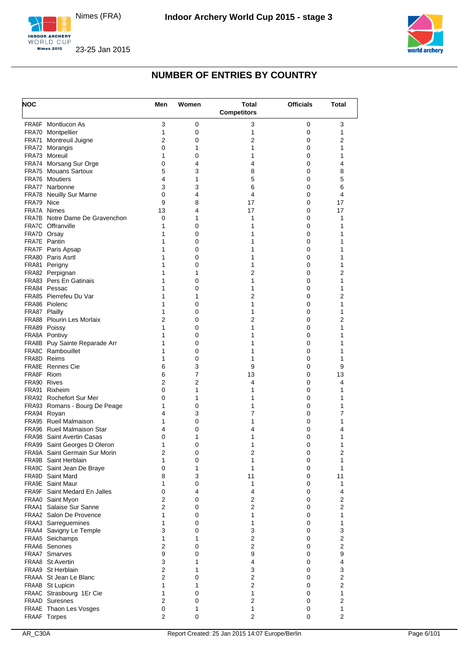





| <b>NOC</b>    |                                                          | Men                 | Women          | Total<br><b>Competitors</b>    | <b>Officials</b> | Total                   |
|---------------|----------------------------------------------------------|---------------------|----------------|--------------------------------|------------------|-------------------------|
|               | FRA6F Montlucon As                                       | 3                   | 0              | 3                              | 0                | 3                       |
|               | FRA70 Montpellier                                        | 1                   | 0              | 1                              | 0                | 1                       |
|               | FRA71 Montreuil Juigne                                   | 2                   | 0              | 2                              | 0                | 2                       |
|               | FRA72 Morangis                                           | 0                   | 1              | 1                              | 0                | 1                       |
|               | FRA73 Moreuil<br>FRA74 Morsang Sur Orge                  | 1<br>0              | 0<br>4         | 1<br>4                         | 0<br>0           | 1<br>4                  |
|               | FRA75 Mouans Sartoux                                     | 5                   | 3              | 8                              | 0                | 8                       |
|               | FRA76 Moutiers                                           | 4                   | 1              | 5                              | 0                | 5                       |
|               | FRA77 Narbonne                                           | 3                   | 3              | 6                              | 0                | 6                       |
|               | <b>FRA78 Neuilly Sur Marne</b>                           | 0                   | 4              | 4                              | 0                | 4                       |
| FRA79 Nice    |                                                          | 9                   | 8              | 17                             | 0                | 17                      |
|               | FRA7A Nimes                                              | 13                  | 4              | 17                             | 0                | 17                      |
|               | FRA7B Notre Dame De Gravenchon                           | 0                   | 1              | 1                              | 0                | 1                       |
| FRA7D Orsay   | <b>FRA7C</b> Offranville                                 | 1<br>1              | 0              | 1                              | 0                | 1<br>1                  |
|               | FRA7E Pantin                                             | 1                   | 0<br>0         | 1<br>1                         | 0<br>0           | 1                       |
|               | FRA7F Paris Apsap                                        | 1                   | 0              | 1                              | 0                | 1                       |
|               | FRA80 Paris Asrtl                                        | 1                   | 0              | 1                              | 0                | 1                       |
|               | FRA81 Perigny                                            | 1                   | 0              | 1                              | 0                | 1                       |
|               | FRA82 Perpignan                                          | 1                   | 1              | 2                              | 0                | 2                       |
|               | <b>FRA83</b> Pers En Gatinais                            | 1                   | 0              | 1                              | 0                | 1                       |
|               | FRA84 Pessac                                             | 1                   | 0              | 1                              | 0                | 1                       |
|               | FRA85 Pierrefeu Du Var                                   | 1                   | 1              | 2                              | 0                | 2                       |
|               | FRA86 Piolenc                                            | 1                   | 0              | 1                              | 0                | 1                       |
| FRA87 Plailly | <b>FRA88</b> Plourin Les Morlaix                         | 1<br>$\overline{2}$ | 0              | $\mathbf{1}$<br>$\overline{2}$ | 0<br>0           | 1<br>2                  |
|               | FRA89 Poissy                                             | 1                   | 0<br>0         | 1                              | 0                | 1                       |
|               | FRA8A Pontivy                                            | 1                   | 0              | 1                              | 0                | 1                       |
|               | FRA8B Puy Sainte Reparade Arr                            | 1                   | 0              | 1                              | 0                | 1                       |
|               | FRA8C Rambouillet                                        | 1                   | 0              | 1                              | 0                | 1                       |
|               | FRA8D Reims                                              | 1                   | 0              | 1                              | 0                | 1                       |
|               | <b>FRA8E</b> Rennes Cie                                  | 6                   | 3              | 9                              | 0                | 9                       |
| FRA8F Riom    |                                                          | 6                   | $\overline{7}$ | 13                             | 0                | 13                      |
| FRA90 Rives   |                                                          | 2                   | 2              | 4                              | 0                | 4                       |
|               | FRA91 Rixheim                                            | 0                   | 1              | 1                              | 0                | 1                       |
|               | FRA92 Rochefort Sur Mer<br>FRA93 Romans - Bourg De Peage | 0<br>1              | 1<br>0         | 1<br>1                         | 0<br>0           | 1<br>1                  |
|               | FRA94 Royan                                              | 4                   | 3              | 7                              | 0                | 7                       |
|               | FRA95 Rueil Malmaison                                    | 1                   | 0              | 1                              | 0                | 1                       |
|               | FRA96 Rueil Malmaison Star                               | 4                   | 0              | 4                              | 0                | 4                       |
|               | <b>FRA98</b> Saint Avertin Casas                         | 0                   | 1              | 1                              | 0                | 1                       |
|               | FRA99 Saint Georges D Oleron                             | 1                   | 0              | 1                              | 0                | 1                       |
|               | FRA9A Saint Germain Sur Morin                            | 2                   | 0              | 2                              | 0                | 2                       |
|               | FRA9B Saint Herblain                                     | 1                   | 0              | 1                              | $\pmb{0}$        | 1                       |
|               | FRA9C Saint Jean De Braye                                | 0                   | 1              | 1                              | 0                | 1                       |
|               | FRA9D Saint Mard<br>FRA9E Saint Maur                     | 8<br>$\mathbf{1}$   | 3<br>0         | 11<br>$\mathbf{1}$             | 0<br>0           | 11<br>1                 |
|               | <b>FRA9F</b> Saint Medard En Jalles                      | 0                   | 4              | 4                              | 0                | 4                       |
|               | FRAA0 Saint Myon                                         | $\overline{2}$      | 0              | $\overline{\mathbf{c}}$        | 0                | $\overline{2}$          |
|               | <b>FRAA1</b> Salaise Sur Sanne                           | $\overline{2}$      | 0              | $\overline{2}$                 | 0                | $\overline{2}$          |
|               | FRAA2 Salon De Provence                                  | 1                   | 0              | 1                              | 0                | $\mathbf{1}$            |
|               | FRAA3 Sarreguemines                                      | 1                   | 0              | 1                              | 0                | 1                       |
|               | FRAA4 Savigny Le Temple                                  | 3                   | 0              | 3                              | 0                | 3                       |
|               | FRAA5 Seichamps                                          | 1                   | 1              | $\overline{2}$                 | 0                | $\overline{\mathbf{c}}$ |
|               | FRAA6 Senones                                            | $\overline{2}$      | 0              | $\overline{2}$                 | 0                | 2                       |
|               | <b>FRAA7 Smarves</b>                                     | 9<br>3              | 0<br>1         | 9                              | 0<br>0           | 9                       |
|               | FRAA8 St Avertin<br>FRAA9 St Herblain                    | $\overline{2}$      | 1              | 4<br>3                         | 0                | 4<br>3                  |
|               | FRAAA St Jean Le Blanc                                   | $\overline{2}$      | 0              | $\overline{\mathbf{c}}$        | 0                | $\mathbf{2}$            |
|               | FRAAB St Lupicin                                         | 1                   | 1              | $\overline{2}$                 | 0                | $\overline{2}$          |
|               | FRAAC Strasbourg 1Er Cie                                 | 1                   | 0              | 1                              | $\pmb{0}$        | 1                       |
|               | <b>FRAAD Suresnes</b>                                    | $\overline{2}$      | 0              | $\overline{2}$                 | 0                | $\overline{2}$          |
|               | FRAAE Thaon Les Vosges                                   | 0                   | 1              | $\mathbf{1}$                   | 0                | $\mathbf{1}$            |
|               | FRAAF Torpes                                             | $\overline{2}$      | 0              | $\overline{2}$                 | 0                | $\overline{2}$          |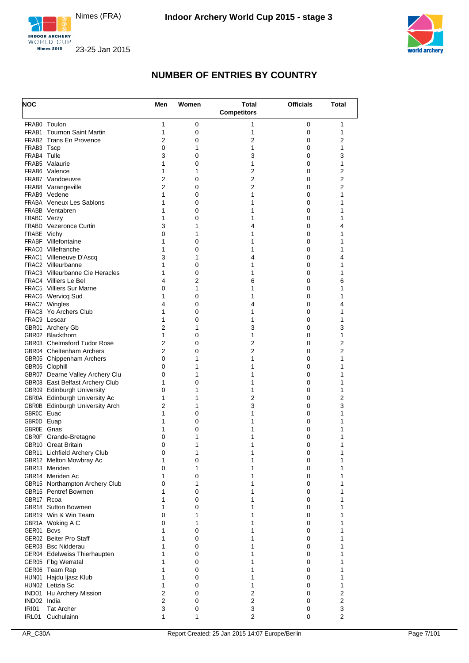





| <b>NOC</b>   |                                                                    | Men            | Women  | <b>Total</b><br><b>Competitors</b> | <b>Officials</b> | Total               |
|--------------|--------------------------------------------------------------------|----------------|--------|------------------------------------|------------------|---------------------|
|              | FRAB0 Toulon                                                       | 1              | 0      | 1                                  | 0                | 1                   |
|              | <b>FRAB1 Tournon Saint Martin</b>                                  | 1              | 0      | 1                                  | 0                | 1                   |
|              | <b>FRAB2</b> Trans En Provence                                     | 2              | 0      | 2                                  | 0                | 2                   |
| FRAB3 Tscp   |                                                                    | 0              | 1      | 1                                  | 0                | 1                   |
| FRAB4 Tulle  |                                                                    | 3              | 0      | 3                                  | 0                | 3                   |
|              | FRAB5 Valaurie                                                     | 1              | 0      | 1                                  | 0                | 1                   |
|              | FRAB6 Valence<br>FRAB7 Vandoeuvre                                  | 1<br>2         | 1<br>0 | 2<br>$\overline{2}$                | 0<br>0           | 2<br>$\overline{2}$ |
|              | FRAB8 Varangeville                                                 | $\overline{2}$ | 0      | 2                                  | 0                | 2                   |
|              | FRAB9 Vedene                                                       | 1              | 0      | 1                                  | 0                | 1                   |
|              | <b>FRABA</b> Veneux Les Sablons                                    | 1              | 0      | 1                                  | 0                | 1                   |
|              | FRABB Ventabren                                                    | 1              | 0      | 1                                  | 0                | 1                   |
| FRABC Verzy  |                                                                    | 1              | 0      | 1                                  | 0                | 1                   |
|              | <b>FRABD</b> Vezeronce Curtin                                      | 3              | 1      | 4                                  | $\Omega$         | 4                   |
| FRABE Vichy  | <b>FRABF</b> Villefontaine                                         | 0<br>1         | 1<br>0 | 1<br>1                             | 0<br>0           | 1<br>1              |
|              | FRAC0 Villefranche                                                 | 1              | 0      | 1                                  | $\Omega$         | 1                   |
|              | FRAC1 Villeneuve D'Ascq                                            | 3              | 1      | 4                                  | 0                | 4                   |
|              | FRAC2 Villeurbanne                                                 | 1              | 0      | 1                                  | 0                | 1                   |
|              | <b>FRAC3</b> Villeurbanne Cie Heracles                             | 1              | 0      | 1                                  | 0                | 1                   |
|              | <b>FRAC4</b> Villiers Le Bel                                       | 4              | 2      | 6                                  | 0                | 6                   |
|              | <b>FRAC5</b> Villiers Sur Marne                                    | 0              | 1      | 1                                  | 0                | 1                   |
|              | FRAC6 Wervicq Sud                                                  | 1              | 0      | 1                                  | 0                | 1                   |
|              | FRAC7 Wingles<br>FRAC8 Yo Archers Club                             | 4<br>1         | 0<br>0 | 4<br>1                             | 0<br>0           | 4<br>1              |
|              | FRAC9 Lescar                                                       | 1              | 0      | 1                                  | 0                | 1                   |
|              | GBR01 Archery Gb                                                   | $\overline{2}$ | 1      | 3                                  | 0                | 3                   |
|              | GBR02 Blackthorn                                                   | 1              | 0      | 1                                  | 0                | 1                   |
|              | GBR03 Chelmsford Tudor Rose                                        | $\overline{2}$ | 0      | 2                                  | 0                | 2                   |
|              | GBR04 Cheltenham Archers                                           | $\overline{2}$ | 0      | 2                                  | 0                | $\overline{2}$      |
|              | GBR05 Chippenham Archers                                           | 0              | 1      | 1                                  | 0                | 1                   |
|              | GBR06 Clophill                                                     | 0<br>0         | 1<br>1 | 1<br>1                             | 0                | 1                   |
|              | GBR07 Dearne Valley Archery Clu<br>GBR08 East Belfast Archery Club | 1              | 0      | 1                                  | 0<br>0           | 1<br>1              |
|              | GBR09 Edinburgh University                                         | 0              | 1      | 1                                  | 0                | 1                   |
|              | GBR0A Edinburgh University Ac                                      | 1              | 1      | 2                                  | 0                | 2                   |
|              | <b>GBR0B</b> Edinburgh University Arch                             | $\overline{2}$ | 1      | 3                                  | 0                | 3                   |
| GBR0C Euac   |                                                                    | 1              | 0      | 1                                  | 0                | 1                   |
| GBR0D Euap   |                                                                    | 1              | 0      | 1                                  | 0                | 1                   |
| GBR0E Gnas   |                                                                    | 1              | 0      | 1                                  | 0                | 1                   |
|              | GBR0F Grande-Bretagne<br><b>GBR10</b> Great Britain                | 0<br>0         | 1<br>1 | 1<br>1                             | 0<br>0           | 1<br>$\mathbf{1}$   |
|              | GBR11 Lichfield Archery Club                                       | 0              | 1      | $\mathbf{1}$                       | $\pmb{0}$        | 1                   |
|              | GBR12 Melton Mowbray Ac                                            | 1              | 0      | 1                                  | 0                | 1                   |
|              | GBR13 Meriden                                                      | 0              | 1      | 1                                  | 0                | 1                   |
|              | GBR14 Meriden Ac                                                   | 1              | 0      | 1                                  | 0                | 1                   |
|              | GBR15 Northampton Archery Club                                     | 0              | 1      | 1                                  | 0                | 1                   |
| GBR17 Rcoa   | GBR16 Pentref Bowmen                                               | 1<br>1         | 0      | 1<br>1                             | 0                | 1                   |
|              | GBR18 Sutton Bowmen                                                | 1              | 0<br>0 | 1                                  | 0<br>0           | 1<br>1              |
|              | GBR19 Win & Win Team                                               | 0              | 1      | 1                                  | 0                | 1                   |
|              | GBR1A Woking A C                                                   | 0              | 1      | 1                                  | 0                | 1                   |
| GER01 Bcvs   |                                                                    | 1              | 0      | 1                                  | 0                | 1                   |
|              | GER02 Beiter Pro Staff                                             | 1              | 0      | 1                                  | 0                | 1                   |
|              | GER03 Bsc Nidderau                                                 | 1              | 0      | 1                                  | 0                | 1                   |
|              | GER04 Edelweiss Thierhaupten                                       | 1              | 0      | 1                                  | 0                | 1                   |
|              | GER05 Fbg Werratal<br>GER06 Team Rap                               | 1<br>1         | 0<br>0 | 1<br>1                             | 0<br>0           | 1<br>1              |
|              | HUN01 Hajdu Ijasz Klub                                             | 1              | 0      | 1                                  | 0                | 1                   |
|              | HUN02 Letizia Sc                                                   | 1              | 0      | 1                                  | 0                | 1                   |
|              | IND01 Hu Archery Mission                                           | 2              | 0      | $\overline{2}$                     | 0                | $\overline{2}$      |
| IND02 India  |                                                                    | $\overline{2}$ | 0      | $\overline{2}$                     | 0                | $\overline{2}$      |
| <b>IRI01</b> | <b>Tat Archer</b>                                                  | 3              | 0      | 3                                  | 0                | 3                   |
| IRL01        | Cuchulainn                                                         | 1              | 1      | 2                                  | 0                | 2                   |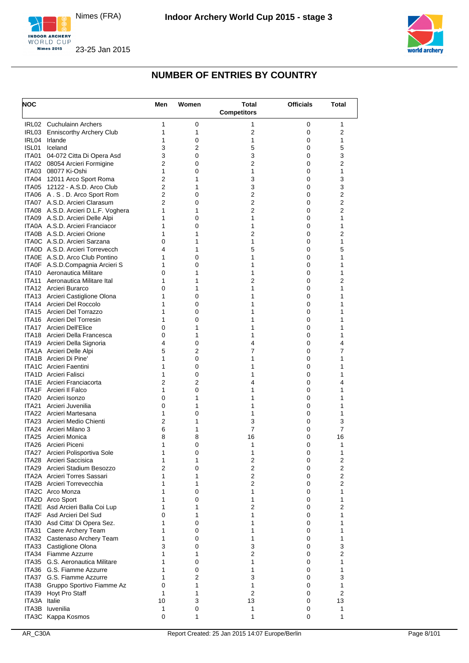





| <b>NOC</b>     |                                                               | Men                              | Women  | <b>Total</b>       | <b>Officials</b> | Total  |
|----------------|---------------------------------------------------------------|----------------------------------|--------|--------------------|------------------|--------|
|                |                                                               |                                  |        | <b>Competitors</b> |                  |        |
|                | IRL02 Cuchulainn Archers                                      | 1                                | 0      | 1                  | 0                | 1      |
| IRL03<br>IRL04 | <b>Enniscorthy Archery Club</b><br>Irlande                    | 1<br>1                           | 1<br>0 | 2<br>1             | 0<br>0           | 2<br>1 |
| ISL01          | Iceland                                                       | 3                                | 2      | 5                  | 0                | 5      |
| ITA01          | 04-072 Citta Di Opera Asd                                     | 3                                | 0      | 3                  | 0                | 3      |
| ITA02          | 08054 Arcieri Formigine                                       | $\overline{2}$                   | 0      | 2                  | 0                | 2      |
|                | ITA03 08077 Ki-Oshi                                           | 1                                | 0      | 1                  | 0                | 1      |
|                | ITA04 12011 Arco Sport Roma<br>ITA05 12122 - A.S.D. Arco Club | $\overline{2}$<br>$\overline{2}$ | 1<br>1 | 3<br>3             | 0<br>0           | 3<br>3 |
|                | ITA06 A.S.D. Arco Sport Rom                                   | $\overline{2}$                   | 0      | 2                  | 0                | 2      |
|                | ITA07 A.S.D. Arcieri Clarasum                                 | $\overline{2}$                   | 0      | $\overline{2}$     | 0                | 2      |
|                | ITA08 A.S.D. Arcieri D.L.F. Voghera                           | 1                                | 1      | 2                  | 0                | 2      |
|                | ITA09 A.S.D. Arcieri Delle Alpi                               | 1                                | 0      | 1                  | 0                | 1      |
|                | ITA0A A.S.D. Arcieri Franciacor                               | 1                                | 0      | 1                  | 0                | 1      |
|                | ITA0B A.S.D. Arcieri Orione<br>ITA0C A.S.D. Arcieri Sarzana   | 1<br>0                           | 1<br>1 | 2<br>1             | 0<br>0           | 2<br>1 |
|                | <b>ITAOD</b> A.S.D. Arcieri Torrevecch                        | 4                                | 1      | 5                  | 0                | 5      |
|                | ITA0E A.S.D. Arco Club Pontino                                | 1                                | 0      | 1                  | 0                | 1      |
|                | ITA0F A.S.D.Compagnia Arcieri S                               | 1                                | 0      | 1                  | 0                | 1      |
|                | ITA10 Aeronautica Militare                                    | $\Omega$                         | 1      | 1                  | $\Omega$         | 1      |
| ITA11          | Aeronautica Militare Ital                                     | 1                                | 1      | 2                  | 0                | 2      |
|                | ITA12 Arcieri Burarco                                         | 0                                | 1      | 1                  | 0                | 1      |
|                | ITA13 Arcieri Castiglione Olona<br>ITA14 Arcieri Del Roccolo  | 1<br>1                           | 0<br>0 | 1<br>1             | $\Omega$<br>0    | 1<br>1 |
|                | ITA15 Arcieri Del Torrazzo                                    | 1                                | 0      | 1                  | 0                | 1      |
|                | ITA16 Arcieri Del Torresin                                    | 1                                | 0      | 1                  | 0                | 1      |
|                | <b>ITA17</b> Arcieri Dell'Elice                               | 0                                | 1      | 1                  | 0                | 1      |
|                | ITA18 Arcieri Della Francesca                                 | 0                                | 1      | 1                  | 0                | 1      |
|                | ITA19 Arcieri Della Signoria                                  | 4                                | 0      | 4                  | 0                | 4      |
|                | ITA1A Arcieri Delle Alpi<br><b>ITA1B</b> Arcieri Di Pine      | 5<br>1                           | 2<br>0 | 7<br>1             | 0<br>0           | 7<br>1 |
|                | <b>ITA1C</b> Arcieri Faentini                                 | 1                                | 0      | 1                  | 0                | 1      |
|                | <b>ITA1D</b> Arcieri Falisci                                  | 1                                | 0      | 1                  | 0                | 1      |
|                | <b>ITA1E</b> Arcieri Franciacorta                             | 2                                | 2      | 4                  | 0                | 4      |
|                | ITA1F Arcieri II Falco                                        | 1                                | 0      | 1                  | 0                | 1      |
| ITA20          | Arcieri Isonzo                                                | 0                                | 1      | 1                  | 0                | 1      |
| <b>ITA21</b>   | Arcieri Juvenilia<br>ITA22 Arcieri Martesana                  | 0<br>1                           | 1<br>0 | 1<br>1             | 0<br>0           | 1<br>1 |
|                | ITA23 Arcieri Medio Chienti                                   | $\overline{2}$                   | 1      | 3                  | 0                | 3      |
|                | ITA24 Arcieri Milano 3                                        | 6                                | 1      | 7                  | 0                | 7      |
| ITA25          | Arcieri Monica                                                | 8                                | 8      | 16                 | 0                | 16     |
|                | ITA26 Arcieri Piceni                                          | 1                                | 0      | 1                  | 0                | 1      |
|                | ITA27 Arcieri Polisportiva Sole                               | 1                                | 0      | 1                  | 0                | 1      |
|                | ITA28 Arcieri Saccisica<br>ITA29 Arcieri Stadium Besozzo      | 1<br>2                           | 1<br>0 | 2<br>2             | 0<br>0           | 2<br>2 |
|                | ITA2A Arcieri Torres Sassari                                  | 1                                | 1      | 2                  | 0                | 2      |
|                | <b>ITA2B</b> Arcieri Torrevecchia                             | 1                                | 1      | 2                  | 0                | 2      |
|                | <b>ITA2C</b> Arco Monza                                       | 1                                | 0      | 1                  | 0                | 1      |
|                | ITA2D Arco Sport                                              | 1                                | 0      | 1                  | $\Omega$         | 1      |
|                | ITA2E Asd Arcieri Balla Coi Lup                               | 1                                | 1      | 2                  | 0                | 2      |
|                | ITA2F Asd Arcieri Del Sud<br>ITA30 Asd Citta' Di Opera Sez.   | 0<br>1                           | 1<br>0 | 1<br>1             | 0<br>0           | 1<br>1 |
|                | ITA31 Caere Archery Team                                      | 1                                | 0      | 1                  | 0                | 1      |
|                | ITA32 Castenaso Archery Team                                  | 1                                | 0      | 1                  | 0                | 1      |
|                | ITA33 Castiglione Olona                                       | 3                                | 0      | 3                  | 0                | 3      |
|                | ITA34 Fiamme Azzurre                                          | 1                                | 1      | 2                  | 0                | 2      |
|                | ITA35 G.S. Aeronautica Militare                               | 1                                | 0      | 1                  | 0                | 1      |
|                | ITA36 G.S. Fiamme Azzurre                                     | 1                                | 0      | 1                  | 0                | 1      |
|                | ITA37 G.S. Fiamme Azzurre<br>ITA38 Gruppo Sportivo Fiamme Az  | 1<br>0                           | 2<br>1 | 3<br>1             | 0<br>0           | 3<br>1 |
| ITA39          | Hoyt Pro Staff                                                | 1                                | 1      | 2                  | 0                | 2      |
| ITA3A Italie   |                                                               | 10                               | 3      | 13                 | 0                | 13     |
|                | ITA3B Iuvenilia                                               | 1                                | 0      | 1                  | 0                | 1      |
|                | ITA3C Kappa Kosmos                                            | 0                                | 1      | 1                  | 0                | 1      |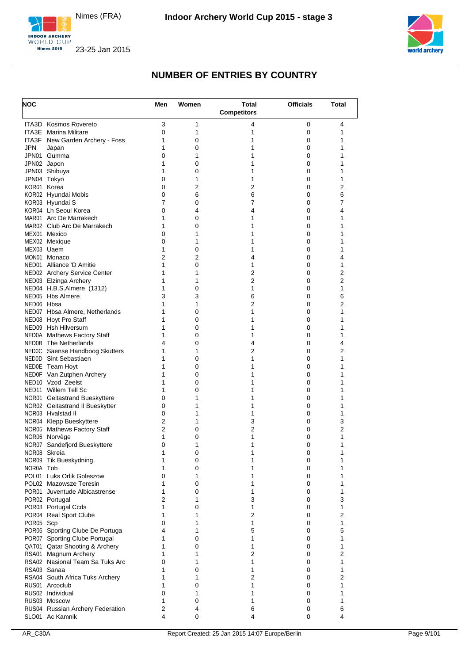





| <b>NOC</b> |                                                                  | Men            | Women  | Total               | <b>Officials</b> | Total                          |
|------------|------------------------------------------------------------------|----------------|--------|---------------------|------------------|--------------------------------|
|            |                                                                  |                |        | <b>Competitors</b>  |                  |                                |
|            | <b>ITA3D</b> Kosmos Rovereto<br>ITA3E Marina Militare            | 3<br>0         | 1<br>1 | 4<br>1              | 0<br>0           | 4<br>1                         |
|            | <b>ITA3F</b> New Garden Archery - Foss                           | 1              | 0      | 1                   | 0                | 1                              |
| JPN        | Japan                                                            | 1              | 0      | 1                   | 0                | 1                              |
|            | JPN01 Gumma                                                      | 0              | 1      | 1                   | 0                | 1                              |
|            | JPN02 Japon                                                      | 1              | 0      | 1                   | 0                | 1                              |
|            | JPN03 Shibuya                                                    | 1<br>0         | 0<br>1 | 1<br>1              | 0<br>0           | 1<br>1                         |
|            | JPN04 Tokyo<br>KOR01 Korea                                       | 0              | 2      | 2                   | 0                | $\overline{2}$                 |
|            | KOR02 Hyundai Mobis                                              | 0              | 6      | 6                   | 0                | 6                              |
|            | KOR03 Hyundai S                                                  | 7              | 0      | 7                   | 0                | 7                              |
|            | KOR04 Lh Seoul Korea                                             | 0              | 4      | 4                   | 0                | 4                              |
|            | MAR01 Arc De Marrakech                                           | 1              | 0      | 1                   | 0                | 1                              |
|            | MAR02 Club Arc De Marrakech<br>MEX01 Mexico                      | 1<br>0         | 0<br>1 | 1<br>1              | 0<br>0           | 1<br>1                         |
|            | MEX02 Mexique                                                    | 0              | 1      | 1                   | 0                | 1                              |
| MEX03 Uaem |                                                                  | 1              | 0      | 1                   | 0                | 1                              |
|            | MON01 Monaco                                                     | 2              | 2      | 4                   | 0                | 4                              |
|            | NED01 Alliance 'D Amitie                                         | 1              | 0      | 1                   | 0                | 1                              |
|            | NED02 Archery Service Center                                     | 1              | 1      | 2                   | 0                | 2                              |
|            | NED03 Elzinga Archery<br>NED04 H.B.S.Almere (1312)               | 1<br>1         | 1<br>0 | 2<br>1              | 0                | 2<br>1                         |
|            | NED05 Hbs Almere                                                 | 3              | 3      | 6                   | 0<br>0           | 6                              |
| NED06 Hbsa |                                                                  | 1              | 1      | 2                   | 0                | 2                              |
|            | NED07 Hbsa Almere, Netherlands                                   | 1              | 0      | 1                   | 0                | 1                              |
|            | NED08 Hoyt Pro Staff                                             | 1              | 0      | 1                   | 0                | 1                              |
|            | NED09 Hsh Hilversum                                              | 1              | 0      | 1                   | 0                | 1                              |
|            | NED0A Mathews Factory Staff                                      | 1              | 0      | 1                   | 0                | 1                              |
|            | NED0B The Netherlands<br>NEDOC Saense Handboog Skutters          | 4<br>1         | 0<br>1 | 4<br>2              | 0<br>0           | 4<br>2                         |
|            | NED0D Sint Sebastiaen                                            | 1              | 0      | 1                   | 0                | 1                              |
|            | NEDOE Team Hoyt                                                  | 1              | 0      | 1                   | 0                | 1                              |
|            | NED0F Van Zutphen Archery                                        | 1              | 0      | 1                   | 0                | 1                              |
|            | NED <sub>10</sub> Vzod Zeelst                                    | 1              | 0      | 1                   | 0                | 1                              |
|            | NED11 Willem Tell Sc                                             | 1              | 0      | 1                   | 0                | 1                              |
|            | NOR01 Geitastrand Bueskyttere<br>NOR02 Geitastrand II Bueskytter | 0<br>0         | 1<br>1 | 1<br>1              | 0<br>0           | 1<br>1                         |
|            | NOR03 Hvalstad II                                                | 0              | 1      | 1                   | 0                | 1                              |
|            | NOR04 Klepp Bueskyttere                                          | 2              | 1      | 3                   | 0                | 3                              |
|            | NOR05 Mathews Factory Staff                                      | 2              | 0      | 2                   | 0                | 2                              |
|            | NOR06 Norvège                                                    | 1              | 0      | 1                   | 0                | 1                              |
|            | NOR07 Sandefjord Bueskyttere                                     | 0              | 1      | 1                   | 0                | 1                              |
|            | NOR08 Skreia                                                     | 1              | 0      | 1                   | 0                | 1                              |
| NOR0A Tob  | NOR09 Tik Bueskydning.                                           | 1<br>1         | 0<br>0 | 1<br>1              | 0<br>0           | 1<br>1                         |
|            | POL01 Luks Orlik Goleszow                                        | $\Omega$       | 1      | 1                   | 0                | 1                              |
|            | POL02 Mazowsze Teresin                                           | 1              | 0      | 1                   | 0                | 1                              |
|            | POR01 Juventude Albicastrense                                    | 1              | 0      | 1                   | 0                | 1                              |
|            | POR02 Portugal                                                   | $\overline{2}$ | 1      | 3                   | 0                | 3                              |
|            | POR03 Portugal Ccds                                              | 1              | 0      | 1                   | 0                | 1                              |
| POR05 Scp  | POR04 Real Sport Clube                                           | 1<br>0         | 1<br>1 | $\overline{2}$<br>1 | 0<br>0           | $\overline{2}$<br>$\mathbf{1}$ |
|            | POR06 Sporting Clube De Portuga                                  | 4              | 1      | 5                   | 0                | 5                              |
|            | POR07 Sporting Clube Portugal                                    | 1              | 0      | 1                   | 0                | 1                              |
|            | QAT01 Qatar Shooting & Archery                                   | 1              | 0      | 1                   | 0                | 1                              |
|            | RSA01 Magnum Archery                                             | 1              | 1      | $\overline{2}$      | 0                | $\overline{2}$                 |
|            | RSA02 Nasional Team Sa Tuks Arc                                  | 0              | 1      | 1                   | 0                | 1                              |
|            | RSA03 Sanaa                                                      | 1<br>1         | 0      | 1<br>$\overline{2}$ | 0                | $\mathbf{1}$                   |
|            | RSA04 South Africa Tuks Archery<br>RUS01 Arcoclub                | 1              | 1<br>0 | 1                   | 0<br>0           | 2<br>1                         |
|            | RUS02 Individual                                                 | 0              | 1      | 1                   | 0                | 1                              |
|            | RUS03 Moscow                                                     | 1              | 0      | 1                   | 0                | 1                              |
|            | RUS04 Russian Archery Federation                                 | 2              | 4      | 6                   | 0                | 6                              |
|            | SLO01 Ac Kamnik                                                  | 4              | 0      | 4                   | 0                | 4                              |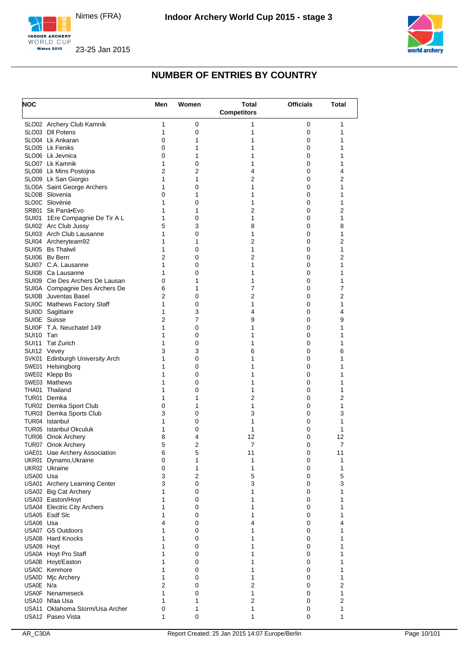





| <b>NOC</b> |                                                   | Men            | Women          | <b>Total</b><br><b>Competitors</b> | <b>Officials</b> | <b>Total</b>        |
|------------|---------------------------------------------------|----------------|----------------|------------------------------------|------------------|---------------------|
|            | SLO02 Archery Club Kamnik                         | 1              | 0              | 1                                  | 0                | 1                   |
|            | SLO03 DII Potens                                  | 1              | 0              | 1                                  | 0                | 1                   |
|            | SLO04 Lk Ankaran                                  | 0              | 1              | 1                                  | 0                | 1                   |
|            | SLO05 Lk Feniks                                   | 0              | 1              | 1                                  | 0                | 1                   |
|            | SLO06 Lk Jevnica                                  | 0              | 1              | 1                                  | 0                | 1                   |
|            | SLO07 Lk Kamnik<br>SLO08 Lk Mins Postojna         | 1<br>2         | 0<br>2         | 1<br>4                             | 0<br>0           | 1<br>4              |
|            | SLO09 Lk San Giorgio                              | 1              | 1              | 2                                  | 0                | 2                   |
|            | SLO0A Saint George Archers                        | 1              | 0              | 1                                  | 0                | 1                   |
|            | SLO0B Slovenia                                    | 0              | 1              | 1                                  | 0                | 1                   |
|            | SLO0C Slovénie                                    | 1              | 0              | 1                                  | 0                | 1                   |
|            | SRB01 Sk Panä•Evo                                 | 1              | 1              | 2                                  | 0                | 2                   |
|            | SUI01 1Ere Compagnie De Tir A L                   | 1              | 0              | 1                                  | 0                | $\mathbf{1}$        |
|            | SUI02 Arc Club Jussy                              | 5              | 3              | 8                                  | 0                | 8                   |
|            | SUI03 Arch Club Lausanne                          | 1              | 0              | 1                                  | 0                | 1                   |
|            | SUI04 Archeryteam92<br>SUI05 Bs Thalwil           | 1<br>1         | 1<br>0         | $\overline{2}$<br>1                | 0<br>0           | 2<br>1              |
|            | SUI06 Bv Bern                                     | $\overline{2}$ | 0              | 2                                  | 0                | 2                   |
|            | SUI07 C.A. Lausanne                               | 1              | 0              | 1                                  | 0                | 1                   |
|            | SUI08 Ca Lausanne                                 | 1              | 0              | 1                                  | 0                | 1                   |
|            | SUI09 Cie Des Archers De Lausan                   | 0              | 1              | 1                                  | 0                | 1                   |
|            | SUI0A Compagnie Des Archers De                    | 6              | 1              | 7                                  | 0                | 7                   |
|            | SUI0B Juventas Basel                              | 2              | 0              | $\overline{2}$                     | 0                | 2                   |
|            | SUI0C Mathews Factory Staff                       | 1              | 0              | 1                                  | 0                | 1                   |
|            | SUI0D Sagittaire                                  | 1              | 3              | 4                                  | 0                | 4                   |
|            | SUI0E Suisse                                      | 2              | 7              | 9                                  | 0                | 9                   |
|            | SUI0F T.A. Neuchatel 149                          | 1              | 0              | 1                                  | 0                | 1                   |
| SUI10 Tan  |                                                   | 1<br>1         | 0              | 1<br>1                             | 0<br>0           | 1<br>1              |
|            | SUI11 Tat Zurich<br>SUI12 Vevey                   | 3              | 0<br>3         | 6                                  | 0                | 6                   |
|            | SVK01 Edinburgh University Arch                   | 1              | 0              | 1                                  | 0                | 1                   |
|            | SWE01 Helsingborg                                 | 1              | 0              | 1                                  | 0                | 1                   |
|            | SWE02 Klepp Bs                                    | 1              | 0              | 1                                  | 0                | 1                   |
|            | SWE03 Mathews                                     | 1              | 0              | 1                                  | 0                | 1                   |
|            | THA01 Thailand                                    | 1              | 0              | 1                                  | 0                | 1                   |
|            | TUR01 Demka                                       | 1              | 1              | $\overline{2}$                     | 0                | $\overline{2}$      |
|            | TUR02 Demka Sport Club                            | 0              | 1              | 1                                  | 0                | 1                   |
|            | TUR03 Demka Sports Club                           | 3              | 0              | 3                                  | 0                | 3                   |
|            | TUR04 Istanbul<br>TUR05 Istanbul Okculuk          | 1<br>1         | 0<br>0         | 1<br>1                             | 0<br>0           | 1<br>1              |
|            | TUR06 Onok Archery                                | 8              | 4              | 12                                 | 0                | 12                  |
|            | TUR07 Onok Archery                                | 5              | $\overline{2}$ | 7                                  | 0                | 7                   |
|            | UAE01 Uae Archery Association                     | 6              | 5              | 11                                 | 0                | 11                  |
|            | UKR01 Dynamo, Ukraine                             | 0              | 1              | 1                                  | $\pmb{0}$        | 1                   |
|            | UKR02 Ukraine                                     | 0              | 1              | 1                                  | 0                | 1                   |
| USA00 Usa  |                                                   | 3              | 2              | 5                                  | 0                | 5                   |
|            | USA01 Archery Learning Center                     | 3              | 0              | 3                                  | 0                | 3                   |
|            | USA02 Big Cat Archery                             | 1              | 0              | 1                                  | 0                | 1                   |
|            | USA03 Easton/Hoyt                                 | 1              | 0              | 1                                  | 0                | 1                   |
|            | USA04 Electric City Archers<br>USA05 Esdf Slc     | 1<br>1         | 0<br>0         | 1<br>1                             | 0<br>0           | 1<br>1              |
| USA06 Usa  |                                                   | 4              | 0              | 4                                  | 0                | 4                   |
|            | USA07 G5 Outdoors                                 | 1              | 0              | 1                                  | 0                | 1                   |
|            | <b>USA08 Hard Knocks</b>                          | 1              | 0              | 1                                  | 0                | 1                   |
| USA09 Hoyt |                                                   | 1              | 0              | 1                                  | 0                | 1                   |
|            | USA0A Hoyt Pro Staff                              | 1              | 0              | 1                                  | 0                | 1                   |
|            | USA0B Hoyt/Easton                                 | 1              | 0              | 1                                  | 0                | 1                   |
|            | USA0C Kenmore                                     | 1              | 0              | 1                                  | 0                | 1                   |
|            | USA0D Mic Archery                                 | 1              | 0              | 1                                  | 0                | 1                   |
| USA0E N/a  |                                                   | $\overline{2}$ | 0              | $\overline{2}$                     | 0                | 2                   |
|            | USA0F Nenameseck                                  | 1              | 0              | 1                                  | 0                | 1                   |
|            | USA10 Nfaa Usa<br>USA11 Oklahoma Storm/Usa Archer | 1<br>0         | 1<br>1         | $\overline{2}$<br>1                | 0<br>0           | $\overline{2}$<br>1 |
|            | USA12 Paseo Vista                                 | 1              | 0              | 1                                  | 0                | 1                   |
|            |                                                   |                |                |                                    |                  |                     |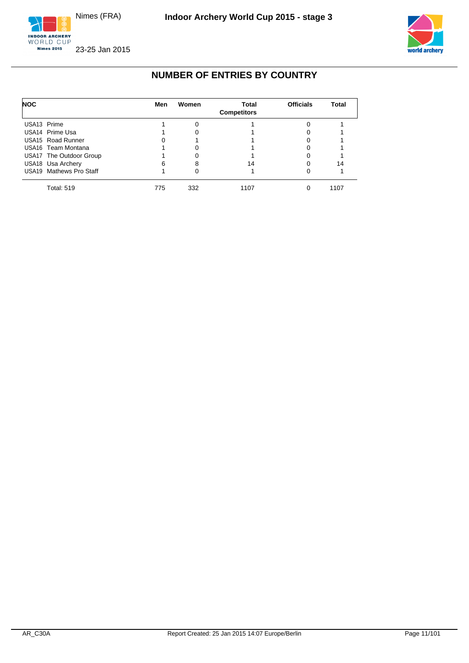





| <b>NOC</b>                    | Men | Women | Total<br><b>Competitors</b> | <b>Officials</b> | Total |
|-------------------------------|-----|-------|-----------------------------|------------------|-------|
| USA <sub>13</sub> Prime       |     | ∩     |                             |                  |       |
| USA14 Prime Usa               |     |       |                             |                  |       |
| USA <sub>15</sub> Road Runner |     |       |                             |                  |       |
| USA16 Team Montana            |     |       |                             |                  |       |
| USA17 The Outdoor Group       |     |       |                             |                  |       |
| USA18 Usa Archery             | 6   | 8     | 14                          | 0                | 14    |
| USA19 Mathews Pro Staff       |     |       |                             |                  |       |
| <b>Total: 519</b>             | 775 | 332   | 1107                        |                  | 1107  |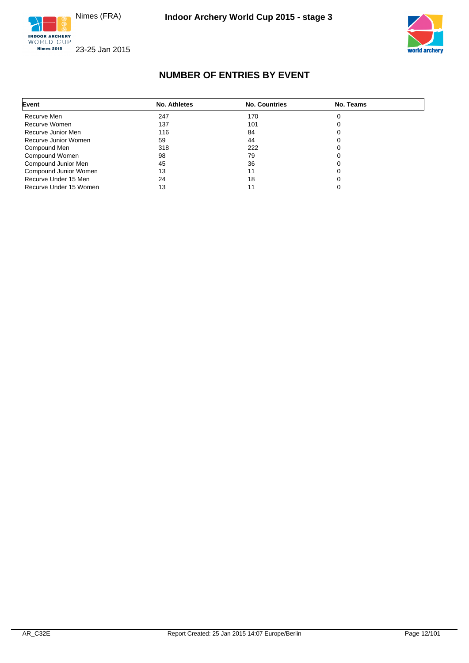





## **NUMBER OF ENTRIES BY EVENT**

<span id="page-12-0"></span>

| Event                  | No. Athletes | <b>No. Countries</b> | No. Teams |  |
|------------------------|--------------|----------------------|-----------|--|
| Recurve Men            | 247          | 170                  |           |  |
| Recurve Women          | 137          | 101                  |           |  |
| Recurve Junior Men     | 116          | 84                   |           |  |
| Recurve Junior Women   | 59           | 44                   |           |  |
| Compound Men           | 318          | 222                  |           |  |
| Compound Women         | 98           | 79                   |           |  |
| Compound Junior Men    | 45           | 36                   |           |  |
| Compound Junior Women  | 13           |                      |           |  |
| Recurve Under 15 Men   | 24           | 18                   |           |  |
| Recurve Under 15 Women | 13           |                      |           |  |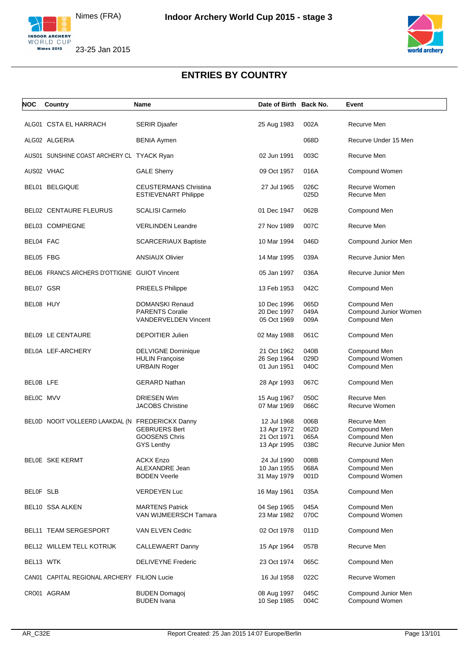



<span id="page-13-0"></span>

| NOC       | Country                                          | <b>Name</b>                                                 | Date of Birth Back No.     |              | Event                                 |
|-----------|--------------------------------------------------|-------------------------------------------------------------|----------------------------|--------------|---------------------------------------|
|           |                                                  |                                                             |                            |              |                                       |
|           | ALG01 CSTA EL HARRACH                            | <b>SERIR Djaafer</b>                                        | 25 Aug 1983                | 002A         | Recurve Men                           |
|           | ALG02 ALGERIA                                    | <b>BENIA Aymen</b>                                          |                            | 068D         | Recurve Under 15 Men                  |
|           | AUS01 SUNSHINE COAST ARCHERY CL TYACK Ryan       |                                                             | 02 Jun 1991                | 003C         | Recurve Men                           |
|           | AUS02 VHAC                                       | <b>GALE Sherry</b>                                          | 09 Oct 1957                | 016A         | Compound Women                        |
|           | BEL01 BELGIQUE                                   | <b>CEUSTERMANS Christina</b><br><b>ESTIEVENART Philippe</b> | 27 Jul 1965                | 026C<br>025D | Recurve Women<br>Recurve Men          |
|           | <b>BEL02 CENTAURE FLEURUS</b>                    | <b>SCALISI Carmelo</b>                                      | 01 Dec 1947                | 062B         | Compound Men                          |
|           | <b>BEL03 COMPIEGNE</b>                           | <b>VERLINDEN Leandre</b>                                    | 27 Nov 1989                | 007C         | Recurve Men                           |
| BEL04 FAC |                                                  | <b>SCARCERIAUX Baptiste</b>                                 | 10 Mar 1994                | 046D         | Compound Junior Men                   |
| BEL05 FBG |                                                  | <b>ANSIAUX Olivier</b>                                      | 14 Mar 1995                | 039A         | Recurve Junior Men                    |
|           | BEL06 FRANCS ARCHERS D'OTTIGNIE GUIOT Vincent    |                                                             | 05 Jan 1997                | 036A         | Recurve Junior Men                    |
| BEL07 GSR |                                                  | <b>PRIEELS Philippe</b>                                     | 13 Feb 1953                | 042C         | Compound Men                          |
| BEL08 HUY |                                                  | DOMANSKI Renaud                                             | 10 Dec 1996                | 065D         | Compound Men                          |
|           |                                                  | <b>PARENTS Coralie</b>                                      | 20 Dec 1997                | 049A         | Compound Junior Women                 |
|           |                                                  | <b>VANDERVELDEN Vincent</b>                                 | 05 Oct 1969                | 009A         | Compound Men                          |
|           | <b>BEL09 LE CENTAURE</b>                         | <b>DEPOITIER Julien</b>                                     | 02 May 1988                | 061C         | Compound Men                          |
|           | BEL0A LEF-ARCHERY                                | <b>DELVIGNE Dominique</b>                                   | 21 Oct 1962                | 040B         | Compound Men                          |
|           |                                                  | <b>HULIN Françoise</b>                                      | 26 Sep 1964                | 029D         | Compound Women                        |
|           |                                                  | <b>URBAIN Roger</b>                                         | 01 Jun 1951                | 040C         | Compound Men                          |
| BELOB LFE |                                                  | <b>GERARD Nathan</b>                                        | 28 Apr 1993                | 067C         | Compound Men                          |
| BELOC MVV |                                                  | <b>DRIESEN Wim</b>                                          | 15 Aug 1967                | 050C         | Recurve Men                           |
|           |                                                  | <b>JACOBS Christine</b>                                     | 07 Mar 1969                | 066C         | Recurve Women                         |
|           | BELOD NOOIT VOLLEERD LAAKDAL (N FREDERICKX Danny |                                                             | 12 Jul 1968                | 006B         | Recurve Men                           |
|           |                                                  | <b>GEBRUERS Bert</b>                                        | 13 Apr 1972                | 062D         | Compound Men                          |
|           |                                                  | <b>GOOSENS Chris</b>                                        | 21 Oct 1971                | 065A         | Compound Men                          |
|           |                                                  | GYS Lenthy                                                  | 13 Apr 1995                | 038C         | Recurve Junior Men                    |
|           | <b>BELOE SKE KERMT</b>                           | <b>ACKX Enzo</b>                                            | 24 Jul 1990                | 008B         | Compound Men                          |
|           |                                                  | <b>ALEXANDRE Jean</b>                                       | 10 Jan 1955                | 068A         | Compound Men                          |
|           |                                                  | <b>BODEN Veerle</b>                                         | 31 May 1979                | 001D         | Compound Women                        |
|           |                                                  |                                                             |                            |              |                                       |
| BELOF SLB |                                                  | <b>VERDEYEN Luc</b>                                         | 16 May 1961                | 035A         | Compound Men                          |
|           | BEL10 SSA ALKEN                                  | <b>MARTENS Patrick</b><br>VAN WIJMEERSCH Tamara             | 04 Sep 1965<br>23 Mar 1982 | 045A<br>070C | Compound Men<br>Compound Women        |
|           | BEL11 TEAM SERGESPORT                            | VAN ELVEN Cedric                                            | 02 Oct 1978                | 011D         | Compound Men                          |
|           | BEL12 WILLEM TELL KOTRIJK                        | <b>CALLEWAERT Danny</b>                                     | 15 Apr 1964                | 057B         | Recurve Men                           |
| BEL13 WTK |                                                  | <b>DELIVEYNE Frederic</b>                                   | 23 Oct 1974                | 065C         | Compound Men                          |
|           | CAN01 CAPITAL REGIONAL ARCHERY FILION Lucie      |                                                             | 16 Jul 1958                | 022C         | Recurve Women                         |
|           | CRO01 AGRAM                                      | <b>BUDEN Domagoj</b><br><b>BUDEN Ivana</b>                  | 08 Aug 1997<br>10 Sep 1985 | 045C<br>004C | Compound Junior Men<br>Compound Women |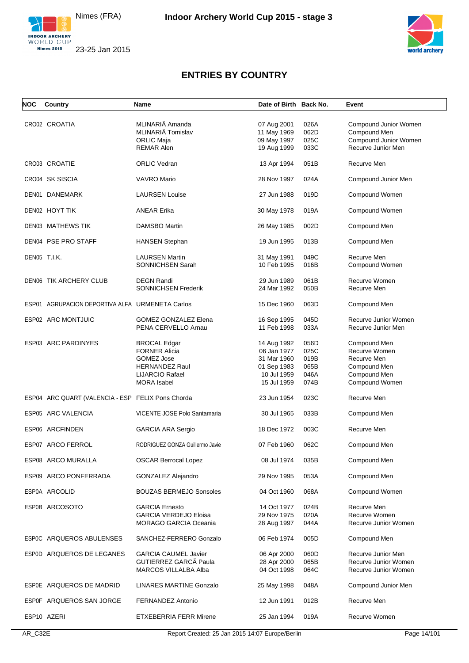





| <b>NOC</b>   | Country                                           | Name                            | Date of Birth Back No. |      | Event                 |
|--------------|---------------------------------------------------|---------------------------------|------------------------|------|-----------------------|
|              |                                                   |                                 |                        |      |                       |
|              | CRO02 CROATIA                                     | MLINARIÄ Amanda                 | 07 Aug 2001            | 026A | Compound Junior Women |
|              |                                                   | MLINARIÄ Tomislav               | 11 May 1969            | 062D | Compound Men          |
|              |                                                   | <b>ORLIC Maja</b>               | 09 May 1997            | 025C | Compound Junior Women |
|              |                                                   |                                 |                        |      |                       |
|              |                                                   | <b>REMAR Alen</b>               | 19 Aug 1999            | 033C | Recurve Junior Men    |
|              | CRO03 CROATIE                                     | <b>ORLIC Vedran</b>             | 13 Apr 1994            | 051B | Recurve Men           |
|              | CRO04 SK SISCIA                                   | <b>VAVRO Mario</b>              | 28 Nov 1997            | 024A | Compound Junior Men   |
|              | DEN01 DANEMARK                                    | <b>LAURSEN Louise</b>           | 27 Jun 1988            | 019D | Compound Women        |
|              | DEN02 HOYT TIK                                    | <b>ANEAR Erika</b>              | 30 May 1978            | 019A | Compound Women        |
|              | <b>DEN03 MATHEWS TIK</b>                          | DAMSBO Martin                   | 26 May 1985            | 002D | Compound Men          |
|              | DEN04 PSE PRO STAFF                               | <b>HANSEN Stephan</b>           | 19 Jun 1995            | 013B | Compound Men          |
|              |                                                   |                                 |                        |      |                       |
| DEN05 T.I.K. |                                                   | <b>LAURSEN Martin</b>           | 31 May 1991            | 049C | Recurve Men           |
|              |                                                   | SONNICHSEN Sarah                | 10 Feb 1995            | 016B | Compound Women        |
|              | <b>DEN06 TIK ARCHERY CLUB</b>                     | <b>DEGN Randi</b>               | 29 Jun 1989            | 061B | Recurve Women         |
|              |                                                   | <b>SONNICHSEN Frederik</b>      | 24 Mar 1992            | 050B | Recurve Men           |
|              |                                                   |                                 |                        |      |                       |
|              | ESP01 AGRUPACION DEPORTIVA ALFA URMENETA Carlos   |                                 | 15 Dec 1960            | 063D | Compound Men          |
|              | ESP02 ARC MONTJUIC                                | <b>GOMEZ GONZALEZ Elena</b>     | 16 Sep 1995            | 045D | Recurve Junior Women  |
|              |                                                   | PENA CERVELLO Arnau             | 11 Feb 1998            | 033A | Recurve Junior Men    |
|              |                                                   |                                 |                        |      |                       |
|              | ESP03 ARC PARDINYES                               | <b>BROCAL Edgar</b>             | 14 Aug 1992            | 056D | Compound Men          |
|              |                                                   | <b>FORNER Alicia</b>            | 06 Jan 1977            | 025C | Recurve Women         |
|              |                                                   | GOMEZ Jose                      | 31 Mar 1960            | 019B | Recurve Men           |
|              |                                                   | <b>HERNANDEZ Raul</b>           | 01 Sep 1983            | 065B | Compound Men          |
|              |                                                   |                                 |                        | 046A |                       |
|              |                                                   | LIJARCIO Rafael                 | 10 Jul 1959            |      | Compound Men          |
|              |                                                   | <b>MORA</b> Isabel              | 15 Jul 1959            | 074B | Compound Women        |
|              | ESP04 ARC QUART (VALENCIA - ESP FELIX Pons Chorda |                                 | 23 Jun 1954            | 023C | Recurve Men           |
|              | ESP05 ARC VALENCIA                                | VICENTE JOSE Polo Santamaria    | 30 Jul 1965            | 033B | Compound Men          |
|              | ESP06 ARCFINDEN                                   | <b>GARCIA ARA Sergio</b>        | 18 Dec 1972            | 003C | Recurve Men           |
|              | ESP07 ARCO FERROL                                 | RODRIGUEZ GONZA Guillermo Javie | 07 Feb 1960            | 062C | Compound Men          |
|              | ESP08 ARCO MURALLA                                | <b>OSCAR Berrocal Lopez</b>     | 08 Jul 1974            | 035B | Compound Men          |
|              | ESP09 ARCO PONFERRADA                             | <b>GONZALEZ Alejandro</b>       | 29 Nov 1995            | 053A | Compound Men          |
|              | ESP0A ARCOLID                                     | <b>BOUZAS BERMEJO Sonsoles</b>  | 04 Oct 1960            | 068A | Compound Women        |
|              | ESP0B ARCOSOTO                                    | <b>GARCIA Ernesto</b>           | 14 Oct 1977            | 024B | Recurve Men           |
|              |                                                   | <b>GARCIA VERDEJO Eloisa</b>    | 29 Nov 1975            | 020A | Recurve Women         |
|              |                                                   | <b>MORAGO GARCIA Oceania</b>    | 28 Aug 1997            | 044A | Recurve Junior Women  |
|              | ESP0C ARQUEROS ABULENSES                          | SANCHEZ-FERRERO Gonzalo         | 06 Feb 1974            | 005D | Compound Men          |
|              | ESP0D ARQUEROS DE LEGANES                         | <b>GARCIA CAUMEL Javier</b>     | 06 Apr 2000            | 060D | Recurve Junior Men    |
|              |                                                   | GUTIERREZ GARCÃ Paula           | 28 Apr 2000            | 065B | Recurve Junior Women  |
|              |                                                   | MARCOS VILLALBA Alba            |                        |      |                       |
|              |                                                   |                                 | 04 Oct 1998            | 064C | Recurve Junior Women  |
|              | ESPOE ARQUEROS DE MADRID                          | <b>LINARES MARTINE Gonzalo</b>  | 25 May 1998            | 048A | Compound Junior Men   |
|              | ESP0F ARQUEROS SAN JORGE                          | FERNANDEZ Antonio               | 12 Jun 1991            | 012B | Recurve Men           |
|              | ESP10 AZERI                                       | <b>ETXEBERRIA FERR Mirene</b>   | 25 Jan 1994            | 019A | Recurve Women         |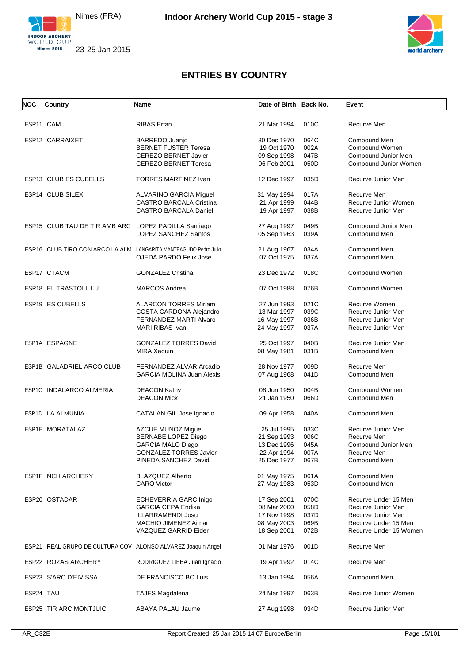



| <b>NOC</b> | Country                                              | Name                                                             | Date of Birth Back No.     |              | Event                                      |
|------------|------------------------------------------------------|------------------------------------------------------------------|----------------------------|--------------|--------------------------------------------|
|            |                                                      |                                                                  |                            |              |                                            |
| ESP11 CAM  |                                                      | RIBAS Erfan                                                      | 21 Mar 1994                | 010C         | Recurve Men                                |
|            | ESP12 CARRAIXET                                      | BARREDO Juanjo                                                   | 30 Dec 1970                | 064C         | Compound Men                               |
|            |                                                      | <b>BERNET FUSTER Teresa</b>                                      | 19 Oct 1970                | 002A         | Compound Women                             |
|            |                                                      | <b>CEREZO BERNET Javier</b>                                      | 09 Sep 1998                | 047B         | Compound Junior Men                        |
|            |                                                      | <b>CEREZO BERNET Teresa</b>                                      | 06 Feb 2001                | 050D         | Compound Junior Women                      |
|            |                                                      |                                                                  |                            |              |                                            |
|            | ESP13 CLUB ES CUBELLS                                | <b>TORRES MARTINEZ Ivan</b>                                      | 12 Dec 1997                | 035D         | Recurve Junior Men                         |
|            | ESP14 CLUB SILEX                                     | ALVARINO GARCIA Miguel                                           | 31 May 1994                | 017A         | Recurve Men                                |
|            |                                                      | <b>CASTRO BARCALA Cristina</b>                                   | 21 Apr 1999                | 044B         | Recurve Junior Women                       |
|            |                                                      | <b>CASTRO BARCALA Daniel</b>                                     | 19 Apr 1997                | 038B         | Recurve Junior Men                         |
|            | ESP15 CLUB TAU DE TIR AMB ARC LOPEZ PADILLA Santiago |                                                                  | 27 Aug 1997                | 049B         | Compound Junior Men                        |
|            |                                                      | LOPEZ SANCHEZ Santos                                             | 05 Sep 1963                | 039A         | Compound Men                               |
|            |                                                      | ESP16 CLUB TIRO CON ARCO LA ALM LANGARITA MANTEAGUDO Pedro Julio |                            | 034A         |                                            |
|            |                                                      | OJEDA PARDO Felix Jose                                           | 21 Aug 1967<br>07 Oct 1975 | 037A         | Compound Men<br>Compound Men               |
|            |                                                      |                                                                  |                            |              |                                            |
|            | ESP17 CTACM                                          | <b>GONZALEZ Cristina</b>                                         | 23 Dec 1972                | 018C         | Compound Women                             |
|            | ESP18 EL TRASTOLILLU                                 | <b>MARCOS Andrea</b>                                             | 07 Oct 1988                | 076B         | Compound Women                             |
|            | ESP19 ES CUBELLS                                     | <b>ALARCON TORRES Miriam</b>                                     | 27 Jun 1993                | 021C         | Recurve Women                              |
|            |                                                      | COSTA CARDONA Alejandro                                          | 13 Mar 1997                | 039C         | Recurve Junior Men                         |
|            |                                                      | FERNANDEZ MARTI Alvaro                                           | 16 May 1997                | 036B         | Recurve Junior Men                         |
|            |                                                      | MARI RIBAS Ivan                                                  | 24 May 1997                | 037A         | Recurve Junior Men                         |
|            |                                                      |                                                                  |                            |              |                                            |
|            | ESP1A ESPAGNE                                        | <b>GONZALEZ TORRES David</b>                                     | 25 Oct 1997                | 040B         | Recurve Junior Men                         |
|            |                                                      | <b>MIRA Xaquin</b>                                               | 08 May 1981                | 031B         | Compound Men                               |
|            |                                                      |                                                                  |                            |              |                                            |
|            | ESP1B GALADRIEL ARCO CLUB                            | FERNANDEZ ALVAR Arcadio                                          | 28 Nov 1977                | 009D         | Recurve Men                                |
|            |                                                      | <b>GARCIA MOLINA Juan Alexis</b>                                 | 07 Aug 1968                | 041D         | Compound Men                               |
|            |                                                      |                                                                  |                            |              |                                            |
|            | ESP1C INDALARCO ALMERIA                              | <b>DEACON Kathy</b>                                              | 08 Jun 1950                | 004B         | Compound Women                             |
|            |                                                      | <b>DEACON Mick</b>                                               | 21 Jan 1950                | 066D         | Compound Men                               |
|            |                                                      |                                                                  |                            |              |                                            |
|            | ESP1D LA ALMUNIA                                     | CATALAN GIL Jose Ignacio                                         | 09 Apr 1958                | 040A         | Compound Men                               |
|            | ESP1E MORATALAZ                                      | AZCUE MUNOZ Miguel                                               | 25 Jul 1995                | 033C         | Recurve Junior Men                         |
|            |                                                      | <b>BERNABE LOPEZ Diego</b>                                       | 21 Sep 1993                | 006C         | Recurve Men                                |
|            |                                                      | <b>GARCIA MALO Diego</b>                                         | 13 Dec 1996                | 045A         | Compound Junior Men                        |
|            |                                                      | GONZALEZ TORRES Javier                                           | 22 Apr 1994                | 007A         | Recurve Men                                |
|            |                                                      | PINEDA SANCHEZ David                                             | 25 Dec 1977                | 067B         | Compound Men                               |
|            |                                                      |                                                                  |                            |              |                                            |
|            | ESP1F NCH ARCHERY                                    | <b>BLAZQUEZ Alberto</b>                                          | 01 May 1975                | 061A         | Compound Men                               |
|            |                                                      | <b>CARO Victor</b>                                               | 27 May 1983                | 053D         | Compound Men                               |
|            |                                                      |                                                                  |                            |              |                                            |
|            | ESP20 OSTADAR                                        | <b>ECHEVERRIA GARC Inigo</b>                                     | 17 Sep 2001                | 070C         | Recurve Under 15 Men                       |
|            |                                                      | <b>GARCIA CEPA Endika</b>                                        | 08 Mar 2000                | 058D         | Recurve Junior Men                         |
|            |                                                      | <b>ILLARRAMENDI Josu</b><br>MACHIO JIMENEZ Aimar                 | 17 Nov 1998<br>08 May 2003 | 037D<br>069B | Recurve Junior Men<br>Recurve Under 15 Men |
|            |                                                      | VAZQUEZ GARRID Eider                                             | 18 Sep 2001                | 072B         | Recurve Under 15 Women                     |
|            |                                                      |                                                                  |                            |              |                                            |
|            |                                                      | ESP21 REAL GRUPO DE CULTURA COV ALONSO ALVAREZ Joaquin Angel     | 01 Mar 1976                | 001D         | Recurve Men                                |
|            | ESP22 ROZAS ARCHERY                                  | RODRIGUEZ LIEBA Juan Ignacio                                     | 19 Apr 1992                | 014C         | Recurve Men                                |
|            | ESP23 S'ARC D'EIVISSA                                | DE FRANCISCO BO Luis                                             | 13 Jan 1994                | 056A         | Compound Men                               |
| ESP24 TAU  |                                                      | <b>TAJES Magdalena</b>                                           | 24 Mar 1997                | 063B         | Recurve Junior Women                       |
|            | ESP25 TIR ARC MONTJUIC                               | ABAYA PALAU Jaume                                                | 27 Aug 1998                | 034D         | Recurve Junior Men                         |
|            |                                                      |                                                                  |                            |              |                                            |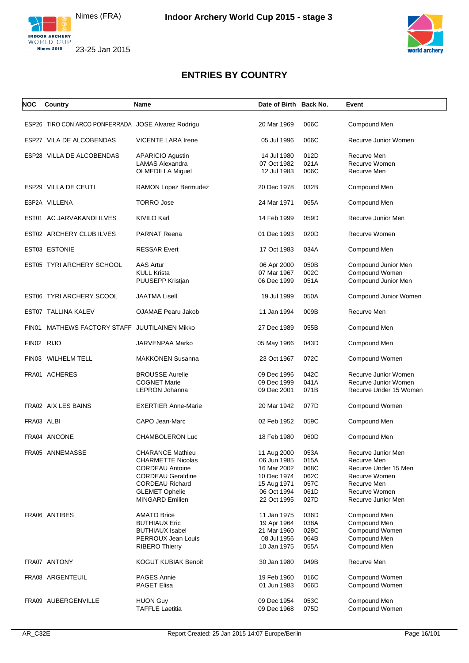



| NOC        | Country                                             | Name                                              | Date of Birth Back No.     |              | Event                                          |
|------------|-----------------------------------------------------|---------------------------------------------------|----------------------------|--------------|------------------------------------------------|
|            | ESP26 TIRO CON ARCO PONFERRADA JOSE Alvarez Rodrigu |                                                   | 20 Mar 1969                | 066C         | Compound Men                                   |
|            |                                                     |                                                   |                            |              |                                                |
|            | ESP27 VILA DE ALCOBENDAS                            | <b>VICENTE LARA Irene</b>                         | 05 Jul 1996                | 066C         | Recurve Junior Women                           |
|            | ESP28 VILLA DE ALCOBENDAS                           | <b>APARICIO Agustin</b>                           | 14 Jul 1980                | 012D         | Recurve Men                                    |
|            |                                                     | <b>LAMAS Alexandra</b><br><b>OLMEDILLA Miguel</b> | 07 Oct 1982<br>12 Jul 1983 | 021A<br>006C | Recurve Women<br>Recurve Men                   |
|            |                                                     |                                                   |                            |              |                                                |
|            | ESP29 VILLA DE CEUTI                                | RAMON Lopez Bermudez                              | 20 Dec 1978                | 032B         | Compound Men                                   |
|            | ESP2A VILLENA                                       | <b>TORRO Jose</b>                                 | 24 Mar 1971                | 065A         | Compound Men                                   |
|            | EST01 AC JARVAKANDI ILVES                           | <b>KIVILO Karl</b>                                | 14 Feb 1999                | 059D         | Recurve Junior Men                             |
|            | EST02 ARCHERY CLUB ILVES                            | <b>PARNAT Reena</b>                               | 01 Dec 1993                | 020D         | Recurve Women                                  |
|            | EST03 ESTONIE                                       | <b>RESSAR Evert</b>                               | 17 Oct 1983                | 034A         | Compound Men                                   |
|            | EST05 TYRI ARCHERY SCHOOL                           | <b>AAS Artur</b>                                  | 06 Apr 2000                | 050B         | Compound Junior Men                            |
|            |                                                     | <b>KULL Krista</b>                                | 07 Mar 1967                | 002C         | Compound Women                                 |
|            |                                                     | PUUSEPP Kristjan                                  | 06 Dec 1999                | 051A         | Compound Junior Men                            |
|            | EST06 TYRI ARCHERY SCOOL                            | <b>JAATMA Lisell</b>                              | 19 Jul 1999                | 050A         | Compound Junior Women                          |
|            | EST07 TALLINA KALEV                                 | OJAMAE Pearu Jakob                                | 11 Jan 1994                | 009B         | Recurve Men                                    |
| FIN01      | MATHEWS FACTORY STAFF JUUTILAINEN Mikko             |                                                   | 27 Dec 1989                | 055B         | Compound Men                                   |
| FIN02 RIJO |                                                     | JARVENPAA Marko                                   | 05 May 1966                | 043D         | Compound Men                                   |
|            | FIN03 WILHELM TELL                                  | <b>MAKKONEN Susanna</b>                           | 23 Oct 1967                | 072C         |                                                |
|            |                                                     |                                                   |                            |              | Compound Women                                 |
|            | FRA01 ACHERES                                       | <b>BROUSSE Aurelie</b>                            | 09 Dec 1996                | 042C         | Recurve Junior Women                           |
|            |                                                     | <b>COGNET Marie</b><br>LEPRON Johanna             | 09 Dec 1999<br>09 Dec 2001 | 041A<br>071B | Recurve Junior Women<br>Recurve Under 15 Women |
|            |                                                     |                                                   |                            |              |                                                |
|            | FRA02 AIX LES BAINS                                 | <b>EXERTIER Anne-Marie</b>                        | 20 Mar 1942                | 077D         | Compound Women                                 |
| FRA03 ALBI |                                                     | CAPO Jean-Marc                                    | 02 Feb 1952                | 059C         | Compound Men                                   |
|            | FRA04 ANCONE                                        | CHAMBOLERON Luc                                   | 18 Feb 1980                | 060D         | Compound Men                                   |
|            | FRA05 ANNEMASSE                                     | <b>CHARANCE Mathieu</b>                           | 11 Aug 2000                | 053A         | Recurve Junior Men                             |
|            |                                                     | <b>CHARMETTE Nicolas</b>                          | 06 Jun 1985                | 015A         | Recurve Men                                    |
|            |                                                     | <b>CORDEAU Antoine</b>                            | 16 Mar 2002                | 068C         | Recurve Under 15 Men                           |
|            |                                                     | <b>CORDEAU Geraldine</b>                          | 10 Dec 1974                | 062C         | Recurve Women                                  |
|            |                                                     | <b>CORDEAU Richard</b>                            | 15 Aug 1971                | 057C         | Recurve Men                                    |
|            |                                                     | <b>GLEMET Ophelie</b><br><b>MINGARD Emilien</b>   | 06 Oct 1994<br>22 Oct 1995 | 061D<br>027D | Recurve Women<br>Recurve Junior Men            |
|            |                                                     |                                                   |                            |              |                                                |
|            | FRA06 ANTIBES                                       | <b>AMATO Brice</b>                                | 11 Jan 1975                | 036D         | Compound Men                                   |
|            |                                                     | <b>BUTHIAUX Eric</b>                              | 19 Apr 1964                | 038A         | Compound Men                                   |
|            |                                                     | <b>BUTHIAUX Isabel</b>                            | 21 Mar 1960                | 028C         | Compound Women                                 |
|            |                                                     | PERROUX Jean Louis                                | 08 Jul 1956                | 064B         | Compound Men                                   |
|            |                                                     | <b>RIBERO Thierry</b>                             | 10 Jan 1975                | 055A         | Compound Men                                   |
|            | FRA07 ANTONY                                        | <b>KOGUT KUBIAK Benoit</b>                        | 30 Jan 1980                | 049B         | Recurve Men                                    |
|            | FRA08 ARGENTEUIL                                    | <b>PAGES Annie</b>                                | 19 Feb 1960                | 016C         | Compound Women                                 |
|            |                                                     | <b>PAGET Elisa</b>                                | 01 Jun 1983                | 066D         | Compound Women                                 |
|            | FRA09 AUBERGENVILLE                                 | <b>HUON Guy</b>                                   | 09 Dec 1954                | 053C         | Compound Men                                   |
|            |                                                     | <b>TAFFLE Laetitia</b>                            | 09 Dec 1968                | 075D         | Compound Women                                 |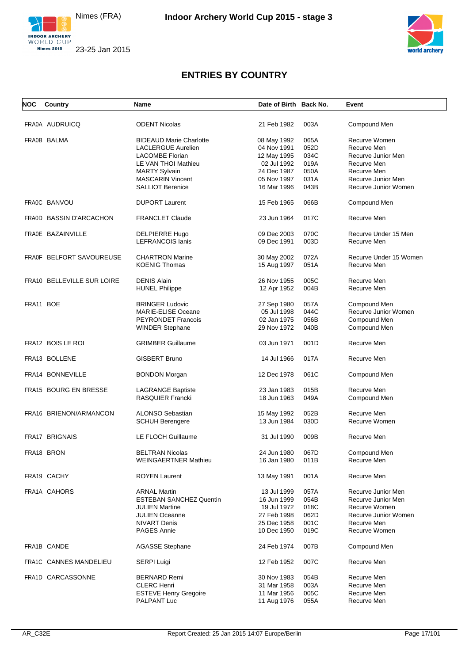



| <b>NOC</b> | Country                    | <b>Name</b>                    | Date of Birth Back No. |      | Event                  |
|------------|----------------------------|--------------------------------|------------------------|------|------------------------|
|            | FRA0A AUDRUICQ             | <b>ODENT Nicolas</b>           | 21 Feb 1982            | 003A | Compound Men           |
|            |                            |                                |                        |      |                        |
|            | FRA0B BALMA                | <b>BIDEAUD Marie Charlotte</b> | 08 May 1992            | 065A | Recurve Women          |
|            |                            | <b>LACLERGUE Aurelien</b>      | 04 Nov 1991            | 052D | Recurve Men            |
|            |                            | <b>LACOMBE Florian</b>         | 12 May 1995            | 034C | Recurve Junior Men     |
|            |                            | LE VAN THOI Mathieu            | 02 Jul 1992            | 019A | Recurve Men            |
|            |                            | <b>MARTY Sylvain</b>           | 24 Dec 1987            | 050A | Recurve Men            |
|            |                            | <b>MASCARIN Vincent</b>        | 05 Nov 1997            | 031A | Recurve Junior Men     |
|            |                            | <b>SALLIOT Berenice</b>        | 16 Mar 1996            | 043B | Recurve Junior Women   |
|            | FRA0C BANVOU               | <b>DUPORT Laurent</b>          | 15 Feb 1965            | 066B | Compound Men           |
|            | FRA0D BASSIN D'ARCACHON    | <b>FRANCLET Claude</b>         | 23 Jun 1964            | 017C | Recurve Men            |
|            | FRA0E BAZAINVILLE          | DELPIERRE Hugo                 | 09 Dec 2003            | 070C | Recurve Under 15 Men   |
|            |                            | <b>LEFRANCOIS lanis</b>        | 09 Dec 1991            | 003D | Recurve Men            |
|            | FRA0F BELFORT SAVOUREUSE   | <b>CHARTRON Marine</b>         | 30 May 2002            | 072A | Recurve Under 15 Women |
|            |                            | <b>KOENIG Thomas</b>           | 15 Aug 1997            | 051A | Recurve Men            |
|            |                            |                                |                        |      |                        |
|            | FRA10 BELLEVILLE SUR LOIRE | <b>DENIS Alain</b>             | 26 Nov 1955            | 005C | Recurve Men            |
|            |                            | <b>HUNEL Philippe</b>          | 12 Apr 1952            | 004B | Recurve Men            |
| FRA11 BOE  |                            | <b>BRINGER Ludovic</b>         | 27 Sep 1980            | 057A | Compound Men           |
|            |                            | <b>MARIE-ELISE Oceane</b>      | 05 Jul 1998            | 044C | Recurve Junior Women   |
|            |                            |                                |                        |      |                        |
|            |                            | <b>PEYRONDET Francois</b>      | 02 Jan 1975            | 056B | Compound Men           |
|            |                            | <b>WINDER Stephane</b>         | 29 Nov 1972            | 040B | Compound Men           |
|            | FRA12 BOIS LE ROI          | <b>GRIMBER Guillaume</b>       | 03 Jun 1971            | 001D | Recurve Men            |
|            | FRA13 BOLLENE              | <b>GISBERT Bruno</b>           | 14 Jul 1966            | 017A | Recurve Men            |
|            | FRA14 BONNEVILLE           | <b>BONDON Morgan</b>           | 12 Dec 1978            | 061C | Compound Men           |
|            | FRA15 BOURG EN BRESSE      | <b>LAGRANGE Baptiste</b>       | 23 Jan 1983            | 015B | Recurve Men            |
|            |                            | <b>RASQUIER Francki</b>        | 18 Jun 1963            | 049A | Compound Men           |
|            | FRA16 BRIENON/ARMANCON     | <b>ALONSO Sebastian</b>        | 15 May 1992            | 052B | Recurve Men            |
|            |                            | <b>SCHUH Berengere</b>         | 13 Jun 1984            | 030D | Recurve Women          |
|            |                            |                                |                        |      |                        |
|            | <b>FRA17 BRIGNAIS</b>      | <b>LE FLOCH Guillaume</b>      | 31 Jul 1990            | 009B | Recurve Men            |
|            | FRA18 BRON                 | <b>BELTRAN Nicolas</b>         | 24 Jun 1980            | 067D | Compound Men           |
|            |                            | <b>WEINGAERTNER Mathieu</b>    | 16 Jan 1980            | 011B | Recurve Men            |
|            | FRA19 CACHY                | <b>ROYEN Laurent</b>           | 13 May 1991            | 001A | Recurve Men            |
|            | FRA1A CAHORS               | <b>ARNAL Martin</b>            | 13 Jul 1999            | 057A | Recurve Junior Men     |
|            |                            |                                |                        |      |                        |
|            |                            | <b>ESTEBAN SANCHEZ Quentin</b> | 16 Jun 1999            | 054B | Recurve Junior Men     |
|            |                            | <b>JULIEN Martine</b>          | 19 Jul 1972            | 018C | Recurve Women          |
|            |                            | <b>JULIEN Oceanne</b>          | 27 Feb 1998            | 062D | Recurve Junior Women   |
|            |                            | <b>NIVART Denis</b>            | 25 Dec 1958            | 001C | Recurve Men            |
|            |                            | <b>PAGES Annie</b>             | 10 Dec 1950            | 019C | Recurve Women          |
|            | FRA1B CANDE                | <b>AGASSE Stephane</b>         | 24 Feb 1974            | 007B | Compound Men           |
|            | FRA1C CANNES MANDELIEU     | SERPI Luigi                    | 12 Feb 1952            | 007C | Recurve Men            |
|            | FRA1D CARCASSONNE          | <b>BERNARD Remi</b>            | 30 Nov 1983            | 054B | Recurve Men            |
|            |                            | <b>CLERC Henri</b>             | 31 Mar 1958            | 003A | Recurve Men            |
|            |                            | <b>ESTEVE Henry Gregoire</b>   | 11 Mar 1956            | 005C | Recurve Men            |
|            |                            | PALPANT Luc                    | 11 Aug 1976            | 055A | Recurve Men            |
|            |                            |                                |                        |      |                        |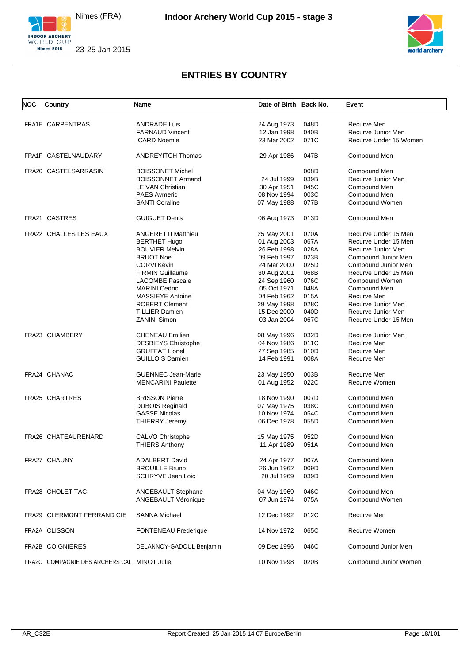





| NOC | Country                                     | <b>Name</b>                 | Date of Birth Back No. |      | Event                  |  |
|-----|---------------------------------------------|-----------------------------|------------------------|------|------------------------|--|
|     |                                             |                             |                        |      |                        |  |
|     | FRA1E CARPENTRAS                            | <b>ANDRADE Luis</b>         | 24 Aug 1973            | 048D | Recurve Men            |  |
|     |                                             | <b>FARNAUD Vincent</b>      | 12 Jan 1998            | 040B | Recurve Junior Men     |  |
|     |                                             | <b>ICARD Noemie</b>         | 23 Mar 2002            | 071C | Recurve Under 15 Women |  |
|     |                                             |                             |                        |      |                        |  |
|     | FRA1F CASTELNAUDARY                         | <b>ANDREYITCH Thomas</b>    | 29 Apr 1986            | 047B | Compound Men           |  |
|     |                                             |                             |                        |      |                        |  |
|     | FRA20 CASTELSARRASIN                        | <b>BOISSONET Michel</b>     |                        | 008D | Compound Men           |  |
|     |                                             | <b>BOISSONNET Armand</b>    | 24 Jul 1999            | 039B | Recurve Junior Men     |  |
|     |                                             | LE VAN Christian            | 30 Apr 1951            | 045C | Compound Men           |  |
|     |                                             | <b>PAES Aymeric</b>         | 08 Nov 1994            | 003C | Compound Men           |  |
|     |                                             | <b>SANTI Coraline</b>       | 07 May 1988            | 077B | Compound Women         |  |
|     | FRA21 CASTRES                               | <b>GUIGUET Denis</b>        | 06 Aug 1973            | 013D | Compound Men           |  |
|     |                                             |                             |                        |      |                        |  |
|     | FRA22 CHALLES LES EAUX                      | <b>ANGERETTI Matthieu</b>   | 25 May 2001            | 070A | Recurve Under 15 Men   |  |
|     |                                             | <b>BERTHET Hugo</b>         | 01 Aug 2003            | 067A | Recurve Under 15 Men   |  |
|     |                                             | <b>BOUVIER Melvin</b>       | 26 Feb 1998            | 028A | Recurve Junior Men     |  |
|     |                                             | <b>BRUOT Noe</b>            | 09 Feb 1997            | 023B | Compound Junior Men    |  |
|     |                                             | <b>CORVI Kevin</b>          | 24 Mar 2000            | 025D | Compound Junior Men    |  |
|     |                                             | <b>FIRMIN Guillaume</b>     | 30 Aug 2001            | 068B | Recurve Under 15 Men   |  |
|     |                                             | <b>LACOMBE Pascale</b>      | 24 Sep 1960            | 076C | Compound Women         |  |
|     |                                             | <b>MARINI Cedric</b>        | 05 Oct 1971            | 048A | Compound Men           |  |
|     |                                             | <b>MASSIEYE Antoine</b>     | 04 Feb 1962            | 015A | Recurve Men            |  |
|     |                                             | <b>ROBERT Clement</b>       |                        |      |                        |  |
|     |                                             |                             | 29 May 1998            | 028C | Recurve Junior Men     |  |
|     |                                             | <b>TILLIER Damien</b>       | 15 Dec 2000            | 040D | Recurve Junior Men     |  |
|     |                                             | <b>ZANINI Simon</b>         | 03 Jan 2004            | 067C | Recurve Under 15 Men   |  |
|     | FRA23 CHAMBERY                              | <b>CHENEAU Emilien</b>      | 08 May 1996            | 032D | Recurve Junior Men     |  |
|     |                                             | <b>DESBIEYS Christophe</b>  | 04 Nov 1986            | 011C | Recurve Men            |  |
|     |                                             | <b>GRUFFAT Lionel</b>       | 27 Sep 1985            | 010D | Recurve Men            |  |
|     |                                             | <b>GUILLOIS Damien</b>      | 14 Feb 1991            | 008A | Recurve Men            |  |
|     |                                             |                             |                        |      |                        |  |
|     | FRA24 CHANAC                                | <b>GUENNEC Jean-Marie</b>   | 23 May 1950            | 003B | Recurve Men            |  |
|     |                                             | <b>MENCARINI Paulette</b>   | 01 Aug 1952            | 022C | Recurve Women          |  |
|     |                                             |                             |                        |      |                        |  |
|     | <b>FRA25 CHARTRES</b>                       | <b>BRISSON Pierre</b>       | 18 Nov 1990            | 007D | Compound Men           |  |
|     |                                             | <b>DUBOIS Reginald</b>      | 07 May 1975            | 038C | Compound Men           |  |
|     |                                             | <b>GASSE Nicolas</b>        | 10 Nov 1974            | 054C | Compound Men           |  |
|     |                                             | <b>THIERRY Jeremy</b>       | 06 Dec 1978            | 055D | Compound Men           |  |
|     | FRA26 CHATEAURENARD                         | CALVO Christophe            | 15 May 1975            | 052D | Compound Men           |  |
|     |                                             | <b>THIERS Anthony</b>       | 11 Apr 1989            | 051A | Compound Men           |  |
|     | FRA27 CHAUNY                                |                             |                        |      |                        |  |
|     |                                             | <b>ADALBERT David</b>       | 24 Apr 1977            | 007A | Compound Men           |  |
|     |                                             | <b>BROUILLE Bruno</b>       | 26 Jun 1962            | 009D | Compound Men           |  |
|     |                                             | <b>SCHRYVE Jean Loic</b>    | 20 Jul 1969            | 039D | Compound Men           |  |
|     | FRA28 CHOLET TAC                            | ANGEBAULT Stephane          | 04 May 1969            | 046C | Compound Men           |  |
|     |                                             | ANGEBAULT Véronique         | 07 Jun 1974            | 075A | Compound Women         |  |
|     |                                             |                             |                        |      | Recurve Men            |  |
|     | FRA29 CLERMONT FERRAND CIE                  | <b>SANNA Michael</b>        | 12 Dec 1992            | 012C |                        |  |
|     | FRA2A CLISSON                               | <b>FONTENEAU Frederique</b> | 14 Nov 1972            | 065C | Recurve Women          |  |
|     |                                             |                             |                        |      |                        |  |
|     | FRA2B COIGNIERES                            | DELANNOY-GADOUL Benjamin    | 09 Dec 1996            | 046C | Compound Junior Men    |  |
|     | FRA2C COMPAGNIE DES ARCHERS CAL MINOT Julie |                             | 10 Nov 1998            | 020B | Compound Junior Women  |  |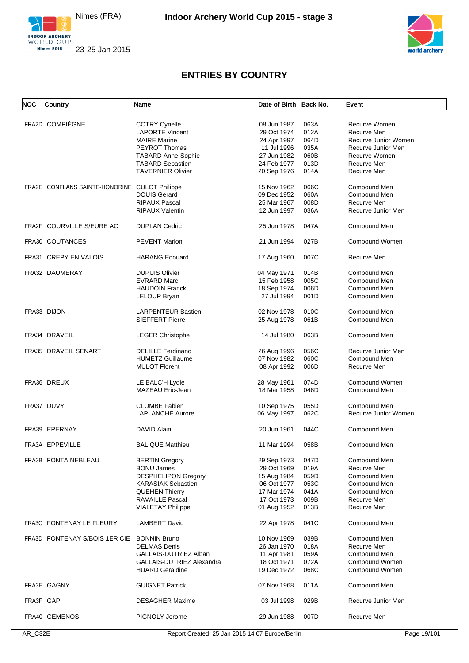



| NOC       | Country                                       | Name                         | Date of Birth Back No. |      | Event                |
|-----------|-----------------------------------------------|------------------------------|------------------------|------|----------------------|
|           |                                               |                              |                        |      |                      |
|           | FRA2D COMPIÈGNE                               | <b>COTRY Cyrielle</b>        | 08 Jun 1987            | 063A | Recurve Women        |
|           |                                               | <b>LAPORTE Vincent</b>       | 29 Oct 1974            | 012A | Recurve Men          |
|           |                                               | <b>MAIRE</b> Marine          | 24 Apr 1997            | 064D | Recurve Junior Women |
|           |                                               | <b>PEYROT Thomas</b>         | 11 Jul 1996            | 035A | Recurve Junior Men   |
|           |                                               | <b>TABARD Anne-Sophie</b>    | 27 Jun 1982            | 060B | Recurve Women        |
|           |                                               | <b>TABARD Sebastien</b>      | 24 Feb 1977            | 013D | Recurve Men          |
|           |                                               | <b>TAVERNIER Olivier</b>     | 20 Sep 1976            | 014A | Recurve Men          |
|           | FRA2E CONFLANS SAINTE-HONORINE CULOT Philippe |                              | 15 Nov 1962            | 066C |                      |
|           |                                               |                              |                        |      | Compound Men         |
|           |                                               | <b>DOUIS Gerard</b>          | 09 Dec 1952            | 060A | Compound Men         |
|           |                                               | <b>RIPAUX Pascal</b>         | 25 Mar 1967            | 008D | Recurve Men          |
|           |                                               | <b>RIPAUX Valentin</b>       | 12 Jun 1997            | 036A | Recurve Junior Men   |
|           | FRA2F COURVILLE S/EURE AC                     | <b>DUPLAN Cedric</b>         | 25 Jun 1978            | 047A | Compound Men         |
|           | FRA30 COUTANCES                               | <b>PEVENT Marion</b>         | 21 Jun 1994            | 027B | Compound Women       |
|           | FRA31 CREPY EN VALOIS                         | <b>HARANG Edouard</b>        | 17 Aug 1960            | 007C | Recurve Men          |
|           |                                               |                              |                        |      |                      |
|           | FRA32 DAUMERAY                                | <b>DUPUIS Olivier</b>        | 04 May 1971            | 014B | Compound Men         |
|           |                                               | <b>EVRARD Marc</b>           | 15 Feb 1958            | 005C | Compound Men         |
|           |                                               | <b>HAUDOIN Franck</b>        | 18 Sep 1974            | 006D | Compound Men         |
|           |                                               | LELOUP Bryan                 | 27 Jul 1994            | 001D | Compound Men         |
|           |                                               |                              |                        |      |                      |
|           | FRA33 DIJON                                   | <b>LARPENTEUR Bastien</b>    | 02 Nov 1978            | 010C | Compound Men         |
|           |                                               | <b>SIEFFERT Pierre</b>       | 25 Aug 1978            | 061B | Compound Men         |
|           | FRA34 DRAVEIL                                 | <b>LEGER Christophe</b>      | 14 Jul 1980            | 063B | Compound Men         |
|           | FRA35 DRAVEIL SENART                          | <b>DELILLE Ferdinand</b>     | 26 Aug 1996            | 056C | Recurve Junior Men   |
|           |                                               | <b>HUMETZ Guillaume</b>      | 07 Nov 1982            | 060C | Compound Men         |
|           |                                               | <b>MULOT Florent</b>         | 08 Apr 1992            | 006D | Recurve Men          |
|           | FRA36 DREUX                                   | LE BALC'H Lydie              | 28 May 1961            | 074D | Compound Women       |
|           |                                               | MAZEAU Eric-Jean             | 18 Mar 1958            | 046D |                      |
|           |                                               |                              |                        |      | Compound Men         |
|           | FRA37 DUVY                                    | <b>CLOMBE Fabien</b>         | 10 Sep 1975            | 055D | Compound Men         |
|           |                                               | <b>LAPLANCHE Aurore</b>      | 06 May 1997            | 062C | Recurve Junior Women |
|           |                                               |                              |                        |      |                      |
|           | FRA39 EPERNAY                                 | DAVID Alain                  | 20 Jun 1961            | 044C | Compound Men         |
|           | FRA3A EPPEVILLE                               | <b>BALIQUE Matthieu</b>      | 11 Mar 1994            | 058B | Compound Men         |
|           | FRA3B FONTAINEBLEAU                           | <b>BERTIN Gregory</b>        | 29 Sep 1973            | 047D | Compound Men         |
|           |                                               | <b>BONU James</b>            | 29 Oct 1969            | 019A | Recurve Men          |
|           |                                               | <b>DESPHELIPON Gregory</b>   | 15 Aug 1984            | 059D | Compound Men         |
|           |                                               | <b>KARASIAK Sebastien</b>    | 06 Oct 1977            | 053C | Compound Men         |
|           |                                               |                              | 17 Mar 1974            |      |                      |
|           |                                               | <b>QUEHEN Thierry</b>        |                        | 041A | Compound Men         |
|           |                                               | RAVAILLE Pascal              | 17 Oct 1973            | 009B | Recurve Men          |
|           |                                               | <b>VIALETAY Philippe</b>     | 01 Aug 1952            | 013B | Recurve Men          |
|           | FRA3C FONTENAY LE FLEURY                      | <b>LAMBERT David</b>         | 22 Apr 1978            | 041C | Compound Men         |
|           | FRA3D FONTENAY S/BOIS 1ER CIE BONNIN Bruno    |                              | 10 Nov 1969            | 039B | Compound Men         |
|           |                                               | <b>DELMAS Denis</b>          | 26 Jan 1970            | 018A | Recurve Men          |
|           |                                               | <b>GALLAIS-DUTRIEZ Alban</b> | 11 Apr 1981            | 059A | Compound Men         |
|           |                                               | GALLAIS-DUTRIEZ Alexandra    | 18 Oct 1971            | 072A | Compound Women       |
|           |                                               | <b>HUARD Geraldine</b>       | 19 Dec 1972            | 068C | Compound Women       |
|           |                                               |                              |                        |      |                      |
|           | FRA3E GAGNY                                   | <b>GUIGNET Patrick</b>       | 07 Nov 1968            | 011A | Compound Men         |
| FRA3F GAP |                                               | <b>DESAGHER Maxime</b>       | 03 Jul 1998            | 029B | Recurve Junior Men   |
|           | FRA40 GEMENOS                                 | PIGNOLY Jerome               | 29 Jun 1988            | 007D | Recurve Men          |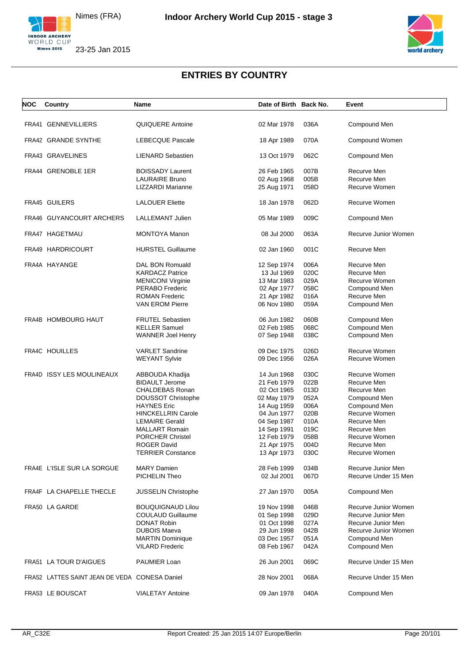



| <b>NOC</b> | Country                                       | Name                      | Date of Birth Back No. |      | Event                |
|------------|-----------------------------------------------|---------------------------|------------------------|------|----------------------|
|            |                                               |                           |                        |      |                      |
|            | FRA41 GENNEVILLIERS                           | QUIQUERE Antoine          | 02 Mar 1978            | 036A | Compound Men         |
|            | FRA42 GRANDE SYNTHE                           | <b>LEBECQUE Pascale</b>   | 18 Apr 1989            | 070A | Compound Women       |
|            | FRA43 GRAVELINES                              | <b>LIENARD Sebastien</b>  | 13 Oct 1979            | 062C | Compound Men         |
|            | FRA44 GRENOBLE 1ER                            | <b>BOISSADY Laurent</b>   | 26 Feb 1965            | 007B | Recurve Men          |
|            |                                               | <b>LAURAIRE Bruno</b>     | 02 Aug 1968            | 005B | Recurve Men          |
|            |                                               | LIZZARDI Marianne         | 25 Aug 1971            | 058D | Recurve Women        |
|            | FRA45 GUILERS                                 | <b>LALOUER Eliette</b>    | 18 Jan 1978            | 062D | Recurve Women        |
|            | FRA46 GUYANCOURT ARCHERS                      | <b>LALLEMANT Julien</b>   | 05 Mar 1989            | 009C | Compound Men         |
|            | FRA47 HAGETMAU                                | <b>MONTOYA Manon</b>      | 08 Jul 2000            | 063A | Recurve Junior Women |
|            | FRA49 HARDRICOURT                             | <b>HURSTEL Guillaume</b>  | 02 Jan 1960            | 001C | Recurve Men          |
|            |                                               |                           |                        |      |                      |
|            | FRA4A HAYANGE                                 | DAL BON Romuald           | 12 Sep 1974            | 006A | Recurve Men          |
|            |                                               | <b>KARDACZ Patrice</b>    | 13 Jul 1969            | 020C | Recurve Men          |
|            |                                               | <b>MENICONI Virginie</b>  | 13 Mar 1983            | 029A | Recurve Women        |
|            |                                               | PERABO Frederic           | 02 Apr 1977            | 058C | Compound Men         |
|            |                                               | <b>ROMAN Frederic</b>     | 21 Apr 1982            | 016A | Recurve Men          |
|            |                                               | <b>VAN EROM Pierre</b>    | 06 Nov 1980            | 059A | Compound Men         |
|            | FRA4B HOMBOURG HAUT                           | <b>FRUTEL Sebastien</b>   | 06 Jun 1982            | 060B | Compound Men         |
|            |                                               | <b>KELLER Samuel</b>      | 02 Feb 1985            | 068C | Compound Men         |
|            |                                               | WANNER Joel Henry         | 07 Sep 1948            | 038C | Compound Men         |
|            | FRA4C HOUILLES                                | <b>VARLET Sandrine</b>    | 09 Dec 1975            | 026D | Recurve Women        |
|            |                                               |                           | 09 Dec 1956            | 026A | Recurve Women        |
|            |                                               | <b>WEYANT Sylvie</b>      |                        |      |                      |
|            | FRA4D ISSY LES MOULINEAUX                     | ABBOUDA Khadija           | 14 Jun 1968            | 030C | Recurve Women        |
|            |                                               | <b>BIDAULT Jerome</b>     | 21 Feb 1979            | 022B | Recurve Men          |
|            |                                               | CHALDEBAS Ronan           | 02 Oct 1965            | 013D | Recurve Men          |
|            |                                               | DOUSSOT Christophe        | 02 May 1979            | 052A | Compound Men         |
|            |                                               | <b>HAYNES Eric</b>        | 14 Aug 1959            | 006A | Compound Men         |
|            |                                               | <b>HINCKELLRIN Carole</b> | 04 Jun 1977            | 020B | Recurve Women        |
|            |                                               | <b>LEMAIRE Gerald</b>     | 04 Sep 1987            | 010A | Recurve Men          |
|            |                                               | <b>MALLART Romain</b>     |                        | 019C | Recurve Men          |
|            |                                               |                           | 14 Sep 1991            |      |                      |
|            |                                               | <b>PORCHER Christel</b>   | 12 Feb 1979            | 058B | Recurve Women        |
|            |                                               | <b>ROGER David</b>        | 21 Apr 1975            | 004D | Recurve Men          |
|            |                                               | <b>TERRIER Constance</b>  | 13 Apr 1973            | 030C | Recurve Women        |
|            | FRA4E L'ISLE SUR LA SORGUE                    | <b>MARY Damien</b>        | 28 Feb 1999            | 034B | Recurve Junior Men   |
|            |                                               | PICHELIN Theo             | 02 Jul 2001            | 067D | Recurve Under 15 Men |
|            | FRA4F LA CHAPELLE THECLE                      | JUSSELIN Christophe       | 27 Jan 1970            | 005A | Compound Men         |
|            | FRA50 LA GARDE                                | <b>BOUQUIGNAUD Lilou</b>  | 19 Nov 1998            | 046B | Recurve Junior Women |
|            |                                               | <b>COULAUD Guillaume</b>  | 01 Sep 1998            | 029D | Recurve Junior Men   |
|            |                                               | DONAT Robin               | 01 Oct 1998            | 027A | Recurve Junior Men   |
|            |                                               | <b>DUBOIS Maeva</b>       | 29 Jun 1998            | 042B | Recurve Junior Women |
|            |                                               | <b>MARTIN Dominique</b>   | 03 Dec 1957            | 051A | Compound Men         |
|            |                                               | <b>VILARD Frederic</b>    | 08 Feb 1967            | 042A | Compound Men         |
|            | FRA51 LA TOUR D'AIGUES                        | PAUMIER Loan              | 26 Jun 2001            | 069C | Recurve Under 15 Men |
|            | FRA52 LATTES SAINT JEAN DE VEDA CONESA Daniel |                           | 28 Nov 2001            | 068A | Recurve Under 15 Men |
|            | FRA53 LE BOUSCAT                              | <b>VIALETAY Antoine</b>   | 09 Jan 1978            | 040A | Compound Men         |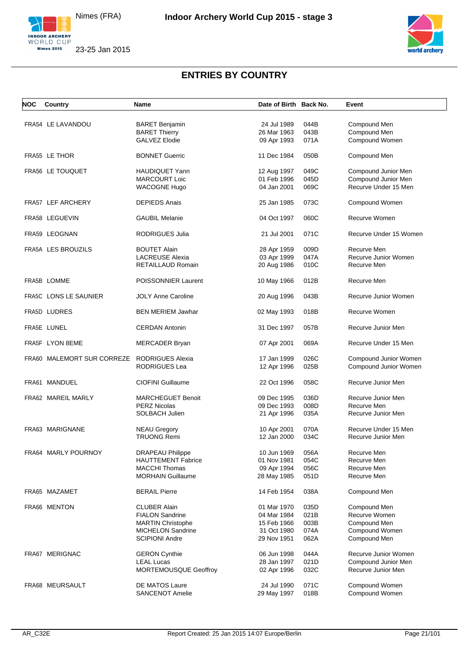





| <b>NOC</b> | Country                    | Name                      | Date of Birth Back No. |      | Event                  |
|------------|----------------------------|---------------------------|------------------------|------|------------------------|
|            |                            |                           |                        |      |                        |
|            | FRA54 LE LAVANDOU          | <b>BARET Benjamin</b>     | 24 Jul 1989            | 044B | Compound Men           |
|            |                            | <b>BARET Thierry</b>      | 26 Mar 1963            | 043B | Compound Men           |
|            |                            | <b>GALVEZ Elodie</b>      | 09 Apr 1993            | 071A | Compound Women         |
|            | FRA55 LE THOR              | <b>BONNET Guerric</b>     | 11 Dec 1984            | 050B | Compound Men           |
|            | FRA56 LE TOUQUET           | <b>HAUDIQUET Yann</b>     | 12 Aug 1997            | 049C | Compound Junior Men    |
|            |                            | <b>MARCOURT Loic</b>      | 01 Feb 1996            | 045D | Compound Junior Men    |
|            |                            | <b>WACOGNE Hugo</b>       | 04 Jan 2001            | 069C | Recurve Under 15 Men   |
|            | FRA57 LEF ARCHERY          | <b>DEPIEDS Anais</b>      | 25 Jan 1985            | 073C | Compound Women         |
|            | FRA58 LEGUEVIN             | <b>GAUBIL Melanie</b>     | 04 Oct 1997            | 060C | Recurve Women          |
|            | FRA59 LEOGNAN              | RODRIGUES Julia           | 21 Jul 2001            | 071C | Recurve Under 15 Women |
|            | FRA5A LES BROUZILS         | <b>BOUTET Alain</b>       | 28 Apr 1959            | 009D | Recurve Men            |
|            |                            | <b>LACREUSE Alexia</b>    | 03 Apr 1999            | 047A | Recurve Junior Women   |
|            |                            | RETAILLAUD Romain         | 20 Aug 1986            | 010C | Recurve Men            |
|            | FRA5B LOMME                | POISSONNIER Laurent       | 10 May 1966            | 012B | Recurve Men            |
|            | FRA5C LONS LE SAUNIER      | <b>JOLY Anne Caroline</b> | 20 Aug 1996            | 043B | Recurve Junior Women   |
|            | FRA5D LUDRES               | <b>BEN MERIEM Jawhar</b>  | 02 May 1993            | 018B | Recurve Women          |
|            | FRA5E LUNEL                | <b>CERDAN Antonin</b>     | 31 Dec 1997            | 057B | Recurve Junior Men     |
|            | FRA5F LYON 8EME            | <b>MERCADER Bryan</b>     | 07 Apr 2001            | 069A | Recurve Under 15 Men   |
|            | FRA60 MALEMORT SUR CORREZE | <b>RODRIGUES Alexia</b>   | 17 Jan 1999            | 026C | Compound Junior Women  |
|            |                            | <b>RODRIGUES Lea</b>      | 12 Apr 1996            | 025B | Compound Junior Women  |
|            | FRA61 MANDUEL              | <b>CIOFINI Guillaume</b>  | 22 Oct 1996            | 058C | Recurve Junior Men     |
|            | FRA62 MAREIL MARLY         | <b>MARCHEGUET Benoit</b>  | 09 Dec 1995            | 036D | Recurve Junior Men     |
|            |                            | <b>PERZ Nicolas</b>       | 09 Dec 1993            | 008D | Recurve Men            |
|            |                            | SOLBACH Julien            | 21 Apr 1996            | 035A | Recurve Junior Men     |
|            | FRA63 MARIGNANE            | <b>NEAU Gregory</b>       | 10 Apr 2001            | 070A | Recurve Under 15 Men   |
|            |                            | <b>TRUONG Remi</b>        | 12 Jan 2000            | 034C | Recurve Junior Men     |
|            | FRA64 MARLY POURNOY        | <b>DRAPEAU Philippe</b>   | 10 Jun 1969            | 056A | Recurve Men            |
|            |                            | <b>HAUTTEMENT Fabrice</b> | 01 Nov 1981            | 054C | Recurve Men            |
|            |                            | <b>MACCHI Thomas</b>      | 09 Apr 1994            | 056C | Recurve Men            |
|            |                            | <b>MORHAIN Guillaume</b>  | 28 May 1985            | 051D | Recurve Men            |
|            | FRA65 MAZAMET              | <b>BERAIL Pierre</b>      | 14 Feb 1954            | 038A | Compound Men           |
|            | FRA66 MENTON               | <b>CLUBER Alain</b>       | 01 Mar 1970            | 035D | Compound Men           |
|            |                            | <b>FIALON Sandrine</b>    | 04 Mar 1984            | 021B | Recurve Women          |
|            |                            |                           |                        |      |                        |
|            |                            | <b>MARTIN Christophe</b>  | 15 Feb 1966            | 003B | Compound Men           |
|            |                            | <b>MICHELON Sandrine</b>  | 31 Oct 1980            | 074A | Compound Women         |
|            |                            | <b>SCIPIONI Andre</b>     | 29 Nov 1951            | 062A | Compound Men           |
|            | FRA67 MERIGNAC             | <b>GERON Cynthie</b>      | 06 Jun 1998            | 044A | Recurve Junior Women   |
|            |                            | <b>LEAL Lucas</b>         | 28 Jan 1997            | 021D | Compound Junior Men    |
|            |                            | MORTEMOUSQUE Geoffroy     | 02 Apr 1996            | 032C | Recurve Junior Men     |
|            | FRA68 MEURSAULT            | DE MATOS Laure            | 24 Jul 1990            | 071C | Compound Women         |
|            |                            | SANCENOT Amelie           | 29 May 1997            | 018B | Compound Women         |
|            |                            |                           |                        |      |                        |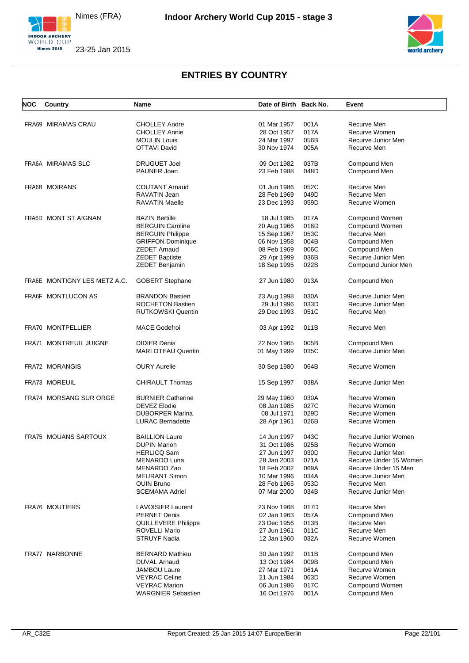



| NOC | Country                      | <b>Name</b>                | Date of Birth Back No. |      | Event                  |
|-----|------------------------------|----------------------------|------------------------|------|------------------------|
|     |                              |                            |                        |      |                        |
|     | FRA69 MIRAMAS CRAU           | <b>CHOLLEY Andre</b>       | 01 Mar 1957            | 001A | Recurve Men            |
|     |                              | <b>CHOLLEY Annie</b>       | 28 Oct 1957            | 017A | Recurve Women          |
|     |                              | <b>MOULIN Louis</b>        | 24 Mar 1997            | 056B | Recurve Junior Men     |
|     |                              | OTTAVI David               | 30 Nov 1974            | 005A | Recurve Men            |
|     | FRA6A MIRAMAS SLC            | <b>DRUGUET Joel</b>        | 09 Oct 1982            | 037B | Compound Men           |
|     |                              | PAUNER Joan                | 23 Feb 1988            | 048D | Compound Men           |
|     |                              |                            |                        |      |                        |
|     | <b>FRA6B MOIRANS</b>         | <b>COUTANT Arnaud</b>      | 01 Jun 1986            | 052C | Recurve Men            |
|     |                              | RAVATIN Jean               | 28 Feb 1969            | 049D | Recurve Men            |
|     |                              | <b>RAVATIN Maelle</b>      | 23 Dec 1993            | 059D | Recurve Women          |
|     | FRA6D MONT ST AIGNAN         | <b>BAZIN Bertille</b>      | 18 Jul 1985            | 017A | Compound Women         |
|     |                              | <b>BERGUIN Caroline</b>    | 20 Aug 1966            | 016D | Compound Women         |
|     |                              | <b>BERGUIN Philippe</b>    | 15 Sep 1967            | 053C | Recurve Men            |
|     |                              | <b>GRIFFON Dominique</b>   | 06 Nov 1958            | 004B | Compound Men           |
|     |                              | ZEDET Arnaud               | 08 Feb 1969            | 006C | Compound Men           |
|     |                              | <b>ZEDET Baptiste</b>      | 29 Apr 1999            | 036B | Recurve Junior Men     |
|     |                              | ZEDET Benjamin             |                        | 022B |                        |
|     |                              |                            | 18 Sep 1995            |      | Compound Junior Men    |
|     | FRA6E MONTIGNY LES METZ A.C. | <b>GOBERT Stephane</b>     | 27 Jun 1980            | 013A | Compound Men           |
|     | FRA6F MONTLUCON AS           | <b>BRANDON Bastien</b>     | 23 Aug 1998            | 030A | Recurve Junior Men     |
|     |                              | <b>ROCHETON Bastien</b>    | 29 Jul 1996            | 033D | Recurve Junior Men     |
|     |                              | <b>RUTKOWSKI Quentin</b>   | 29 Dec 1993            | 051C | Recurve Men            |
|     |                              |                            |                        |      |                        |
|     | FRA70 MONTPELLIER            | <b>MACE Godefroi</b>       | 03 Apr 1992            | 011B | Recurve Men            |
|     | FRA71 MONTREUIL JUIGNE       | <b>DIDIER Denis</b>        | 22 Nov 1965            | 005B | Compound Men           |
|     |                              | <b>MARLOTEAU Quentin</b>   | 01 May 1999            | 035C | Recurve Junior Men     |
|     | FRA72 MORANGIS               | <b>OURY Aurelie</b>        | 30 Sep 1980            | 064B | Recurve Women          |
|     | FRA73 MOREUIL                | <b>CHIRAULT Thomas</b>     | 15 Sep 1997            | 038A | Recurve Junior Men     |
|     |                              |                            |                        |      |                        |
|     | FRA74 MORSANG SUR ORGE       | <b>BURNIER Catherine</b>   | 29 May 1960            | 030A | Recurve Women          |
|     |                              | DEVEZ Elodie               | 08 Jan 1985            | 027C | Recurve Women          |
|     |                              | <b>DUBORPER Marina</b>     | 08 Jul 1971            | 029D | Recurve Women          |
|     |                              | LURAC Bernadette           | 28 Apr 1961            | 026B | Recurve Women          |
|     | FRA75 MOUANS SARTOUX         | <b>BAILLION Laure</b>      | 14 Jun 1997            | 043C | Recurve Junior Women   |
|     |                              | <b>DUPIN Marion</b>        | 31 Oct 1986            | 025B | Recurve Women          |
|     |                              | <b>HERLICQ Sam</b>         | 27 Jun 1997            | 030D | Recurve Junior Men     |
|     |                              | <b>MENARDO Luna</b>        | 28 Jan 2003            | 071A | Recurve Under 15 Women |
|     |                              | MENARDO Zao                | 18 Feb 2002            | 069A | Recurve Under 15 Men   |
|     |                              | <b>MEURANT Simon</b>       | 10 Mar 1996            | 034A | Recurve Junior Men     |
|     |                              | <b>OUIN Bruno</b>          | 28 Feb 1965            | 053D | Recurve Men            |
|     |                              | <b>SCEMAMA Adriel</b>      | 07 Mar 2000            | 034B | Recurve Junior Men     |
|     | FRA76 MOUTIERS               | <b>LAVOISIER Laurent</b>   | 23 Nov 1968            | 017D | Recurve Men            |
|     |                              | <b>PERNET Denis</b>        | 02 Jan 1963            | 057A | Compound Men           |
|     |                              | <b>QUILLEVERE Philippe</b> | 23 Dec 1956            | 013B | Recurve Men            |
|     |                              | <b>ROVELLI Mario</b>       | 27 Jun 1961            | 011C | Recurve Men            |
|     |                              | STRUYF Nadia               | 12 Jan 1960            | 032A | Recurve Women          |
|     |                              |                            |                        |      |                        |
|     | FRA77 NARBONNE               | <b>BERNARD Mathieu</b>     | 30 Jan 1992            | 011B | Compound Men           |
|     |                              | <b>DUVAL Arnaud</b>        | 13 Oct 1984            | 009B | Compound Men           |
|     |                              | JAMBOU Laure               | 27 Mar 1971            | 061A | Recurve Women          |
|     |                              | VEYRAC Celine              | 21 Jun 1984            | 063D | Recurve Women          |
|     |                              | <b>VEYRAC Marion</b>       | 06 Jun 1986            | 017C | Compound Women         |
|     |                              | <b>WARGNIER Sebastien</b>  | 16 Oct 1976            | 001A | Compound Men           |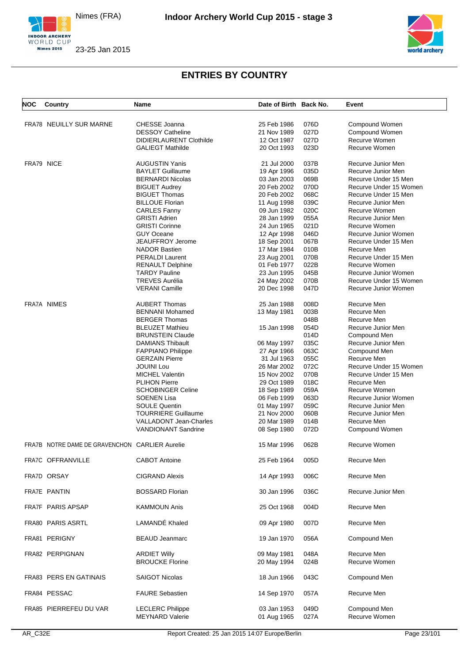



| <b>NOC</b> | Country                                        | Name                           | Date of Birth Back No. |      | Event                  |
|------------|------------------------------------------------|--------------------------------|------------------------|------|------------------------|
|            | FRA78 NEUILLY SUR MARNE                        | CHESSE Joanna                  | 25 Feb 1986            | 076D | Compound Women         |
|            |                                                | <b>DESSOY Catheline</b>        | 21 Nov 1989            | 027D | Compound Women         |
|            |                                                | <b>DIDIERLAURENT Clothilde</b> | 12 Oct 1987            | 027D | Recurve Women          |
|            |                                                | <b>GALIEGT Mathilde</b>        | 20 Oct 1993            | 023D | Recurve Women          |
|            |                                                |                                |                        |      |                        |
|            | FRA79 NICE                                     | <b>AUGUSTIN Yanis</b>          | 21 Jul 2000            | 037B | Recurve Junior Men     |
|            |                                                | <b>BAYLET Guillaume</b>        | 19 Apr 1996            | 035D | Recurve Junior Men     |
|            |                                                | <b>BERNARDI Nicolas</b>        | 03 Jan 2003            | 069B | Recurve Under 15 Men   |
|            |                                                | <b>BIGUET Audrey</b>           | 20 Feb 2002            | 070D | Recurve Under 15 Women |
|            |                                                | <b>BIGUET Thomas</b>           | 20 Feb 2002            | 068C | Recurve Under 15 Men   |
|            |                                                | <b>BILLOUE Florian</b>         | 11 Aug 1998            | 039C | Recurve Junior Men     |
|            |                                                | <b>CARLES Fanny</b>            | 09 Jun 1982            | 020C | Recurve Women          |
|            |                                                | <b>GRISTI Adrien</b>           | 28 Jan 1999            | 055A | Recurve Junior Men     |
|            |                                                | <b>GRISTI Corinne</b>          | 24 Jun 1965            | 021D | Recurve Women          |
|            |                                                | <b>GUY Oceane</b>              | 12 Apr 1998            | 046D | Recurve Junior Women   |
|            |                                                | <b>JEAUFFROY Jerome</b>        | 18 Sep 2001            | 067B | Recurve Under 15 Men   |
|            |                                                | <b>NADOR Bastien</b>           | 17 Mar 1984            | 010B | Recurve Men            |
|            |                                                | <b>PERALDI Laurent</b>         | 23 Aug 2001            | 070B | Recurve Under 15 Men   |
|            |                                                | <b>RENAULT Delphine</b>        | 01 Feb 1977            | 022B | Recurve Women          |
|            |                                                | <b>TARDY Pauline</b>           | 23 Jun 1995            | 045B | Recurve Junior Women   |
|            |                                                | <b>TREVES Aurélia</b>          | 24 May 2002            | 070B | Recurve Under 15 Women |
|            |                                                | <b>VERANI Camille</b>          | 20 Dec 1998            | 047D | Recurve Junior Women   |
|            |                                                |                                |                        |      |                        |
|            | FRA7A NIMES                                    | <b>AUBERT Thomas</b>           | 25 Jan 1988            | 008D | Recurve Men            |
|            |                                                | <b>BENNANI Mohamed</b>         | 13 May 1981            | 003B | Recurve Men            |
|            |                                                | <b>BERGER Thomas</b>           |                        | 048B | Recurve Men            |
|            |                                                | <b>BLEUZET Mathieu</b>         | 15 Jan 1998            | 054D | Recurve Junior Men     |
|            |                                                | <b>BRUNSTEIN Claude</b>        |                        | 014D | Compound Men           |
|            |                                                | DAMIANS Thibault               | 06 May 1997            | 035C | Recurve Junior Men     |
|            |                                                | <b>FAPPIANO Philippe</b>       | 27 Apr 1966            | 063C | Compound Men           |
|            |                                                | <b>GERZAIN Pierre</b>          | 31 Jul 1963            | 055C | Recurve Men            |
|            |                                                | <b>JOUINI Lou</b>              | 26 Mar 2002            | 072C | Recurve Under 15 Women |
|            |                                                | <b>MICHEL Valentin</b>         | 15 Nov 2002            | 070B | Recurve Under 15 Men   |
|            |                                                | <b>PLIHON Pierre</b>           | 29 Oct 1989            | 018C | Recurve Men            |
|            |                                                |                                |                        |      |                        |
|            |                                                | <b>SCHOBINGER Celine</b>       | 18 Sep 1989            | 059A | Recurve Women          |
|            |                                                | <b>SOENEN Lisa</b>             | 06 Feb 1999            | 063D | Recurve Junior Women   |
|            |                                                | <b>SOULE Quentin</b>           | 01 May 1997            | 059C | Recurve Junior Men     |
|            |                                                | <b>TOURRIERE Guillaume</b>     | 21 Nov 2000            | 060B | Recurve Junior Men     |
|            |                                                | <b>VALLADONT Jean-Charles</b>  | 20 Mar 1989            | 014B | Recurve Men            |
|            |                                                | <b>VANDIONANT Sandrine</b>     | 08 Sep 1980            | 072D | Compound Women         |
|            | FRA7B NOTRE DAME DE GRAVENCHON CARLIER Aurelie |                                | 15 Mar 1996            | 062B | Recurve Women          |
|            | FRA7C OFFRANVILLE                              | <b>CABOT Antoine</b>           | 25 Feb 1964            | 005D | Recurve Men            |
|            | FRA7D ORSAY                                    | <b>CIGRAND Alexis</b>          |                        | 006C | Recurve Men            |
|            |                                                |                                | 14 Apr 1993            |      |                        |
|            | FRA7E PANTIN                                   | <b>BOSSARD Florian</b>         | 30 Jan 1996            | 036C | Recurve Junior Men     |
|            | FRA7F PARIS APSAP                              | <b>KAMMOUN Anis</b>            | 25 Oct 1968            | 004D | Recurve Men            |
|            | <b>FRA80 PARIS ASRTL</b>                       | LAMANDÉ Khaled                 | 09 Apr 1980            | 007D | Recurve Men            |
|            | FRA81 PERIGNY                                  | <b>BEAUD Jeanmarc</b>          | 19 Jan 1970            | 056A | Compound Men           |
|            |                                                |                                |                        |      |                        |
|            | FRA82 PERPIGNAN                                | <b>ARDIET Willy</b>            | 09 May 1981            | 048A | Recurve Men            |
|            |                                                | <b>BROUCKE Florine</b>         | 20 May 1994            | 024B | Recurve Women          |
|            | FRA83 PERS EN GATINAIS                         | <b>SAIGOT Nicolas</b>          | 18 Jun 1966            | 043C | Compound Men           |
|            | FRA84 PESSAC                                   | <b>FAURE Sebastien</b>         | 14 Sep 1970            | 057A | Recurve Men            |
|            | FRA85 PIERREFEU DU VAR                         | <b>LECLERC Philippe</b>        | 03 Jan 1953            | 049D | Compound Men           |
|            |                                                | <b>MEYNARD Valerie</b>         |                        | 027A | Recurve Women          |
|            |                                                |                                | 01 Aug 1965            |      |                        |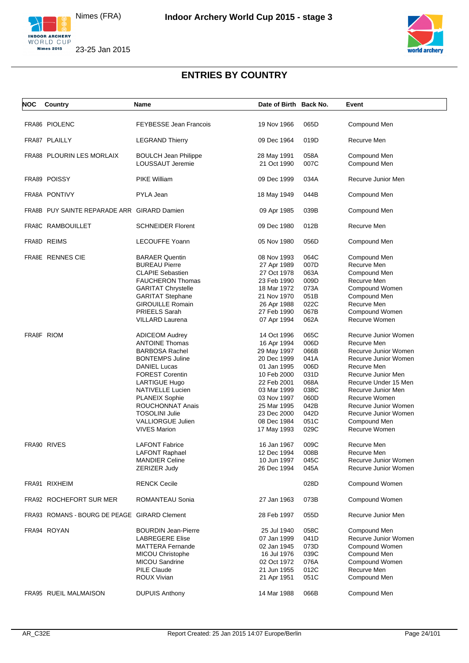





| NOC        | Country                                      | Name                          | Date of Birth Back No. |      | Event                |
|------------|----------------------------------------------|-------------------------------|------------------------|------|----------------------|
|            |                                              |                               |                        |      |                      |
|            | FRA86 PIOLENC                                | <b>FEYBESSE Jean Francois</b> | 19 Nov 1966            | 065D | Compound Men         |
|            | FRA87 PLAILLY                                | <b>LEGRAND Thierry</b>        | 09 Dec 1964            | 019D | Recurve Men          |
|            | FRA88 PLOURIN LES MORLAIX                    | <b>BOULCH Jean Philippe</b>   | 28 May 1991            | 058A | Compound Men         |
|            |                                              | LOUSSAUT Jeremie              | 21 Oct 1990            | 007C | Compound Men         |
|            | FRA89 POISSY                                 | <b>PIKE William</b>           | 09 Dec 1999            | 034A | Recurve Junior Men   |
|            | FRA8A PONTIVY                                | PYLA Jean                     | 18 May 1949            | 044B | Compound Men         |
|            | FRA8B PUY SAINTE REPARADE ARR GIRARD Damien  |                               | 09 Apr 1985            | 039B | Compound Men         |
|            | FRA8C RAMBOUILLET                            | <b>SCHNEIDER Florent</b>      | 09 Dec 1980            | 012B | Recurve Men          |
|            | FRA8D REIMS                                  | <b>LECOUFFE Yoann</b>         | 05 Nov 1980            | 056D | Compound Men         |
|            | FRA8E RENNES CIE                             | <b>BARAER Quentin</b>         | 08 Nov 1993            | 064C | Compound Men         |
|            |                                              | <b>BUREAU Pierre</b>          | 27 Apr 1989            | 007D | Recurve Men          |
|            |                                              | <b>CLAPIE Sebastien</b>       | 27 Oct 1978            | 063A | Compound Men         |
|            |                                              | <b>FAUCHERON Thomas</b>       | 23 Feb 1990            | 009D | Recurve Men          |
|            |                                              | <b>GARITAT Chrystelle</b>     | 18 Mar 1972            | 073A | Compound Women       |
|            |                                              |                               |                        |      |                      |
|            |                                              | <b>GARITAT Stephane</b>       | 21 Nov 1970            | 051B | Compound Men         |
|            |                                              | <b>GIROUILLE Romain</b>       | 26 Apr 1988            | 022C | Recurve Men          |
|            |                                              | <b>PRIEELS Sarah</b>          | 27 Feb 1990            | 067B | Compound Women       |
|            |                                              | <b>VILLARD Laurena</b>        | 07 Apr 1994            | 062A | Recurve Women        |
| FRA8F RIOM |                                              | <b>ADICEOM Audrey</b>         | 14 Oct 1996            | 065C | Recurve Junior Women |
|            |                                              | <b>ANTOINE Thomas</b>         | 16 Apr 1994            | 006D | Recurve Men          |
|            |                                              | <b>BARBOSA Rachel</b>         | 29 May 1997            | 066B | Recurve Junior Women |
|            |                                              | <b>BONTEMPS Juline</b>        | 20 Dec 1999            | 041A | Recurve Junior Women |
|            |                                              | <b>DANIEL Lucas</b>           | 01 Jan 1995            | 006D | Recurve Men          |
|            |                                              | <b>FOREST Corentin</b>        | 10 Feb 2000            | 031D | Recurve Junior Men   |
|            |                                              | <b>LARTIGUE Hugo</b>          | 22 Feb 2001            | 068A | Recurve Under 15 Men |
|            |                                              |                               |                        |      |                      |
|            |                                              | NATIVELLE Lucien              | 03 Mar 1999            | 038C | Recurve Junior Men   |
|            |                                              | PLANEIX Sophie                | 03 Nov 1997            | 060D | Recurve Women        |
|            |                                              | <b>ROUCHONNAT Anais</b>       | 25 Mar 1995            | 042B | Recurve Junior Women |
|            |                                              | <b>TOSOLINI Julie</b>         | 23 Dec 2000            | 042D | Recurve Junior Women |
|            |                                              | <b>VALLIORGUE Julien</b>      | 08 Dec 1984            | 051C | Compound Men         |
|            |                                              | <b>VIVES Marion</b>           | 17 May 1993            | 029C | Recurve Women        |
|            | FRA90 RIVES                                  | <b>LAFONT Fabrice</b>         | 16 Jan 1967            | 009C | Recurve Men          |
|            |                                              | <b>LAFONT Raphael</b>         | 12 Dec 1994            | 008B | Recurve Men          |
|            |                                              | <b>MANDIER Celine</b>         | 10 Jun 1997            | 045C | Recurve Junior Women |
|            |                                              | ZERIZER Judy                  | 26 Dec 1994            | 045A | Recurve Junior Women |
|            | FRA91 RIXHEIM                                | <b>RENCK Cecile</b>           |                        | 028D | Compound Women       |
|            | FRA92 ROCHEFORT SUR MER                      | ROMANTEAU Sonia               | 27 Jan 1963            | 073B | Compound Women       |
|            | FRA93 ROMANS - BOURG DE PEAGE GIRARD Clement |                               | 28 Feb 1997            | 055D | Recurve Junior Men   |
|            | FRA94 ROYAN                                  | <b>BOURDIN Jean-Pierre</b>    | 25 Jul 1940            | 058C | Compound Men         |
|            |                                              | <b>LABREGERE Elise</b>        | 07 Jan 1999            | 041D | Recurve Junior Women |
|            |                                              | <b>MATTERA Fernande</b>       | 02 Jan 1945            | 073D | Compound Women       |
|            |                                              |                               |                        |      |                      |
|            |                                              | <b>MICOU Christophe</b>       | 16 Jul 1976            | 039C | Compound Men         |
|            |                                              | MICOU Sandrine                | 02 Oct 1972            | 076A | Compound Women       |
|            |                                              | <b>PILE Claude</b>            | 21 Jun 1955            | 012C | Recurve Men          |
|            |                                              | ROUX Vivian                   | 21 Apr 1951            | 051C | Compound Men         |
|            | FRA95 RUEIL MALMAISON                        | <b>DUPUIS Anthony</b>         | 14 Mar 1988            | 066B | Compound Men         |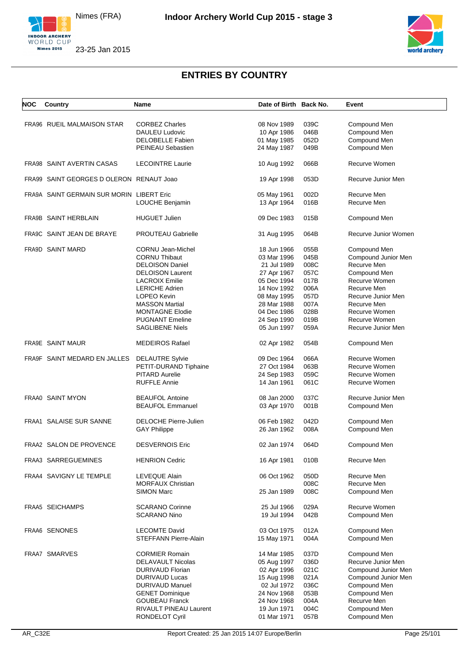



| <b>NOC</b> | Country                                   | Name                         | Date of Birth Back No. |      | Event                |
|------------|-------------------------------------------|------------------------------|------------------------|------|----------------------|
|            |                                           |                              |                        |      |                      |
|            | FRA96 RUEIL MALMAISON STAR                | <b>CORBEZ Charles</b>        | 08 Nov 1989            | 039C | Compound Men         |
|            |                                           | DAULEU Ludovic               | 10 Apr 1986            | 046B | Compound Men         |
|            |                                           | <b>DELOBELLE Fabien</b>      | 01 May 1985            | 052D | Compound Men         |
|            |                                           |                              |                        | 049B |                      |
|            |                                           | PEINEAU Sebastien            | 24 May 1987            |      | Compound Men         |
|            | FRA98 SAINT AVERTIN CASAS                 | <b>LECOINTRE Laurie</b>      | 10 Aug 1992            | 066B | Recurve Women        |
|            | FRA99 SAINT GEORGES D OLERON RENAUT Joao  |                              | 19 Apr 1998            | 053D | Recurve Junior Men   |
|            | FRA9A SAINT GERMAIN SUR MORIN LIBERT Eric |                              | 05 May 1961            | 002D | Recurve Men          |
|            |                                           | LOUCHE Benjamin              | 13 Apr 1964            | 016B | Recurve Men          |
|            | FRA9B SAINT HERBLAIN                      | <b>HUGUET Julien</b>         | 09 Dec 1983            | 015B | Compound Men         |
|            | FRA9C SAINT JEAN DE BRAYE                 | <b>PROUTEAU Gabrielle</b>    | 31 Aug 1995            | 064B | Recurve Junior Women |
|            | FRA9D SAINT MARD                          | <b>CORNU Jean-Michel</b>     | 18 Jun 1966            | 055B | Compound Men         |
|            |                                           |                              |                        |      |                      |
|            |                                           | <b>CORNU Thibaut</b>         | 03 Mar 1996            | 045B | Compound Junior Men  |
|            |                                           | <b>DELOISON Daniel</b>       | 21 Jul 1989            | 008C | Recurve Men          |
|            |                                           | <b>DELOISON Laurent</b>      | 27 Apr 1967            | 057C | Compound Men         |
|            |                                           | <b>LACROIX Emilie</b>        | 05 Dec 1994            | 017B | Recurve Women        |
|            |                                           | <b>LERICHE Adrien</b>        | 14 Nov 1992            | 006A | Recurve Men          |
|            |                                           | LOPEO Kevin                  | 08 May 1995            | 057D | Recurve Junior Men   |
|            |                                           |                              |                        |      |                      |
|            |                                           | <b>MASSON Martial</b>        | 28 Mar 1988            | 007A | Recurve Men          |
|            |                                           | <b>MONTAGNE Elodie</b>       | 04 Dec 1986            | 028B | Recurve Women        |
|            |                                           | <b>PUGNANT Emeline</b>       | 24 Sep 1990            | 019B | Recurve Women        |
|            |                                           | SAGLIBENE Niels              | 05 Jun 1997            | 059A | Recurve Junior Men   |
|            | FRA9E SAINT MAUR                          | <b>MEDEIROS Rafael</b>       | 02 Apr 1982            | 054B | Compound Men         |
|            | FRA9F SAINT MEDARD EN JALLES              | <b>DELAUTRE Sylvie</b>       | 09 Dec 1964            | 066A | Recurve Women        |
|            |                                           | PETIT-DURAND Tiphaine        | 27 Oct 1984            | 063B | Recurve Women        |
|            |                                           | <b>PITARD Aurelie</b>        | 24 Sep 1983            | 059C | Recurve Women        |
|            |                                           | <b>RUFFLE Annie</b>          | 14 Jan 1961            | 061C | Recurve Women        |
|            | FRAA0 SAINT MYON                          | <b>BEAUFOL Antoine</b>       | 08 Jan 2000            | 037C | Recurve Junior Men   |
|            |                                           | <b>BEAUFOL Emmanuel</b>      | 03 Apr 1970            | 001B | Compound Men         |
|            |                                           |                              |                        |      |                      |
|            | FRAA1 SALAISE SUR SANNE                   | DELOCHE Pierre-Julien        | 06 Feb 1982            | 042D | Compound Men         |
|            |                                           | <b>GAY Philippe</b>          | 26 Jan 1962            | 008A | Compound Men         |
|            | FRAA2 SALON DE PROVENCE                   | <b>DESVERNOIS Eric</b>       | 02 Jan 1974            | 064D | Compound Men         |
|            | FRAA3 SARREGUEMINES                       | <b>HENRION Cedric</b>        | 16 Apr 1981            | 010B | Recurve Men          |
|            |                                           |                              |                        |      |                      |
|            | FRAA4 SAVIGNY LE TEMPLE                   | LEVEQUE Alain                | 06 Oct 1962            | 050D | Recurve Men          |
|            |                                           | <b>MORFAUX Christian</b>     |                        | 008C | Recurve Men          |
|            |                                           | <b>SIMON Marc</b>            | 25 Jan 1989            | 008C | Compound Men         |
|            | <b>FRAA5 SEICHAMPS</b>                    | <b>SCARANO Corinne</b>       | 25 Jul 1966            | 029A | Recurve Women        |
|            |                                           |                              |                        |      |                      |
|            |                                           | <b>SCARANO Nino</b>          | 19 Jul 1994            | 042B | Compound Men         |
|            | FRAA6 SENONES                             | <b>LECOMTE David</b>         | 03 Oct 1975            | 012A | Compound Men         |
|            |                                           | <b>STEFFANN Pierre-Alain</b> | 15 May 1971            | 004A | Compound Men         |
|            |                                           |                              |                        |      |                      |
|            | FRAA7 SMARVES                             | <b>CORMIER Romain</b>        | 14 Mar 1985            | 037D | Compound Men         |
|            |                                           | <b>DELAVAULT Nicolas</b>     | 05 Aug 1997            | 036D | Recurve Junior Men   |
|            |                                           | DURIVAUD Florian             | 02 Apr 1996            | 021C | Compound Junior Men  |
|            |                                           | <b>DURIVAUD Lucas</b>        | 15 Aug 1998            | 021A | Compound Junior Men  |
|            |                                           | <b>DURIVAUD Manuel</b>       | 02 Jul 1972            | 036C |                      |
|            |                                           |                              |                        |      | Compound Men         |
|            |                                           | <b>GENET Dominique</b>       | 24 Nov 1968            | 053B | Compound Men         |
|            |                                           | <b>GOUBEAU Franck</b>        | 24 Nov 1968            | 004A | Recurve Men          |
|            |                                           | RIVAULT PINEAU Laurent       | 19 Jun 1971            | 004C | Compound Men         |
|            |                                           | RONDELOT Cyril               | 01 Mar 1971            | 057B | Compound Men         |
|            |                                           |                              |                        |      |                      |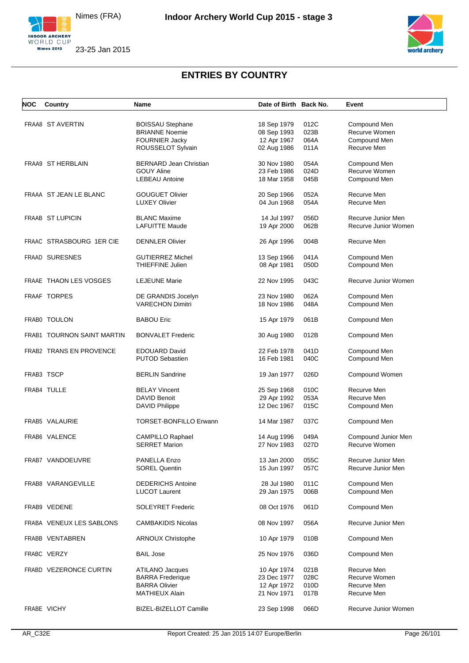



| NOC | Country                    | <b>Name</b>                                      | Date of Birth Back No.     |              | Event                        |
|-----|----------------------------|--------------------------------------------------|----------------------------|--------------|------------------------------|
|     |                            |                                                  |                            |              |                              |
|     | FRAA8 ST AVERTIN           | <b>BOISSAU Stephane</b>                          | 18 Sep 1979                | 012C         | Compound Men                 |
|     |                            | <b>BRIANNE Noemie</b>                            | 08 Sep 1993                | 023B         | Recurve Women                |
|     |                            | FOURNIER Jacky                                   | 12 Apr 1967                | 064A         | Compound Men                 |
|     |                            | ROUSSELOT Sylvain                                | 02 Aug 1986                | 011A         | Recurve Men                  |
|     | FRAA9 ST HERBLAIN          | <b>BERNARD Jean Christian</b>                    | 30 Nov 1980                | 054A         | Compound Men                 |
|     |                            | <b>GOUY Aline</b>                                | 23 Feb 1986                | 024D         | Recurve Women                |
|     |                            | <b>LEBEAU Antoine</b>                            | 18 Mar 1958                | 045B         | Compound Men                 |
|     | FRAAA ST JEAN LE BLANC     | <b>GOUGUET Olivier</b>                           | 20 Sep 1966                | 052A         | Recurve Men                  |
|     |                            | <b>LUXEY Olivier</b>                             | 04 Jun 1968                | 054A         | Recurve Men                  |
|     | FRAAB ST LUPICIN           | <b>BLANC Maxime</b>                              | 14 Jul 1997                | 056D         | Recurve Junior Men           |
|     |                            | <b>LAFUITTE Maude</b>                            |                            | 062B         | Recurve Junior Women         |
|     |                            |                                                  | 19 Apr 2000                |              |                              |
|     | FRAAC STRASBOURG 1ER CIE   | <b>DENNLER Olivier</b>                           | 26 Apr 1996                | 004B         | Recurve Men                  |
|     | <b>FRAAD SURESNES</b>      | <b>GUTIERREZ Michel</b>                          | 13 Sep 1966                | 041A         | Compound Men                 |
|     |                            | THIEFFINE Julien                                 | 08 Apr 1981                | 050D         | Compound Men                 |
|     | FRAAE THAON LES VOSGES     | <b>LEJEUNE Marie</b>                             | 22 Nov 1995                | 043C         | Recurve Junior Women         |
|     |                            |                                                  |                            |              |                              |
|     | <b>FRAAF TORPES</b>        | DE GRANDIS Jocelyn                               | 23 Nov 1980                | 062A         | Compound Men                 |
|     |                            | <b>VARECHON Dimitri</b>                          | 18 Nov 1986                | 048A         | Compound Men                 |
|     | FRABO TOULON               | <b>BABOU Eric</b>                                | 15 Apr 1979                | 061B         | Compound Men                 |
|     | FRAB1 TOURNON SAINT MARTIN | <b>BONVALET Frederic</b>                         | 30 Aug 1980                | 012B         | Compound Men                 |
|     | FRAB2 TRANS EN PROVENCE    | <b>EDOUARD David</b>                             | 22 Feb 1978                | 041D         | Compound Men                 |
|     |                            | <b>PUTOD Sebastien</b>                           | 16 Feb 1981                | 040C         | Compound Men                 |
|     | FRAB3 TSCP                 | <b>BERLIN Sandrine</b>                           | 19 Jan 1977                | 026D         | Compound Women               |
|     | FRAB4 TULLE                | <b>BELAY Vincent</b>                             | 25 Sep 1968                | 010C         | Recurve Men                  |
|     |                            | <b>DAVID Benoit</b>                              | 29 Apr 1992                | 053A         | Recurve Men                  |
|     |                            | <b>DAVID Philippe</b>                            | 12 Dec 1967                | 015C         | Compound Men                 |
|     | FRAB5 VALAURIE             | <b>TORSET-BONFILLO Erwann</b>                    | 14 Mar 1987                | 037C         | Compound Men                 |
|     | FRAB6 VALENCE              | <b>CAMPILLO Raphael</b>                          | 14 Aug 1996                | 049A         | Compound Junior Men          |
|     |                            | <b>SERRET Marion</b>                             | 27 Nov 1983                | 027D         | Recurve Women                |
|     | FRAB7 VANDOEUVRE           | PANELLA Enzo                                     | 13 Jan 2000                | 055C         | Recurve Junior Men           |
|     |                            | <b>SOREL Quentin</b>                             | 15 Jun 1997                | 057C         | Recurve Junior Men           |
|     | FRAB8 VARANGEVILLE         |                                                  |                            |              |                              |
|     |                            | <b>DEDERICHS Antoine</b><br><b>LUCOT Laurent</b> | 28 Jul 1980<br>29 Jan 1975 | 011C<br>006B | Compound Men<br>Compound Men |
|     |                            |                                                  |                            |              |                              |
|     | FRAB9 VEDENE               | <b>SOLEYRET Frederic</b>                         | 08 Oct 1976                | 061D         | Compound Men                 |
|     | FRABA VENEUX LES SABLONS   | <b>CAMBAKIDIS Nicolas</b>                        | 08 Nov 1997                | 056A         | Recurve Junior Men           |
|     | FRABB VENTABREN            | <b>ARNOUX Christophe</b>                         | 10 Apr 1979                | 010B         | Compound Men                 |
|     | FRABC VERZY                | <b>BAIL Jose</b>                                 | 25 Nov 1976                | 036D         | Compound Men                 |
|     | FRABD VEZERONCE CURTIN     | ATILANO Jacques                                  | 10 Apr 1974                | 021B         | Recurve Men                  |
|     |                            | <b>BARRA</b> Frederique                          | 23 Dec 1977                | 028C         | Recurve Women                |
|     |                            | <b>BARRA Olivier</b>                             | 12 Apr 1972                | 010D         | Recurve Men                  |
|     |                            | <b>MATHIEUX Alain</b>                            | 21 Nov 1971                | 017B         | Recurve Men                  |
|     |                            |                                                  |                            |              |                              |
|     | FRABE VICHY                | BIZEL-BIZELLOT Camille                           | 23 Sep 1998                | 066D         | Recurve Junior Women         |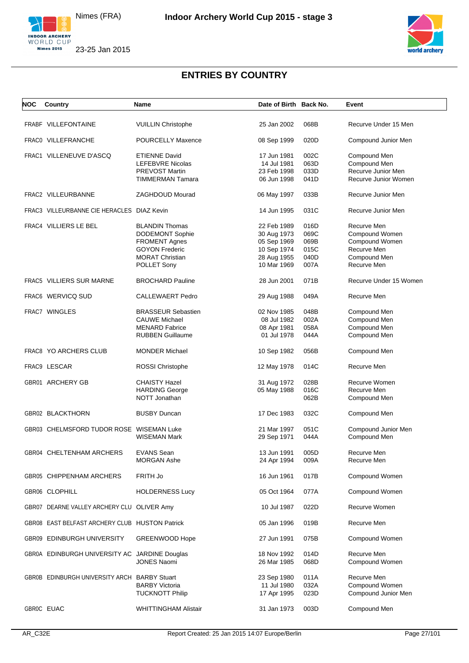





| NOC | Country                                        | Name                        | Date of Birth Back No. |      | Event                  |
|-----|------------------------------------------------|-----------------------------|------------------------|------|------------------------|
|     | FRABF VILLEFONTAINE                            | <b>VUILLIN Christophe</b>   | 25 Jan 2002            | 068B | Recurve Under 15 Men   |
|     |                                                |                             |                        |      |                        |
|     | FRAC0 VILLEFRANCHE                             | <b>POURCELLY Maxence</b>    | 08 Sep 1999            | 020D | Compound Junior Men    |
|     | FRAC1 VILLENEUVE D'ASCQ                        | <b>ETIENNE David</b>        | 17 Jun 1981            | 002C | Compound Men           |
|     |                                                | <b>LEFEBVRE Nicolas</b>     | 14 Jul 1981            | 063D | Compound Men           |
|     |                                                | <b>PREVOST Martin</b>       | 23 Feb 1998            | 033D | Recurve Junior Men     |
|     |                                                | TIMMERMAN Tamara            | 06 Jun 1998            | 041D | Recurve Junior Women   |
|     | FRAC2 VILLEURBANNE                             | ZAGHDOUD Mourad             | 06 May 1997            | 033B | Recurve Junior Men     |
|     | FRAC3 VILLEURBANNE CIE HERACLES DIAZ Kevin     |                             | 14 Jun 1995            | 031C | Recurve Junior Men     |
|     | FRAC4 VILLIERS LE BEL                          | <b>BLANDIN Thomas</b>       | 22 Feb 1989            | 016D | Recurve Men            |
|     |                                                | <b>DODEMONT Sophie</b>      | 30 Aug 1973            | 069C | Compound Women         |
|     |                                                | <b>FROMENT Agnes</b>        | 05 Sep 1969            | 069B | Compound Women         |
|     |                                                | <b>GOYON Frederic</b>       | 10 Sep 1974            | 015C | Recurve Men            |
|     |                                                | <b>MORAT Christian</b>      | 28 Aug 1955            | 040D | Compound Men           |
|     |                                                | POLLET Sony                 | 10 Mar 1969            | 007A | Recurve Men            |
|     | FRAC5 VILLIERS SUR MARNE                       | <b>BROCHARD Pauline</b>     | 28 Jun 2001            | 071B | Recurve Under 15 Women |
|     | FRAC6 WERVICQ SUD                              | <b>CALLEWAERT Pedro</b>     | 29 Aug 1988            | 049A | Recurve Men            |
|     | FRAC7 WINGLES                                  | <b>BRASSEUR Sebastien</b>   | 02 Nov 1985            | 048B | Compound Men           |
|     |                                                | <b>CAUWE Michael</b>        | 08 Jul 1982            | 002A | Compound Men           |
|     |                                                | <b>MENARD Fabrice</b>       | 08 Apr 1981            | 058A | Compound Men           |
|     |                                                | <b>RUBBEN Guillaume</b>     | 01 Jul 1978            | 044A | Compound Men           |
|     | <b>FRAC8 YO ARCHERS CLUB</b>                   | <b>MONDER Michael</b>       | 10 Sep 1982            | 056B | Compound Men           |
|     | FRAC9 LESCAR                                   | ROSSI Christophe            | 12 May 1978            | 014C | Recurve Men            |
|     | GBR01 ARCHERY GB                               | <b>CHAISTY Hazel</b>        | 31 Aug 1972            | 028B | Recurve Women          |
|     |                                                | <b>HARDING George</b>       | 05 May 1988            | 016C | Recurve Men            |
|     |                                                | NOTT Jonathan               |                        | 062B | Compound Men           |
|     | GBR02 BLACKTHORN                               | <b>BUSBY Duncan</b>         | 17 Dec 1983            | 032C | Compound Men           |
|     | GBR03 CHELMSFORD TUDOR ROSE WISEMAN Luke       |                             | 21 Mar 1997            | 051C | Compound Junior Men    |
|     |                                                | <b>WISEMAN Mark</b>         | 29 Sep 1971            | 044A | Compound Men           |
|     | GBR04 CHELTENHAM ARCHERS                       | <b>EVANS Sean</b>           | 13 Jun 1991            | 005D | Recurve Men            |
|     |                                                | <b>MORGAN Ashe</b>          | 24 Apr 1994            | 009A | Recurve Men            |
|     | GBR05 CHIPPENHAM ARCHERS                       | FRITH Jo                    | 16 Jun 1961            | 017B | Compound Women         |
|     | GBR06 CLOPHILL                                 | <b>HOLDERNESS Lucy</b>      | 05 Oct 1964            | 077A | Compound Women         |
|     | GBR07 DEARNE VALLEY ARCHERY CLU OLIVER Amy     |                             | 10 Jul 1987            | 022D | Recurve Women          |
|     | GBR08 EAST BELFAST ARCHERY CLUB HUSTON Patrick |                             | 05 Jan 1996            | 019B | Recurve Men            |
|     | GBR09 EDINBURGH UNIVERSITY                     | <b>GREENWOOD Hope</b>       | 27 Jun 1991            | 075B | Compound Women         |
|     | GBR0A EDINBURGH UNIVERSITY AC JARDINE Douglas  |                             | 18 Nov 1992            | 014D | Recurve Men            |
|     |                                                | <b>JONES Naomi</b>          | 26 Mar 1985            | 068D | Compound Women         |
|     | GBR0B EDINBURGH UNIVERSITY ARCH BARBY Stuart   |                             | 23 Sep 1980            | 011A | Recurve Men            |
|     |                                                | <b>BARBY Victoria</b>       | 11 Jul 1980            | 032A | Compound Women         |
|     |                                                | <b>TUCKNOTT Philip</b>      | 17 Apr 1995            | 023D | Compound Junior Men    |
|     | GBR0C EUAC                                     | <b>WHITTINGHAM Alistair</b> | 31 Jan 1973            | 003D | Compound Men           |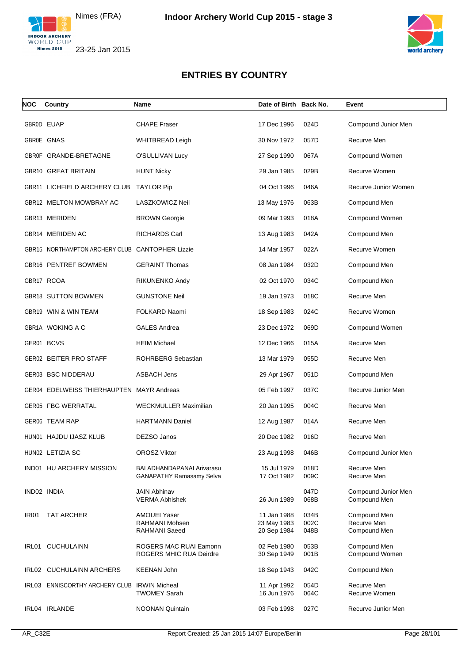



| <b>NOC</b>   | Country                                         | Name                                                         | Date of Birth Back No.                    |                      | Event                                       |
|--------------|-------------------------------------------------|--------------------------------------------------------------|-------------------------------------------|----------------------|---------------------------------------------|
|              | GBR0D EUAP                                      | <b>CHAPE Fraser</b>                                          | 17 Dec 1996                               | 024D                 | Compound Junior Men                         |
|              | GBR0E GNAS                                      | <b>WHITBREAD Leigh</b>                                       | 30 Nov 1972                               | 057D                 | Recurve Men                                 |
|              | GBR0F GRANDE-BRETAGNE                           | O'SULLIVAN Lucy                                              | 27 Sep 1990                               | 067A                 | Compound Women                              |
|              | GBR10 GREAT BRITAIN                             | <b>HUNT Nicky</b>                                            | 29 Jan 1985                               | 029B                 | Recurve Women                               |
|              | GBR11 LICHFIELD ARCHERY CLUB                    | <b>TAYLOR Pip</b>                                            | 04 Oct 1996                               | 046A                 | Recurve Junior Women                        |
|              | GBR12 MELTON MOWBRAY AC                         | <b>LASZKOWICZ Neil</b>                                       | 13 May 1976                               | 063B                 | Compound Men                                |
|              | GBR13 MERIDEN                                   | <b>BROWN Georgie</b>                                         | 09 Mar 1993                               | 018A                 | Compound Women                              |
|              | GBR14 MERIDEN AC                                | <b>RICHARDS Carl</b>                                         | 13 Aug 1983                               | 042A                 | Compound Men                                |
|              | GBR15 NORTHAMPTON ARCHERY CLUB CANTOPHER Lizzie |                                                              | 14 Mar 1957                               | 022A                 | Recurve Women                               |
|              | GBR16 PENTREF BOWMEN                            | <b>GERAINT Thomas</b>                                        | 08 Jan 1984                               | 032D                 | Compound Men                                |
|              | GBR17 RCOA                                      | RIKUNENKO Andy                                               | 02 Oct 1970                               | 034C                 | Compound Men                                |
|              | <b>GBR18 SUTTON BOWMEN</b>                      | <b>GUNSTONE Neil</b>                                         | 19 Jan 1973                               | 018C                 | Recurve Men                                 |
|              | GBR19 WIN & WIN TEAM                            | FOLKARD Naomi                                                | 18 Sep 1983                               | 024C                 | Recurve Women                               |
|              | GBR1A WOKING A C                                | <b>GALES Andrea</b>                                          | 23 Dec 1972                               | 069D                 | Compound Women                              |
|              | GER01 BCVS                                      | <b>HEIM Michael</b>                                          | 12 Dec 1966                               | 015A                 | Recurve Men                                 |
|              | GER02 BEITER PRO STAFF                          | ROHRBERG Sebastian                                           | 13 Mar 1979                               | 055D                 | Recurve Men                                 |
|              | <b>GER03 BSC NIDDERAU</b>                       | <b>ASBACH Jens</b>                                           | 29 Apr 1967                               | 051D                 | Compound Men                                |
|              | GER04 EDELWEISS THIERHAUPTEN MAYR Andreas       |                                                              | 05 Feb 1997                               | 037C                 | Recurve Junior Men                          |
|              | GER05 FBG WERRATAL                              | <b>WECKMULLER Maximilian</b>                                 | 20 Jan 1995                               | 004C                 | Recurve Men                                 |
|              | GER06 TEAM RAP                                  | <b>HARTMANN Daniel</b>                                       | 12 Aug 1987                               | 014A                 | Recurve Men                                 |
|              | HUN01 HAJDU IJASZ KLUB                          | DEZSO Janos                                                  | 20 Dec 1982                               | 016D                 | Recurve Men                                 |
|              | HUN02 LETIZIA SC                                | <b>OROSZ Viktor</b>                                          | 23 Aug 1998                               | 046B                 | Compound Junior Men                         |
|              | IND01 HU ARCHERY MISSION                        | BALADHANDAPANAI Arivarasu<br><b>GANAPATHY Ramasamy Selva</b> | 15 Jul 1979<br>17 Oct 1982                | 018D<br>009C         | Recurve Men<br>Recurve Men                  |
|              | IND02 INDIA                                     | <b>JAIN Abhinav</b><br><b>VERMA Abhishek</b>                 | 26 Jun 1989                               | 047D<br>068B         | Compound Junior Men<br>Compound Men         |
| <b>IRI01</b> | <b>TAT ARCHER</b>                               | <b>AMOUEI Yaser</b><br>RAHMANI Mohsen<br>RAHMANI Saeed       | 11 Jan 1988<br>23 May 1983<br>20 Sep 1984 | 034B<br>002C<br>048B | Compound Men<br>Recurve Men<br>Compound Men |
|              | IRL01 CUCHULAINN                                | ROGERS MAC RUAI Eamonn<br>ROGERS MHIC RUA Deirdre            | 02 Feb 1980<br>30 Sep 1949                | 053B<br>001B         | Compound Men<br>Compound Women              |
|              | IRL02 CUCHULAINN ARCHERS                        | <b>KEENAN John</b>                                           | 18 Sep 1943                               | 042C                 | Compound Men                                |
|              | IRL03 ENNISCORTHY ARCHERY CLUB IRWIN Micheal    | <b>TWOMEY Sarah</b>                                          | 11 Apr 1992<br>16 Jun 1976                | 054D<br>064C         | Recurve Men<br>Recurve Women                |
|              | IRL04 IRLANDE                                   | <b>NOONAN Quintain</b>                                       | 03 Feb 1998                               | 027C                 | Recurve Junior Men                          |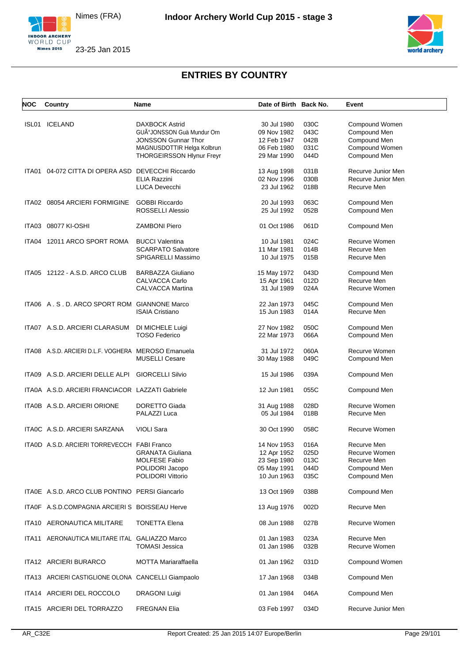



| <b>NOC</b> | Country                                             | Name                             | Date of Birth Back No. |      | Event              |
|------------|-----------------------------------------------------|----------------------------------|------------------------|------|--------------------|
|            |                                                     |                                  |                        |      |                    |
| ISL01      | ICELAND                                             | <b>DAXBOCK Astrid</b>            | 30 Jul 1980            | 030C | Compound Women     |
|            |                                                     | GUðJONSSON Guä Mundur Orn        | 09 Nov 1982            | 043C | Compound Men       |
|            |                                                     | <b>JONSSON Gunnar Thor</b>       | 12 Feb 1947            | 042B | Compound Men       |
|            |                                                     | MAGNUSDOTTIR Helga Kolbrun       | 06 Feb 1980            | 031C | Compound Women     |
|            |                                                     | <b>THORGEIRSSON Hlynur Freyr</b> | 29 Mar 1990            | 044D | Compound Men       |
|            |                                                     |                                  |                        |      |                    |
| ITA01      | 04-072 CITTA DI OPERA ASD                           | <b>DEVECCHI Riccardo</b>         | 13 Aug 1998            | 031B | Recurve Junior Men |
|            |                                                     | <b>ELIA Razzini</b>              | 02 Nov 1996            | 030B | Recurve Junior Men |
|            |                                                     | <b>LUCA Devecchi</b>             | 23 Jul 1962            | 018B | Recurve Men        |
|            | ITA02 08054 ARCIERI FORMIGINE                       | <b>GOBBI Riccardo</b>            | 20 Jul 1993            | 063C | Compound Men       |
|            |                                                     | <b>ROSSELLI Alessio</b>          | 25 Jul 1992            | 052B | Compound Men       |
|            |                                                     |                                  |                        |      |                    |
|            | ITA03 08077 KI-OSHI                                 | <b>ZAMBONI Piero</b>             | 01 Oct 1986            | 061D | Compound Men       |
|            | ITA04 12011 ARCO SPORT ROMA                         | <b>BUCCI Valentina</b>           | 10 Jul 1981            | 024C | Recurve Women      |
|            |                                                     | <b>SCARPATO Salvatore</b>        | 11 Mar 1981            | 014B | Recurve Men        |
|            |                                                     | SPIGARELLI Massimo               | 10 Jul 1975            | 015B | Recurve Men        |
|            | ITA05 12122 - A.S.D. ARCO CLUB                      | <b>BARBAZZA Giuliano</b>         |                        | 043D | Compound Men       |
|            |                                                     |                                  | 15 May 1972            |      |                    |
|            |                                                     | CALVACCA Carlo                   | 15 Apr 1961            | 012D | Recurve Men        |
|            |                                                     | <b>CALVACCA Martina</b>          | 31 Jul 1989            | 024A | Recurve Women      |
|            | ITA06 A.S.D. ARCO SPORT ROM GIANNONE Marco          |                                  | 22 Jan 1973            | 045C | Compound Men       |
|            |                                                     | <b>ISAIA Cristiano</b>           | 15 Jun 1983            | 014A | Recurve Men        |
|            |                                                     |                                  |                        |      |                    |
|            | ITA07 A.S.D. ARCIERI CLARASUM                       | DI MICHELE Luigi                 | 27 Nov 1982            | 050C | Compound Men       |
|            |                                                     | <b>TOSO Federico</b>             | 22 Mar 1973            | 066A | Compound Men       |
|            |                                                     |                                  |                        |      |                    |
|            | ITA08 A.S.D. ARCIERI D.L.F. VOGHERA MEROSO Emanuela |                                  | 31 Jul 1972            | 060A | Recurve Women      |
|            |                                                     | <b>MUSELLI Cesare</b>            | 30 May 1988            | 049C | Compound Men       |
|            | ITA09 A.S.D. ARCIERI DELLE ALPI                     | <b>GIORCELLI Silvio</b>          | 15 Jul 1986            | 039A | Compound Men       |
|            |                                                     |                                  |                        |      |                    |
|            | ITA0A A.S.D. ARCIERI FRANCIACOR LAZZATI Gabriele    |                                  | 12 Jun 1981            | 055C | Compound Men       |
|            | ITA0B A.S.D. ARCIERI ORIONE                         | DORETTO Giada                    | 31 Aug 1988            | 028D | Recurve Women      |
|            |                                                     | PALAZZI Luca                     | 05 Jul 1984            | 018B | Recurve Men        |
|            |                                                     |                                  |                        |      |                    |
|            | ITA0C A.S.D. ARCIERI SARZANA                        | <b>VIOLI Sara</b>                | 30 Oct 1990            | 058C | Recurve Women      |
|            | ITAOD A.S.D. ARCIERI TORREVECCH FABI Franco         |                                  |                        |      | Recurve Men        |
|            |                                                     |                                  | 14 Nov 1953            | 016A |                    |
|            |                                                     | <b>GRANATA Giuliana</b>          | 12 Apr 1952            | 025D | Recurve Women      |
|            |                                                     | <b>MOLFESE Fabio</b>             | 23 Sep 1980            | 013C | Recurve Men        |
|            |                                                     | POLIDORI Jacopo                  | 05 May 1991            | 044D | Compound Men       |
|            |                                                     | <b>POLIDORI Vittorio</b>         | 10 Jun 1963            | 035C | Compound Men       |
|            | ITA0E A.S.D. ARCO CLUB PONTINO PERSI Giancarlo      |                                  | 13 Oct 1969            | 038B | Compound Men       |
|            |                                                     |                                  |                        |      |                    |
|            | ITA0F A.S.D.COMPAGNIA ARCIERI S BOISSEAU Herve      |                                  | 13 Aug 1976            | 002D | Recurve Men        |
|            | ITA10 AERONAUTICA MILITARE                          | <b>TONETTA Elena</b>             | 08 Jun 1988            | 027B | Recurve Women      |
|            |                                                     |                                  |                        |      |                    |
|            | ITA11 AERONAUTICA MILITARE ITAL GALIAZZO Marco      |                                  | 01 Jan 1983            | 023A | Recurve Men        |
|            |                                                     | <b>TOMASI Jessica</b>            | 01 Jan 1986            | 032B | Recurve Women      |
|            | ITA12 ARCIERI BURARCO                               | <b>MOTTA Mariaraffaella</b>      | 01 Jan 1962            | 031D | Compound Women     |
|            |                                                     |                                  |                        |      |                    |
|            | ITA13 ARCIERI CASTIGLIONE OLONA CANCELLI Giampaolo  |                                  | 17 Jan 1968            | 034B | Compound Men       |
|            | ITA14 ARCIERI DEL ROCCOLO                           | <b>DRAGONI Luigi</b>             | 01 Jan 1984            | 046A | Compound Men       |
|            |                                                     |                                  |                        |      |                    |
|            | ITA15 ARCIERI DEL TORRAZZO                          | <b>FREGNAN Elia</b>              | 03 Feb 1997            | 034D | Recurve Junior Men |
|            |                                                     |                                  |                        |      |                    |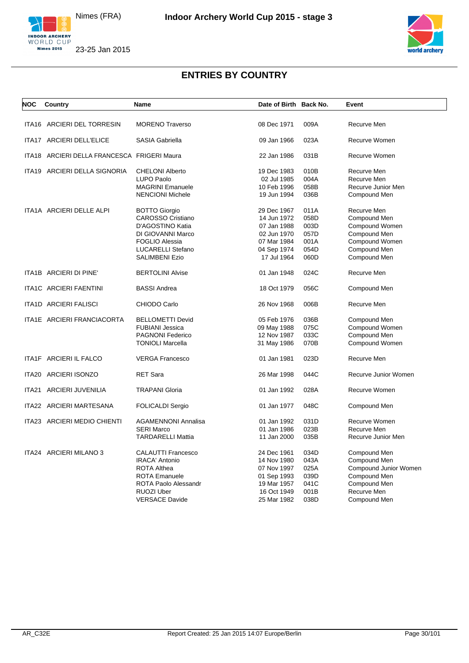

**Nimes 2015** 

23-25 Jan 2015



| <b>NOC</b> | Country                                     | <b>Name</b>                                                                                                                                                      | Date of Birth Back No.                                                                                |                                                      | Event                                                                                                                |
|------------|---------------------------------------------|------------------------------------------------------------------------------------------------------------------------------------------------------------------|-------------------------------------------------------------------------------------------------------|------------------------------------------------------|----------------------------------------------------------------------------------------------------------------------|
|            | ITA16 ARCIERI DEL TORRESIN                  | <b>MORENO Traverso</b>                                                                                                                                           | 08 Dec 1971                                                                                           | 009A                                                 | Recurve Men                                                                                                          |
|            | ITA17 ARCIERI DELL'ELICE                    | <b>SASIA Gabriella</b>                                                                                                                                           | 09 Jan 1966                                                                                           | 023A                                                 | Recurve Women                                                                                                        |
|            | ITA18 ARCIERI DELLA FRANCESCA FRIGERI Maura |                                                                                                                                                                  | 22 Jan 1986                                                                                           | 031B                                                 | Recurve Women                                                                                                        |
|            | ITA19 ARCIERI DELLA SIGNORIA                | <b>CHELONI Alberto</b><br><b>LUPO Paolo</b><br><b>MAGRINI Emanuele</b><br><b>NENCIONI Michele</b>                                                                | 19 Dec 1983<br>02 Jul 1985<br>10 Feb 1996<br>19 Jun 1994                                              | 010B<br>004A<br>058B<br>036B                         | Recurve Men<br>Recurve Men<br>Recurve Junior Men<br>Compound Men                                                     |
|            | ITA1A ARCIERI DELLE ALPI                    | <b>BOTTO Giorgio</b><br><b>CAROSSO Cristiano</b><br>D'AGOSTINO Katia<br>DI GIOVANNI Marco<br><b>FOGLIO Alessia</b><br>LUCARELLI Stefano<br><b>SALIMBENI Ezio</b> | 29 Dec 1967<br>14 Jun 1972<br>07 Jan 1988<br>02 Jun 1970<br>07 Mar 1984<br>04 Sep 1974<br>17 Jul 1964 | 011A<br>058D<br>003D<br>057D<br>001A<br>054D<br>060D | Recurve Men<br>Compound Men<br>Compound Women<br>Compound Men<br>Compound Women<br>Compound Men<br>Compound Men      |
|            | ITA1B ARCIERI DI PINE'                      | <b>BERTOLINI Alvise</b>                                                                                                                                          | 01 Jan 1948                                                                                           | 024C                                                 | Recurve Men                                                                                                          |
|            | <b>ITA1C ARCIERI FAENTINI</b>               | <b>BASSI Andrea</b>                                                                                                                                              | 18 Oct 1979                                                                                           | 056C                                                 | Compound Men                                                                                                         |
|            | <b>ITA1D ARCIERI FALISCI</b>                | CHIODO Carlo                                                                                                                                                     | 26 Nov 1968                                                                                           | 006B                                                 | Recurve Men                                                                                                          |
|            | ITA1E ARCIERI FRANCIACORTA                  | <b>BELLOMETTI Devid</b><br><b>FUBIANI Jessica</b><br><b>PAGNONI Federico</b><br><b>TONIOLI Marcella</b>                                                          | 05 Feb 1976<br>09 May 1988<br>12 Nov 1987<br>31 May 1986                                              | 036B<br>075C<br>033C<br>070B                         | Compound Men<br>Compound Women<br>Compound Men<br>Compound Women                                                     |
|            | ITA1F ARCIERI IL FALCO                      | <b>VERGA Francesco</b>                                                                                                                                           | 01 Jan 1981                                                                                           | 023D                                                 | Recurve Men                                                                                                          |
|            | ITA20 ARCIERI ISONZO                        | <b>RET Sara</b>                                                                                                                                                  | 26 Mar 1998                                                                                           | 044C                                                 | Recurve Junior Women                                                                                                 |
| ITA21      | <b>ARCIERI JUVENILIA</b>                    | <b>TRAPANI Gloria</b>                                                                                                                                            | 01 Jan 1992                                                                                           | 028A                                                 | Recurve Women                                                                                                        |
|            | ITA22 ARCIERI MARTESANA                     | <b>FOLICALDI Sergio</b>                                                                                                                                          | 01 Jan 1977                                                                                           | 048C                                                 | Compound Men                                                                                                         |
|            | ITA23 ARCIERI MEDIO CHIENTI                 | <b>AGAMENNONI Annalisa</b><br><b>SERI Marco</b><br><b>TARDARELLI Mattia</b>                                                                                      | 01 Jan 1992<br>01 Jan 1986<br>11 Jan 2000                                                             | 031D<br>023B<br>035B                                 | Recurve Women<br>Recurve Men<br>Recurve Junior Men                                                                   |
|            | ITA24 ARCIERI MILANO 3                      | <b>CALAUTTI Francesco</b><br><b>IRACA' Antonio</b><br><b>ROTA Althea</b><br><b>ROTA Emanuele</b><br>ROTA Paolo Alessandr<br>RUOZI Uber<br><b>VERSACE Davide</b>  | 24 Dec 1961<br>14 Nov 1980<br>07 Nov 1997<br>01 Sep 1993<br>19 Mar 1957<br>16 Oct 1949<br>25 Mar 1982 | 034D<br>043A<br>025A<br>039D<br>041C<br>001B<br>038D | Compound Men<br>Compound Men<br>Compound Junior Women<br>Compound Men<br>Compound Men<br>Recurve Men<br>Compound Men |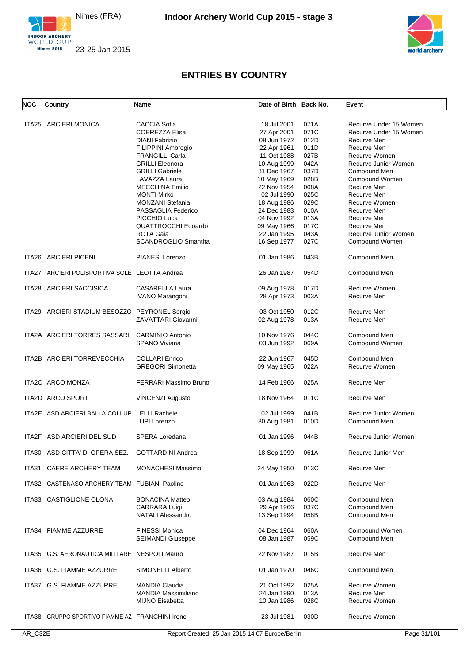



| NOC   | Country                                       | <b>Name</b>                | Date of Birth Back No. |      | Event                  |
|-------|-----------------------------------------------|----------------------------|------------------------|------|------------------------|
|       | ITA25 ARCIERI MONICA                          | <b>CACCIA Sofia</b>        | 18 Jul 2001            | 071A | Recurve Under 15 Women |
|       |                                               |                            |                        |      |                        |
|       |                                               | <b>COEREZZA Elisa</b>      | 27 Apr 2001            | 071C | Recurve Under 15 Women |
|       |                                               | <b>DIANI Fabrizio</b>      | 08 Jun 1972            | 012D | Recurve Men            |
|       |                                               | FILIPPINI Ambrogio         | 22 Apr 1961            | 011D | Recurve Men            |
|       |                                               | <b>FRANGILLI Carla</b>     | 11 Oct 1988            | 027B | Recurve Women          |
|       |                                               | <b>GRILLI Eleonora</b>     | 10 Aug 1999            | 042A | Recurve Junior Women   |
|       |                                               | <b>GRILLI Gabriele</b>     | 31 Dec 1967            | 037D | Compound Men           |
|       |                                               | LAVAZZA Laura              | 10 May 1969            | 028B | Compound Women         |
|       |                                               | <b>MECCHINA Emilio</b>     | 22 Nov 1954            | 008A | Recurve Men            |
|       |                                               | <b>MONTI Mirko</b>         | 02 Jul 1990            | 025C | Recurve Men            |
|       |                                               | <b>MONZANI Stefania</b>    | 18 Aug 1986            | 029C | Recurve Women          |
|       |                                               | PASSAGLIA Federico         | 24 Dec 1983            | 010A | Recurve Men            |
|       |                                               | PICCHIO Luca               | 04 Nov 1992            | 013A | Recurve Men            |
|       |                                               | <b>QUATTROCCHI Edoardo</b> | 09 May 1966            | 017C | Recurve Men            |
|       |                                               | ROTA Gaia                  | 22 Jan 1995            | 043A | Recurve Junior Women   |
|       |                                               | <b>SCANDROGLIO Smantha</b> | 16 Sep 1977            | 027C | Compound Women         |
|       |                                               |                            |                        |      |                        |
|       | ITA26 ARCIERI PICENI                          | PIANESI Lorenzo            | 01 Jan 1986            | 043B | Compound Men           |
|       | ITA27 ARCIERI POLISPORTIVA SOLE LEOTTA Andrea |                            | 26 Jan 1987            | 054D | Compound Men           |
|       | ITA28 ARCIERI SACCISICA                       | <b>CASARELLA Laura</b>     | 09 Aug 1978            | 017D | Recurve Women          |
|       |                                               | <b>IVANO Marangoni</b>     | 28 Apr 1973            | 003A | Recurve Men            |
|       |                                               |                            |                        |      |                        |
|       | ITA29 ARCIERI STADIUM BESOZZO PEYRONEL Sergio |                            | 03 Oct 1950            | 012C | Recurve Men            |
|       |                                               | ZAVATTARI Giovanni         | 02 Aug 1978            | 013A | Recurve Men            |
|       | ITA2A ARCIERI TORRES SASSARI                  | <b>CARMINIO Antonio</b>    | 10 Nov 1976            | 044C | Compound Men           |
|       |                                               | <b>SPANO Viviana</b>       | 03 Jun 1992            | 069A | Compound Women         |
|       |                                               |                            |                        |      |                        |
|       | ITA2B ARCIERI TORREVECCHIA                    | <b>COLLARI Enrico</b>      | 22 Jun 1967            | 045D | Compound Men           |
|       |                                               | <b>GREGORI Simonetta</b>   | 09 May 1965            | 022A | Recurve Women          |
|       | ITA2C ARCO MONZA                              | FERRARI Massimo Bruno      | 14 Feb 1966            | 025A | Recurve Men            |
|       | ITA2D ARCO SPORT                              | <b>VINCENZI Augusto</b>    | 18 Nov 1964            | 011C | Recurve Men            |
|       |                                               |                            |                        |      |                        |
|       | ITA2E ASD ARCIERI BALLA COI LUP LELLI Rachele |                            | 02 Jul 1999            | 041B | Recurve Junior Women   |
|       |                                               | <b>LUPI Lorenzo</b>        | 30 Aug 1981            | 010D | Compound Men           |
|       | ITA2F ASD ARCIERI DEL SUD                     | SPERA Loredana             | 01 Jan 1996            | 044B | Recurve Junior Women   |
|       |                                               |                            |                        |      |                        |
|       | ITA30 ASD CITTA' DI OPERA SEZ.                | <b>GOTTARDINI Andrea</b>   | 18 Sep 1999            | 061A | Recurve Junior Men     |
| ITA31 | <b>CAERE ARCHERY TEAM</b>                     | MONACHESI Massimo          | 24 May 1950            | 013C | Recurve Men            |
|       | ITA32 CASTENASO ARCHERY TEAM FUBIANI Paolino  |                            | 01 Jan 1963            | 022D | Recurve Men            |
|       |                                               |                            |                        |      |                        |
|       | ITA33 CASTIGLIONE OLONA                       | <b>BONACINA Matteo</b>     | 03 Aug 1984            | 060C | Compound Men           |
|       |                                               | <b>CARRARA Luigi</b>       | 29 Apr 1966            | 037C | Compound Men           |
|       |                                               | <b>NATALI Alessandro</b>   | 13 Sep 1994            | 058B | Compound Men           |
|       | ITA34 FIAMME AZZURRE                          | <b>FINESSI Monica</b>      | 04 Dec 1964            | 060A | Compound Women         |
|       |                                               | <b>SEIMANDI Giuseppe</b>   | 08 Jan 1987            | 059C | Compound Men           |
|       |                                               |                            |                        |      |                        |
|       | ITA35 G.S. AERONAUTICA MILITARE NESPOLI Mauro |                            | 22 Nov 1987            | 015B | Recurve Men            |
|       | ITA36 G.S. FIAMME AZZURRE                     | SIMONELLI Alberto          | 01 Jan 1970            | 046C | Compound Men           |
|       |                                               |                            |                        |      |                        |
| ITA37 | G.S. FIAMME AZZURRE                           | <b>MANDIA Claudia</b>      | 21 Oct 1992            | 025A | Recurve Women          |
|       |                                               | <b>MANDIA Massimiliano</b> | 24 Jan 1990            | 013A | Recurve Men            |
|       |                                               | MIJNO Eisabetta            | 10 Jan 1986            | 028C | Recurve Women          |
| ITA38 | GRUPPO SPORTIVO FIAMME AZ FRANCHINI Irene     |                            | 23 Jul 1981            | 030D | Recurve Women          |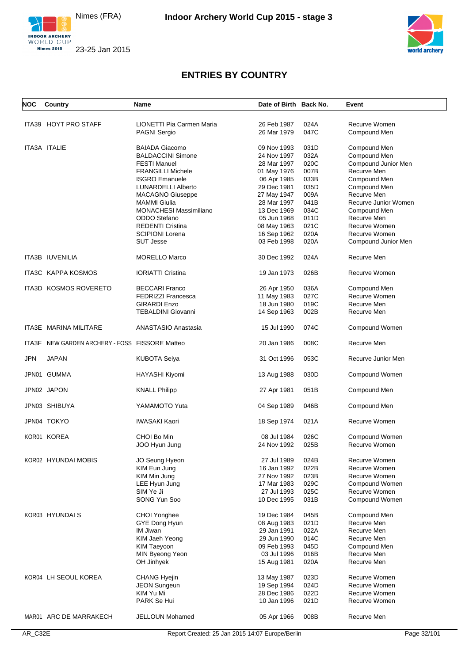



| <b>NOC</b> | Country                                  | Name                             | Date of Birth Back No.     |      | Event                         |
|------------|------------------------------------------|----------------------------------|----------------------------|------|-------------------------------|
|            | ITA39 HOYT PRO STAFF                     | <b>LIONETTI Pia Carmen Maria</b> | 26 Feb 1987                | 024A | Recurve Women                 |
|            |                                          | <b>PAGNI Sergio</b>              | 26 Mar 1979                | 047C | Compound Men                  |
|            |                                          |                                  |                            |      |                               |
|            | ITA3A ITALIE                             | <b>BAIADA Giacomo</b>            | 09 Nov 1993                | 031D | Compound Men                  |
|            |                                          | <b>BALDACCINI Simone</b>         | 24 Nov 1997                | 032A | Compound Men                  |
|            |                                          | <b>FESTI Manuel</b>              | 28 Mar 1997                | 020C | Compound Junior Men           |
|            |                                          | <b>FRANGILLI Michele</b>         | 01 May 1976                | 007B | Recurve Men                   |
|            |                                          | <b>ISGRO Emanuele</b>            | 06 Apr 1985                | 033B | Compound Men                  |
|            |                                          | <b>LUNARDELLI Alberto</b>        | 29 Dec 1981                | 035D | Compound Men                  |
|            |                                          | <b>MACAGNO Giuseppe</b>          | 27 May 1947                | 009A | Recurve Men                   |
|            |                                          | <b>MAMMI</b> Giulia              | 28 Mar 1997                | 041B | Recurve Junior Women          |
|            |                                          | <b>MONACHESI Massimiliano</b>    | 13 Dec 1969                | 034C | Compound Men                  |
|            |                                          | ODDO Stefano                     | 05 Jun 1968                | 011D | Recurve Men                   |
|            |                                          | <b>REDENTI Cristina</b>          | 08 May 1963                | 021C | Recurve Women                 |
|            |                                          | <b>SCIPIONI Lorena</b>           | 16 Sep 1962                | 020A | Recurve Women                 |
|            |                                          | <b>SUT Jesse</b>                 | 03 Feb 1998                | 020A | Compound Junior Men           |
|            |                                          |                                  |                            |      |                               |
|            | ITA3B IUVENILIA                          | <b>MORELLO Marco</b>             | 30 Dec 1992                | 024A | Recurve Men                   |
|            | <b>ITA3C KAPPA KOSMOS</b>                | <b>IORIATTI Cristina</b>         | 19 Jan 1973                | 026B | Recurve Women                 |
|            | ITA3D KOSMOS ROVERETO                    | <b>BECCARI Franco</b>            |                            | 036A |                               |
|            |                                          | <b>FEDRIZZI Francesca</b>        | 26 Apr 1950<br>11 May 1983 | 027C | Compound Men<br>Recurve Women |
|            |                                          | <b>GIRARDI Enzo</b>              | 18 Jun 1980                | 019C | Recurve Men                   |
|            |                                          | <b>TEBALDINI Giovanni</b>        | 14 Sep 1963                | 002B | Recurve Men                   |
|            |                                          |                                  |                            |      |                               |
|            | ITA3E MARINA MILITARE                    | <b>ANASTASIO Anastasia</b>       | 15 Jul 1990                | 074C | Compound Women                |
| ITA3F      | NEW GARDEN ARCHERY - FOSS FISSORE Matteo |                                  | 20 Jan 1986                | 008C | Recurve Men                   |
| <b>JPN</b> | <b>JAPAN</b>                             | <b>KUBOTA Seiya</b>              | 31 Oct 1996                | 053C | Recurve Junior Men            |
|            | JPN01 GUMMA                              | HAYASHI Kiyomi                   | 13 Aug 1988                | 030D | Compound Women                |
|            | JPN02 JAPON                              | <b>KNALL Philipp</b>             | 27 Apr 1981                | 051B | Compound Men                  |
|            | JPN03 SHIBUYA                            | YAMAMOTO Yuta                    | 04 Sep 1989                | 046B | Compound Men                  |
|            | JPN04 TOKYO                              | <b>IWASAKI Kaori</b>             | 18 Sep 1974                | 021A | Recurve Women                 |
|            | KOR01 KOREA                              | CHOI Bo Min                      | 08 Jul 1984                | 026C | Compound Women                |
|            |                                          | JOO Hyun Jung                    | 24 Nov 1992                | 025B | Recurve Women                 |
|            |                                          |                                  |                            |      |                               |
|            | KOR02 HYUNDAI MOBIS                      | JO Seung Hyeon                   | 27 Jul 1989                | 024B | Recurve Women                 |
|            |                                          | KIM Eun Jung                     | 16 Jan 1992                | 022B | Recurve Women                 |
|            |                                          | KIM Min Jung                     | 27 Nov 1992                | 023B | Recurve Women                 |
|            |                                          | LEE Hyun Jung                    | 17 Mar 1983                | 029C | Compound Women                |
|            |                                          | SIM Ye Ji                        | 27 Jul 1993                | 025C | Recurve Women                 |
|            |                                          | SONG Yun Soo                     | 10 Dec 1995                | 031B | Compound Women                |
|            |                                          |                                  |                            |      |                               |
|            | KOR03 HYUNDAI S                          | CHOI Yonghee                     | 19 Dec 1984                | 045B | Compound Men                  |
|            |                                          | GYE Dong Hyun                    | 08 Aug 1983                | 021D | Recurve Men                   |
|            |                                          | IM Jiwan                         | 29 Jan 1991                | 022A | Recurve Men                   |
|            |                                          | KIM Jaeh Yeong                   | 29 Jun 1990                | 014C | Recurve Men                   |
|            |                                          | <b>KIM Taeyoon</b>               | 09 Feb 1993                | 045D | Compound Men                  |
|            |                                          | MIN Byeong Yeon                  | 03 Jul 1996                | 016B | Recurve Men                   |
|            |                                          | OH Jinhyek                       | 15 Aug 1981                | 020A | Recurve Men                   |
|            | KOR04 LH SEOUL KOREA                     | CHANG Hyejin                     | 13 May 1987                | 023D | Recurve Women                 |
|            |                                          |                                  |                            |      | Recurve Women                 |
|            |                                          | <b>JEON Sungeun</b>              | 19 Sep 1994                | 024D |                               |
|            |                                          | KIM Yu Mi                        | 28 Dec 1986                | 022D | Recurve Women                 |
|            |                                          | PARK Se Hui                      | 10 Jan 1996                | 021D | Recurve Women                 |
|            | MAR01 ARC DE MARRAKECH                   | JELLOUN Mohamed                  | 05 Apr 1966                | 008B | Recurve Men                   |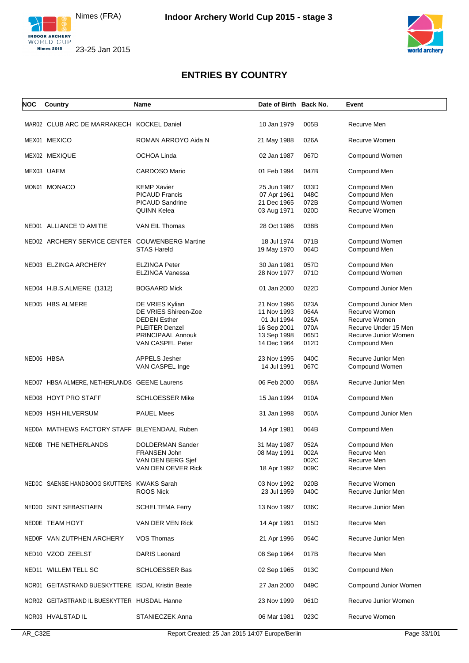



| NOC | Country                                           | <b>Name</b>                                                                                                                      | Date of Birth Back No.                                                                 |                                              | Event                                                                                                                 |
|-----|---------------------------------------------------|----------------------------------------------------------------------------------------------------------------------------------|----------------------------------------------------------------------------------------|----------------------------------------------|-----------------------------------------------------------------------------------------------------------------------|
|     | MAR02 CLUB ARC DE MARRAKECH KOCKEL Daniel         |                                                                                                                                  | 10 Jan 1979                                                                            | 005B                                         | Recurve Men                                                                                                           |
|     | MEX01 MEXICO                                      | ROMAN ARROYO Aida N                                                                                                              | 21 May 1988                                                                            | 026A                                         | Recurve Women                                                                                                         |
|     | MEX02 MEXIQUE                                     | OCHOA Linda                                                                                                                      | 02 Jan 1987                                                                            | 067D                                         | Compound Women                                                                                                        |
|     | MEX03 UAEM                                        | <b>CARDOSO Mario</b>                                                                                                             | 01 Feb 1994                                                                            | 047B                                         | Compound Men                                                                                                          |
|     | MON01 MONACO                                      | <b>KEMP Xavier</b><br><b>PICAUD Francis</b><br>PICAUD Sandrine<br><b>QUINN Kelea</b>                                             | 25 Jun 1987<br>07 Apr 1961<br>21 Dec 1965<br>03 Aug 1971                               | 033D<br>048C<br>072B<br>020D                 | Compound Men<br>Compound Men<br>Compound Women<br>Recurve Women                                                       |
|     | NED01 ALLIANCE 'D AMITIE                          | VAN EIL Thomas                                                                                                                   | 28 Oct 1986                                                                            | 038B                                         | Compound Men                                                                                                          |
|     | NED02 ARCHERY SERVICE CENTER COUWENBERG Martine   | <b>STAS Hareld</b>                                                                                                               | 18 Jul 1974<br>19 May 1970                                                             | 071B<br>064D                                 | Compound Women<br>Compound Men                                                                                        |
|     | NED03 ELZINGA ARCHERY                             | ELZINGA Peter<br>ELZINGA Vanessa                                                                                                 | 30 Jan 1981<br>28 Nov 1977                                                             | 057D<br>071D                                 | Compound Men<br>Compound Women                                                                                        |
|     | NED04 H.B.S.ALMERE (1312)                         | <b>BOGAARD Mick</b>                                                                                                              | 01 Jan 2000                                                                            | 022D                                         | Compound Junior Men                                                                                                   |
|     | NED05 HBS ALMERE                                  | DE VRIES Kylian<br>DE VRIES Shireen-Zoe<br><b>DEDEN Esther</b><br><b>PLEITER Denzel</b><br>PRINCIPAAL Annouk<br>VAN CASPEL Peter | 21 Nov 1996<br>11 Nov 1993<br>01 Jul 1994<br>16 Sep 2001<br>13 Sep 1998<br>14 Dec 1964 | 023A<br>064A<br>025A<br>070A<br>065D<br>012D | Compound Junior Men<br>Recurve Women<br>Recurve Women<br>Recurve Under 15 Men<br>Recurve Junior Women<br>Compound Men |
|     | NED06 HBSA                                        | <b>APPELS Jesher</b><br>VAN CASPEL Inge                                                                                          | 23 Nov 1995<br>14 Jul 1991                                                             | 040C<br>067C                                 | Recurve Junior Men<br>Compound Women                                                                                  |
|     | NED07 HBSA ALMERE, NETHERLANDS GEENE Laurens      |                                                                                                                                  | 06 Feb 2000                                                                            | 058A                                         | Recurve Junior Men                                                                                                    |
|     | NED08 HOYT PRO STAFF                              | <b>SCHLOESSER Mike</b>                                                                                                           | 15 Jan 1994                                                                            | 010A                                         | Compound Men                                                                                                          |
|     | NED09 HSH HILVERSUM                               | <b>PAUEL Mees</b>                                                                                                                | 31 Jan 1998                                                                            | 050A                                         | Compound Junior Men                                                                                                   |
|     | NED0A MATHEWS FACTORY STAFF BLEYENDAAL Ruben      |                                                                                                                                  | 14 Apr 1981                                                                            | 064B                                         | Compound Men                                                                                                          |
|     | NED0B THE NETHERLANDS                             | DOLDERMAN Sander<br>FRANSEN John<br>VAN DEN BERG Sjef<br>VAN DEN OEVER Rick                                                      | 31 May 1987<br>08 May 1991<br>18 Apr 1992                                              | 052A<br>002A<br>002C<br>009C                 | Compound Men<br>Recurve Men<br>Recurve Men<br>Recurve Men                                                             |
|     | NEDOC SAENSE HANDBOOG SKUTTERS KWAKS Sarah        | <b>ROOS Nick</b>                                                                                                                 | 03 Nov 1992<br>23 Jul 1959                                                             | 020B<br>040C                                 | Recurve Women<br>Recurve Junior Men                                                                                   |
|     | NED0D SINT SEBASTIAEN                             | <b>SCHELTEMA Ferry</b>                                                                                                           | 13 Nov 1997                                                                            | 036C                                         | Recurve Junior Men                                                                                                    |
|     | NED0E TEAM HOYT                                   | VAN DER VEN Rick                                                                                                                 | 14 Apr 1991                                                                            | 015D                                         | Recurve Men                                                                                                           |
|     | NEDOF VAN ZUTPHEN ARCHERY                         | VOS Thomas                                                                                                                       | 21 Apr 1996                                                                            | 054C                                         | Recurve Junior Men                                                                                                    |
|     | NED10 VZOD ZEELST                                 | <b>DARIS Leonard</b>                                                                                                             | 08 Sep 1964                                                                            | 017B                                         | Recurve Men                                                                                                           |
|     | NED11 WILLEM TELL SC                              | <b>SCHLOESSER Bas</b>                                                                                                            | 02 Sep 1965                                                                            | 013C                                         | Compound Men                                                                                                          |
|     | NOR01 GEITASTRAND BUESKYTTERE ISDAL Kristin Beate |                                                                                                                                  | 27 Jan 2000                                                                            | 049C                                         | Compound Junior Women                                                                                                 |
|     | NOR02 GEITASTRAND IL BUESKYTTER HUSDAL Hanne      |                                                                                                                                  | 23 Nov 1999                                                                            | 061D                                         | Recurve Junior Women                                                                                                  |
|     | NOR03 HVALSTAD IL                                 | STANIECZEK Anna                                                                                                                  | 06 Mar 1981                                                                            | 023C                                         | Recurve Women                                                                                                         |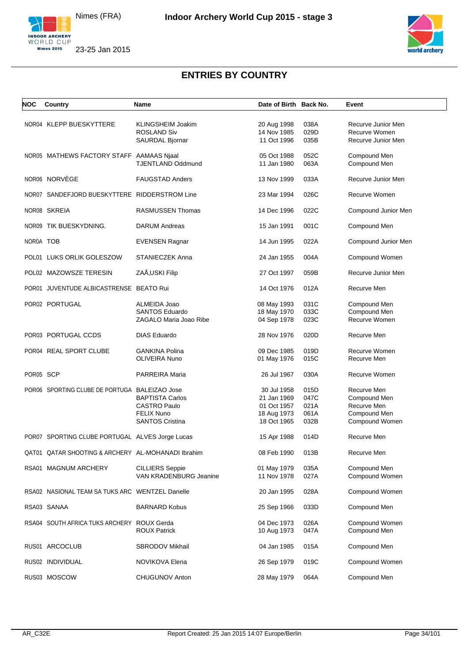





| NOC       | Country                                            | Name                                                                                  | Date of Birth Back No.                                                  |                                      | Event                                                                        |
|-----------|----------------------------------------------------|---------------------------------------------------------------------------------------|-------------------------------------------------------------------------|--------------------------------------|------------------------------------------------------------------------------|
|           | NOR04 KLEPP BUESKYTTERE                            | KLINGSHEIM Joakim<br><b>ROSLAND Siv</b><br>SAURDAL Bjornar                            | 20 Aug 1998<br>14 Nov 1985<br>11 Oct 1996                               | 038A<br>029D<br>035B                 | Recurve Junior Men<br>Recurve Women<br>Recurve Junior Men                    |
|           | NOR05 MATHEWS FACTORY STAFF AAMAAS Njaal           | <b>TJENTLAND Oddmund</b>                                                              | 05 Oct 1988<br>11 Jan 1980                                              | 052C<br>063A                         | Compound Men<br>Compound Men                                                 |
|           | NOR06 NORVÈGE                                      | <b>FAUGSTAD Anders</b>                                                                | 13 Nov 1999                                                             | 033A                                 | Recurve Junior Men                                                           |
|           | NOR07 SANDEFJORD BUESKYTTERE RIDDERSTROM Line      |                                                                                       | 23 Mar 1994                                                             | 026C                                 | Recurve Women                                                                |
|           | NOR08 SKREIA                                       | <b>RASMUSSEN Thomas</b>                                                               | 14 Dec 1996                                                             | 022C                                 | Compound Junior Men                                                          |
|           | NOR09 TIK BUESKYDNING.                             | <b>DARUM Andreas</b>                                                                  | 15 Jan 1991                                                             | 001C                                 | Compound Men                                                                 |
| NOR0A TOB |                                                    | <b>EVENSEN Ragnar</b>                                                                 | 14 Jun 1995                                                             | 022A                                 | Compound Junior Men                                                          |
|           | POL01 LUKS ORLIK GOLESZOW                          | STANIECZEK Anna                                                                       | 24 Jan 1955                                                             | 004A                                 | Compound Women                                                               |
|           | POL02 MAZOWSZE TERESIN                             | ZAÅ, USKI Filip                                                                       | 27 Oct 1997                                                             | 059B                                 | Recurve Junior Men                                                           |
|           | POR01 JUVENTUDE ALBICASTRENSE BEATO Rui            |                                                                                       | 14 Oct 1976                                                             | 012A                                 | Recurve Men                                                                  |
|           | POR02 PORTUGAL                                     | ALMEIDA Joao<br><b>SANTOS Eduardo</b><br>ZAGALO Maria Joao Ribe                       | 08 May 1993<br>18 May 1970<br>04 Sep 1978                               | 031C<br>033C<br>023C                 | Compound Men<br>Compound Men<br>Recurve Women                                |
|           | POR03 PORTUGAL CCDS                                | <b>DIAS Eduardo</b>                                                                   | 28 Nov 1976                                                             | 020D                                 | Recurve Men                                                                  |
|           | POR04 REAL SPORT CLUBE                             | <b>GANKINA Polina</b><br>OLIVEIRA Nuno                                                | 09 Dec 1985<br>01 May 1976                                              | 019D<br>015C                         | Recurve Women<br>Recurve Men                                                 |
| POR05 SCP |                                                    | PARREIRA Maria                                                                        | 26 Jul 1967                                                             | 030A                                 | Recurve Women                                                                |
|           | POR06 SPORTING CLUBE DE PORTUGA BALEIZAO Jose      | <b>BAPTISTA Carlos</b><br>CASTRO Paulo<br><b>FELIX Nuno</b><br><b>SANTOS Cristina</b> | 30 Jul 1958<br>21 Jan 1969<br>01 Oct 1957<br>18 Aug 1973<br>18 Oct 1965 | 015D<br>047C<br>021A<br>061A<br>032B | Recurve Men<br>Compound Men<br>Recurve Men<br>Compound Men<br>Compound Women |
|           | POR07 SPORTING CLUBE PORTUGAL ALVES Jorge Lucas    |                                                                                       | 15 Apr 1988                                                             | 014D                                 | Recurve Men                                                                  |
|           | QAT01 QATAR SHOOTING & ARCHERY AL-MOHANADI Ibrahim |                                                                                       | 08 Feb 1990                                                             | 013B                                 | Recurve Men                                                                  |
|           | RSA01 MAGNUM ARCHERY                               | <b>CILLIERS Seppie</b><br>VAN KRADENBURG Jeanine                                      | 01 May 1979<br>11 Nov 1978                                              | 035A<br>027A                         | Compound Men<br>Compound Women                                               |
|           | RSA02 NASIONAL TEAM SA TUKS ARC WENTZEL Danelle    |                                                                                       | 20 Jan 1995                                                             | 028A                                 | Compound Women                                                               |
|           | RSA03 SANAA                                        | <b>BARNARD Kobus</b>                                                                  | 25 Sep 1966                                                             | 033D                                 | Compound Men                                                                 |
|           | RSA04 SOUTH AFRICA TUKS ARCHERY ROUX Gerda         | <b>ROUX Patrick</b>                                                                   | 04 Dec 1973<br>10 Aug 1973                                              | 026A<br>047A                         | Compound Women<br>Compound Men                                               |
|           | RUS01 ARCOCLUB                                     | SBRODOV Mikhail                                                                       | 04 Jan 1985                                                             | 015A                                 | Compound Men                                                                 |
|           | RUS02 INDIVIDUAL                                   | NOVIKOVA Elena                                                                        | 26 Sep 1979                                                             | 019C                                 | Compound Women                                                               |
|           | RUS03 MOSCOW                                       | CHUGUNOV Anton                                                                        | 28 May 1979                                                             | 064A                                 | Compound Men                                                                 |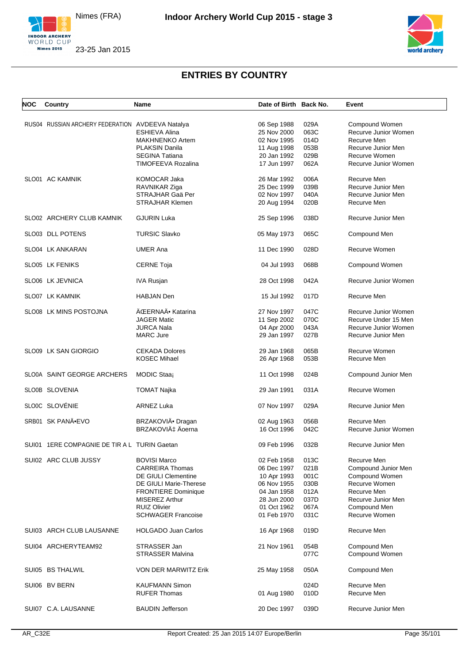



| NOC | Country                                          | Name                       | Date of Birth Back No. |      | Event                |
|-----|--------------------------------------------------|----------------------------|------------------------|------|----------------------|
|     |                                                  |                            |                        |      |                      |
|     | RUS04 RUSSIAN ARCHERY FEDERATION AVDEEVA Natalya |                            | 06 Sep 1988            | 029A | Compound Women       |
|     |                                                  | <b>ESHIEVA Alina</b>       | 25 Nov 2000            | 063C | Recurve Junior Women |
|     |                                                  | <b>MAKHNENKO Artem</b>     | 02 Nov 1995            | 014D | Recurve Men          |
|     |                                                  | PLAKSIN Danila             | 11 Aug 1998            | 053B | Recurve Junior Men   |
|     |                                                  | <b>SEGINA Tatiana</b>      | 20 Jan 1992            | 029B | Recurve Women        |
|     |                                                  | TIMOFEEVA Rozalina         | 17 Jun 1997            | 062A | Recurve Junior Women |
|     |                                                  |                            |                        |      |                      |
|     | SLO01 AC KAMNIK                                  | <b>KOMOCAR Jaka</b>        | 26 Mar 1992            | 006A | Recurve Men          |
|     |                                                  | RAVNIKAR Ziga              | 25 Dec 1999            | 039B | Recurve Junior Men   |
|     |                                                  | STRAJHAR Gaä Per           | 02 Nov 1997            | 040A | Recurve Junior Men   |
|     |                                                  | <b>STRAJHAR Klemen</b>     | 20 Aug 1994            | 020B | Recurve Men          |
|     | SLO02 ARCHERY CLUB KAMNIK                        | <b>GJURIN Luka</b>         | 25 Sep 1996            | 038D | Recurve Junior Men   |
|     | SLO03 DLL POTENS                                 | <b>TURSIC Slavko</b>       | 05 May 1973            | 065C | Compound Men         |
|     |                                                  |                            |                        |      |                      |
|     | SLO04 LK ANKARAN                                 | <b>UMER Ana</b>            | 11 Dec 1990            | 028D | Recurve Women        |
|     | SLO05 LK FENIKS                                  | <b>CERNE Toja</b>          | 04 Jul 1993            | 068B | Compound Women       |
|     | SLO06 LK JEVNICA                                 | <b>IVA Rusjan</b>          | 28 Oct 1998            | 042A | Recurve Junior Women |
|     | SLO07 LK KAMNIK                                  | <b>HABJAN Den</b>          | 15 Jul 1992            | 017D | Recurve Men          |
|     | SLO08 LK MINS POSTOJNA                           | ÄŒERNAÄ• Katarina          | 27 Nov 1997            | 047C | Recurve Junior Women |
|     |                                                  | <b>JAGER Matic</b>         | 11 Sep 2002            | 070C | Recurve Under 15 Men |
|     |                                                  | <b>JURCA Nala</b>          | 04 Apr 2000            | 043A | Recurve Junior Women |
|     |                                                  |                            |                        |      |                      |
|     |                                                  | <b>MARC Jure</b>           | 29 Jan 1997            | 027B | Recurve Junior Men   |
|     | SLO09 LK SAN GIORGIO                             | <b>CEKADA Dolores</b>      | 29 Jan 1968            | 065B | Recurve Women        |
|     |                                                  | <b>KOSEC Mihael</b>        | 26 Apr 1968            | 053B | Recurve Men          |
|     |                                                  |                            |                        |      |                      |
|     | SLO0A SAINT GEORGE ARCHERS                       | MODIC Staaj                | 11 Oct 1998            | 024B | Compound Junior Men  |
|     | SLO0B SLOVENIA                                   | <b>TOMAT Najka</b>         | 29 Jan 1991            | 031A | Recurve Women        |
|     | SLOOC SLOVÉNIE                                   | ARNEZ Luka                 | 07 Nov 1997            | 029A | Recurve Junior Men   |
|     |                                                  |                            |                        |      |                      |
|     | SRB01 SK PANĕEVO                                 | BRZAKOVIÄ• Dragan          | 02 Aug 1963            | 056B | Recurve Men          |
|     |                                                  | BRZAKOVIć Äoerna           | 16 Oct 1996            | 042C | Recurve Junior Women |
|     | SUI01 1ERE COMPAGNIE DE TIR A L TURIN Gaetan     |                            | 09 Feb 1996            | 032B | Recurve Junior Men   |
|     |                                                  |                            |                        |      |                      |
|     | SUI02 ARC CLUB JUSSY                             | <b>BOVISI Marco</b>        | 02 Feb 1958            | 013C | Recurve Men          |
|     |                                                  | <b>CARREIRA Thomas</b>     | 06 Dec 1997            | 021B | Compound Junior Men  |
|     |                                                  | <b>DE GIULI Clementine</b> | 10 Apr 1993            | 001C | Compound Women       |
|     |                                                  | DE GIULI Marie-Therese     | 06 Nov 1955            | 030B | Recurve Women        |
|     |                                                  | FRONTIERE Dominique        | 04 Jan 1958            | 012A | Recurve Men          |
|     |                                                  | <b>MISEREZ Arthur</b>      | 28 Jun 2000            | 037D | Recurve Junior Men   |
|     |                                                  | <b>RUIZ Olivier</b>        | 01 Oct 1962            | 067A | Compound Men         |
|     |                                                  | <b>SCHWAGER Francoise</b>  | 01 Feb 1970            | 031C | Recurve Women        |
|     |                                                  |                            |                        |      |                      |
|     | SUI03 ARCH CLUB LAUSANNE                         | <b>HOLGADO Juan Carlos</b> | 16 Apr 1968            | 019D | Recurve Men          |
|     | SUI04 ARCHERYTEAM92                              | STRASSER Jan               | 21 Nov 1961            | 054B | Compound Men         |
|     |                                                  | <b>STRASSER Malvina</b>    |                        | 077C | Compound Women       |
|     | SUI05 BS THALWIL                                 | VON DER MARWITZ Erik       | 25 May 1958            | 050A | Compound Men         |
|     |                                                  |                            |                        |      |                      |
|     | SUI06 BV BERN                                    | <b>KAUFMANN Simon</b>      |                        | 024D | Recurve Men          |
|     |                                                  | <b>RUFER Thomas</b>        | 01 Aug 1980            | 010D | Recurve Men          |
|     | SUI07 C.A. LAUSANNE                              | <b>BAUDIN Jefferson</b>    | 20 Dec 1997            | 039D | Recurve Junior Men   |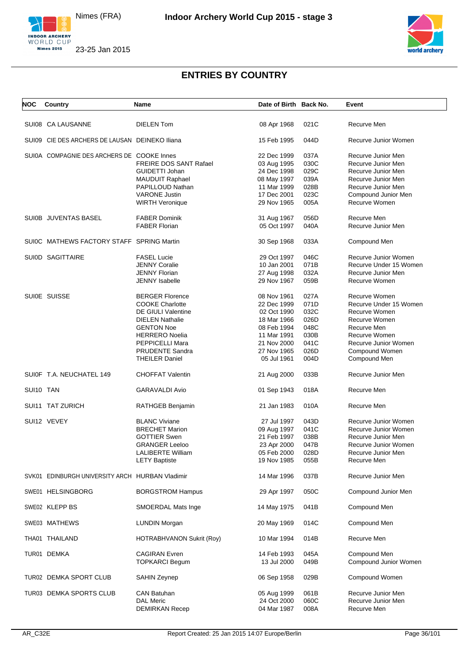Nimes (FRA)





## **ENTRIES BY COUNTRY**

| <b>NOC</b> | Country                                         | Name                             | Date of Birth Back No. |      | Event                  |
|------------|-------------------------------------------------|----------------------------------|------------------------|------|------------------------|
|            |                                                 |                                  |                        |      |                        |
|            | SUI08 CA LAUSANNE                               | <b>DIELEN Tom</b>                | 08 Apr 1968            | 021C | Recurve Men            |
|            | SUI09 CIE DES ARCHERS DE LAUSAN DEINEKO Iliana  |                                  | 15 Feb 1995            | 044D | Recurve Junior Women   |
|            | SUI0A COMPAGNIE DES ARCHERS DE COOKE Innes      |                                  | 22 Dec 1999            | 037A | Recurve Junior Men     |
|            |                                                 | FREIRE DOS SANT Rafael           | 03 Aug 1995            | 030C | Recurve Junior Men     |
|            |                                                 | GUIDETTI Johan                   | 24 Dec 1998            | 029C | Recurve Junior Men     |
|            |                                                 | MAUDUIT Raphael                  | 08 May 1997            | 039A | Recurve Junior Men     |
|            |                                                 | PAPILLOUD Nathan                 | 11 Mar 1999            | 028B | Recurve Junior Men     |
|            |                                                 | <b>VARONE Justin</b>             | 17 Dec 2001            | 023C | Compound Junior Men    |
|            |                                                 | <b>WIRTH Veronique</b>           | 29 Nov 1965            | 005A | Recurve Women          |
|            | SUI0B JUVENTAS BASEL                            | <b>FABER Dominik</b>             | 31 Aug 1967            | 056D | Recurve Men            |
|            |                                                 | <b>FABER Florian</b>             | 05 Oct 1997            | 040A | Recurve Junior Men     |
|            | SUI0C MATHEWS FACTORY STAFF SPRING Martin       |                                  | 30 Sep 1968            | 033A | Compound Men           |
|            | SUI0D SAGITTAIRE                                | <b>FASEL Lucie</b>               | 29 Oct 1997            | 046C | Recurve Junior Women   |
|            |                                                 | <b>JENNY Coralie</b>             | 10 Jan 2001            | 071B | Recurve Under 15 Women |
|            |                                                 | <b>JENNY Florian</b>             | 27 Aug 1998            | 032A | Recurve Junior Men     |
|            |                                                 | JENNY Isabelle                   | 29 Nov 1967            | 059B | Recurve Women          |
|            | SUI0E SUISSE                                    | <b>BERGER Florence</b>           | 08 Nov 1961            | 027A | Recurve Women          |
|            |                                                 | <b>COOKE Charlotte</b>           | 22 Dec 1999            | 071D | Recurve Under 15 Women |
|            |                                                 | <b>DE GIULI Valentine</b>        | 02 Oct 1990            | 032C | Recurve Women          |
|            |                                                 | <b>DIELEN Nathalie</b>           | 18 Mar 1966            | 026D | Recurve Women          |
|            |                                                 | <b>GENTON Noe</b>                | 08 Feb 1994            | 048C | Recurve Men            |
|            |                                                 | <b>HERRERO Noelia</b>            | 11 Mar 1991            | 030B | Recurve Women          |
|            |                                                 | PEPPICELLI Mara                  | 21 Nov 2000            | 041C | Recurve Junior Women   |
|            |                                                 | <b>PRUDENTE Sandra</b>           | 27 Nov 1965            | 026D | Compound Women         |
|            |                                                 | THEILER Daniel                   | 05 Jul 1961            | 004D | Compound Men           |
|            | SUI0F T.A. NEUCHATEL 149                        | <b>CHOFFAT Valentin</b>          | 21 Aug 2000            | 033B | Recurve Junior Men     |
| SUI10 TAN  |                                                 | GARAVALDI Avio                   | 01 Sep 1943            | 018A | Recurve Men            |
|            | SUI11 TAT ZURICH                                | RATHGEB Benjamin                 | 21 Jan 1983            | 010A | Recurve Men            |
|            | SUI12 VEVEY                                     | <b>BLANC Viviane</b>             | 27 Jul 1997            | 043D | Recurve Junior Women   |
|            |                                                 | <b>BRECHET Marion</b>            | 09 Aug 1997            | 041C | Recurve Junior Women   |
|            |                                                 | <b>GOTTIER Swen</b>              | 21 Feb 1997            | 038B | Recurve Junior Men     |
|            |                                                 | <b>GRANGER Leeloo</b>            | 23 Apr 2000            | 047B | Recurve Junior Women   |
|            |                                                 | <b>LALIBERTE William</b>         | 05 Feb 2000            | 028D | Recurve Junior Men     |
|            |                                                 | <b>LETY Baptiste</b>             | 19 Nov 1985            | 055B | Recurve Men            |
|            | SVK01 EDINBURGH UNIVERSITY ARCH HURBAN Vladimir |                                  | 14 Mar 1996            | 037B | Recurve Junior Men     |
|            | SWE01 HELSINGBORG                               | <b>BORGSTROM Hampus</b>          | 29 Apr 1997            | 050C | Compound Junior Men    |
|            | SWE02 KLEPP BS                                  | SMOERDAL Mats Inge               | 14 May 1975            | 041B | Compound Men           |
|            | SWE03 MATHEWS                                   | <b>LUNDIN Morgan</b>             | 20 May 1969            | 014C | Compound Men           |
|            | THA01 THAILAND                                  | <b>HOTRABHVANON Sukrit (Roy)</b> | 10 Mar 1994            | 014B | Recurve Men            |
|            | TUR01 DEMKA                                     | <b>CAGIRAN</b> Evren             | 14 Feb 1993            | 045A | Compound Men           |
|            |                                                 | <b>TOPKARCI Begum</b>            | 13 Jul 2000            | 049B | Compound Junior Women  |
|            | TUR02 DEMKA SPORT CLUB                          | SAHIN Zeynep                     | 06 Sep 1958            | 029B | Compound Women         |
|            | TUR03 DEMKA SPORTS CLUB                         | CAN Batuhan                      | 05 Aug 1999            | 061B | Recurve Junior Men     |
|            |                                                 | <b>DAL Meric</b>                 | 24 Oct 2000            | 060C | Recurve Junior Men     |
|            |                                                 | <b>DEMIRKAN Recep</b>            | 04 Mar 1987            | 008A | Recurve Men            |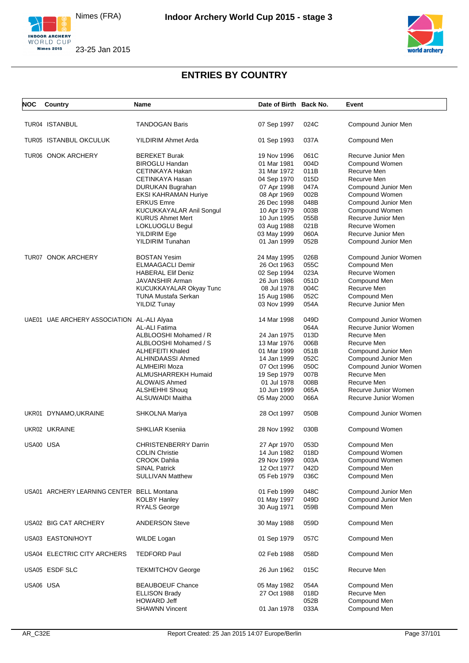Nimes (FRA)





# **ENTRIES BY COUNTRY**

| <b>NOC</b> | Country                                    | Name                        | Date of Birth Back No. |      | Event                 |
|------------|--------------------------------------------|-----------------------------|------------------------|------|-----------------------|
|            | TUR04 ISTANBUL                             | <b>TANDOGAN Baris</b>       | 07 Sep 1997            | 024C | Compound Junior Men   |
|            |                                            |                             |                        |      |                       |
|            | TUR05 ISTANBUL OKCULUK                     | YILDIRIM Ahmet Arda         | 01 Sep 1993            | 037A | Compound Men          |
|            | TUR06 ONOK ARCHERY                         | <b>BEREKET Burak</b>        | 19 Nov 1996            | 061C | Recurve Junior Men    |
|            |                                            | <b>BIROGLU Handan</b>       | 01 Mar 1981            | 004D | Compound Women        |
|            |                                            | CETINKAYA Hakan             | 31 Mar 1972            | 011B | Recurve Men           |
|            |                                            | CETINKAYA Hasan             | 04 Sep 1970            | 015D | Recurve Men           |
|            |                                            | DURUKAN Bugrahan            | 07 Apr 1998            | 047A | Compound Junior Men   |
|            |                                            | <b>EKSI KAHRAMAN Huriye</b> | 08 Apr 1969            | 002B | Compound Women        |
|            |                                            | <b>ERKUS Emre</b>           | 26 Dec 1998            | 048B | Compound Junior Men   |
|            |                                            | KUCUKKAYALAR Anil Songul    | 10 Apr 1979            | 003B | Compound Women        |
|            |                                            | <b>KURUS Ahmet Mert</b>     | 10 Jun 1995            | 055B | Recurve Junior Men    |
|            |                                            | LOKLUOGLU Begul             |                        | 021B | Recurve Women         |
|            |                                            |                             | 03 Aug 1988            |      |                       |
|            |                                            | <b>YILDIRIM Ege</b>         | 03 May 1999            | 060A | Recurve Junior Men    |
|            |                                            | YILDIRIM Tunahan            | 01 Jan 1999            | 052B | Compound Junior Men   |
|            | TUR07 ONOK ARCHERY                         | <b>BOSTAN Yesim</b>         | 24 May 1995            | 026B | Compound Junior Women |
|            |                                            | <b>ELMAAGACLI Demir</b>     | 26 Oct 1963            | 055C | Compound Men          |
|            |                                            | <b>HABERAL Elif Deniz</b>   | 02 Sep 1994            | 023A | Recurve Women         |
|            |                                            | JAVANSHIR Arman             | 26 Jun 1986            | 051D | Compound Men          |
|            |                                            | KUCUKKAYALAR Okyay Tunc     | 08 Jul 1978            | 004C | Recurve Men           |
|            |                                            | TUNA Mustafa Serkan         | 15 Aug 1986            | 052C | Compound Men          |
|            |                                            | <b>YILDIZ Tunay</b>         | 03 Nov 1999            | 054A | Recurve Junior Men    |
|            |                                            |                             |                        |      |                       |
|            | UAE01 UAE ARCHERY ASSOCIATION AL-ALI Alyaa |                             | 14 Mar 1998            | 049D | Compound Junior Women |
|            |                                            | AL-ALI Fatima               |                        | 064A | Recurve Junior Women  |
|            |                                            | ALBLOOSHI Mohamed / R       | 24 Jan 1975            | 013D | Recurve Men           |
|            |                                            | ALBLOOSHI Mohamed / S       | 13 Mar 1976            | 006B | Recurve Men           |
|            |                                            | <b>ALHEFEITI Khaled</b>     | 01 Mar 1999            | 051B | Compound Junior Men   |
|            |                                            | ALHINDAASSI Ahmed           | 14 Jan 1999            | 052C | Compound Junior Men   |
|            |                                            | ALMHEIRI Moza               | 07 Oct 1996            | 050C | Compound Junior Women |
|            |                                            | ALMUSHARREKH Humaid         | 19 Sep 1979            | 007B | Recurve Men           |
|            |                                            | <b>ALOWAIS Ahmed</b>        | 01 Jul 1978            | 008B | Recurve Men           |
|            |                                            | ALSHEHHI Shouq              | 10 Jun 1999            | 065A | Recurve Junior Women  |
|            |                                            | ALSUWAIDI Maitha            | 05 May 2000            | 066A | Recurve Junior Women  |
|            |                                            |                             |                        |      |                       |
|            | UKR01 DYNAMO, UKRAINE                      | SHKOLNA Mariya              | 28 Oct 1997            | 050B | Compound Junior Women |
|            | UKR02 UKRAINE                              | <b>SHKLIAR Kseniia</b>      | 28 Nov 1992            | 030B | Compound Women        |
| USA00 USA  |                                            | <b>CHRISTENBERRY Darrin</b> | 27 Apr 1970            | 053D | Compound Men          |
|            |                                            | <b>COLIN Christie</b>       | 14 Jun 1982            | 018D | Compound Women        |
|            |                                            | <b>CROOK Dahlia</b>         | 29 Nov 1999            | 003A | Compound Women        |
|            |                                            | <b>SINAL Patrick</b>        | 12 Oct 1977            | 042D | Compound Men          |
|            |                                            | <b>SULLIVAN Matthew</b>     | 05 Feb 1979            | 036C | Compound Men          |
|            |                                            |                             |                        |      |                       |
|            | USA01 ARCHERY LEARNING CENTER BELL Montana |                             | 01 Feb 1999            | 048C | Compound Junior Men   |
|            |                                            | <b>KOLBY Hanley</b>         | 01 May 1997            | 049D | Compound Junior Men   |
|            |                                            | <b>RYALS George</b>         | 30 Aug 1971            | 059B | Compound Men          |
|            | USA02 BIG CAT ARCHERY                      | <b>ANDERSON Steve</b>       | 30 May 1988            | 059D | Compound Men          |
|            | USA03 EASTON/HOYT                          | WILDE Logan                 | 01 Sep 1979            | 057C | Compound Men          |
|            |                                            |                             |                        |      |                       |
|            | USA04 ELECTRIC CITY ARCHERS                | TEDFORD Paul                | 02 Feb 1988            | 058D | Compound Men          |
|            | USA05 ESDF SLC                             | <b>TEKMITCHOV George</b>    | 26 Jun 1962            | 015C | Recurve Men           |
| USA06 USA  |                                            | <b>BEAUBOEUF Chance</b>     | 05 May 1982            | 054A | Compound Men          |
|            |                                            | <b>ELLISON Brady</b>        | 27 Oct 1988            | 018D | Recurve Men           |
|            |                                            | <b>HOWARD Jeff</b>          |                        | 052B | Compound Men          |
|            |                                            | <b>SHAWNN Vincent</b>       | 01 Jan 1978            | 033A | Compound Men          |
|            |                                            |                             |                        |      |                       |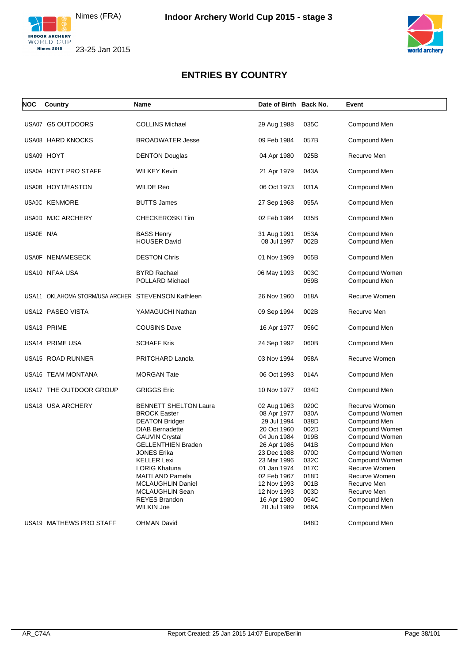



### **ENTRIES BY COUNTRY**

| <b>NOC</b> | Country                                            | Name                                                                                                                                                                                                                                                                                                                                            | Date of Birth Back No.                                                                                                                                                                                         |                                                                                                              | Event                                                                                                                                                                                                                                   |
|------------|----------------------------------------------------|-------------------------------------------------------------------------------------------------------------------------------------------------------------------------------------------------------------------------------------------------------------------------------------------------------------------------------------------------|----------------------------------------------------------------------------------------------------------------------------------------------------------------------------------------------------------------|--------------------------------------------------------------------------------------------------------------|-----------------------------------------------------------------------------------------------------------------------------------------------------------------------------------------------------------------------------------------|
|            | USA07 G5 OUTDOORS                                  | <b>COLLINS Michael</b>                                                                                                                                                                                                                                                                                                                          | 29 Aug 1988                                                                                                                                                                                                    | 035C                                                                                                         | Compound Men                                                                                                                                                                                                                            |
|            | USA08 HARD KNOCKS                                  | <b>BROADWATER Jesse</b>                                                                                                                                                                                                                                                                                                                         | 09 Feb 1984                                                                                                                                                                                                    | 057B                                                                                                         | Compound Men                                                                                                                                                                                                                            |
|            | USA09 HOYT                                         | <b>DENTON Douglas</b>                                                                                                                                                                                                                                                                                                                           | 04 Apr 1980                                                                                                                                                                                                    | 025B                                                                                                         | Recurve Men                                                                                                                                                                                                                             |
|            | USA0A HOYT PRO STAFF                               | <b>WILKEY Kevin</b>                                                                                                                                                                                                                                                                                                                             | 21 Apr 1979                                                                                                                                                                                                    | 043A                                                                                                         | Compound Men                                                                                                                                                                                                                            |
|            | USA0B HOYT/EASTON                                  | <b>WILDE Reo</b>                                                                                                                                                                                                                                                                                                                                | 06 Oct 1973                                                                                                                                                                                                    | 031A                                                                                                         | Compound Men                                                                                                                                                                                                                            |
|            | USA0C KENMORE                                      | <b>BUTTS James</b>                                                                                                                                                                                                                                                                                                                              | 27 Sep 1968                                                                                                                                                                                                    | 055A                                                                                                         | Compound Men                                                                                                                                                                                                                            |
|            | USA0D MJC ARCHERY                                  | CHECKEROSKI Tim                                                                                                                                                                                                                                                                                                                                 | 02 Feb 1984                                                                                                                                                                                                    | 035B                                                                                                         | Compound Men                                                                                                                                                                                                                            |
| USA0E N/A  |                                                    | <b>BASS Henry</b><br><b>HOUSER David</b>                                                                                                                                                                                                                                                                                                        | 31 Aug 1991<br>08 Jul 1997                                                                                                                                                                                     | 053A<br>002B                                                                                                 | Compound Men<br>Compound Men                                                                                                                                                                                                            |
|            | USA0F NENAMESECK                                   | <b>DESTON Chris</b>                                                                                                                                                                                                                                                                                                                             | 01 Nov 1969                                                                                                                                                                                                    | 065B                                                                                                         | Compound Men                                                                                                                                                                                                                            |
|            | USA10 NFAA USA                                     | <b>BYRD Rachael</b><br>POLLARD Michael                                                                                                                                                                                                                                                                                                          | 06 May 1993                                                                                                                                                                                                    | 003C<br>059B                                                                                                 | Compound Women<br>Compound Men                                                                                                                                                                                                          |
|            | USA11 OKLAHOMA STORM/USA ARCHER STEVENSON Kathleen |                                                                                                                                                                                                                                                                                                                                                 | 26 Nov 1960                                                                                                                                                                                                    | 018A                                                                                                         | Recurve Women                                                                                                                                                                                                                           |
|            | USA12 PASEO VISTA                                  | YAMAGUCHI Nathan                                                                                                                                                                                                                                                                                                                                | 09 Sep 1994                                                                                                                                                                                                    | 002B                                                                                                         | Recurve Men                                                                                                                                                                                                                             |
|            | USA13 PRIME                                        | <b>COUSINS Dave</b>                                                                                                                                                                                                                                                                                                                             | 16 Apr 1977                                                                                                                                                                                                    | 056C                                                                                                         | Compound Men                                                                                                                                                                                                                            |
|            | USA14 PRIME USA                                    | <b>SCHAFF Kris</b>                                                                                                                                                                                                                                                                                                                              | 24 Sep 1992                                                                                                                                                                                                    | 060B                                                                                                         | Compound Men                                                                                                                                                                                                                            |
|            | USA15 ROAD RUNNER                                  | PRITCHARD Lanola                                                                                                                                                                                                                                                                                                                                | 03 Nov 1994                                                                                                                                                                                                    | 058A                                                                                                         | Recurve Women                                                                                                                                                                                                                           |
|            | USA16 TEAM MONTANA                                 | <b>MORGAN Tate</b>                                                                                                                                                                                                                                                                                                                              | 06 Oct 1993                                                                                                                                                                                                    | 014A                                                                                                         | Compound Men                                                                                                                                                                                                                            |
|            | USA17 THE OUTDOOR GROUP                            | <b>GRIGGS Eric</b>                                                                                                                                                                                                                                                                                                                              | 10 Nov 1977                                                                                                                                                                                                    | 034D                                                                                                         | Compound Men                                                                                                                                                                                                                            |
|            | USA18 USA ARCHERY                                  | <b>BENNETT SHELTON Laura</b><br><b>BROCK Easter</b><br><b>DEATON Bridger</b><br><b>DIAB Bernadette</b><br><b>GAUVIN Crystal</b><br><b>GELLENTHIEN Braden</b><br>JONES Erika<br><b>KELLER Lexi</b><br><b>LORIG Khatuna</b><br><b>MAITLAND Pamela</b><br><b>MCLAUGHLIN Daniel</b><br>MCLAUGHLIN Sean<br><b>REYES Brandon</b><br><b>WILKIN Joe</b> | 02 Aug 1963<br>08 Apr 1977<br>29 Jul 1994<br>20 Oct 1960<br>04 Jun 1984<br>26 Apr 1986<br>23 Dec 1988<br>23 Mar 1996<br>01 Jan 1974<br>02 Feb 1967<br>12 Nov 1993<br>12 Nov 1993<br>16 Apr 1980<br>20 Jul 1989 | 020C<br>030A<br>038D<br>002D<br>019B<br>041B<br>070D<br>032C<br>017C<br>018D<br>001B<br>003D<br>054C<br>066A | Recurve Women<br>Compound Women<br>Compound Men<br>Compound Women<br>Compound Women<br>Compound Men<br>Compound Women<br>Compound Women<br>Recurve Women<br>Recurve Women<br>Recurve Men<br>Recurve Men<br>Compound Men<br>Compound Men |
|            | USA19 MATHEWS PRO STAFF                            | <b>OHMAN David</b>                                                                                                                                                                                                                                                                                                                              |                                                                                                                                                                                                                | 048D                                                                                                         | Compound Men                                                                                                                                                                                                                            |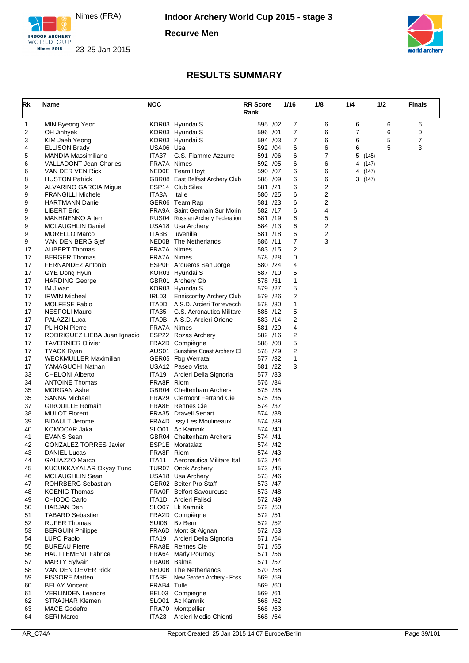





| Rk       | Name                                               | <b>NOC</b>  |                                             | <b>RR Score</b><br>Rank | 1/16           | 1/8    | 1/4            | 1/2   | <b>Finals</b> |
|----------|----------------------------------------------------|-------------|---------------------------------------------|-------------------------|----------------|--------|----------------|-------|---------------|
| 1        | MIN Byeong Yeon                                    |             | KOR03 Hyundai S                             | 595 /02                 | $\overline{7}$ | 6      | 6              | 6     | 6             |
| 2        | OH Jinhyek                                         |             | KOR03 Hyundai S                             | 596 /01                 | $\overline{7}$ | 6      | $\overline{7}$ | 6     | 0             |
| 3        | KIM Jaeh Yeong                                     |             | KOR03 Hyundai S                             | 594 /03                 | 7              | 6      | 6              | 5     | 7             |
| 4        | <b>ELLISON Brady</b>                               | USA06 Usa   |                                             | 592 /04                 | 6              | 6      | 6              | 5     | 3             |
| 5        | MANDIA Massimiliano                                | ITA37       | G.S. Fiamme Azzurre                         | 591 /06                 | 6              | 7      | 5              | (145) |               |
| 6        | VALLADONT Jean-Charles                             | FRA7A Nimes |                                             | 592 /05                 | 6              | 6      | 4 (147)        |       |               |
| 6        | VAN DER VEN Rick                                   |             | NEDOE Team Hoyt                             | 590 /07                 | 6              | 6      | 4 (147)        |       |               |
| 8        | <b>HUSTON Patrick</b>                              |             | GBR08 East Belfast Archery Club             | 588 /09                 | 6              | 6      | 3(147)         |       |               |
| 9        | ALVARINO GARCIA Miguel                             | ITA3A       | ESP14 Club Silex                            | 581 /21                 | 6              | 2      |                |       |               |
| 9<br>9   | <b>FRANGILLI Michele</b><br><b>HARTMANN Daniel</b> |             | Italie<br>GER06 Team Rap                    | 580 /25<br>581 /23      | 6<br>6         | 2<br>2 |                |       |               |
| 9        | <b>LIBERT Eric</b>                                 |             | FRA9A Saint Germain Sur Morin               | 582 /17                 | 6              | 4      |                |       |               |
| 9        | <b>MAKHNENKO Artem</b>                             |             | RUS04 Russian Archery Federation            | 581 /19                 | 6              | 5      |                |       |               |
| 9        | <b>MCLAUGHLIN Daniel</b>                           |             | USA18 Usa Archery                           | 584 /13                 | 6              | 2      |                |       |               |
| 9        | <b>MORELLO Marco</b>                               | ITA3B       | Iuvenilia                                   | 581 /18                 | 6              | 2      |                |       |               |
| 9        | VAN DEN BERG Sjef                                  |             | NED0B The Netherlands                       | 586 /11                 | 7              | 3      |                |       |               |
| 17       | <b>AUBERT Thomas</b>                               | FRA7A Nimes |                                             | 583 /15                 | 2              |        |                |       |               |
| 17       | <b>BERGER Thomas</b>                               | FRA7A Nimes |                                             | 578 /28                 | 0              |        |                |       |               |
| 17       | <b>FERNANDEZ Antonio</b>                           |             | ESP0F Arqueros San Jorge                    | 580 /24                 | 4              |        |                |       |               |
| 17       | GYE Dong Hyun                                      |             | KOR03 Hyundai S                             | 587 /10                 | 5              |        |                |       |               |
| 17       | <b>HARDING George</b>                              |             | GBR01 Archery Gb                            | 578 /31                 | 1              |        |                |       |               |
| 17       | IM Jiwan                                           |             | KOR03 Hyundai S                             | 579 /27                 | 5              |        |                |       |               |
| 17       | <b>IRWIN Micheal</b>                               | IRL03       | Enniscorthy Archery Club                    | 579 /26                 | 2              |        |                |       |               |
| 17       | <b>MOLFESE Fabio</b>                               |             | ITAOD A.S.D. Arcieri Torrevecch             | 578 /30                 | 1              |        |                |       |               |
| 17       | NESPOLI Mauro                                      | ITA35       | G.S. Aeronautica Militare                   | 585 /12                 | 5              |        |                |       |               |
| 17       | PALAZZI Luca                                       | ITA0B       | A.S.D. Arcieri Orione                       | 583 /14                 | 2              |        |                |       |               |
| 17       | <b>PLIHON Pierre</b>                               | FRA7A Nimes |                                             | 581 /20                 | 4              |        |                |       |               |
| 17       | RODRIGUEZ LIEBA Juan Ignacio                       |             | ESP22 Rozas Archery                         | 582 /16                 | 2              |        |                |       |               |
| 17       | <b>TAVERNIER Olivier</b>                           |             | FRA2D Compiègne                             | 588 / 08                | 5              |        |                |       |               |
| 17       | <b>TYACK Ryan</b>                                  |             | AUS01 Sunshine Coast Archery CI             | 578 /29                 | $\overline{2}$ |        |                |       |               |
| 17       | WECKMULLER Maximilian                              |             | GER05 Fbg Werratal                          | 577 /32<br>581 /22      | 1<br>3         |        |                |       |               |
| 17<br>33 | YAMAGUCHI Nathan<br><b>CHELONI Alberto</b>         | ITA19       | USA12 Paseo Vista<br>Arcieri Della Signoria | 577 /33                 |                |        |                |       |               |
| 34       | <b>ANTOINE Thomas</b>                              | FRA8F Riom  |                                             | 576 /34                 |                |        |                |       |               |
| 35       | <b>MORGAN Ashe</b>                                 |             | GBR04 Cheltenham Archers                    | 575 /35                 |                |        |                |       |               |
| 35       | <b>SANNA Michael</b>                               |             | <b>FRA29</b> Clermont Ferrand Cie           | 575 /35                 |                |        |                |       |               |
| 37       | <b>GIROUILLE Romain</b>                            |             | <b>FRA8E</b> Rennes Cie                     | 574 /37                 |                |        |                |       |               |
| 38       | <b>MULOT Florent</b>                               |             | FRA35 Draveil Senart                        | 574 /38                 |                |        |                |       |               |
| 39       | <b>BIDAULT Jerome</b>                              |             | FRA4D Issy Les Moulineaux                   | 574 /39                 |                |        |                |       |               |
| 40       | KOMOCAR Jaka                                       |             | SLO01 Ac Kamnik                             | 574 /40                 |                |        |                |       |               |
| 41       | <b>EVANS Sean</b>                                  |             | GBR04 Cheltenham Archers                    | 574 /41                 |                |        |                |       |               |
| 42       | GONZALEZ TORRES Javier                             |             | ESP1E Moratalaz                             | 574 /42                 |                |        |                |       |               |
| 43       | <b>DANIEL Lucas</b>                                | FRA8F Riom  |                                             | 574 /43                 |                |        |                |       |               |
| 44       | GALIAZZO Marco                                     | ITA11       | Aeronautica Militare Ital                   | 573 /44                 |                |        |                |       |               |
| 45       | KUCUKKAYALAR Okyay Tunc                            |             | TUR07 Onok Archery                          | 573 /45                 |                |        |                |       |               |
| 46       | MCLAUGHLIN Sean                                    |             | USA18 Usa Archery                           | 573 / 46                |                |        |                |       |               |
| 47       | <b>ROHRBERG Sebastian</b>                          |             | GER02 Beiter Pro Staff                      | 573 /47                 |                |        |                |       |               |
| 48       | <b>KOENIG Thomas</b>                               |             | <b>FRA0F</b> Belfort Savoureuse             | 573 /48                 |                |        |                |       |               |
| 49       | CHIODO Carlo                                       |             | <b>ITA1D</b> Arcieri Falisci                | 572 /49                 |                |        |                |       |               |
| 50       | <b>HABJAN Den</b>                                  |             | SLO07 Lk Kamnik                             | 572 / 50                |                |        |                |       |               |
| 51       | <b>TABARD Sebastien</b>                            |             | FRA2D Compiègne                             | 572 /51                 |                |        |                |       |               |
| 52<br>53 | <b>RUFER Thomas</b><br><b>BERGUIN Philippe</b>     | SUI06       | Bv Bern<br>FRA6D Mont St Aignan             | 572 / 52<br>572 / 53    |                |        |                |       |               |
| 54       | LUPO Paolo                                         | ITA19       | Arcieri Della Signoria                      | 571 /54                 |                |        |                |       |               |
| 55       | <b>BUREAU Pierre</b>                               |             | FRA8E Rennes Cie                            | 571 / 55                |                |        |                |       |               |
| 56       | <b>HAUTTEMENT Fabrice</b>                          |             | FRA64 Marly Pournoy                         | 571 / 56                |                |        |                |       |               |
| 57       | <b>MARTY Sylvain</b>                               | FRA0B Balma |                                             | 571 /57                 |                |        |                |       |               |
| 58       | VAN DEN OEVER Rick                                 |             | NED0B The Netherlands                       | 570 / 58                |                |        |                |       |               |
| 59       | <b>FISSORE Matteo</b>                              | ITA3F       | New Garden Archery - Foss                   | 569 / 59                |                |        |                |       |               |
| 60       | <b>BELAY Vincent</b>                               | FRAB4 Tulle |                                             | 569 /60                 |                |        |                |       |               |
| 61       | <b>VERLINDEN Leandre</b>                           |             | BEL03 Compiegne                             | 569 /61                 |                |        |                |       |               |
| 62       | <b>STRAJHAR Klemen</b>                             |             | SLO01 Ac Kamnik                             | 568 /62                 |                |        |                |       |               |
| 63       | <b>MACE Godefroi</b>                               |             | FRA70 Montpellier                           | 568 / 63                |                |        |                |       |               |
| 64       | <b>SERI Marco</b>                                  | ITA23       | Arcieri Medio Chienti                       | 568 / 64                |                |        |                |       |               |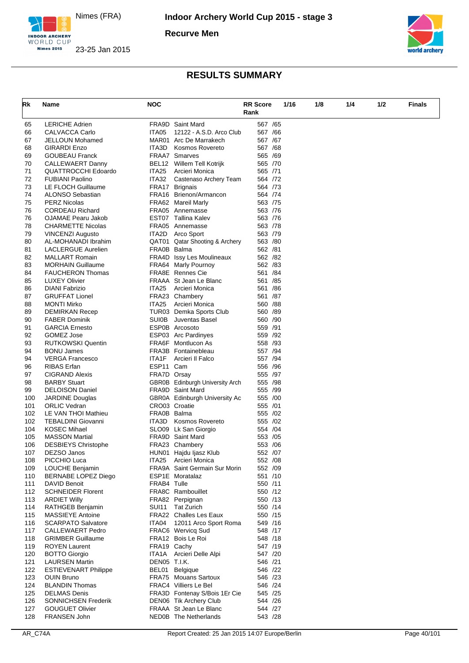





| Rk         | Name                                              | <b>NOC</b>   |                                                         | <b>RR Score</b>    | 1/16 | 1/8 | 1/4 | 1/2 | <b>Finals</b> |
|------------|---------------------------------------------------|--------------|---------------------------------------------------------|--------------------|------|-----|-----|-----|---------------|
|            |                                                   |              |                                                         | Rank               |      |     |     |     |               |
| 65         | <b>LERICHE Adrien</b>                             |              | <b>FRA9D</b> Saint Mard                                 | 567 /65            |      |     |     |     |               |
| 66         | <b>CALVACCA Carlo</b>                             | ITA05        | 12122 - A.S.D. Arco Club                                | 567 /66            |      |     |     |     |               |
| 67         | <b>JELLOUN Mohamed</b>                            |              | MAR01 Arc De Marrakech                                  | 567 /67            |      |     |     |     |               |
| 68         | <b>GIRARDI Enzo</b>                               | ITA3D        | Kosmos Rovereto                                         | 567 /68            |      |     |     |     |               |
| 69         | <b>GOUBEAU Franck</b>                             |              | <b>FRAA7 Smarves</b>                                    | 565 /69            |      |     |     |     |               |
| 70         | <b>CALLEWAERT Danny</b>                           |              | BEL12 Willem Tell Kotrijk                               | 565 /70            |      |     |     |     |               |
| 71         | <b>QUATTROCCHI Edoardo</b>                        | ITA25        | Arcieri Monica                                          | 565 /71            |      |     |     |     |               |
| 72         | <b>FUBIANI Paolino</b>                            | ITA32        | Castenaso Archery Team                                  | 564 /72            |      |     |     |     |               |
| 73         | LE FLOCH Guillaume                                |              | FRA17 Brignais                                          | 564 /73            |      |     |     |     |               |
| 74         | ALONSO Sebastian                                  |              | FRA16 Brienon/Armancon                                  | 564 /74            |      |     |     |     |               |
| 75<br>76   | <b>PERZ Nicolas</b><br><b>CORDEAU Richard</b>     |              | FRA62 Mareil Marly<br>FRA05 Annemasse                   | 563 /75<br>563 /76 |      |     |     |     |               |
| 76         | OJAMAE Pearu Jakob                                |              | EST07 Tallina Kalev                                     | 563 /76            |      |     |     |     |               |
| 78         | <b>CHARMETTE Nicolas</b>                          |              | FRA05 Annemasse                                         | 563 /78            |      |     |     |     |               |
| 79         | <b>VINCENZI Augusto</b>                           |              | <b>ITA2D</b> Arco Sport                                 | 563 /79            |      |     |     |     |               |
| 80         | AL-MOHANADI Ibrahim                               |              | QAT01 Qatar Shooting & Archery                          | 563 /80            |      |     |     |     |               |
| 81         | <b>LACLERGUE Aurelien</b>                         | FRA0B Balma  |                                                         | 562 /81            |      |     |     |     |               |
| 82         | <b>MALLART Romain</b>                             |              | FRA4D Issy Les Moulineaux                               | 562 /82            |      |     |     |     |               |
| 83         | <b>MORHAIN Guillaume</b>                          |              | FRA64 Marly Pournoy                                     | 562 /83            |      |     |     |     |               |
| 84         | <b>FAUCHERON Thomas</b>                           |              | FRA8E Rennes Cie                                        | 561 /84            |      |     |     |     |               |
| 85         | <b>LUXEY Olivier</b>                              |              | FRAAA St Jean Le Blanc                                  | 561 /85            |      |     |     |     |               |
| 86         | <b>DIANI Fabrizio</b>                             | ITA25        | Arcieri Monica                                          | 561 /86            |      |     |     |     |               |
| 87         | <b>GRUFFAT Lionel</b>                             |              | FRA23 Chambery                                          | 561 /87            |      |     |     |     |               |
| 88         | <b>MONTI Mirko</b>                                | ITA25        | Arcieri Monica                                          | 560 /88            |      |     |     |     |               |
| 89         | <b>DEMIRKAN Recep</b>                             |              | TUR03 Demka Sports Club                                 | 560 /89            |      |     |     |     |               |
| 90         | <b>FABER Dominik</b>                              | SUI0B        | Juventas Basel                                          | 560 /90            |      |     |     |     |               |
| 91         | <b>GARCIA Ernesto</b>                             |              | ESP0B Arcosoto                                          | 559 /91            |      |     |     |     |               |
| 92<br>93   | GOMEZ Jose                                        |              | ESP03 Arc Pardinyes<br>FRA6F Montlucon As               | 559 /92<br>558 /93 |      |     |     |     |               |
| 94         | <b>RUTKOWSKI Quentin</b><br><b>BONU James</b>     |              | FRA3B Fontainebleau                                     | 557 /94            |      |     |     |     |               |
| 94         | <b>VERGA Francesco</b>                            | ITA1F        | Arcieri II Falco                                        | 557 /94            |      |     |     |     |               |
| 96         | <b>RIBAS</b> Erfan                                | ESP11 Cam    |                                                         | 556 /96            |      |     |     |     |               |
| 97         | <b>CIGRAND Alexis</b>                             | FRA7D Orsay  |                                                         | 555 /97            |      |     |     |     |               |
| 98         | <b>BARBY Stuart</b>                               |              | GBR0B Edinburgh University Arch                         | 555 /98            |      |     |     |     |               |
| 99         | <b>DELOISON Daniel</b>                            |              | FRA9D Saint Mard                                        | 555 /99            |      |     |     |     |               |
| 100        | <b>JARDINE Douglas</b>                            |              | GBR0A Edinburgh University Ac                           | 555 /00            |      |     |     |     |               |
| 101        | <b>ORLIC Vedran</b>                               |              | CRO03 Croatie                                           | 555 /01            |      |     |     |     |               |
| 102        | LE VAN THOI Mathieu                               | FRA0B Balma  |                                                         | 555 /02            |      |     |     |     |               |
| 102        | <b>TEBALDINI Giovanni</b>                         | ITA3D        | Kosmos Rovereto                                         | 555 /02            |      |     |     |     |               |
| 104        | <b>KOSEC Mihael</b>                               |              | SLO09 Lk San Giorgio                                    | 554 /04            |      |     |     |     |               |
| 105        | <b>MASSON Martial</b>                             |              | FRA9D Saint Mard                                        | 553 /05            |      |     |     |     |               |
| 106        | <b>DESBIEYS Christophe</b>                        |              | FRA23 Chambery                                          | 553 /06            |      |     |     |     |               |
| 107        | DEZSO Janos                                       |              | HUN01 Hajdu Ijasz Klub                                  | 552 /07<br>552 /08 |      |     |     |     |               |
| 108<br>109 | PICCHIO Luca<br>LOUCHE Benjamin                   | ITA25        | Arcieri Monica<br>FRA9A Saint Germain Sur Morin         | 552 /09            |      |     |     |     |               |
| 110        | <b>BERNABE LOPEZ Diego</b>                        |              | ESP1E Moratalaz                                         | 551 /10            |      |     |     |     |               |
| 111        | DAVID Benoit                                      | FRAB4 Tulle  |                                                         | 550 /11            |      |     |     |     |               |
| 112        | <b>SCHNEIDER Florent</b>                          |              | FRA8C Rambouillet                                       | 550 /12            |      |     |     |     |               |
| 113        | <b>ARDIET Willy</b>                               |              | FRA82 Perpignan                                         | 550 /13            |      |     |     |     |               |
| 114        | RATHGEB Benjamin                                  | SUI11        | <b>Tat Zurich</b>                                       | 550 /14            |      |     |     |     |               |
| 115        | <b>MASSIEYE Antoine</b>                           |              | <b>FRA22</b> Challes Les Eaux                           | 550 /15            |      |     |     |     |               |
| 116        | <b>SCARPATO Salvatore</b>                         |              | ITA04 12011 Arco Sport Roma                             | 549 /16            |      |     |     |     |               |
| 117        | CALLEWAERT Pedro                                  |              | FRAC6 Wervicq Sud                                       | 548 /17            |      |     |     |     |               |
| 118        | <b>GRIMBER Guillaume</b>                          |              | FRA12 Bois Le Roi                                       | 548 /18            |      |     |     |     |               |
| 119        | <b>ROYEN Laurent</b>                              |              | FRA19 Cachy                                             | 547 /19            |      |     |     |     |               |
| 120        | <b>BOTTO Giorgio</b>                              | ITA1A        | Arcieri Delle Alpi                                      | 547 /20            |      |     |     |     |               |
| 121        | <b>LAURSEN Martin</b>                             | DEN05 T.I.K. |                                                         | 546 /21            |      |     |     |     |               |
| 122        | <b>ESTIEVENART Philippe</b>                       |              | BEL01 Belgique                                          | 546 /22            |      |     |     |     |               |
| 123        | <b>OUIN Bruno</b>                                 |              | FRA75 Mouans Sartoux                                    | 546 /23            |      |     |     |     |               |
| 124        | <b>BLANDIN Thomas</b>                             |              | FRAC4 Villiers Le Bel                                   | 546 /24            |      |     |     |     |               |
| 125<br>126 | <b>DELMAS Denis</b><br><b>SONNICHSEN Frederik</b> |              | FRA3D Fontenay S/Bois 1Er Cie<br>DEN06 Tik Archery Club | 545 /25<br>544 /26 |      |     |     |     |               |
| 127        | <b>GOUGUET Olivier</b>                            |              | FRAAA St Jean Le Blanc                                  | 544 /27            |      |     |     |     |               |
| 128        | <b>FRANSEN John</b>                               |              | NED0B The Netherlands                                   | 543 /28            |      |     |     |     |               |
|            |                                                   |              |                                                         |                    |      |     |     |     |               |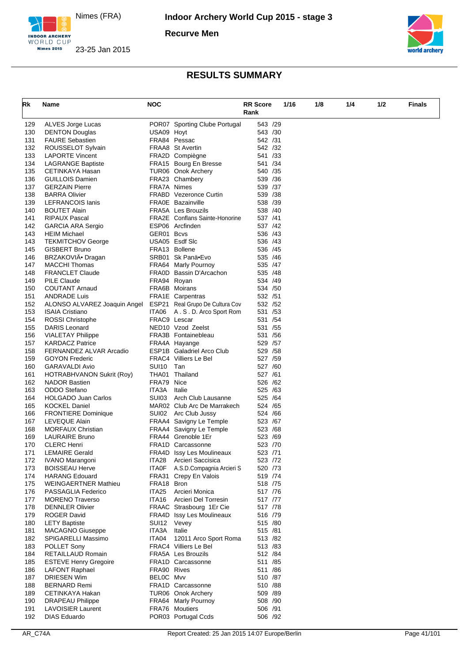





| Rk         | Name                                               | <b>NOC</b>           |                                                    | <b>RR Score</b>     | 1/16 | 1/8 | 1/4 | 1/2 | <b>Finals</b> |
|------------|----------------------------------------------------|----------------------|----------------------------------------------------|---------------------|------|-----|-----|-----|---------------|
|            |                                                    |                      |                                                    | Rank                |      |     |     |     |               |
| 129        | ALVES Jorge Lucas                                  |                      | POR07 Sporting Clube Portugal                      | 543 /29             |      |     |     |     |               |
| 130        | <b>DENTON Douglas</b>                              | USA09 Hoyt           |                                                    | 543 /30             |      |     |     |     |               |
| 131        | <b>FAURE Sebastien</b>                             |                      | FRA84 Pessac                                       | 542 /31             |      |     |     |     |               |
| 132        | ROUSSELOT Sylvain                                  |                      | FRAA8 St Avertin                                   | 542 /32             |      |     |     |     |               |
| 133        | <b>LAPORTE Vincent</b>                             |                      | FRA2D Compiègne                                    | 541 /33             |      |     |     |     |               |
| 134<br>135 | <b>LAGRANGE Baptiste</b><br>CETINKAYA Hasan        |                      | FRA15 Bourg En Bresse<br>TUR06 Onok Archery        | 541 /34<br>540 /35  |      |     |     |     |               |
| 136        | <b>GUILLOIS Damien</b>                             |                      | FRA23 Chambery                                     | 539 /36             |      |     |     |     |               |
| 137        | <b>GERZAIN Pierre</b>                              | FRA7A Nimes          |                                                    | 539 /37             |      |     |     |     |               |
| 138        | <b>BARRA Olivier</b>                               |                      | <b>FRABD</b> Vezeronce Curtin                      | 539 /38             |      |     |     |     |               |
| 139        | LEFRANCOIS lanis                                   |                      | <b>FRA0E</b> Bazainville                           | 538 /39             |      |     |     |     |               |
| 140        | <b>BOUTET Alain</b>                                |                      | <b>FRA5A</b> Les Brouzils                          | 538 /40             |      |     |     |     |               |
| 141        | <b>RIPAUX Pascal</b>                               |                      | <b>FRA2E</b> Conflans Sainte-Honorine              | 537 /41             |      |     |     |     |               |
| 142        | <b>GARCIA ARA Sergio</b>                           |                      | ESP06 Arcfinden                                    | 537 /42             |      |     |     |     |               |
| 143<br>143 | <b>HEIM Michael</b><br><b>TEKMITCHOV George</b>    | GER01 Bcvs           | USA05 Esdf Slc                                     | 536 /43<br>536 /43  |      |     |     |     |               |
| 145        | <b>GISBERT Bruno</b>                               |                      | FRA13 Bollene                                      | 536 / 45            |      |     |     |     |               |
| 146        | BRZAKOVIÄ• Dragan                                  |                      | SRB01 Sk Panä•Evo                                  | 535 /46             |      |     |     |     |               |
| 147        | <b>MACCHI Thomas</b>                               |                      | FRA64 Marly Pournoy                                | 535 /47             |      |     |     |     |               |
| 148        | <b>FRANCLET Claude</b>                             |                      | FRA0D Bassin D'Arcachon                            | 535 /48             |      |     |     |     |               |
| 149        | <b>PILE Claude</b>                                 | FRA94 Royan          |                                                    | 534 /49             |      |     |     |     |               |
| 150        | <b>COUTANT Arnaud</b>                              |                      | FRA6B Moirans                                      | 534 / 50            |      |     |     |     |               |
| 151        | <b>ANDRADE Luis</b>                                |                      | <b>FRA1E</b> Carpentras                            | 532 / 51            |      |     |     |     |               |
| 152        | ALONSO ALVAREZ Joaquin Angel                       |                      | ESP21 Real Grupo De Cultura Cov                    | 532 /52             |      |     |     |     |               |
| 153        | <b>ISAIA Cristiano</b>                             | ITA06                | A.S.D. Arco Sport Rom                              | 531 /53             |      |     |     |     |               |
| 154        | <b>ROSSI Christophe</b>                            | FRAC9 Lescar         |                                                    | 531 /54             |      |     |     |     |               |
| 155        | DARIS Leonard                                      |                      | NED <sub>10</sub> Vzod Zeelst                      | 531 / 55<br>531 /56 |      |     |     |     |               |
| 156<br>157 | <b>VIALETAY Philippe</b><br><b>KARDACZ Patrice</b> |                      | FRA3B Fontainebleau<br>FRA4A Hayange               | 529 / 57            |      |     |     |     |               |
| 158        | FERNANDEZ ALVAR Arcadio                            |                      | <b>ESP1B</b> Galadriel Arco Club                   | 529 / 58            |      |     |     |     |               |
| 159        | <b>GOYON Frederic</b>                              |                      | FRAC4 Villiers Le Bel                              | 527 /59             |      |     |     |     |               |
| 160        | <b>GARAVALDI Avio</b>                              | SUI10                | Tan                                                | 527 /60             |      |     |     |     |               |
| 161        | HOTRABHVANON Sukrit (Roy)                          |                      | THA01 Thailand                                     | 527 /61             |      |     |     |     |               |
| 162        | <b>NADOR Bastien</b>                               | FRA79 Nice           |                                                    | 526 /62             |      |     |     |     |               |
| 163        | ODDO Stefano                                       | ITA3A                | Italie                                             | 525 /63             |      |     |     |     |               |
| 164        | <b>HOLGADO Juan Carlos</b>                         | SUI03                | Arch Club Lausanne                                 | 525 /64             |      |     |     |     |               |
| 165        | <b>KOCKEL Daniel</b>                               |                      | MAR02 Club Arc De Marrakech                        | 524 /65             |      |     |     |     |               |
| 166        | <b>FRONTIERE Dominique</b>                         | SUI02                | Arc Club Jussy                                     | 524 / 66            |      |     |     |     |               |
| 167<br>168 | LEVEQUE Alain<br><b>MORFAUX Christian</b>          |                      | FRAA4 Savigny Le Temple<br>FRAA4 Savigny Le Temple | 523 /67<br>523 / 68 |      |     |     |     |               |
| 169        | <b>LAURAIRE Bruno</b>                              |                      | FRA44 Grenoble 1Er                                 | 523 /69             |      |     |     |     |               |
| 170        | <b>CLERC Henri</b>                                 |                      | <b>FRA1D Carcassonne</b>                           | 523 /70             |      |     |     |     |               |
| 171        | <b>LEMAIRE Gerald</b>                              |                      | FRA4D Issy Les Moulineaux                          | 523 /71             |      |     |     |     |               |
| 172        | <b>IVANO Marangoni</b>                             | ITA28                | Arcieri Saccisica                                  | 523 /72             |      |     |     |     |               |
| 173        | <b>BOISSEAU Herve</b>                              | ITA0F                | A.S.D.Compagnia Arcieri S                          | 520 /73             |      |     |     |     |               |
| 174        | <b>HARANG Edouard</b>                              |                      | FRA31 Crepy En Valois                              | 519 / 74            |      |     |     |     |               |
| 175        | <b>WEINGAERTNER Mathieu</b>                        | FRA18 Bron           |                                                    | 518 /75             |      |     |     |     |               |
| 176        | PASSAGLIA Federico                                 | ITA25                | Arcieri Monica                                     | 517 /76             |      |     |     |     |               |
| 177        | <b>MORENO Traverso</b>                             | ITA16                | Arcieri Del Torresin                               | 517 /77             |      |     |     |     |               |
| 178        | <b>DENNLER Olivier</b>                             |                      | FRAAC Strasbourg 1Er Cie                           | 517 /78             |      |     |     |     |               |
| 179        | <b>ROGER David</b>                                 |                      | <b>FRA4D</b> Issy Les Moulineaux                   | 516 /79<br>515 /80  |      |     |     |     |               |
| 180<br>181 | <b>LETY Baptiste</b><br><b>MACAGNO Giuseppe</b>    | SUI12 Vevey<br>ITA3A | Italie                                             | 515 /81             |      |     |     |     |               |
| 182        | <b>SPIGARELLI Massimo</b>                          | ITA04                | 12011 Arco Sport Roma                              | 513 /82             |      |     |     |     |               |
| 183        | POLLET Sony                                        |                      | FRAC4 Villiers Le Bel                              | 513 /83             |      |     |     |     |               |
| 184        | <b>RETAILLAUD Romain</b>                           |                      | FRA5A Les Brouzils                                 | 512 /84             |      |     |     |     |               |
| 185        | <b>ESTEVE Henry Gregoire</b>                       |                      | <b>FRA1D Carcassonne</b>                           | 511 /85             |      |     |     |     |               |
| 186        | LAFONT Raphael                                     | FRA90 Rives          |                                                    | 511 /86             |      |     |     |     |               |
| 187        | <b>DRIESEN Wim</b>                                 | BELOC Mvv            |                                                    | 510 /87             |      |     |     |     |               |
| 188        | <b>BERNARD Remi</b>                                |                      | <b>FRA1D Carcassonne</b>                           | 510 /88             |      |     |     |     |               |
| 189        | CETINKAYA Hakan                                    |                      | TUR06 Onok Archery                                 | 509 /89             |      |     |     |     |               |
| 190        | <b>DRAPEAU Philippe</b>                            |                      | FRA64 Marly Pournoy                                | 508 /90             |      |     |     |     |               |
| 191        | <b>LAVOISIER Laurent</b>                           |                      | FRA76 Moutiers                                     | 506 /91             |      |     |     |     |               |
| 192        | <b>DIAS Eduardo</b>                                |                      | POR03 Portugal Ccds                                | 506 /92             |      |     |     |     |               |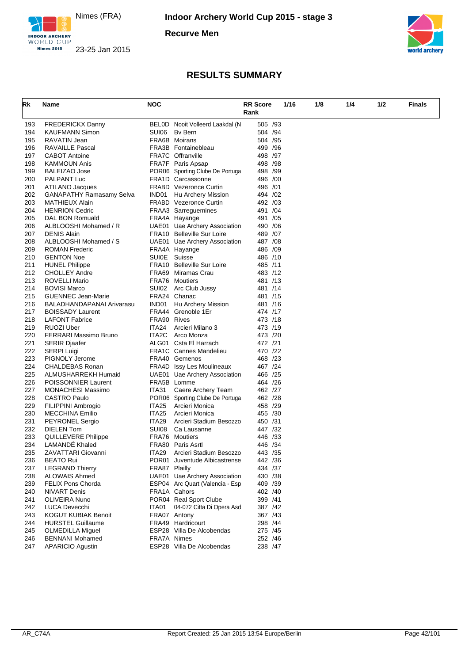





| Rk  | Name                       | <b>NOC</b>        |                                 | <b>RR</b> Score | 1/16 | 1/8 | 1/4 | 1/2 | <b>Finals</b> |
|-----|----------------------------|-------------------|---------------------------------|-----------------|------|-----|-----|-----|---------------|
|     |                            |                   |                                 | Rank            |      |     |     |     |               |
| 193 | <b>FREDERICKX Danny</b>    |                   | BELOD Nooit Volleerd Laakdal (N | 505 /93         |      |     |     |     |               |
| 194 | <b>KAUFMANN Simon</b>      | SUI06             | By Bern                         | 504 /94         |      |     |     |     |               |
| 195 | <b>RAVATIN Jean</b>        |                   | <b>FRA6B</b> Moirans            | 504 /95         |      |     |     |     |               |
| 196 | <b>RAVAILLE Pascal</b>     |                   | FRA3B Fontainebleau             | 499 / 96        |      |     |     |     |               |
| 197 | <b>CABOT Antoine</b>       |                   | FRA7C Offranville               | 498 / 97        |      |     |     |     |               |
| 198 | <b>KAMMOUN Anis</b>        |                   | FRA7F Paris Apsap               | 498 / 98        |      |     |     |     |               |
| 199 | <b>BALEIZAO Jose</b>       |                   | POR06 Sporting Clube De Portuga | 498 / 99        |      |     |     |     |               |
| 200 | PALPANT Luc                |                   | FRA1D Carcassonne               | 496 /00         |      |     |     |     |               |
| 201 | ATILANO Jacques            |                   | <b>FRABD</b> Vezeronce Curtin   | 496 / 01        |      |     |     |     |               |
| 202 | GANAPATHY Ramasamy Selva   |                   | IND01 Hu Archery Mission        | 494 / 02        |      |     |     |     |               |
| 203 | MATHIEUX Alain             |                   | <b>FRABD</b> Vezeronce Curtin   | 492 / 03        |      |     |     |     |               |
| 204 | <b>HENRION Cedric</b>      |                   | FRAA3 Sarreguemines             | 491 /04         |      |     |     |     |               |
| 205 | DAL BON Romuald            |                   | FRA4A Hayange                   | 491 /05         |      |     |     |     |               |
| 206 | ALBLOOSHI Mohamed / R      |                   | UAE01 Uae Archery Association   | 490 / 06        |      |     |     |     |               |
| 207 | <b>DENIS Alain</b>         |                   | FRA10 Belleville Sur Loire      | 489 /07         |      |     |     |     |               |
| 208 | ALBLOOSHI Mohamed / S      |                   | UAE01 Uae Archery Association   | 487 / 08        |      |     |     |     |               |
| 209 | <b>ROMAN Frederic</b>      |                   | FRA4A Hayange                   | 486 /09         |      |     |     |     |               |
| 210 | <b>GENTON Noe</b>          | SUI0E             | Suisse                          | 486 /10         |      |     |     |     |               |
| 211 | <b>HUNEL Philippe</b>      |                   | FRA10 Belleville Sur Loire      | 485 /11         |      |     |     |     |               |
| 212 | <b>CHOLLEY Andre</b>       |                   | FRA69 Miramas Crau              | 483 /12         |      |     |     |     |               |
| 213 | <b>ROVELLI Mario</b>       |                   | FRA76 Moutiers                  | 481 /13         |      |     |     |     |               |
| 214 | <b>BOVISI Marco</b>        | SUI02             | Arc Club Jussy                  | 481 /14         |      |     |     |     |               |
| 215 | <b>GUENNEC Jean-Marie</b>  |                   | FRA24 Chanac                    | 481 /15         |      |     |     |     |               |
| 216 | BALADHANDAPANAI Arivarasu  | IND01             | Hu Archery Mission              | 481 /16         |      |     |     |     |               |
| 217 | <b>BOISSADY Laurent</b>    |                   | FRA44 Grenoble 1Er              | 474 /17         |      |     |     |     |               |
| 218 | <b>LAFONT Fabrice</b>      | FRA90 Rives       |                                 | 473 /18         |      |     |     |     |               |
| 219 | <b>RUOZI Uber</b>          | ITA24             | Arcieri Milano 3                | 473 /19         |      |     |     |     |               |
| 220 | FERRARI Massimo Bruno      | ITA2C             | Arco Monza                      | 473 /20         |      |     |     |     |               |
| 221 | <b>SERIR Djaafer</b>       |                   | ALG01 Csta El Harrach           | 472 /21         |      |     |     |     |               |
| 222 | <b>SERPI Luigi</b>         |                   | <b>FRA1C</b> Cannes Mandelieu   | 470 /22         |      |     |     |     |               |
| 223 | PIGNOLY Jerome             |                   | FRA40 Gemenos                   | 468 /23         |      |     |     |     |               |
|     |                            |                   |                                 | 467 /24         |      |     |     |     |               |
| 224 | CHALDEBAS Ronan            |                   | FRA4D Issy Les Moulineaux       |                 |      |     |     |     |               |
| 225 | ALMUSHARREKH Humaid        |                   | UAE01 Uae Archery Association   | 466 /25         |      |     |     |     |               |
| 226 | <b>POISSONNIER Laurent</b> |                   | FRA5B Lomme                     | 464 /26         |      |     |     |     |               |
| 227 | MONACHESI Massimo          | ITA31             | Caere Archery Team              | 462 /27         |      |     |     |     |               |
| 228 | <b>CASTRO Paulo</b>        |                   | POR06 Sporting Clube De Portuga | 462 /28         |      |     |     |     |               |
| 229 | FILIPPINI Ambrogio         | ITA <sub>25</sub> | Arcieri Monica                  | 458 /29         |      |     |     |     |               |
| 230 | <b>MECCHINA Emilio</b>     | ITA <sub>25</sub> | Arcieri Monica                  | 455 /30         |      |     |     |     |               |
| 231 | <b>PEYRONEL Sergio</b>     | ITA <sub>29</sub> | Arcieri Stadium Besozzo         | 450 /31         |      |     |     |     |               |
| 232 | DIELEN Tom                 | SUI08             | Ca Lausanne                     | 447 /32         |      |     |     |     |               |
| 233 | <b>QUILLEVERE Philippe</b> |                   | <b>FRA76 Moutiers</b>           | 446 / 33        |      |     |     |     |               |
| 234 | LAMANDE Khaled             |                   | FRA80 Paris Asrtl               | 446 / 34        |      |     |     |     |               |
| 235 | ZAVATTARI Giovanni         | ITA <sub>29</sub> | Arcieri Stadium Besozzo         | 443 / 35        |      |     |     |     |               |
| 236 | <b>BEATO Rui</b>           |                   | POR01 Juventude Albicastrense   | 442 /36         |      |     |     |     |               |
| 237 | <b>LEGRAND Thierry</b>     | FRA87 Plailly     |                                 | 434 /37         |      |     |     |     |               |
| 238 | <b>ALOWAIS Ahmed</b>       |                   | UAE01 Uae Archery Association   | 430 / 38        |      |     |     |     |               |
| 239 | FELIX Pons Chorda          |                   | ESP04 Arc Quart (Valencia - Esp | 409 /39         |      |     |     |     |               |
| 240 | <b>NIVART Denis</b>        |                   | FRA1A Cahors                    | 402 /40         |      |     |     |     |               |
| 241 | OLIVEIRA Nuno              |                   | POR04 Real Sport Clube          | 399 /41         |      |     |     |     |               |
| 242 | <b>LUCA Devecchi</b>       | ITA01             | 04-072 Citta Di Opera Asd       | 387 /42         |      |     |     |     |               |
| 243 | <b>KOGUT KUBIAK Benoit</b> |                   | FRA07 Antony                    | 367 / 43        |      |     |     |     |               |
| 244 | <b>HURSTEL Guillaume</b>   |                   | FRA49 Hardricourt               | 298 /44         |      |     |     |     |               |
| 245 | <b>OLMEDILLA Miguel</b>    |                   | ESP28 Villa De Alcobendas       | 275 /45         |      |     |     |     |               |
| 246 | <b>BENNANI Mohamed</b>     | FRA7A Nimes       |                                 | 252 /46         |      |     |     |     |               |
| 247 | <b>APARICIO Agustin</b>    |                   | ESP28 Villa De Alcobendas       | 238 /47         |      |     |     |     |               |
|     |                            |                   |                                 |                 |      |     |     |     |               |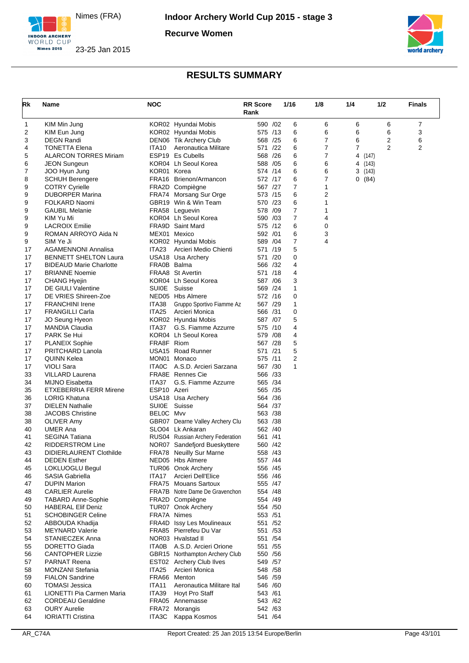

**Recurve Women**





| Rk       | Name                                                  | <b>NOC</b>  |                                            | <b>RR Score</b><br>Rank | 1/16                | 1/8            | 1/4     | 1/2            | <b>Finals</b>  |
|----------|-------------------------------------------------------|-------------|--------------------------------------------|-------------------------|---------------------|----------------|---------|----------------|----------------|
| 1        | KIM Min Jung                                          |             | KOR02 Hyundai Mobis                        | 590 /02                 | 6                   | 6              | 6       | 6              | 7              |
| 2        | KIM Eun Jung                                          |             | KOR02 Hyundai Mobis                        | 575 /13                 | 6                   | 6              | 6       | 6              | 3              |
| 3        | <b>DEGN Randi</b>                                     |             | DEN06 Tik Archery Club                     | 568 /25                 | 6                   | 7              | 6       | 2              | 6              |
| 4        | <b>TONETTA Elena</b>                                  | ITA10       | Aeronautica Militare                       | 571 /22                 | 6                   | 7              | 7       | $\overline{2}$ | $\overline{2}$ |
| 5        | <b>ALARCON TORRES Miriam</b>                          |             | ESP19 Es Cubells                           | 568 /26                 | 6                   | 7              | 4       | (147)          |                |
| 6        | <b>JEON Sungeun</b>                                   |             | KOR04 Lh Seoul Korea                       | 588 / 05                | 6                   | 6              | 4 (143) |                |                |
| 7        | JOO Hyun Jung                                         | KOR01 Korea |                                            | 574 /14                 | 6                   | 6              | 3(143)  |                |                |
| 8        | <b>SCHUH Berengere</b>                                |             | FRA16 Brienon/Armancon                     | 572 /17                 | 6                   | 7              | 0(84)   |                |                |
| 9        | <b>COTRY Cyrielle</b>                                 |             | FRA2D Compiègne                            | 567 /27                 | 7                   | 1              |         |                |                |
| 9        | <b>DUBORPER Marina</b>                                |             | FRA74 Morsang Sur Orge                     | 573 /15                 | 6                   | $\overline{2}$ |         |                |                |
| 9<br>9   | FOLKARD Naomi<br><b>GAUBIL Melanie</b>                |             | GBR19 Win & Win Team<br>FRA58 Leguevin     | 570 /23<br>578 /09      | 6<br>$\overline{7}$ | 1<br>1         |         |                |                |
| 9        | KIM Yu Mi                                             |             | KOR04 Lh Seoul Korea                       | 590 /03                 | $\overline{7}$      | 4              |         |                |                |
| 9        | <b>LACROIX Emilie</b>                                 |             | FRA9D Saint Mard                           | 575 /12                 | 6                   | 0              |         |                |                |
| 9        | ROMAN ARROYO Aida N                                   |             | MEX01 Mexico                               | 592 /01                 | 6                   | 3              |         |                |                |
| 9        | SIM Ye Ji                                             |             | KOR02 Hyundai Mobis                        | 589 / 04                | 7                   | 4              |         |                |                |
| 17       | <b>AGAMENNONI Annalisa</b>                            | ITA23       | Arcieri Medio Chienti                      | 571 /19                 | 5                   |                |         |                |                |
| 17       | <b>BENNETT SHELTON Laura</b>                          |             | USA18 Usa Archery                          | 571 /20                 | 0                   |                |         |                |                |
| 17       | <b>BIDEAUD Marie Charlotte</b>                        | FRA0B Balma |                                            | 566 /32                 | 4                   |                |         |                |                |
| 17       | <b>BRIANNE Noemie</b>                                 |             | FRAA8 St Avertin                           | 571 /18                 | 4                   |                |         |                |                |
| 17       | <b>CHANG Hyejin</b>                                   |             | KOR04 Lh Seoul Korea                       | 587 /06                 | 3                   |                |         |                |                |
| 17       | DE GIULI Valentine                                    | SUI0E       | Suisse                                     | 569 /24                 | 1                   |                |         |                |                |
| 17       | DE VRIES Shireen-Zoe                                  |             | NED05 Hbs Almere                           | 572 /16                 | 0                   |                |         |                |                |
| 17       | <b>FRANCHINI Irene</b>                                | ITA38       | Gruppo Sportivo Fiamme Az                  | 567 /29                 | 1                   |                |         |                |                |
| 17       | <b>FRANGILLI Carla</b>                                | ITA25       | Arcieri Monica                             | 566 /31                 | 0                   |                |         |                |                |
| 17       | JO Seung Hyeon                                        |             | KOR02 Hyundai Mobis                        | 587 /07                 | 5                   |                |         |                |                |
| 17       | <b>MANDIA Claudia</b>                                 | ITA37       | G.S. Fiamme Azzurre                        | 575 /10                 | 4                   |                |         |                |                |
| 17       | PARK Se Hui                                           |             | KOR04 Lh Seoul Korea                       | 579 /08                 | 4                   |                |         |                |                |
| 17       | PLANEIX Sophie                                        | FRA8F Riom  |                                            | 567 /28                 | 5                   |                |         |                |                |
| 17       | PRITCHARD Lanola                                      |             | USA15 Road Runner                          | 571 /21                 | 5                   |                |         |                |                |
| 17       | QUINN Kelea                                           |             | MON01 Monaco                               | 575 /11                 | $\overline{2}$      |                |         |                |                |
| 17       | <b>VIOLI Sara</b>                                     | ITA0C       | A.S.D. Arcieri Sarzana                     | 567 /30                 | 1                   |                |         |                |                |
| 33       | <b>VILLARD Laurena</b>                                |             | FRA8E Rennes Cie                           | 566 /33                 |                     |                |         |                |                |
| 34       | <b>MIJNO Eisabetta</b>                                | ITA37       | G.S. Fiamme Azzurre                        | 565 /34                 |                     |                |         |                |                |
| 35<br>36 | <b>ETXEBERRIA FERR Mirene</b><br><b>LORIG Khatuna</b> | ESP10 Azeri |                                            | 565 /35<br>564 /36      |                     |                |         |                |                |
| 37       | <b>DIELEN Nathalie</b>                                |             | USA18 Usa Archery<br>SUI0E Suisse          | 564 / 37                |                     |                |         |                |                |
| 38       | <b>JACOBS Christine</b>                               | BELOC Mvv   |                                            | 563 /38                 |                     |                |         |                |                |
| 38       | OLIVER Amy                                            |             | GBR07 Dearne Valley Archery Clu            | 563 /38                 |                     |                |         |                |                |
| 40       | <b>UMER Ana</b>                                       |             | SLO04 Lk Ankaran                           | 562 /40                 |                     |                |         |                |                |
| 41       | <b>SEGINA Tatiana</b>                                 |             | RUS04 Russian Archery Federation           | 561 /41                 |                     |                |         |                |                |
| 42       | RIDDERSTROM Line                                      |             | NOR07 Sandefjord Bueskyttere               | 560 /42                 |                     |                |         |                |                |
| 43       | DIDIERLAURENT Clothilde                               |             | FRA78 Neuilly Sur Marne                    | 558 /43                 |                     |                |         |                |                |
| 44       | <b>DEDEN Esther</b>                                   |             | NED05 Hbs Almere                           | 557 /44                 |                     |                |         |                |                |
| 45       | LOKLUOGLU Begul                                       |             | TUR06 Onok Archery                         | 556 /45                 |                     |                |         |                |                |
| 46       | <b>SASIA Gabriella</b>                                | ITA17       | Arcieri Dell'Elice                         | 556 /46                 |                     |                |         |                |                |
| 47       | <b>DUPIN Marion</b>                                   |             | FRA75 Mouans Sartoux                       | 555 /47                 |                     |                |         |                |                |
| 48       | <b>CARLIER Aurelie</b>                                |             | FRA7B Notre Dame De Gravenchon             | 554 /48                 |                     |                |         |                |                |
| 49       | <b>TABARD Anne-Sophie</b>                             |             | FRA2D Compiègne                            | 554 /49                 |                     |                |         |                |                |
| 50       | <b>HABERAL Elif Deniz</b>                             |             | TUR07 Onok Archery                         | 554 /50                 |                     |                |         |                |                |
| 51       | <b>SCHOBINGER Celine</b>                              |             | FRA7A Nimes                                | 553 /51                 |                     |                |         |                |                |
| 52       | ABBOUDA Khadija                                       |             | FRA4D Issy Les Moulineaux                  | 551 /52                 |                     |                |         |                |                |
| 53       | <b>MEYNARD Valerie</b>                                |             | FRA85 Pierrefeu Du Var                     | 551 /53                 |                     |                |         |                |                |
| 54       | STANIECZEK Anna                                       |             | NOR03 Hvalstad II                          | 551 /54                 |                     |                |         |                |                |
| 55       | DORETTO Giada                                         |             | ITA0B A.S.D. Arcieri Orione                | 551 /55                 |                     |                |         |                |                |
| 56       | <b>CANTOPHER Lizzie</b>                               |             | GBR15 Northampton Archery Club             | 550 / 56<br>549 / 57    |                     |                |         |                |                |
| 57<br>58 | <b>PARNAT Reena</b><br><b>MONZANI Stefania</b>        | ITA25       | EST02 Archery Club Ilves<br>Arcieri Monica | 548 / 58                |                     |                |         |                |                |
| 59       | <b>FIALON Sandrine</b>                                |             | FRA66 Menton                               | 546 /59                 |                     |                |         |                |                |
| 60       | <b>TOMASI Jessica</b>                                 | ITA11       | Aeronautica Militare Ital                  | 546 /60                 |                     |                |         |                |                |
| 61       | LIONETTI Pia Carmen Maria                             | ITA39       | Hoyt Pro Staff                             | 543 /61                 |                     |                |         |                |                |
| 62       | <b>CORDEAU Geraldine</b>                              |             | FRA05 Annemasse                            | 543 /62                 |                     |                |         |                |                |
| 63       | <b>OURY Aurelie</b>                                   |             | FRA72 Morangis                             | 542 /63                 |                     |                |         |                |                |
| 64       | <b>IORIATTI Cristina</b>                              |             | ITA3C Kappa Kosmos                         | 541 /64                 |                     |                |         |                |                |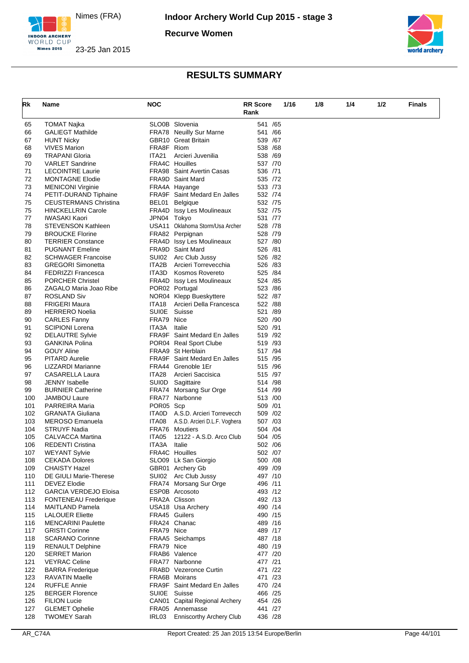

**Recurve Women**





| Rk         | Name                                               | <b>NOC</b>   |                                                               | <b>RR Score</b>    | 1/16 | 1/8 | 1/4 | 1/2 | <b>Finals</b> |
|------------|----------------------------------------------------|--------------|---------------------------------------------------------------|--------------------|------|-----|-----|-----|---------------|
|            |                                                    |              |                                                               | Rank               |      |     |     |     |               |
|            |                                                    |              |                                                               |                    |      |     |     |     |               |
| 65         | TOMAT Najka                                        |              | SLO0B Slovenia<br>FRA78 Neuilly Sur Marne                     | 541 /65<br>541 /66 |      |     |     |     |               |
| 66<br>67   | <b>GALIEGT Mathilde</b><br><b>HUNT Nicky</b>       |              | <b>GBR10</b> Great Britain                                    | 539 /67            |      |     |     |     |               |
| 68         | <b>VIVES Marion</b>                                | FRA8F Riom   |                                                               | 538 /68            |      |     |     |     |               |
| 69         | <b>TRAPANI Gloria</b>                              | <b>ITA21</b> | Arcieri Juvenilia                                             | 538 /69            |      |     |     |     |               |
| 70         | <b>VARLET Sandrine</b>                             |              | FRA4C Houilles                                                | 537 /70            |      |     |     |     |               |
| 71         | <b>LECOINTRE Laurie</b>                            |              | <b>FRA98</b> Saint Avertin Casas                              | 536 /71            |      |     |     |     |               |
| 72         | <b>MONTAGNE Elodie</b>                             |              | FRA9D Saint Mard                                              | 535 /72            |      |     |     |     |               |
| 73         | <b>MENICONI Virginie</b>                           |              | FRA4A Hayange                                                 | 533 /73            |      |     |     |     |               |
| 74         | PETIT-DURAND Tiphaine                              |              | FRA9F Saint Medard En Jalles                                  | 532 /74            |      |     |     |     |               |
| 75         | <b>CEUSTERMANS Christina</b>                       |              | BEL01 Belgique                                                | 532 /75            |      |     |     |     |               |
| 75         | <b>HINCKELLRIN Carole</b>                          |              | FRA4D Issy Les Moulineaux                                     | 532 /75            |      |     |     |     |               |
| 77         | <b>IWASAKI Kaori</b>                               | JPN04 Tokyo  |                                                               | 531 /77            |      |     |     |     |               |
| 78         | <b>STEVENSON Kathleen</b>                          |              | USA11 Oklahoma Storm/Usa Archer                               | 528 /78            |      |     |     |     |               |
| 79         | <b>BROUCKE Florine</b>                             |              | FRA82 Perpignan                                               | 528 /79            |      |     |     |     |               |
| 80         | <b>TERRIER Constance</b>                           |              | FRA4D Issy Les Moulineaux                                     | 527 /80            |      |     |     |     |               |
| 81         | <b>PUGNANT Emeline</b>                             |              | FRA9D Saint Mard                                              | 526 /81            |      |     |     |     |               |
| 82         | <b>SCHWAGER Francoise</b>                          |              | SUI02 Arc Club Jussy                                          | 526 /82            |      |     |     |     |               |
| 83         | <b>GREGORI Simonetta</b>                           |              | ITA2B Arcieri Torrevecchia                                    | 526 /83            |      |     |     |     |               |
| 84         | <b>FEDRIZZI Francesca</b>                          |              | ITA3D Kosmos Rovereto                                         | 525 /84            |      |     |     |     |               |
| 85         | <b>PORCHER Christel</b>                            |              | FRA4D Issy Les Moulineaux                                     | 524 /85            |      |     |     |     |               |
| 86         | ZAGALO Maria Joao Ribe                             |              | POR02 Portugal                                                | 523 /86            |      |     |     |     |               |
| 87         | <b>ROSLAND Siv</b>                                 |              | NOR04 Klepp Bueskyttere                                       | 522 /87            |      |     |     |     |               |
| 88         | <b>FRIGERI Maura</b>                               | ITA18        | Arcieri Della Francesca                                       | 522 /88            |      |     |     |     |               |
| 89         | <b>HERRERO Noelia</b>                              | SUI0E        | Suisse                                                        | 521 /89            |      |     |     |     |               |
| 90         | <b>CARLES Fanny</b>                                | FRA79 Nice   |                                                               | 520 /90            |      |     |     |     |               |
| 91         | <b>SCIPIONI Lorena</b>                             | ITA3A        | Italie                                                        | 520 /91            |      |     |     |     |               |
| 92<br>93   | <b>DELAUTRE Sylvie</b><br><b>GANKINA Polina</b>    |              | <b>FRA9F</b> Saint Medard En Jalles<br>POR04 Real Sport Clube | 519 /92<br>519 /93 |      |     |     |     |               |
| 94         | <b>GOUY Aline</b>                                  |              | FRAA9 St Herblain                                             | 517 /94            |      |     |     |     |               |
| 95         | PITARD Aurelie                                     |              | <b>FRA9F</b> Saint Medard En Jalles                           | 515 /95            |      |     |     |     |               |
| 96         | LIZZARDI Marianne                                  |              | FRA44 Grenoble 1Er                                            | 515 /96            |      |     |     |     |               |
| 97         | CASARELLA Laura                                    | ITA28        | Arcieri Saccisica                                             | 515 /97            |      |     |     |     |               |
| 98         | <b>JENNY</b> Isabelle                              | SUI0D        | Sagittaire                                                    | 514 /98            |      |     |     |     |               |
| 99         | <b>BURNIER Catherine</b>                           |              | FRA74 Morsang Sur Orge                                        | 514 /99            |      |     |     |     |               |
| 100        | <b>JAMBOU Laure</b>                                |              | FRA77 Narbonne                                                | 513 /00            |      |     |     |     |               |
| 101        | PARREIRA Maria                                     | POR05 Scp    |                                                               | 509 /01            |      |     |     |     |               |
| 102        | <b>GRANATA Giuliana</b>                            | ITA0D        | A.S.D. Arcieri Torrevecch                                     | 509 /02            |      |     |     |     |               |
| 103        | MEROSO Emanuela                                    | ITA08        | A.S.D. Arcieri D.L.F. Voghera                                 | 507 /03            |      |     |     |     |               |
| 104        | <b>STRUYF Nadia</b>                                |              | <b>FRA76 Moutiers</b>                                         | 504 /04            |      |     |     |     |               |
| 105        | CALVACCA Martina                                   | ITA05        | 12122 - A.S.D. Arco Club                                      | 504 /05            |      |     |     |     |               |
| 106        | <b>REDENTI Cristina</b>                            | ITA3A        | Italie                                                        | 502 /06            |      |     |     |     |               |
| 107        | <b>WEYANT Sylvie</b>                               |              | <b>FRA4C Houilles</b>                                         | 502 /07            |      |     |     |     |               |
| 108        | <b>CEKADA Dolores</b>                              |              | SLO09 Lk San Giorgio                                          | 500 /08            |      |     |     |     |               |
| 109        | <b>CHAISTY Hazel</b>                               |              | GBR01 Archery Gb                                              | 499 /09            |      |     |     |     |               |
| 110        | DE GIULI Marie-Therese                             |              | SUI02 Arc Club Jussy                                          | 497 /10            |      |     |     |     |               |
| 111        | DEVEZ Elodie                                       |              | FRA74 Morsang Sur Orge                                        | 496 /11            |      |     |     |     |               |
| 112        | <b>GARCIA VERDEJO Eloisa</b>                       |              | ESP0B Arcosoto                                                | 493 /12            |      |     |     |     |               |
| 113        | <b>FONTENEAU Frederique</b>                        |              | FRA2A Clisson                                                 | 492 /13            |      |     |     |     |               |
| 114        | <b>MAITLAND Pamela</b>                             |              | USA18 Usa Archery                                             | 490 /14            |      |     |     |     |               |
| 115        | <b>LALOUER Eliette</b>                             |              | FRA45 Guilers<br>FRA24 Chanac                                 | 490 /15<br>489 /16 |      |     |     |     |               |
| 116<br>117 | <b>MENCARINI Paulette</b><br><b>GRISTI Corinne</b> | FRA79 Nice   |                                                               | 489 /17            |      |     |     |     |               |
| 118        | <b>SCARANO Corinne</b>                             |              | FRAA5 Seichamps                                               | 487 /18            |      |     |     |     |               |
| 119        | <b>RENAULT Delphine</b>                            | FRA79 Nice   |                                                               | 480 /19            |      |     |     |     |               |
| 120        | <b>SERRET Marion</b>                               |              | FRAB6 Valence                                                 | 477 /20            |      |     |     |     |               |
| 121        | <b>VEYRAC Celine</b>                               |              | FRA77 Narbonne                                                | 477 /21            |      |     |     |     |               |
| 122        | <b>BARRA</b> Frederique                            |              | FRABD Vezeronce Curtin                                        | 471 /22            |      |     |     |     |               |
| 123        | <b>RAVATIN Maelle</b>                              |              | FRA6B Moirans                                                 | 471 /23            |      |     |     |     |               |
| 124        | <b>RUFFLE Annie</b>                                |              | FRA9F Saint Medard En Jalles                                  | 470 /24            |      |     |     |     |               |
| 125        | <b>BERGER Florence</b>                             |              | SUI0E Suisse                                                  | 466 / 25           |      |     |     |     |               |
| 126        | <b>FILION Lucie</b>                                |              | CAN01 Capital Regional Archery                                | 454 /26            |      |     |     |     |               |
| 127        | <b>GLEMET Ophelie</b>                              |              | FRA05 Annemasse                                               | 441 /27            |      |     |     |     |               |
| 128        | <b>TWOMEY Sarah</b>                                | IRL03        | <b>Enniscorthy Archery Club</b>                               | 436 /28            |      |     |     |     |               |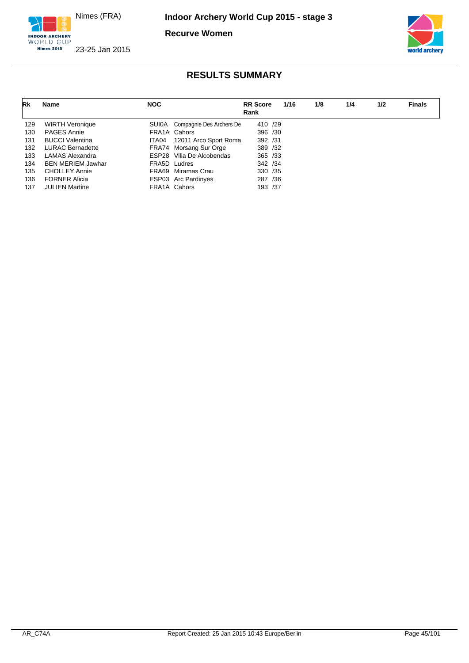

**Recurve Women**



INDOOR ARCHERY 23-25 Jan 2015

**Nimes 2015** 

| Rk  | Name                     | <b>NOC</b> |                                | <b>RR</b> Score<br>Rank |     | 1/16 | 1/8 | 1/4 | 1/2 | <b>Finals</b> |
|-----|--------------------------|------------|--------------------------------|-------------------------|-----|------|-----|-----|-----|---------------|
| 129 | <b>WIRTH Veronique</b>   |            | SUIOA Compagnie Des Archers De | 410 /29                 |     |      |     |     |     |               |
| 130 | <b>PAGES Annie</b>       |            | FRA1A Cahors                   | 396 /30                 |     |      |     |     |     |               |
| 131 | <b>BUCCI Valentina</b>   |            | ITA04 12011 Arco Sport Roma    | 392 /31                 |     |      |     |     |     |               |
| 132 | <b>LURAC Bernadette</b>  |            | FRA74 Morsang Sur Orge         | 389 /32                 |     |      |     |     |     |               |
| 133 | LAMAS Alexandra          |            | ESP28 Villa De Alcobendas      | 365 / 33                |     |      |     |     |     |               |
| 134 | <b>BEN MERIEM Jawhar</b> |            | FRA5D Ludres                   | 342 / 34                |     |      |     |     |     |               |
| 135 | <b>CHOLLEY Annie</b>     |            | FRA69 Miramas Crau             | 330 /35                 |     |      |     |     |     |               |
| 136 | <b>FORNER Alicia</b>     |            | ESP03 Arc Pardinyes            | 287                     | /36 |      |     |     |     |               |
| 137 | <b>JULIEN Martine</b>    |            | FRA1A Cahors                   | 193 /37                 |     |      |     |     |     |               |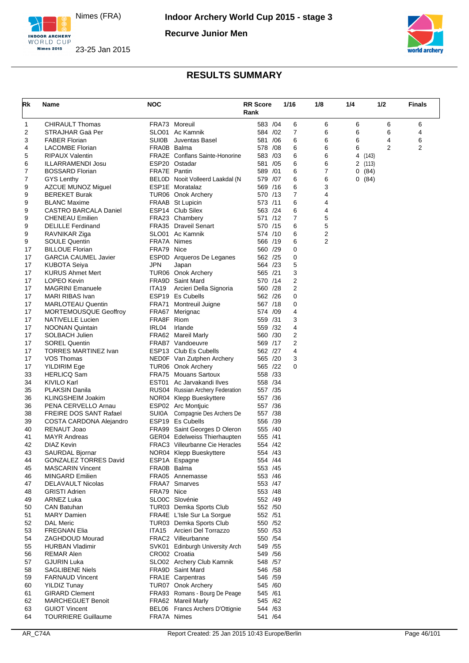

**Recurve Junior Men**





| <b>CHIRAULT Thomas</b><br>FRA73 Moreuil<br>583 /04<br>6<br>6<br>6<br>6<br>6<br>1<br>SLO01 Ac Kamnik<br>7<br>2<br>STRAJHAR Gaä Per<br>6<br>6<br>6<br>4<br>584 / 02<br><b>SUI0B</b><br>581 /06<br>6<br>6<br>4<br>6<br>3<br><b>FABER Florian</b><br>Juventas Basel<br>6<br>6<br>$\overline{2}$<br>$\overline{2}$<br>FRA0B Balma<br>578 /08<br>6<br>6<br><b>LACOMBE Florian</b><br>4<br><b>RIPAUX Valentin</b><br><b>FRA2E</b> Conflans Sainte-Honorine<br>6<br>6<br>5<br>583 /03<br>4<br>(143)<br>ESP20 Ostadar<br>581 /05<br>6<br>6<br>ILLARRAMENDI Josu<br>2<br>(113)<br>6<br>7<br>7<br>FRA7E Pantin<br>589 /01<br>6<br><b>BOSSARD Florian</b><br>0(84)<br>BELOD Nooit Volleerd Laakdal (N<br>579 /07<br>6<br>6<br>7<br><b>GYS Lenthy</b><br>0(84)<br>569 /16<br>6<br>3<br>9<br>AZCUE MUNOZ Miguel<br>ESP1E Moratalaz<br><b>BEREKET Burak</b><br>570 /13<br>7<br>4<br>9<br>TUR06 Onok Archery<br>6<br>9<br><b>BLANC Maxime</b><br>FRAAB St Lupicin<br>573 /11<br>4<br>ESP14 Club Silex<br>6<br>4<br>9<br>CASTRO BARCALA Daniel<br>563 /24<br>FRA23 Chambery<br>571 /12<br>7<br>5<br>9<br><b>CHENEAU Emilien</b><br>5<br>6<br>9<br><b>DELILLE</b> Ferdinand<br><b>FRA35</b> Draveil Senart<br>570 /15<br>2<br>SLO01 Ac Kamnik<br>6<br>9<br>RAVNIKAR Ziga<br>574 /10<br>$\overline{2}$<br><b>SOULE Quentin</b><br>FRA7A Nimes<br>6<br>9<br>566 /19<br>0<br>17<br><b>BILLOUE Florian</b><br>FRA79 Nice<br>560 /29<br>ESP0D Arqueros De Leganes<br>562 /25<br>0<br>17<br><b>GARCIA CAUMEL Javier</b><br>5<br><b>JPN</b><br>564 /23<br>17<br><b>KUBOTA Seiya</b><br>Japan<br>3<br>TUR06 Onok Archery<br>565 /21<br>17<br><b>KURUS Ahmet Mert</b><br>2<br>LOPEO Kevin<br>FRA9D Saint Mard<br>570 /14<br>17<br>2<br>17<br><b>MAGRINI Emanuele</b><br>ITA19<br>Arcieri Della Signoria<br>560 /28<br>ESP19 Es Cubells<br>17<br><b>MARI RIBAS Ivan</b><br>562 /26<br>0<br>0<br>17<br><b>MARLOTEAU Quentin</b><br>FRA71 Montreuil Juigne<br>567 /18<br>4<br>17<br>MORTEMOUSQUE Geoffroy<br>FRA67 Merignac<br>574 /09<br>FRA8F Riom<br>559 /31<br>3<br>17<br>NATIVELLE Lucien<br>559 /32<br>4<br>17<br><b>NOONAN Quintain</b><br>IRL04<br>Irlande<br>2<br>17<br><b>SOLBACH Julien</b><br>560 /30<br>FRA62 Mareil Marly<br>$\overline{2}$<br>FRAB7 Vandoeuvre<br>569 /17<br>17<br><b>SOREL Quentin</b><br>562 /27<br>4<br>17<br><b>TORRES MARTINEZ Ivan</b><br>ESP13 Club Es Cubells<br>17<br>565 /20<br>3<br>VOS Thomas<br>NED0F Van Zutphen Archery<br>TUR06 Onok Archery<br>565 /22<br>0<br>17<br><b>YILDIRIM Ege</b><br>FRA75 Mouans Sartoux<br>558 /33<br>33<br><b>HERLICQ Sam</b><br><b>KIVILO Karl</b><br>558 /34<br>34<br>EST01 Ac Jarvakandi Ilves<br>35<br><b>PLAKSIN Danila</b><br>RUS04 Russian Archery Federation<br>557 /35<br>557 /36<br>36<br><b>KLINGSHEIM Joakim</b><br>NOR04 Klepp Bueskyttere<br>ESP02 Arc Montjuic<br>557 /36<br>36<br>PENA CERVELLO Arnau<br>SUI0A Compagnie Des Archers De<br>557 /38<br>38<br><b>FREIRE DOS SANT Rafael</b><br>ESP19 Es Cubells<br>556 /39<br>39<br>COSTA CARDONA Alejandro<br>RENAUT Joao<br>FRA99 Saint Georges D Oleron<br>555 /40<br>40<br><b>MAYR Andreas</b><br>GER04 Edelweiss Thierhaupten<br>555 /41<br>41<br>42<br>DIAZ Kevin<br><b>FRAC3</b> Villeurbanne Cie Heracles<br>554 /42<br>43<br>SAURDAL Bjornar<br>NOR04 Klepp Bueskyttere<br>554 /43<br><b>GONZALEZ TORRES David</b><br>554 /44<br>44<br>ESP1A Espagne<br>FRA0B Balma<br><b>MASCARIN Vincent</b><br>553 /45<br>45<br><b>MINGARD Emilien</b><br>FRA05 Annemasse<br>553 /46<br>46<br><b>DELAVAULT Nicolas</b><br><b>FRAA7</b> Smarves<br>553 /47<br>47<br><b>GRISTI Adrien</b><br>FRA79 Nice<br>48<br>553 / 48<br>ARNEZ Luka<br>SLO0C Slovénie<br>49<br>552 /49<br><b>CAN Batuhan</b><br>TUR03 Demka Sports Club<br>552 /50<br>50<br>FRA4E L'Isle Sur La Sorque<br>552 /51<br>51<br><b>MARY Damien</b><br>52<br><b>DAL Meric</b><br>TUR03 Demka Sports Club<br>550 /52<br>53<br><b>FREGNAN Elia</b><br>ITA15 Arcieri Del Torrazzo<br>550 / 53<br>54<br><b>ZAGHDOUD Mourad</b><br>FRAC2 Villeurbanne<br>550 / 54<br>55<br><b>HURBAN Vladimir</b><br>SVK01 Edinburgh University Arch<br>549 / 55<br>CRO02 Croatia<br>549 / 56<br>56<br><b>REMAR Alen</b><br><b>GJURIN Luka</b><br>SLO02 Archery Club Kamnik<br>57<br>548 / 57<br>58<br><b>SAGLIBENE Niels</b><br>FRA9D Saint Mard<br>546 / 58<br>59<br>FRA1E Carpentras<br>546 /59<br><b>FARNAUD Vincent</b><br><b>YILDIZ Tunay</b><br>TUR07 Onok Archery<br>545 /60<br>60<br><b>GIRARD Clement</b><br>FRA93 Romans - Bourg De Peage<br>545 /61<br>61<br>62<br><b>MARCHEGUET Benoit</b><br>FRA62 Mareil Marly<br>545 /62<br>63<br><b>GUIOT Vincent</b><br>BEL06 Francs Archers D'Ottignie<br>544 /63<br>FRA7A Nimes | Rk | Name                       | <b>NOC</b> | <b>RR Score</b><br>Rank | 1/16 | 1/8 | 1/4 | 1/2 | <b>Finals</b> |
|----------------------------------------------------------------------------------------------------------------------------------------------------------------------------------------------------------------------------------------------------------------------------------------------------------------------------------------------------------------------------------------------------------------------------------------------------------------------------------------------------------------------------------------------------------------------------------------------------------------------------------------------------------------------------------------------------------------------------------------------------------------------------------------------------------------------------------------------------------------------------------------------------------------------------------------------------------------------------------------------------------------------------------------------------------------------------------------------------------------------------------------------------------------------------------------------------------------------------------------------------------------------------------------------------------------------------------------------------------------------------------------------------------------------------------------------------------------------------------------------------------------------------------------------------------------------------------------------------------------------------------------------------------------------------------------------------------------------------------------------------------------------------------------------------------------------------------------------------------------------------------------------------------------------------------------------------------------------------------------------------------------------------------------------------------------------------------------------------------------------------------------------------------------------------------------------------------------------------------------------------------------------------------------------------------------------------------------------------------------------------------------------------------------------------------------------------------------------------------------------------------------------------------------------------------------------------------------------------------------------------------------------------------------------------------------------------------------------------------------------------------------------------------------------------------------------------------------------------------------------------------------------------------------------------------------------------------------------------------------------------------------------------------------------------------------------------------------------------------------------------------------------------------------------------------------------------------------------------------------------------------------------------------------------------------------------------------------------------------------------------------------------------------------------------------------------------------------------------------------------------------------------------------------------------------------------------------------------------------------------------------------------------------------------------------------------------------------------------------------------------------------------------------------------------------------------------------------------------------------------------------------------------------------------------------------------------------------------------------------------------------------------------------------------------------------------------------------------------------------------------------------------------------------------------------------------------------------------------------------------------------------------------------------------------------------------------------------------------------------------------------------------------------------------------------------------------------------------------------------------------------------------------------------------------------------------------------------------------------------------------------------------------------------------------------|----|----------------------------|------------|-------------------------|------|-----|-----|-----|---------------|
|                                                                                                                                                                                                                                                                                                                                                                                                                                                                                                                                                                                                                                                                                                                                                                                                                                                                                                                                                                                                                                                                                                                                                                                                                                                                                                                                                                                                                                                                                                                                                                                                                                                                                                                                                                                                                                                                                                                                                                                                                                                                                                                                                                                                                                                                                                                                                                                                                                                                                                                                                                                                                                                                                                                                                                                                                                                                                                                                                                                                                                                                                                                                                                                                                                                                                                                                                                                                                                                                                                                                                                                                                                                                                                                                                                                                                                                                                                                                                                                                                                                                                                                                                                                                                                                                                                                                                                                                                                                                                                                                                                                                                                                                                  |    |                            |            |                         |      |     |     |     |               |
|                                                                                                                                                                                                                                                                                                                                                                                                                                                                                                                                                                                                                                                                                                                                                                                                                                                                                                                                                                                                                                                                                                                                                                                                                                                                                                                                                                                                                                                                                                                                                                                                                                                                                                                                                                                                                                                                                                                                                                                                                                                                                                                                                                                                                                                                                                                                                                                                                                                                                                                                                                                                                                                                                                                                                                                                                                                                                                                                                                                                                                                                                                                                                                                                                                                                                                                                                                                                                                                                                                                                                                                                                                                                                                                                                                                                                                                                                                                                                                                                                                                                                                                                                                                                                                                                                                                                                                                                                                                                                                                                                                                                                                                                                  |    |                            |            |                         |      |     |     |     |               |
|                                                                                                                                                                                                                                                                                                                                                                                                                                                                                                                                                                                                                                                                                                                                                                                                                                                                                                                                                                                                                                                                                                                                                                                                                                                                                                                                                                                                                                                                                                                                                                                                                                                                                                                                                                                                                                                                                                                                                                                                                                                                                                                                                                                                                                                                                                                                                                                                                                                                                                                                                                                                                                                                                                                                                                                                                                                                                                                                                                                                                                                                                                                                                                                                                                                                                                                                                                                                                                                                                                                                                                                                                                                                                                                                                                                                                                                                                                                                                                                                                                                                                                                                                                                                                                                                                                                                                                                                                                                                                                                                                                                                                                                                                  |    |                            |            |                         |      |     |     |     |               |
|                                                                                                                                                                                                                                                                                                                                                                                                                                                                                                                                                                                                                                                                                                                                                                                                                                                                                                                                                                                                                                                                                                                                                                                                                                                                                                                                                                                                                                                                                                                                                                                                                                                                                                                                                                                                                                                                                                                                                                                                                                                                                                                                                                                                                                                                                                                                                                                                                                                                                                                                                                                                                                                                                                                                                                                                                                                                                                                                                                                                                                                                                                                                                                                                                                                                                                                                                                                                                                                                                                                                                                                                                                                                                                                                                                                                                                                                                                                                                                                                                                                                                                                                                                                                                                                                                                                                                                                                                                                                                                                                                                                                                                                                                  |    |                            |            |                         |      |     |     |     |               |
|                                                                                                                                                                                                                                                                                                                                                                                                                                                                                                                                                                                                                                                                                                                                                                                                                                                                                                                                                                                                                                                                                                                                                                                                                                                                                                                                                                                                                                                                                                                                                                                                                                                                                                                                                                                                                                                                                                                                                                                                                                                                                                                                                                                                                                                                                                                                                                                                                                                                                                                                                                                                                                                                                                                                                                                                                                                                                                                                                                                                                                                                                                                                                                                                                                                                                                                                                                                                                                                                                                                                                                                                                                                                                                                                                                                                                                                                                                                                                                                                                                                                                                                                                                                                                                                                                                                                                                                                                                                                                                                                                                                                                                                                                  |    |                            |            |                         |      |     |     |     |               |
|                                                                                                                                                                                                                                                                                                                                                                                                                                                                                                                                                                                                                                                                                                                                                                                                                                                                                                                                                                                                                                                                                                                                                                                                                                                                                                                                                                                                                                                                                                                                                                                                                                                                                                                                                                                                                                                                                                                                                                                                                                                                                                                                                                                                                                                                                                                                                                                                                                                                                                                                                                                                                                                                                                                                                                                                                                                                                                                                                                                                                                                                                                                                                                                                                                                                                                                                                                                                                                                                                                                                                                                                                                                                                                                                                                                                                                                                                                                                                                                                                                                                                                                                                                                                                                                                                                                                                                                                                                                                                                                                                                                                                                                                                  |    |                            |            |                         |      |     |     |     |               |
|                                                                                                                                                                                                                                                                                                                                                                                                                                                                                                                                                                                                                                                                                                                                                                                                                                                                                                                                                                                                                                                                                                                                                                                                                                                                                                                                                                                                                                                                                                                                                                                                                                                                                                                                                                                                                                                                                                                                                                                                                                                                                                                                                                                                                                                                                                                                                                                                                                                                                                                                                                                                                                                                                                                                                                                                                                                                                                                                                                                                                                                                                                                                                                                                                                                                                                                                                                                                                                                                                                                                                                                                                                                                                                                                                                                                                                                                                                                                                                                                                                                                                                                                                                                                                                                                                                                                                                                                                                                                                                                                                                                                                                                                                  |    |                            |            |                         |      |     |     |     |               |
|                                                                                                                                                                                                                                                                                                                                                                                                                                                                                                                                                                                                                                                                                                                                                                                                                                                                                                                                                                                                                                                                                                                                                                                                                                                                                                                                                                                                                                                                                                                                                                                                                                                                                                                                                                                                                                                                                                                                                                                                                                                                                                                                                                                                                                                                                                                                                                                                                                                                                                                                                                                                                                                                                                                                                                                                                                                                                                                                                                                                                                                                                                                                                                                                                                                                                                                                                                                                                                                                                                                                                                                                                                                                                                                                                                                                                                                                                                                                                                                                                                                                                                                                                                                                                                                                                                                                                                                                                                                                                                                                                                                                                                                                                  |    |                            |            |                         |      |     |     |     |               |
|                                                                                                                                                                                                                                                                                                                                                                                                                                                                                                                                                                                                                                                                                                                                                                                                                                                                                                                                                                                                                                                                                                                                                                                                                                                                                                                                                                                                                                                                                                                                                                                                                                                                                                                                                                                                                                                                                                                                                                                                                                                                                                                                                                                                                                                                                                                                                                                                                                                                                                                                                                                                                                                                                                                                                                                                                                                                                                                                                                                                                                                                                                                                                                                                                                                                                                                                                                                                                                                                                                                                                                                                                                                                                                                                                                                                                                                                                                                                                                                                                                                                                                                                                                                                                                                                                                                                                                                                                                                                                                                                                                                                                                                                                  |    |                            |            |                         |      |     |     |     |               |
|                                                                                                                                                                                                                                                                                                                                                                                                                                                                                                                                                                                                                                                                                                                                                                                                                                                                                                                                                                                                                                                                                                                                                                                                                                                                                                                                                                                                                                                                                                                                                                                                                                                                                                                                                                                                                                                                                                                                                                                                                                                                                                                                                                                                                                                                                                                                                                                                                                                                                                                                                                                                                                                                                                                                                                                                                                                                                                                                                                                                                                                                                                                                                                                                                                                                                                                                                                                                                                                                                                                                                                                                                                                                                                                                                                                                                                                                                                                                                                                                                                                                                                                                                                                                                                                                                                                                                                                                                                                                                                                                                                                                                                                                                  |    |                            |            |                         |      |     |     |     |               |
|                                                                                                                                                                                                                                                                                                                                                                                                                                                                                                                                                                                                                                                                                                                                                                                                                                                                                                                                                                                                                                                                                                                                                                                                                                                                                                                                                                                                                                                                                                                                                                                                                                                                                                                                                                                                                                                                                                                                                                                                                                                                                                                                                                                                                                                                                                                                                                                                                                                                                                                                                                                                                                                                                                                                                                                                                                                                                                                                                                                                                                                                                                                                                                                                                                                                                                                                                                                                                                                                                                                                                                                                                                                                                                                                                                                                                                                                                                                                                                                                                                                                                                                                                                                                                                                                                                                                                                                                                                                                                                                                                                                                                                                                                  |    |                            |            |                         |      |     |     |     |               |
|                                                                                                                                                                                                                                                                                                                                                                                                                                                                                                                                                                                                                                                                                                                                                                                                                                                                                                                                                                                                                                                                                                                                                                                                                                                                                                                                                                                                                                                                                                                                                                                                                                                                                                                                                                                                                                                                                                                                                                                                                                                                                                                                                                                                                                                                                                                                                                                                                                                                                                                                                                                                                                                                                                                                                                                                                                                                                                                                                                                                                                                                                                                                                                                                                                                                                                                                                                                                                                                                                                                                                                                                                                                                                                                                                                                                                                                                                                                                                                                                                                                                                                                                                                                                                                                                                                                                                                                                                                                                                                                                                                                                                                                                                  |    |                            |            |                         |      |     |     |     |               |
|                                                                                                                                                                                                                                                                                                                                                                                                                                                                                                                                                                                                                                                                                                                                                                                                                                                                                                                                                                                                                                                                                                                                                                                                                                                                                                                                                                                                                                                                                                                                                                                                                                                                                                                                                                                                                                                                                                                                                                                                                                                                                                                                                                                                                                                                                                                                                                                                                                                                                                                                                                                                                                                                                                                                                                                                                                                                                                                                                                                                                                                                                                                                                                                                                                                                                                                                                                                                                                                                                                                                                                                                                                                                                                                                                                                                                                                                                                                                                                                                                                                                                                                                                                                                                                                                                                                                                                                                                                                                                                                                                                                                                                                                                  |    |                            |            |                         |      |     |     |     |               |
|                                                                                                                                                                                                                                                                                                                                                                                                                                                                                                                                                                                                                                                                                                                                                                                                                                                                                                                                                                                                                                                                                                                                                                                                                                                                                                                                                                                                                                                                                                                                                                                                                                                                                                                                                                                                                                                                                                                                                                                                                                                                                                                                                                                                                                                                                                                                                                                                                                                                                                                                                                                                                                                                                                                                                                                                                                                                                                                                                                                                                                                                                                                                                                                                                                                                                                                                                                                                                                                                                                                                                                                                                                                                                                                                                                                                                                                                                                                                                                                                                                                                                                                                                                                                                                                                                                                                                                                                                                                                                                                                                                                                                                                                                  |    |                            |            |                         |      |     |     |     |               |
|                                                                                                                                                                                                                                                                                                                                                                                                                                                                                                                                                                                                                                                                                                                                                                                                                                                                                                                                                                                                                                                                                                                                                                                                                                                                                                                                                                                                                                                                                                                                                                                                                                                                                                                                                                                                                                                                                                                                                                                                                                                                                                                                                                                                                                                                                                                                                                                                                                                                                                                                                                                                                                                                                                                                                                                                                                                                                                                                                                                                                                                                                                                                                                                                                                                                                                                                                                                                                                                                                                                                                                                                                                                                                                                                                                                                                                                                                                                                                                                                                                                                                                                                                                                                                                                                                                                                                                                                                                                                                                                                                                                                                                                                                  |    |                            |            |                         |      |     |     |     |               |
|                                                                                                                                                                                                                                                                                                                                                                                                                                                                                                                                                                                                                                                                                                                                                                                                                                                                                                                                                                                                                                                                                                                                                                                                                                                                                                                                                                                                                                                                                                                                                                                                                                                                                                                                                                                                                                                                                                                                                                                                                                                                                                                                                                                                                                                                                                                                                                                                                                                                                                                                                                                                                                                                                                                                                                                                                                                                                                                                                                                                                                                                                                                                                                                                                                                                                                                                                                                                                                                                                                                                                                                                                                                                                                                                                                                                                                                                                                                                                                                                                                                                                                                                                                                                                                                                                                                                                                                                                                                                                                                                                                                                                                                                                  |    |                            |            |                         |      |     |     |     |               |
|                                                                                                                                                                                                                                                                                                                                                                                                                                                                                                                                                                                                                                                                                                                                                                                                                                                                                                                                                                                                                                                                                                                                                                                                                                                                                                                                                                                                                                                                                                                                                                                                                                                                                                                                                                                                                                                                                                                                                                                                                                                                                                                                                                                                                                                                                                                                                                                                                                                                                                                                                                                                                                                                                                                                                                                                                                                                                                                                                                                                                                                                                                                                                                                                                                                                                                                                                                                                                                                                                                                                                                                                                                                                                                                                                                                                                                                                                                                                                                                                                                                                                                                                                                                                                                                                                                                                                                                                                                                                                                                                                                                                                                                                                  |    |                            |            |                         |      |     |     |     |               |
|                                                                                                                                                                                                                                                                                                                                                                                                                                                                                                                                                                                                                                                                                                                                                                                                                                                                                                                                                                                                                                                                                                                                                                                                                                                                                                                                                                                                                                                                                                                                                                                                                                                                                                                                                                                                                                                                                                                                                                                                                                                                                                                                                                                                                                                                                                                                                                                                                                                                                                                                                                                                                                                                                                                                                                                                                                                                                                                                                                                                                                                                                                                                                                                                                                                                                                                                                                                                                                                                                                                                                                                                                                                                                                                                                                                                                                                                                                                                                                                                                                                                                                                                                                                                                                                                                                                                                                                                                                                                                                                                                                                                                                                                                  |    |                            |            |                         |      |     |     |     |               |
|                                                                                                                                                                                                                                                                                                                                                                                                                                                                                                                                                                                                                                                                                                                                                                                                                                                                                                                                                                                                                                                                                                                                                                                                                                                                                                                                                                                                                                                                                                                                                                                                                                                                                                                                                                                                                                                                                                                                                                                                                                                                                                                                                                                                                                                                                                                                                                                                                                                                                                                                                                                                                                                                                                                                                                                                                                                                                                                                                                                                                                                                                                                                                                                                                                                                                                                                                                                                                                                                                                                                                                                                                                                                                                                                                                                                                                                                                                                                                                                                                                                                                                                                                                                                                                                                                                                                                                                                                                                                                                                                                                                                                                                                                  |    |                            |            |                         |      |     |     |     |               |
|                                                                                                                                                                                                                                                                                                                                                                                                                                                                                                                                                                                                                                                                                                                                                                                                                                                                                                                                                                                                                                                                                                                                                                                                                                                                                                                                                                                                                                                                                                                                                                                                                                                                                                                                                                                                                                                                                                                                                                                                                                                                                                                                                                                                                                                                                                                                                                                                                                                                                                                                                                                                                                                                                                                                                                                                                                                                                                                                                                                                                                                                                                                                                                                                                                                                                                                                                                                                                                                                                                                                                                                                                                                                                                                                                                                                                                                                                                                                                                                                                                                                                                                                                                                                                                                                                                                                                                                                                                                                                                                                                                                                                                                                                  |    |                            |            |                         |      |     |     |     |               |
|                                                                                                                                                                                                                                                                                                                                                                                                                                                                                                                                                                                                                                                                                                                                                                                                                                                                                                                                                                                                                                                                                                                                                                                                                                                                                                                                                                                                                                                                                                                                                                                                                                                                                                                                                                                                                                                                                                                                                                                                                                                                                                                                                                                                                                                                                                                                                                                                                                                                                                                                                                                                                                                                                                                                                                                                                                                                                                                                                                                                                                                                                                                                                                                                                                                                                                                                                                                                                                                                                                                                                                                                                                                                                                                                                                                                                                                                                                                                                                                                                                                                                                                                                                                                                                                                                                                                                                                                                                                                                                                                                                                                                                                                                  |    |                            |            |                         |      |     |     |     |               |
|                                                                                                                                                                                                                                                                                                                                                                                                                                                                                                                                                                                                                                                                                                                                                                                                                                                                                                                                                                                                                                                                                                                                                                                                                                                                                                                                                                                                                                                                                                                                                                                                                                                                                                                                                                                                                                                                                                                                                                                                                                                                                                                                                                                                                                                                                                                                                                                                                                                                                                                                                                                                                                                                                                                                                                                                                                                                                                                                                                                                                                                                                                                                                                                                                                                                                                                                                                                                                                                                                                                                                                                                                                                                                                                                                                                                                                                                                                                                                                                                                                                                                                                                                                                                                                                                                                                                                                                                                                                                                                                                                                                                                                                                                  |    |                            |            |                         |      |     |     |     |               |
|                                                                                                                                                                                                                                                                                                                                                                                                                                                                                                                                                                                                                                                                                                                                                                                                                                                                                                                                                                                                                                                                                                                                                                                                                                                                                                                                                                                                                                                                                                                                                                                                                                                                                                                                                                                                                                                                                                                                                                                                                                                                                                                                                                                                                                                                                                                                                                                                                                                                                                                                                                                                                                                                                                                                                                                                                                                                                                                                                                                                                                                                                                                                                                                                                                                                                                                                                                                                                                                                                                                                                                                                                                                                                                                                                                                                                                                                                                                                                                                                                                                                                                                                                                                                                                                                                                                                                                                                                                                                                                                                                                                                                                                                                  |    |                            |            |                         |      |     |     |     |               |
|                                                                                                                                                                                                                                                                                                                                                                                                                                                                                                                                                                                                                                                                                                                                                                                                                                                                                                                                                                                                                                                                                                                                                                                                                                                                                                                                                                                                                                                                                                                                                                                                                                                                                                                                                                                                                                                                                                                                                                                                                                                                                                                                                                                                                                                                                                                                                                                                                                                                                                                                                                                                                                                                                                                                                                                                                                                                                                                                                                                                                                                                                                                                                                                                                                                                                                                                                                                                                                                                                                                                                                                                                                                                                                                                                                                                                                                                                                                                                                                                                                                                                                                                                                                                                                                                                                                                                                                                                                                                                                                                                                                                                                                                                  |    |                            |            |                         |      |     |     |     |               |
|                                                                                                                                                                                                                                                                                                                                                                                                                                                                                                                                                                                                                                                                                                                                                                                                                                                                                                                                                                                                                                                                                                                                                                                                                                                                                                                                                                                                                                                                                                                                                                                                                                                                                                                                                                                                                                                                                                                                                                                                                                                                                                                                                                                                                                                                                                                                                                                                                                                                                                                                                                                                                                                                                                                                                                                                                                                                                                                                                                                                                                                                                                                                                                                                                                                                                                                                                                                                                                                                                                                                                                                                                                                                                                                                                                                                                                                                                                                                                                                                                                                                                                                                                                                                                                                                                                                                                                                                                                                                                                                                                                                                                                                                                  |    |                            |            |                         |      |     |     |     |               |
|                                                                                                                                                                                                                                                                                                                                                                                                                                                                                                                                                                                                                                                                                                                                                                                                                                                                                                                                                                                                                                                                                                                                                                                                                                                                                                                                                                                                                                                                                                                                                                                                                                                                                                                                                                                                                                                                                                                                                                                                                                                                                                                                                                                                                                                                                                                                                                                                                                                                                                                                                                                                                                                                                                                                                                                                                                                                                                                                                                                                                                                                                                                                                                                                                                                                                                                                                                                                                                                                                                                                                                                                                                                                                                                                                                                                                                                                                                                                                                                                                                                                                                                                                                                                                                                                                                                                                                                                                                                                                                                                                                                                                                                                                  |    |                            |            |                         |      |     |     |     |               |
|                                                                                                                                                                                                                                                                                                                                                                                                                                                                                                                                                                                                                                                                                                                                                                                                                                                                                                                                                                                                                                                                                                                                                                                                                                                                                                                                                                                                                                                                                                                                                                                                                                                                                                                                                                                                                                                                                                                                                                                                                                                                                                                                                                                                                                                                                                                                                                                                                                                                                                                                                                                                                                                                                                                                                                                                                                                                                                                                                                                                                                                                                                                                                                                                                                                                                                                                                                                                                                                                                                                                                                                                                                                                                                                                                                                                                                                                                                                                                                                                                                                                                                                                                                                                                                                                                                                                                                                                                                                                                                                                                                                                                                                                                  |    |                            |            |                         |      |     |     |     |               |
|                                                                                                                                                                                                                                                                                                                                                                                                                                                                                                                                                                                                                                                                                                                                                                                                                                                                                                                                                                                                                                                                                                                                                                                                                                                                                                                                                                                                                                                                                                                                                                                                                                                                                                                                                                                                                                                                                                                                                                                                                                                                                                                                                                                                                                                                                                                                                                                                                                                                                                                                                                                                                                                                                                                                                                                                                                                                                                                                                                                                                                                                                                                                                                                                                                                                                                                                                                                                                                                                                                                                                                                                                                                                                                                                                                                                                                                                                                                                                                                                                                                                                                                                                                                                                                                                                                                                                                                                                                                                                                                                                                                                                                                                                  |    |                            |            |                         |      |     |     |     |               |
|                                                                                                                                                                                                                                                                                                                                                                                                                                                                                                                                                                                                                                                                                                                                                                                                                                                                                                                                                                                                                                                                                                                                                                                                                                                                                                                                                                                                                                                                                                                                                                                                                                                                                                                                                                                                                                                                                                                                                                                                                                                                                                                                                                                                                                                                                                                                                                                                                                                                                                                                                                                                                                                                                                                                                                                                                                                                                                                                                                                                                                                                                                                                                                                                                                                                                                                                                                                                                                                                                                                                                                                                                                                                                                                                                                                                                                                                                                                                                                                                                                                                                                                                                                                                                                                                                                                                                                                                                                                                                                                                                                                                                                                                                  |    |                            |            |                         |      |     |     |     |               |
|                                                                                                                                                                                                                                                                                                                                                                                                                                                                                                                                                                                                                                                                                                                                                                                                                                                                                                                                                                                                                                                                                                                                                                                                                                                                                                                                                                                                                                                                                                                                                                                                                                                                                                                                                                                                                                                                                                                                                                                                                                                                                                                                                                                                                                                                                                                                                                                                                                                                                                                                                                                                                                                                                                                                                                                                                                                                                                                                                                                                                                                                                                                                                                                                                                                                                                                                                                                                                                                                                                                                                                                                                                                                                                                                                                                                                                                                                                                                                                                                                                                                                                                                                                                                                                                                                                                                                                                                                                                                                                                                                                                                                                                                                  |    |                            |            |                         |      |     |     |     |               |
|                                                                                                                                                                                                                                                                                                                                                                                                                                                                                                                                                                                                                                                                                                                                                                                                                                                                                                                                                                                                                                                                                                                                                                                                                                                                                                                                                                                                                                                                                                                                                                                                                                                                                                                                                                                                                                                                                                                                                                                                                                                                                                                                                                                                                                                                                                                                                                                                                                                                                                                                                                                                                                                                                                                                                                                                                                                                                                                                                                                                                                                                                                                                                                                                                                                                                                                                                                                                                                                                                                                                                                                                                                                                                                                                                                                                                                                                                                                                                                                                                                                                                                                                                                                                                                                                                                                                                                                                                                                                                                                                                                                                                                                                                  |    |                            |            |                         |      |     |     |     |               |
|                                                                                                                                                                                                                                                                                                                                                                                                                                                                                                                                                                                                                                                                                                                                                                                                                                                                                                                                                                                                                                                                                                                                                                                                                                                                                                                                                                                                                                                                                                                                                                                                                                                                                                                                                                                                                                                                                                                                                                                                                                                                                                                                                                                                                                                                                                                                                                                                                                                                                                                                                                                                                                                                                                                                                                                                                                                                                                                                                                                                                                                                                                                                                                                                                                                                                                                                                                                                                                                                                                                                                                                                                                                                                                                                                                                                                                                                                                                                                                                                                                                                                                                                                                                                                                                                                                                                                                                                                                                                                                                                                                                                                                                                                  |    |                            |            |                         |      |     |     |     |               |
|                                                                                                                                                                                                                                                                                                                                                                                                                                                                                                                                                                                                                                                                                                                                                                                                                                                                                                                                                                                                                                                                                                                                                                                                                                                                                                                                                                                                                                                                                                                                                                                                                                                                                                                                                                                                                                                                                                                                                                                                                                                                                                                                                                                                                                                                                                                                                                                                                                                                                                                                                                                                                                                                                                                                                                                                                                                                                                                                                                                                                                                                                                                                                                                                                                                                                                                                                                                                                                                                                                                                                                                                                                                                                                                                                                                                                                                                                                                                                                                                                                                                                                                                                                                                                                                                                                                                                                                                                                                                                                                                                                                                                                                                                  |    |                            |            |                         |      |     |     |     |               |
|                                                                                                                                                                                                                                                                                                                                                                                                                                                                                                                                                                                                                                                                                                                                                                                                                                                                                                                                                                                                                                                                                                                                                                                                                                                                                                                                                                                                                                                                                                                                                                                                                                                                                                                                                                                                                                                                                                                                                                                                                                                                                                                                                                                                                                                                                                                                                                                                                                                                                                                                                                                                                                                                                                                                                                                                                                                                                                                                                                                                                                                                                                                                                                                                                                                                                                                                                                                                                                                                                                                                                                                                                                                                                                                                                                                                                                                                                                                                                                                                                                                                                                                                                                                                                                                                                                                                                                                                                                                                                                                                                                                                                                                                                  |    |                            |            |                         |      |     |     |     |               |
|                                                                                                                                                                                                                                                                                                                                                                                                                                                                                                                                                                                                                                                                                                                                                                                                                                                                                                                                                                                                                                                                                                                                                                                                                                                                                                                                                                                                                                                                                                                                                                                                                                                                                                                                                                                                                                                                                                                                                                                                                                                                                                                                                                                                                                                                                                                                                                                                                                                                                                                                                                                                                                                                                                                                                                                                                                                                                                                                                                                                                                                                                                                                                                                                                                                                                                                                                                                                                                                                                                                                                                                                                                                                                                                                                                                                                                                                                                                                                                                                                                                                                                                                                                                                                                                                                                                                                                                                                                                                                                                                                                                                                                                                                  |    |                            |            |                         |      |     |     |     |               |
|                                                                                                                                                                                                                                                                                                                                                                                                                                                                                                                                                                                                                                                                                                                                                                                                                                                                                                                                                                                                                                                                                                                                                                                                                                                                                                                                                                                                                                                                                                                                                                                                                                                                                                                                                                                                                                                                                                                                                                                                                                                                                                                                                                                                                                                                                                                                                                                                                                                                                                                                                                                                                                                                                                                                                                                                                                                                                                                                                                                                                                                                                                                                                                                                                                                                                                                                                                                                                                                                                                                                                                                                                                                                                                                                                                                                                                                                                                                                                                                                                                                                                                                                                                                                                                                                                                                                                                                                                                                                                                                                                                                                                                                                                  |    |                            |            |                         |      |     |     |     |               |
|                                                                                                                                                                                                                                                                                                                                                                                                                                                                                                                                                                                                                                                                                                                                                                                                                                                                                                                                                                                                                                                                                                                                                                                                                                                                                                                                                                                                                                                                                                                                                                                                                                                                                                                                                                                                                                                                                                                                                                                                                                                                                                                                                                                                                                                                                                                                                                                                                                                                                                                                                                                                                                                                                                                                                                                                                                                                                                                                                                                                                                                                                                                                                                                                                                                                                                                                                                                                                                                                                                                                                                                                                                                                                                                                                                                                                                                                                                                                                                                                                                                                                                                                                                                                                                                                                                                                                                                                                                                                                                                                                                                                                                                                                  |    |                            |            |                         |      |     |     |     |               |
|                                                                                                                                                                                                                                                                                                                                                                                                                                                                                                                                                                                                                                                                                                                                                                                                                                                                                                                                                                                                                                                                                                                                                                                                                                                                                                                                                                                                                                                                                                                                                                                                                                                                                                                                                                                                                                                                                                                                                                                                                                                                                                                                                                                                                                                                                                                                                                                                                                                                                                                                                                                                                                                                                                                                                                                                                                                                                                                                                                                                                                                                                                                                                                                                                                                                                                                                                                                                                                                                                                                                                                                                                                                                                                                                                                                                                                                                                                                                                                                                                                                                                                                                                                                                                                                                                                                                                                                                                                                                                                                                                                                                                                                                                  |    |                            |            |                         |      |     |     |     |               |
|                                                                                                                                                                                                                                                                                                                                                                                                                                                                                                                                                                                                                                                                                                                                                                                                                                                                                                                                                                                                                                                                                                                                                                                                                                                                                                                                                                                                                                                                                                                                                                                                                                                                                                                                                                                                                                                                                                                                                                                                                                                                                                                                                                                                                                                                                                                                                                                                                                                                                                                                                                                                                                                                                                                                                                                                                                                                                                                                                                                                                                                                                                                                                                                                                                                                                                                                                                                                                                                                                                                                                                                                                                                                                                                                                                                                                                                                                                                                                                                                                                                                                                                                                                                                                                                                                                                                                                                                                                                                                                                                                                                                                                                                                  |    |                            |            |                         |      |     |     |     |               |
|                                                                                                                                                                                                                                                                                                                                                                                                                                                                                                                                                                                                                                                                                                                                                                                                                                                                                                                                                                                                                                                                                                                                                                                                                                                                                                                                                                                                                                                                                                                                                                                                                                                                                                                                                                                                                                                                                                                                                                                                                                                                                                                                                                                                                                                                                                                                                                                                                                                                                                                                                                                                                                                                                                                                                                                                                                                                                                                                                                                                                                                                                                                                                                                                                                                                                                                                                                                                                                                                                                                                                                                                                                                                                                                                                                                                                                                                                                                                                                                                                                                                                                                                                                                                                                                                                                                                                                                                                                                                                                                                                                                                                                                                                  |    |                            |            |                         |      |     |     |     |               |
|                                                                                                                                                                                                                                                                                                                                                                                                                                                                                                                                                                                                                                                                                                                                                                                                                                                                                                                                                                                                                                                                                                                                                                                                                                                                                                                                                                                                                                                                                                                                                                                                                                                                                                                                                                                                                                                                                                                                                                                                                                                                                                                                                                                                                                                                                                                                                                                                                                                                                                                                                                                                                                                                                                                                                                                                                                                                                                                                                                                                                                                                                                                                                                                                                                                                                                                                                                                                                                                                                                                                                                                                                                                                                                                                                                                                                                                                                                                                                                                                                                                                                                                                                                                                                                                                                                                                                                                                                                                                                                                                                                                                                                                                                  |    |                            |            |                         |      |     |     |     |               |
|                                                                                                                                                                                                                                                                                                                                                                                                                                                                                                                                                                                                                                                                                                                                                                                                                                                                                                                                                                                                                                                                                                                                                                                                                                                                                                                                                                                                                                                                                                                                                                                                                                                                                                                                                                                                                                                                                                                                                                                                                                                                                                                                                                                                                                                                                                                                                                                                                                                                                                                                                                                                                                                                                                                                                                                                                                                                                                                                                                                                                                                                                                                                                                                                                                                                                                                                                                                                                                                                                                                                                                                                                                                                                                                                                                                                                                                                                                                                                                                                                                                                                                                                                                                                                                                                                                                                                                                                                                                                                                                                                                                                                                                                                  |    |                            |            |                         |      |     |     |     |               |
|                                                                                                                                                                                                                                                                                                                                                                                                                                                                                                                                                                                                                                                                                                                                                                                                                                                                                                                                                                                                                                                                                                                                                                                                                                                                                                                                                                                                                                                                                                                                                                                                                                                                                                                                                                                                                                                                                                                                                                                                                                                                                                                                                                                                                                                                                                                                                                                                                                                                                                                                                                                                                                                                                                                                                                                                                                                                                                                                                                                                                                                                                                                                                                                                                                                                                                                                                                                                                                                                                                                                                                                                                                                                                                                                                                                                                                                                                                                                                                                                                                                                                                                                                                                                                                                                                                                                                                                                                                                                                                                                                                                                                                                                                  |    |                            |            |                         |      |     |     |     |               |
|                                                                                                                                                                                                                                                                                                                                                                                                                                                                                                                                                                                                                                                                                                                                                                                                                                                                                                                                                                                                                                                                                                                                                                                                                                                                                                                                                                                                                                                                                                                                                                                                                                                                                                                                                                                                                                                                                                                                                                                                                                                                                                                                                                                                                                                                                                                                                                                                                                                                                                                                                                                                                                                                                                                                                                                                                                                                                                                                                                                                                                                                                                                                                                                                                                                                                                                                                                                                                                                                                                                                                                                                                                                                                                                                                                                                                                                                                                                                                                                                                                                                                                                                                                                                                                                                                                                                                                                                                                                                                                                                                                                                                                                                                  |    |                            |            |                         |      |     |     |     |               |
|                                                                                                                                                                                                                                                                                                                                                                                                                                                                                                                                                                                                                                                                                                                                                                                                                                                                                                                                                                                                                                                                                                                                                                                                                                                                                                                                                                                                                                                                                                                                                                                                                                                                                                                                                                                                                                                                                                                                                                                                                                                                                                                                                                                                                                                                                                                                                                                                                                                                                                                                                                                                                                                                                                                                                                                                                                                                                                                                                                                                                                                                                                                                                                                                                                                                                                                                                                                                                                                                                                                                                                                                                                                                                                                                                                                                                                                                                                                                                                                                                                                                                                                                                                                                                                                                                                                                                                                                                                                                                                                                                                                                                                                                                  |    |                            |            |                         |      |     |     |     |               |
|                                                                                                                                                                                                                                                                                                                                                                                                                                                                                                                                                                                                                                                                                                                                                                                                                                                                                                                                                                                                                                                                                                                                                                                                                                                                                                                                                                                                                                                                                                                                                                                                                                                                                                                                                                                                                                                                                                                                                                                                                                                                                                                                                                                                                                                                                                                                                                                                                                                                                                                                                                                                                                                                                                                                                                                                                                                                                                                                                                                                                                                                                                                                                                                                                                                                                                                                                                                                                                                                                                                                                                                                                                                                                                                                                                                                                                                                                                                                                                                                                                                                                                                                                                                                                                                                                                                                                                                                                                                                                                                                                                                                                                                                                  |    |                            |            |                         |      |     |     |     |               |
|                                                                                                                                                                                                                                                                                                                                                                                                                                                                                                                                                                                                                                                                                                                                                                                                                                                                                                                                                                                                                                                                                                                                                                                                                                                                                                                                                                                                                                                                                                                                                                                                                                                                                                                                                                                                                                                                                                                                                                                                                                                                                                                                                                                                                                                                                                                                                                                                                                                                                                                                                                                                                                                                                                                                                                                                                                                                                                                                                                                                                                                                                                                                                                                                                                                                                                                                                                                                                                                                                                                                                                                                                                                                                                                                                                                                                                                                                                                                                                                                                                                                                                                                                                                                                                                                                                                                                                                                                                                                                                                                                                                                                                                                                  |    |                            |            |                         |      |     |     |     |               |
|                                                                                                                                                                                                                                                                                                                                                                                                                                                                                                                                                                                                                                                                                                                                                                                                                                                                                                                                                                                                                                                                                                                                                                                                                                                                                                                                                                                                                                                                                                                                                                                                                                                                                                                                                                                                                                                                                                                                                                                                                                                                                                                                                                                                                                                                                                                                                                                                                                                                                                                                                                                                                                                                                                                                                                                                                                                                                                                                                                                                                                                                                                                                                                                                                                                                                                                                                                                                                                                                                                                                                                                                                                                                                                                                                                                                                                                                                                                                                                                                                                                                                                                                                                                                                                                                                                                                                                                                                                                                                                                                                                                                                                                                                  |    |                            |            |                         |      |     |     |     |               |
|                                                                                                                                                                                                                                                                                                                                                                                                                                                                                                                                                                                                                                                                                                                                                                                                                                                                                                                                                                                                                                                                                                                                                                                                                                                                                                                                                                                                                                                                                                                                                                                                                                                                                                                                                                                                                                                                                                                                                                                                                                                                                                                                                                                                                                                                                                                                                                                                                                                                                                                                                                                                                                                                                                                                                                                                                                                                                                                                                                                                                                                                                                                                                                                                                                                                                                                                                                                                                                                                                                                                                                                                                                                                                                                                                                                                                                                                                                                                                                                                                                                                                                                                                                                                                                                                                                                                                                                                                                                                                                                                                                                                                                                                                  |    |                            |            |                         |      |     |     |     |               |
|                                                                                                                                                                                                                                                                                                                                                                                                                                                                                                                                                                                                                                                                                                                                                                                                                                                                                                                                                                                                                                                                                                                                                                                                                                                                                                                                                                                                                                                                                                                                                                                                                                                                                                                                                                                                                                                                                                                                                                                                                                                                                                                                                                                                                                                                                                                                                                                                                                                                                                                                                                                                                                                                                                                                                                                                                                                                                                                                                                                                                                                                                                                                                                                                                                                                                                                                                                                                                                                                                                                                                                                                                                                                                                                                                                                                                                                                                                                                                                                                                                                                                                                                                                                                                                                                                                                                                                                                                                                                                                                                                                                                                                                                                  |    |                            |            |                         |      |     |     |     |               |
|                                                                                                                                                                                                                                                                                                                                                                                                                                                                                                                                                                                                                                                                                                                                                                                                                                                                                                                                                                                                                                                                                                                                                                                                                                                                                                                                                                                                                                                                                                                                                                                                                                                                                                                                                                                                                                                                                                                                                                                                                                                                                                                                                                                                                                                                                                                                                                                                                                                                                                                                                                                                                                                                                                                                                                                                                                                                                                                                                                                                                                                                                                                                                                                                                                                                                                                                                                                                                                                                                                                                                                                                                                                                                                                                                                                                                                                                                                                                                                                                                                                                                                                                                                                                                                                                                                                                                                                                                                                                                                                                                                                                                                                                                  |    |                            |            |                         |      |     |     |     |               |
|                                                                                                                                                                                                                                                                                                                                                                                                                                                                                                                                                                                                                                                                                                                                                                                                                                                                                                                                                                                                                                                                                                                                                                                                                                                                                                                                                                                                                                                                                                                                                                                                                                                                                                                                                                                                                                                                                                                                                                                                                                                                                                                                                                                                                                                                                                                                                                                                                                                                                                                                                                                                                                                                                                                                                                                                                                                                                                                                                                                                                                                                                                                                                                                                                                                                                                                                                                                                                                                                                                                                                                                                                                                                                                                                                                                                                                                                                                                                                                                                                                                                                                                                                                                                                                                                                                                                                                                                                                                                                                                                                                                                                                                                                  |    |                            |            |                         |      |     |     |     |               |
|                                                                                                                                                                                                                                                                                                                                                                                                                                                                                                                                                                                                                                                                                                                                                                                                                                                                                                                                                                                                                                                                                                                                                                                                                                                                                                                                                                                                                                                                                                                                                                                                                                                                                                                                                                                                                                                                                                                                                                                                                                                                                                                                                                                                                                                                                                                                                                                                                                                                                                                                                                                                                                                                                                                                                                                                                                                                                                                                                                                                                                                                                                                                                                                                                                                                                                                                                                                                                                                                                                                                                                                                                                                                                                                                                                                                                                                                                                                                                                                                                                                                                                                                                                                                                                                                                                                                                                                                                                                                                                                                                                                                                                                                                  |    |                            |            |                         |      |     |     |     |               |
|                                                                                                                                                                                                                                                                                                                                                                                                                                                                                                                                                                                                                                                                                                                                                                                                                                                                                                                                                                                                                                                                                                                                                                                                                                                                                                                                                                                                                                                                                                                                                                                                                                                                                                                                                                                                                                                                                                                                                                                                                                                                                                                                                                                                                                                                                                                                                                                                                                                                                                                                                                                                                                                                                                                                                                                                                                                                                                                                                                                                                                                                                                                                                                                                                                                                                                                                                                                                                                                                                                                                                                                                                                                                                                                                                                                                                                                                                                                                                                                                                                                                                                                                                                                                                                                                                                                                                                                                                                                                                                                                                                                                                                                                                  |    |                            |            |                         |      |     |     |     |               |
|                                                                                                                                                                                                                                                                                                                                                                                                                                                                                                                                                                                                                                                                                                                                                                                                                                                                                                                                                                                                                                                                                                                                                                                                                                                                                                                                                                                                                                                                                                                                                                                                                                                                                                                                                                                                                                                                                                                                                                                                                                                                                                                                                                                                                                                                                                                                                                                                                                                                                                                                                                                                                                                                                                                                                                                                                                                                                                                                                                                                                                                                                                                                                                                                                                                                                                                                                                                                                                                                                                                                                                                                                                                                                                                                                                                                                                                                                                                                                                                                                                                                                                                                                                                                                                                                                                                                                                                                                                                                                                                                                                                                                                                                                  |    |                            |            |                         |      |     |     |     |               |
|                                                                                                                                                                                                                                                                                                                                                                                                                                                                                                                                                                                                                                                                                                                                                                                                                                                                                                                                                                                                                                                                                                                                                                                                                                                                                                                                                                                                                                                                                                                                                                                                                                                                                                                                                                                                                                                                                                                                                                                                                                                                                                                                                                                                                                                                                                                                                                                                                                                                                                                                                                                                                                                                                                                                                                                                                                                                                                                                                                                                                                                                                                                                                                                                                                                                                                                                                                                                                                                                                                                                                                                                                                                                                                                                                                                                                                                                                                                                                                                                                                                                                                                                                                                                                                                                                                                                                                                                                                                                                                                                                                                                                                                                                  |    |                            |            |                         |      |     |     |     |               |
|                                                                                                                                                                                                                                                                                                                                                                                                                                                                                                                                                                                                                                                                                                                                                                                                                                                                                                                                                                                                                                                                                                                                                                                                                                                                                                                                                                                                                                                                                                                                                                                                                                                                                                                                                                                                                                                                                                                                                                                                                                                                                                                                                                                                                                                                                                                                                                                                                                                                                                                                                                                                                                                                                                                                                                                                                                                                                                                                                                                                                                                                                                                                                                                                                                                                                                                                                                                                                                                                                                                                                                                                                                                                                                                                                                                                                                                                                                                                                                                                                                                                                                                                                                                                                                                                                                                                                                                                                                                                                                                                                                                                                                                                                  |    |                            |            |                         |      |     |     |     |               |
|                                                                                                                                                                                                                                                                                                                                                                                                                                                                                                                                                                                                                                                                                                                                                                                                                                                                                                                                                                                                                                                                                                                                                                                                                                                                                                                                                                                                                                                                                                                                                                                                                                                                                                                                                                                                                                                                                                                                                                                                                                                                                                                                                                                                                                                                                                                                                                                                                                                                                                                                                                                                                                                                                                                                                                                                                                                                                                                                                                                                                                                                                                                                                                                                                                                                                                                                                                                                                                                                                                                                                                                                                                                                                                                                                                                                                                                                                                                                                                                                                                                                                                                                                                                                                                                                                                                                                                                                                                                                                                                                                                                                                                                                                  |    |                            |            |                         |      |     |     |     |               |
|                                                                                                                                                                                                                                                                                                                                                                                                                                                                                                                                                                                                                                                                                                                                                                                                                                                                                                                                                                                                                                                                                                                                                                                                                                                                                                                                                                                                                                                                                                                                                                                                                                                                                                                                                                                                                                                                                                                                                                                                                                                                                                                                                                                                                                                                                                                                                                                                                                                                                                                                                                                                                                                                                                                                                                                                                                                                                                                                                                                                                                                                                                                                                                                                                                                                                                                                                                                                                                                                                                                                                                                                                                                                                                                                                                                                                                                                                                                                                                                                                                                                                                                                                                                                                                                                                                                                                                                                                                                                                                                                                                                                                                                                                  |    |                            |            |                         |      |     |     |     |               |
|                                                                                                                                                                                                                                                                                                                                                                                                                                                                                                                                                                                                                                                                                                                                                                                                                                                                                                                                                                                                                                                                                                                                                                                                                                                                                                                                                                                                                                                                                                                                                                                                                                                                                                                                                                                                                                                                                                                                                                                                                                                                                                                                                                                                                                                                                                                                                                                                                                                                                                                                                                                                                                                                                                                                                                                                                                                                                                                                                                                                                                                                                                                                                                                                                                                                                                                                                                                                                                                                                                                                                                                                                                                                                                                                                                                                                                                                                                                                                                                                                                                                                                                                                                                                                                                                                                                                                                                                                                                                                                                                                                                                                                                                                  |    |                            |            |                         |      |     |     |     |               |
|                                                                                                                                                                                                                                                                                                                                                                                                                                                                                                                                                                                                                                                                                                                                                                                                                                                                                                                                                                                                                                                                                                                                                                                                                                                                                                                                                                                                                                                                                                                                                                                                                                                                                                                                                                                                                                                                                                                                                                                                                                                                                                                                                                                                                                                                                                                                                                                                                                                                                                                                                                                                                                                                                                                                                                                                                                                                                                                                                                                                                                                                                                                                                                                                                                                                                                                                                                                                                                                                                                                                                                                                                                                                                                                                                                                                                                                                                                                                                                                                                                                                                                                                                                                                                                                                                                                                                                                                                                                                                                                                                                                                                                                                                  | 64 | <b>TOURRIERE Guillaume</b> |            | 541 /64                 |      |     |     |     |               |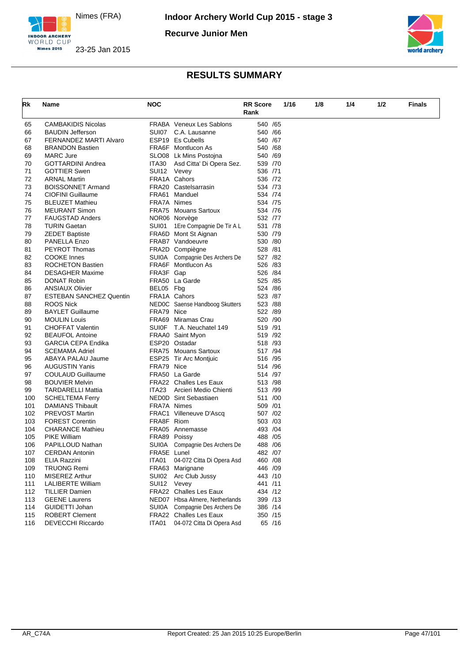

**Nimes 2015** 

**Recurve Junior Men**



#### INDOOR ARCHERY 23-25 Jan 2015

| Rk  | Name                           | <b>NOC</b>  |                                 | <b>RR Score</b> |        | 1/16 | 1/8 | 1/4 | 1/2 | <b>Finals</b> |
|-----|--------------------------------|-------------|---------------------------------|-----------------|--------|------|-----|-----|-----|---------------|
|     |                                |             |                                 | Rank            |        |      |     |     |     |               |
| 65  | <b>CAMBAKIDIS Nicolas</b>      |             | <b>FRABA</b> Veneux Les Sablons | 540 / 65        |        |      |     |     |     |               |
| 66  | <b>BAUDIN Jefferson</b>        | SUI07       | C.A. Lausanne                   | 540 /66         |        |      |     |     |     |               |
| 67  | <b>FERNANDEZ MARTI Alvaro</b>  |             | ESP19 Es Cubells                | 540 /67         |        |      |     |     |     |               |
| 68  | <b>BRANDON Bastien</b>         |             | FRA6F Montlucon As              | 540 /68         |        |      |     |     |     |               |
| 69  | <b>MARC Jure</b>               |             | SLO08 Lk Mins Postojna          | 540 /69         |        |      |     |     |     |               |
| 70  | <b>GOTTARDINI Andrea</b>       | ITA30       | Asd Citta' Di Opera Sez.        | 539 /70         |        |      |     |     |     |               |
| 71  | <b>GOTTIER Swen</b>            | SUI12 Vevey |                                 | 536 /71         |        |      |     |     |     |               |
| 72  | <b>ARNAL Martin</b>            |             | FRA1A Cahors                    | 536 /72         |        |      |     |     |     |               |
| 73  | <b>BOISSONNET Armand</b>       |             | FRA20 Castelsarrasin            | 534 /73         |        |      |     |     |     |               |
| 74  | <b>CIOFINI Guillaume</b>       |             | FRA61 Manduel                   | 534 /74         |        |      |     |     |     |               |
| 75  | <b>BLEUZET Mathieu</b>         | FRA7A Nimes |                                 | 534 /75         |        |      |     |     |     |               |
| 76  | <b>MEURANT Simon</b>           |             | <b>FRA75 Mouans Sartoux</b>     | 534 /76         |        |      |     |     |     |               |
| 77  | <b>FAUGSTAD Anders</b>         |             | NOR06 Norvège                   | 532 /77         |        |      |     |     |     |               |
| 78  | <b>TURIN Gaetan</b>            | SUI01       | 1 Ere Compagnie De Tir A L      | 531 /78         |        |      |     |     |     |               |
| 79  | <b>ZEDET Baptiste</b>          |             | FRA6D Mont St Aignan            | 530 /79         |        |      |     |     |     |               |
| 80  | PANELLA Enzo                   |             | FRAB7 Vandoeuvre                | 530 /80         |        |      |     |     |     |               |
| 81  | <b>PEYROT Thomas</b>           |             | FRA2D Compiègne                 | 528 /81         |        |      |     |     |     |               |
| 82  | <b>COOKE Innes</b>             |             | SUIOA Compagnie Des Archers De  | 527 /82         |        |      |     |     |     |               |
| 83  | <b>ROCHETON Bastien</b>        |             | FRA6F Montlucon As              | 526 /83         |        |      |     |     |     |               |
| 84  | <b>DESAGHER Maxime</b>         | FRA3F Gap   |                                 | 526 /84         |        |      |     |     |     |               |
| 85  | <b>DONAT Robin</b>             |             | FRA50 La Garde                  | 525 /85         |        |      |     |     |     |               |
| 86  | <b>ANSIAUX Olivier</b>         | BEL05 Fbg   |                                 | 524 /86         |        |      |     |     |     |               |
| 87  | <b>ESTEBAN SANCHEZ Quentin</b> |             | FRA1A Cahors                    | 523 /87         |        |      |     |     |     |               |
| 88  | ROOS Nick                      |             | NEDOC Saense Handboog Skutters  | 523 /88         |        |      |     |     |     |               |
| 89  | <b>BAYLET Guillaume</b>        | FRA79 Nice  |                                 | 522 /89         |        |      |     |     |     |               |
| 90  | <b>MOULIN Louis</b>            |             | FRA69 Miramas Crau              | 520 /90         |        |      |     |     |     |               |
| 91  | <b>CHOFFAT Valentin</b>        |             | SUI0F T.A. Neuchatel 149        | 519 /91         |        |      |     |     |     |               |
| 92  | <b>BEAUFOL Antoine</b>         |             | FRAA0 Saint Myon                | 519 /92         |        |      |     |     |     |               |
| 93  | <b>GARCIA CEPA Endika</b>      |             | ESP20 Ostadar                   | 518 /93         |        |      |     |     |     |               |
| 94  | <b>SCEMAMA Adriel</b>          |             | <b>FRA75 Mouans Sartoux</b>     | 517 /94         |        |      |     |     |     |               |
| 95  | ABAYA PALAU Jaume              |             | ESP25 Tir Arc Montjuic          | 516 /95         |        |      |     |     |     |               |
| 96  | <b>AUGUSTIN Yanis</b>          | FRA79 Nice  |                                 | 514 /96         |        |      |     |     |     |               |
| 97  | <b>COULAUD Guillaume</b>       |             | FRA50 La Garde                  | 514 /97         |        |      |     |     |     |               |
| 98  | <b>BOUVIER Melvin</b>          |             | FRA22 Challes Les Eaux          | 513 /98         |        |      |     |     |     |               |
| 99  | TARDARELLI Mattia              | ITA23       | Arcieri Medio Chienti           | 513 /99         |        |      |     |     |     |               |
| 100 | <b>SCHELTEMA Ferry</b>         |             | NED0D Sint Sebastiaen           | 511 /00         |        |      |     |     |     |               |
| 101 | <b>DAMIANS Thibault</b>        | FRA7A Nimes |                                 | 509 /01         |        |      |     |     |     |               |
| 102 | <b>PREVOST Martin</b>          |             | FRAC1 Villeneuve D'Ascq         | 507 /02         |        |      |     |     |     |               |
| 103 | <b>FOREST Corentin</b>         | FRA8F Riom  |                                 | 503 /03         |        |      |     |     |     |               |
| 104 | <b>CHARANCE Mathieu</b>        |             | FRA05 Annemasse                 | 493 / 04        |        |      |     |     |     |               |
| 105 | <b>PIKE William</b>            |             | FRA89 Poissy                    | 488 / 05        |        |      |     |     |     |               |
| 106 | <b>PAPILLOUD Nathan</b>        |             | SUI0A Compagnie Des Archers De  | 488 / 06        |        |      |     |     |     |               |
| 107 | <b>CERDAN Antonin</b>          | FRA5E Lunel |                                 | 482 /07         |        |      |     |     |     |               |
| 108 | ELIA Razzini                   | ITA01       | 04-072 Citta Di Opera Asd       | 460 / 08        |        |      |     |     |     |               |
| 109 | TRUONG Remi                    |             | FRA63 Marignane                 | 446 /09         |        |      |     |     |     |               |
| 110 | <b>MISEREZ Arthur</b>          | SUI02       | Arc Club Jussy                  | 443 /10         |        |      |     |     |     |               |
| 111 | <b>LALIBERTE William</b>       | SUI12       | Vevey                           | 441 /11         |        |      |     |     |     |               |
| 112 | <b>TILLIER Damien</b>          |             | FRA22 Challes Les Eaux          | 434 /12         |        |      |     |     |     |               |
| 113 | <b>GEENE Laurens</b>           |             | NED07 Hbsa Almere, Netherlands  | 399 /13         |        |      |     |     |     |               |
| 114 | GUIDETTI Johan                 |             | SUIOA Compagnie Des Archers De  | 386 /14         |        |      |     |     |     |               |
| 115 | <b>ROBERT Clement</b>          |             | <b>FRA22</b> Challes Les Eaux   | 350 /15         |        |      |     |     |     |               |
| 116 | <b>DEVECCHI Riccardo</b>       | ITA01       | 04-072 Citta Di Opera Asd       |                 | 65 /16 |      |     |     |     |               |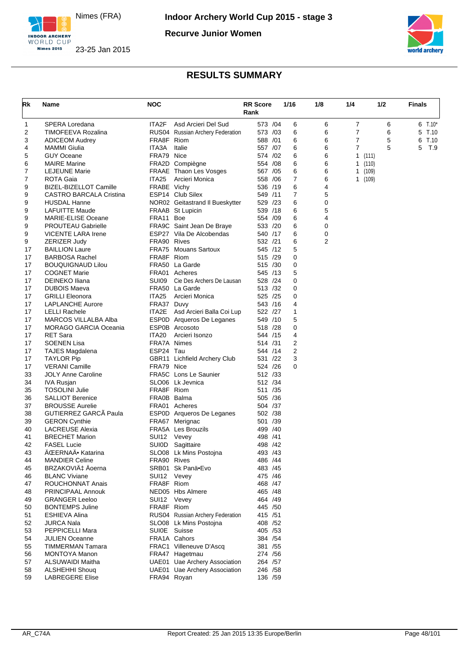

**Recurve Junior Women**





| Rk       | Name                                           | NOC               |                                  | <b>RR Score</b><br>Rank | 1/16           | 1/8            | 1/4 | 1/2       | Finals    |
|----------|------------------------------------------------|-------------------|----------------------------------|-------------------------|----------------|----------------|-----|-----------|-----------|
| 1        | SPERA Loredana                                 | ITA2F             | Asd Arcieri Del Sud              | 573 /04                 | 6              | 6              | 7   | 6         | $6$ T.10* |
| 2        | <b>TIMOFEEVA Rozalina</b>                      |                   | RUS04 Russian Archery Federation | 573 /03                 | 6              | 6              | 7   | 6         | 5<br>T.10 |
| 3        | <b>ADICEOM Audrey</b>                          | FRA8F Riom        |                                  | 588 /01                 | 6              | 6              | 7   | 5         | T.10<br>6 |
| 4        | <b>MAMMI Giulia</b>                            | ITA3A             | Italie                           | 557 /07                 | 6              | 6              | 7   | 5         | 5<br>T.9  |
| 5        | <b>GUY Oceane</b>                              | FRA79 Nice        |                                  | 574 / 02                | 6              | 6              |     | 1 $(111)$ |           |
| 6        | <b>MAIRE Marine</b>                            |                   | FRA2D Compiègne                  | 554 /08                 | 6              | 6              |     | 1(110)    |           |
| 7        | <b>LEJEUNE Marie</b>                           |                   | FRAAE Thaon Les Vosges           | 567 /05                 | 6              | 6              |     | 1(109)    |           |
| 7        | ROTA Gaia                                      | ITA <sub>25</sub> | Arcieri Monica                   | 558 /06                 | $\overline{7}$ | 6              |     | 1(109)    |           |
| 9        | <b>BIZEL-BIZELLOT Camille</b>                  | FRABE Vichy       |                                  | 536 /19                 | 6              | 4              |     |           |           |
| 9        | CASTRO BARCALA Cristina                        |                   | ESP14 Club Silex                 | 549 /11                 | 7              | 5              |     |           |           |
| 9        | <b>HUSDAL Hanne</b>                            |                   | NOR02 Geitastrand II Bueskytter  | 529 /23                 | 6              | 0              |     |           |           |
| 9        | <b>LAFUITTE Maude</b>                          |                   | FRAAB St Lupicin                 | 539 /18                 | 6              | 5              |     |           |           |
| 9        | <b>MARIE-ELISE Oceane</b>                      | FRA11 Boe         |                                  | 554 /09                 | 6              | 4              |     |           |           |
| 9        | <b>PROUTEAU Gabrielle</b>                      |                   | FRA9C Saint Jean De Braye        | 533 /20                 | 6              | 0              |     |           |           |
| 9        | <b>VICENTE LARA Irene</b>                      |                   | ESP27 Vila De Alcobendas         | 540 /17                 | 6              | 0              |     |           |           |
| 9        | ZERIZER Judy                                   | FRA90 Rives       |                                  | 532 /21                 | 6              | $\overline{2}$ |     |           |           |
| 17       | <b>BAILLION Laure</b>                          |                   | FRA75 Mouans Sartoux             | 545 /12                 | 5              |                |     |           |           |
| 17       | <b>BARBOSA Rachel</b>                          | FRA8F Riom        |                                  | 515 /29                 | 0              |                |     |           |           |
| 17       | <b>BOUQUIGNAUD Lilou</b>                       |                   | FRA50 La Garde                   | 515 /30                 | 0              |                |     |           |           |
| 17       | <b>COGNET Marie</b>                            |                   | FRA01 Acheres                    | 545 /13                 | 5              |                |     |           |           |
| 17       | DEINEKO Iliana                                 | SUI09             | Cie Des Archers De Lausan        | 528 /24                 | 0              |                |     |           |           |
| 17       | <b>DUBOIS Maeva</b>                            |                   | FRA50 La Garde                   | 513 /32                 | 0              |                |     |           |           |
| 17       | <b>GRILLI Eleonora</b>                         | ITA25             | Arcieri Monica                   | 525 /25                 | 0              |                |     |           |           |
| 17       | <b>LAPLANCHE Aurore</b>                        | FRA37 Duvy        |                                  | 543 /16                 | 4              |                |     |           |           |
| 17       | <b>LELLI Rachele</b>                           |                   | ITA2E Asd Arcieri Balla Coi Lup  | 522 /27                 | 1              |                |     |           |           |
| 17       | MARCOS VILLALBA Alba                           |                   | ESP0D Arqueros De Leganes        | 549 /10                 | 5              |                |     |           |           |
| 17       | <b>MORAGO GARCIA Oceania</b>                   |                   | ESP0B Arcosoto                   | 518 /28                 | 0              |                |     |           |           |
| 17       | <b>RET Sara</b>                                | ITA20             | Arcieri Isonzo                   | 544 /15                 | 4              |                |     |           |           |
| 17       | <b>SOENEN Lisa</b>                             | FRA7A Nimes       |                                  | 514 /31                 | 2              |                |     |           |           |
| 17       | <b>TAJES Magdalena</b>                         | ESP24 Tau         |                                  | 544 /14                 | $\overline{2}$ |                |     |           |           |
| 17       | <b>TAYLOR Pip</b>                              |                   | GBR11 Lichfield Archery Club     | 531 /22                 | 3              |                |     |           |           |
| 17       | <b>VERANI Camille</b>                          | FRA79 Nice        | <b>FRA5C</b> Lons Le Saunier     | 524 /26<br>512 /33      | 0              |                |     |           |           |
| 33       | <b>JOLY Anne Caroline</b><br><b>IVA Rusjan</b> |                   | SLO06 Lk Jevnica                 | 512 /34                 |                |                |     |           |           |
| 34<br>35 | <b>TOSOLINI Julie</b>                          | FRA8F Riom        |                                  | 511 /35                 |                |                |     |           |           |
| 36       | <b>SALLIOT Berenice</b>                        | FRA0B Balma       |                                  | 505 /36                 |                |                |     |           |           |
| 37       | <b>BROUSSE Aurelie</b>                         |                   | FRA01 Acheres                    | 504 /37                 |                |                |     |           |           |
| 38       | GUTIERREZ GARCA Paula                          |                   | ESP0D Arqueros De Leganes        | 502 /38                 |                |                |     |           |           |
| 39       | <b>GERON Cynthie</b>                           |                   | FRA67 Merignac                   | 501 /39                 |                |                |     |           |           |
| 40       | <b>LACREUSE Alexia</b>                         |                   | FRA5A Les Brouzils               | 499 /40                 |                |                |     |           |           |
| 41       | <b>BRECHET Marion</b>                          | SUI12             | Vevey                            | 498 /41                 |                |                |     |           |           |
| 42       | <b>FASEL Lucie</b>                             |                   | SUI0D Sagittaire                 | 498 / 42                |                |                |     |           |           |
| 43       | ACEERNAA• Katarina                             |                   | SLO08 Lk Mins Postojna           | 493 /43                 |                |                |     |           |           |
| 44       | <b>MANDIER Celine</b>                          | FRA90 Rives       |                                  | 486 / 44                |                |                |     |           |           |
| 45       | BRZAKOVIć Äoerna                               |                   | SRB01 Sk Panä•Evo                | 483 / 45                |                |                |     |           |           |
| 46       | <b>BLANC Viviane</b>                           | SUI12 Vevey       |                                  | 475 / 46                |                |                |     |           |           |
| 47       | ROUCHONNAT Anais                               | FRA8F Riom        |                                  | 468 / 47                |                |                |     |           |           |
| 48       | PRINCIPAAL Annouk                              |                   | NED05 Hbs Almere                 | 465 /48                 |                |                |     |           |           |
| 49       | <b>GRANGER Leeloo</b>                          | SUI12 Vevey       |                                  | 464 /49                 |                |                |     |           |           |
| 50       | <b>BONTEMPS Juline</b>                         | FRA8F Riom        |                                  | 445 /50                 |                |                |     |           |           |
| 51       | <b>ESHIEVA Alina</b>                           |                   | RUS04 Russian Archery Federation | 415 / 51                |                |                |     |           |           |
| 52       | <b>JURCA Nala</b>                              |                   | SLO08 Lk Mins Postojna           | 408 /52                 |                |                |     |           |           |
| 53       | PEPPICELLI Mara                                | SUI0E Suisse      |                                  | 405 /53                 |                |                |     |           |           |
| 54       | <b>JULIEN Oceanne</b>                          |                   | FRA1A Cahors                     | 384 / 54                |                |                |     |           |           |
| 55       | <b>TIMMERMAN Tamara</b>                        |                   | FRAC1 Villeneuve D'Ascq          | 381 / 55                |                |                |     |           |           |
| 56       | <b>MONTOYA Manon</b>                           |                   | FRA47 Hagetmau                   | 274 / 56                |                |                |     |           |           |
| 57       | ALSUWAIDI Maitha                               |                   | UAE01 Uae Archery Association    | 264 / 57                |                |                |     |           |           |
| 58       | <b>ALSHEHHI Shoug</b>                          |                   | UAE01 Uae Archery Association    | 246 /58                 |                |                |     |           |           |
| 59       | <b>LABREGERE Elise</b>                         | FRA94 Royan       |                                  | 136 /59                 |                |                |     |           |           |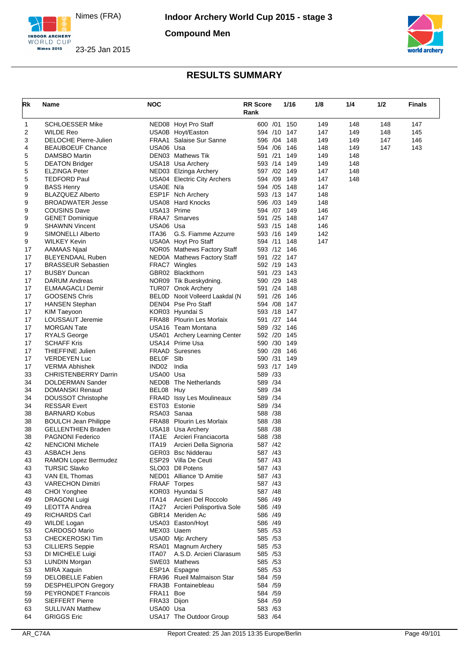

**Compound Men**





| Rk       | Name                                               | <b>NOC</b>               |                                                  | <b>RR Score</b><br>Rank    | 1/16 | 1/8        | 1/4 | 1/2 | <b>Finals</b> |
|----------|----------------------------------------------------|--------------------------|--------------------------------------------------|----------------------------|------|------------|-----|-----|---------------|
| 1        | <b>SCHLOESSER Mike</b>                             |                          | NED08 Hoyt Pro Staff                             | 600 /01 150                |      | 149        | 148 | 148 | 147           |
| 2        | <b>WILDE Reo</b>                                   |                          | USA0B Hoyt/Easton                                | 594 /10 147                |      | 147        | 149 | 148 | 145           |
| 3        | <b>DELOCHE Pierre-Julien</b>                       |                          | <b>FRAA1</b> Salaise Sur Sanne                   | 596 /04 148                |      | 149        | 149 | 147 | 146           |
| 4        | <b>BEAUBOEUF Chance</b>                            | USA06 Usa                |                                                  | 594 /06 146                |      | 148        | 149 | 147 | 143           |
| 5        | DAMSBO Martin                                      |                          | DEN03 Mathews Tik                                | 591 /21                    | 149  | 149        | 148 |     |               |
| 5        | <b>DEATON Bridger</b>                              |                          | USA18 Usa Archery                                | 593 /14 149                |      | 149        | 148 |     |               |
| 5        | <b>ELZINGA Peter</b>                               |                          | NED03 Elzinga Archery                            | 597 /02 149                |      | 147        | 148 |     |               |
| 5        | <b>TEDFORD Paul</b>                                |                          | <b>USA04 Electric City Archers</b>               | 594 /09                    | 149  | 147        | 148 |     |               |
| 9        | <b>BASS Henry</b>                                  | USA0E N/a                |                                                  | 594 /05 148<br>593 /13 147 |      | 147        |     |     |               |
| 9<br>9   | <b>BLAZQUEZ Alberto</b><br><b>BROADWATER Jesse</b> |                          | ESP1F Nch Archery<br><b>USA08 Hard Knocks</b>    | 596 /03 149                |      | 148<br>148 |     |     |               |
| 9        | <b>COUSINS Dave</b>                                | USA13 Prime              |                                                  | 594 /07 149                |      | 146        |     |     |               |
| 9        | <b>GENET Dominique</b>                             |                          | <b>FRAA7</b> Smarves                             | 591 /25                    | 148  | 147        |     |     |               |
| 9        | <b>SHAWNN Vincent</b>                              | USA06 Usa                |                                                  | 593 /15 148                |      | 146        |     |     |               |
| 9        | SIMONELLI Alberto                                  | ITA36                    | G.S. Fiamme Azzurre                              | 593 /16 149                |      | 142        |     |     |               |
| 9        | <b>WILKEY Kevin</b>                                |                          | USA0A Hoyt Pro Staff                             | 594 /11                    | 148  | 147        |     |     |               |
| 17       | AAMAAS Njaal                                       |                          | NOR05 Mathews Factory Staff                      | 593 /12 146                |      |            |     |     |               |
| 17       | <b>BLEYENDAAL Ruben</b>                            |                          | NED0A Mathews Factory Staff                      | 591 /22                    | 147  |            |     |     |               |
| 17       | <b>BRASSEUR Sebastien</b>                          |                          | FRAC7 Wingles                                    | 592 /19 143                |      |            |     |     |               |
| 17       | <b>BUSBY Duncan</b>                                |                          | GBR02 Blackthorn                                 | 591 /23 143                |      |            |     |     |               |
| 17       | <b>DARUM Andreas</b>                               |                          | NOR09 Tik Bueskydning.                           | 590 /29                    | 148  |            |     |     |               |
| 17       | ELMAAGACLI Demir                                   |                          | TUR07 Onok Archery                               | 591 /24 148                |      |            |     |     |               |
| 17       | <b>GOOSENS Chris</b>                               |                          | BELOD Nooit Volleerd Laakdal (N                  | 591 /26 146                |      |            |     |     |               |
| 17       | <b>HANSEN Stephan</b>                              |                          | DEN04 Pse Pro Staff                              | 594 /08                    | 147  |            |     |     |               |
| 17       | KIM Taeyoon                                        |                          | KOR03 Hyundai S                                  | 593 /18 147                |      |            |     |     |               |
| 17       | LOUSSAUT Jeremie                                   |                          | FRA88 Plourin Les Morlaix                        | 591 /27 144                |      |            |     |     |               |
| 17       | <b>MORGAN Tate</b>                                 |                          | USA16 Team Montana                               | 589 /32 146                |      |            |     |     |               |
| 17<br>17 | <b>RYALS George</b><br><b>SCHAFF Kris</b>          |                          | USA01 Archery Learning Center<br>USA14 Prime Usa | 592 /20 145<br>590 /30 149 |      |            |     |     |               |
| 17       | <b>THIEFFINE Julien</b>                            |                          | <b>FRAAD Suresnes</b>                            | 590 /28                    | 146  |            |     |     |               |
| 17       | <b>VERDEYEN Luc</b>                                | BELOF SIb                |                                                  | 590 /31                    | 149  |            |     |     |               |
| 17       | <b>VERMA Abhishek</b>                              | IND02                    | India                                            | 593 /17 149                |      |            |     |     |               |
| 33       | <b>CHRISTENBERRY Darrin</b>                        | USA00 Usa                |                                                  | 589 /33                    |      |            |     |     |               |
| 34       | DOLDERMAN Sander                                   |                          | NED0B The Netherlands                            | 589 /34                    |      |            |     |     |               |
| 34       | DOMANSKI Renaud                                    | BEL08 Huy                |                                                  | 589 /34                    |      |            |     |     |               |
| 34       | <b>DOUSSOT Christophe</b>                          |                          | <b>FRA4D</b> Issy Les Moulineaux                 | 589 /34                    |      |            |     |     |               |
| 34       | <b>RESSAR Evert</b>                                |                          | EST03 Estonie                                    | 589 /34                    |      |            |     |     |               |
| 38       | <b>BARNARD Kobus</b>                               | RSA03 Sanaa              |                                                  | 588 /38                    |      |            |     |     |               |
| 38       | <b>BOULCH Jean Philippe</b>                        |                          | FRA88 Plourin Les Morlaix                        | 588 /38                    |      |            |     |     |               |
| 38       | <b>GELLENTHIEN Braden</b>                          |                          | USA18 Usa Archery                                | 588 /38                    |      |            |     |     |               |
| 38       | <b>PAGNONI Federico</b>                            | ITA1E                    | Arcieri Franciacorta                             | 588 /38                    |      |            |     |     |               |
| 42       | <b>NENCIONI Michele</b>                            | ITA19                    | Arcieri Della Signoria                           | 587 /42                    |      |            |     |     |               |
| 43       | ASBACH Jens                                        |                          | GER03 Bsc Nidderau                               | 587 /43                    |      |            |     |     |               |
| 43       | RAMON Lopez Bermudez<br><b>TURSIC Slavko</b>       |                          | ESP29 Villa De Ceuti<br>SLO03 DII Potens         | 587 /43<br>587 /43         |      |            |     |     |               |
| 43<br>43 | VAN EIL Thomas                                     |                          | NED01 Alliance 'D Amitie                         | 587 /43                    |      |            |     |     |               |
| 43       | <b>VARECHON Dimitri</b>                            | FRAAF Torpes             |                                                  | 587 /43                    |      |            |     |     |               |
| 48       | CHOI Yonghee                                       |                          | KOR03 Hyundai S                                  | 587 / 48                   |      |            |     |     |               |
| 49       | <b>DRAGONI Luigi</b>                               | ITA14                    | Arcieri Del Roccolo                              | 586 /49                    |      |            |     |     |               |
| 49       | <b>LEOTTA Andrea</b>                               | ITA27                    | Arcieri Polisportiva Sole                        | 586 /49                    |      |            |     |     |               |
| 49       | <b>RICHARDS Carl</b>                               |                          | GBR14 Meriden Ac                                 | 586 /49                    |      |            |     |     |               |
| 49       | <b>WILDE Logan</b>                                 |                          | USA03 Easton/Hoyt                                | 586 /49                    |      |            |     |     |               |
| 53       | <b>CARDOSO Mario</b>                               | MEX03 Uaem               |                                                  | 585 /53                    |      |            |     |     |               |
| 53       | CHECKEROSKI Tim                                    |                          | USA0D Mic Archery                                | 585 /53                    |      |            |     |     |               |
| 53       | <b>CILLIERS Seppie</b>                             |                          | RSA01 Magnum Archery                             | 585 / 53                   |      |            |     |     |               |
| 53       | DI MICHELE Luigi                                   |                          | ITA07 A.S.D. Arcieri Clarasum                    | 585 / 53                   |      |            |     |     |               |
| 53       | <b>LUNDIN Morgan</b>                               |                          | SWE03 Mathews                                    | 585 / 53                   |      |            |     |     |               |
| 53       | <b>MIRA Xaquin</b>                                 |                          | ESP1A Espagne                                    | 585 / 53                   |      |            |     |     |               |
| 59       | <b>DELOBELLE Fabien</b>                            |                          | FRA96 Rueil Malmaison Star                       | 584 /59                    |      |            |     |     |               |
| 59       | <b>DESPHELIPON Gregory</b>                         |                          | FRA3B Fontainebleau                              | 584 / 59                   |      |            |     |     |               |
| 59       | <b>PEYRONDET Francois</b>                          | FRA11 Boe                |                                                  | 584 / 59                   |      |            |     |     |               |
| 59       | <b>SIEFFERT Pierre</b><br><b>SULLIVAN Matthew</b>  | FRA33 Dijon<br>USA00 Usa |                                                  | 584 /59<br>583 /63         |      |            |     |     |               |
| 63<br>64 | <b>GRIGGS Eric</b>                                 |                          | USA17 The Outdoor Group                          | 583 /64                    |      |            |     |     |               |
|          |                                                    |                          |                                                  |                            |      |            |     |     |               |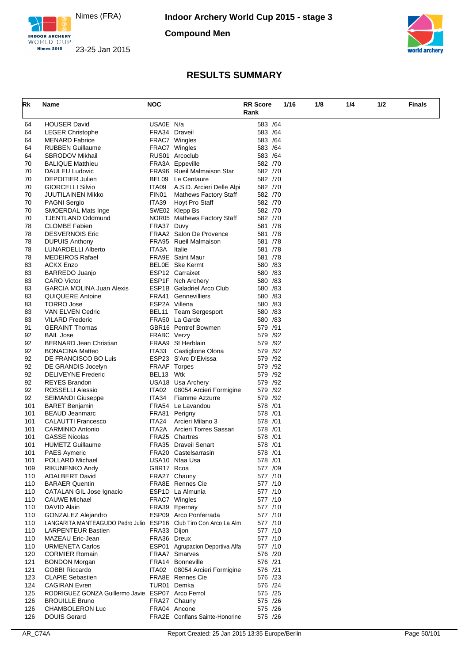

**Nimes 2015** 

**Compound Men**





| Rk         | Name                                              | <b>NOC</b>    |                                       | <b>RR Score</b><br>Rank | 1/16 | 1/8 | 1/4 | 1/2 | <b>Finals</b> |
|------------|---------------------------------------------------|---------------|---------------------------------------|-------------------------|------|-----|-----|-----|---------------|
|            |                                                   |               |                                       |                         |      |     |     |     |               |
| 64         | <b>HOUSER David</b>                               | USA0E N/a     |                                       | 583 /64                 |      |     |     |     |               |
| 64<br>64   | <b>LEGER Christophe</b><br><b>MENARD Fabrice</b>  |               | FRA34 Draveil<br>FRAC7 Wingles        | 583 /64<br>583 /64      |      |     |     |     |               |
| 64         | <b>RUBBEN Guillaume</b>                           |               | FRAC7 Wingles                         | 583 /64                 |      |     |     |     |               |
| 64         | <b>SBRODOV Mikhail</b>                            |               | RUS01 Arcoclub                        | 583 /64                 |      |     |     |     |               |
| 70         | <b>BALIQUE Matthieu</b>                           |               | FRA3A Eppeville                       | 582 /70                 |      |     |     |     |               |
| 70         | DAULEU Ludovic                                    |               | FRA96 Rueil Malmaison Star            | 582 /70                 |      |     |     |     |               |
| 70         | <b>DEPOITIER Julien</b>                           |               | BEL09 Le Centaure                     | 582 /70                 |      |     |     |     |               |
| 70         | <b>GIORCELLI Silvio</b>                           | ITA09         | A.S.D. Arcieri Delle Alpi             | 582 /70                 |      |     |     |     |               |
| 70         | JUUTILAINEN Mikko                                 | FIN01         | <b>Mathews Factory Staff</b>          | 582 /70                 |      |     |     |     |               |
| 70         | <b>PAGNI Sergio</b>                               | ITA39         | Hoyt Pro Staff                        | 582 /70                 |      |     |     |     |               |
| 70         | <b>SMOERDAL Mats Inge</b>                         |               | SWE02 Klepp Bs                        | 582 /70                 |      |     |     |     |               |
| 70         | <b>TJENTLAND Oddmund</b>                          |               | NOR05 Mathews Factory Staff           | 582 /70                 |      |     |     |     |               |
| 78         | <b>CLOMBE Fabien</b>                              | FRA37 Duvy    |                                       | 581 /78                 |      |     |     |     |               |
| 78         | <b>DESVERNOIS Eric</b>                            |               | FRAA2 Salon De Provence               | 581 /78                 |      |     |     |     |               |
| 78         | <b>DUPUIS Anthony</b>                             |               | FRA95 Rueil Malmaison                 | 581 /78                 |      |     |     |     |               |
| 78<br>78   | LUNARDELLI Alberto<br><b>MEDEIROS Rafael</b>      | ITA3A         | Italie<br><b>FRA9E</b> Saint Maur     | 581 /78<br>581 /78      |      |     |     |     |               |
| 83         | <b>ACKX Enzo</b>                                  |               | <b>BELOE</b> Ske Kermt                | 580 / 83                |      |     |     |     |               |
| 83         | BARREDO Juanjo                                    |               | ESP12 Carraixet                       | 580 /83                 |      |     |     |     |               |
| 83         | <b>CARO Victor</b>                                |               | ESP1F Nch Archery                     | 580 /83                 |      |     |     |     |               |
| 83         | <b>GARCIA MOLINA Juan Alexis</b>                  |               | <b>ESP1B</b> Galadriel Arco Club      | 580 /83                 |      |     |     |     |               |
| 83         | QUIQUERE Antoine                                  |               | FRA41 Gennevilliers                   | 580 /83                 |      |     |     |     |               |
| 83         | <b>TORRO Jose</b>                                 | ESP2A Villena |                                       | 580 /83                 |      |     |     |     |               |
| 83         | VAN ELVEN Cedric                                  |               | BEL11 Team Sergesport                 | 580 /83                 |      |     |     |     |               |
| 83         | <b>VILARD Frederic</b>                            |               | FRA50 La Garde                        | 580 /83                 |      |     |     |     |               |
| 91         | <b>GERAINT Thomas</b>                             |               | GBR16 Pentref Bowmen                  | 579 /91                 |      |     |     |     |               |
| 92         | <b>BAIL Jose</b>                                  | FRABC Verzy   |                                       | 579 /92                 |      |     |     |     |               |
| 92         | <b>BERNARD Jean Christian</b>                     |               | FRAA9 St Herblain                     | 579 /92                 |      |     |     |     |               |
| 92         | <b>BONACINA Matteo</b>                            | ITA33         | Castiglione Olona                     | 579 /92                 |      |     |     |     |               |
| 92         | DE FRANCISCO BO Luis                              |               | ESP23 S'Arc D'Eivissa                 | 579 /92                 |      |     |     |     |               |
| 92<br>92   | DE GRANDIS Jocelyn<br><b>DELIVEYNE Frederic</b>   | BEL13 Wtk     | FRAAF Torpes                          | 579 /92<br>579 /92      |      |     |     |     |               |
| 92         | <b>REYES Brandon</b>                              |               | USA18 Usa Archery                     | 579 /92                 |      |     |     |     |               |
| 92         | ROSSELLI Alessio                                  | ITA02         | 08054 Arcieri Formigine               | 579 /92                 |      |     |     |     |               |
| 92         | <b>SEIMANDI Giuseppe</b>                          | ITA34         | <b>Fiamme Azzurre</b>                 | 579 /92                 |      |     |     |     |               |
| 101        | <b>BARET Benjamin</b>                             |               | FRA54 Le Lavandou                     | 578 /01                 |      |     |     |     |               |
| 101        | <b>BEAUD Jeanmarc</b>                             |               | FRA81 Perigny                         | 578 / 01                |      |     |     |     |               |
| 101        | <b>CALAUTTI Francesco</b>                         | ITA24         | Arcieri Milano 3                      | 578 /01                 |      |     |     |     |               |
| 101        | <b>CARMINIO Antonio</b>                           | ITA2A         | Arcieri Torres Sassari                | 578 / 01                |      |     |     |     |               |
| 101        | <b>GASSE Nicolas</b>                              |               | FRA25 Chartres                        | 578 /01                 |      |     |     |     |               |
| 101        | <b>HUMETZ Guillaume</b>                           |               | <b>FRA35</b> Draveil Senart           | 578 / 01                |      |     |     |     |               |
| 101        | <b>PAES Aymeric</b>                               |               | FRA20 Castelsarrasin                  | 578 / 01                |      |     |     |     |               |
| 101        | POLLARD Michael                                   |               | USA10 Nfaa Usa                        | 578 /01                 |      |     |     |     |               |
| 109        | <b>RIKUNENKO Andy</b>                             | GBR17 Rcoa    |                                       | 577 /09                 |      |     |     |     |               |
| 110        | <b>ADALBERT David</b>                             |               | FRA27 Chauny                          | 577 /10                 |      |     |     |     |               |
| 110<br>110 | <b>BARAER Quentin</b><br>CATALAN GIL Jose Ignacio |               | FRA8E Rennes Cie<br>ESP1D La Almunia  | 577 /10<br>577 /10      |      |     |     |     |               |
| 110        | <b>CAUWE Michael</b>                              |               | FRAC7 Wingles                         | 577 /10                 |      |     |     |     |               |
| 110        | DAVID Alain                                       |               | FRA39 Epernay                         | 577 /10                 |      |     |     |     |               |
| 110        | GONZALEZ Alejandro                                |               | ESP09 Arco Ponferrada                 | 577 /10                 |      |     |     |     |               |
| 110        | LANGARITA MANTEAGUDO Pedro Julio                  |               | ESP16 Club Tiro Con Arco La Alm       | 577 /10                 |      |     |     |     |               |
| 110        | <b>LARPENTEUR Bastien</b>                         | FRA33 Dijon   |                                       | 577 /10                 |      |     |     |     |               |
| 110        | MAZEAU Eric-Jean                                  | FRA36 Dreux   |                                       | 577 /10                 |      |     |     |     |               |
| 110        | <b>URMENETA Carlos</b>                            |               | ESP01 Agrupacion Deportiva Alfa       | 577 /10                 |      |     |     |     |               |
| 120        | <b>CORMIER Romain</b>                             |               | <b>FRAA7 Smarves</b>                  | 576 /20                 |      |     |     |     |               |
| 121        | <b>BONDON Morgan</b>                              |               | FRA14 Bonneville                      | 576 /21                 |      |     |     |     |               |
| 121        | <b>GOBBI Riccardo</b>                             | ITA02         | 08054 Arcieri Formigine               | 576 /21                 |      |     |     |     |               |
| 123        | <b>CLAPIE Sebastien</b>                           |               | FRA8E Rennes Cie                      | 576 /23                 |      |     |     |     |               |
| 124        | <b>CAGIRAN</b> Evren                              |               | TUR01 Demka                           | 576 /24                 |      |     |     |     |               |
| 125        | RODRIGUEZ GONZA Guillermo Javie ESP07 Arco Ferrol |               |                                       | 575 /25                 |      |     |     |     |               |
| 126        | <b>BROUILLE Bruno</b>                             |               | FRA27 Chauny                          | 575 /26                 |      |     |     |     |               |
| 126        | CHAMBOLERON Luc                                   |               | FRA04 Ancone                          | 575 /26                 |      |     |     |     |               |
| 126        | <b>DOUIS Gerard</b>                               |               | <b>FRA2E</b> Conflans Sainte-Honorine | 575 /26                 |      |     |     |     |               |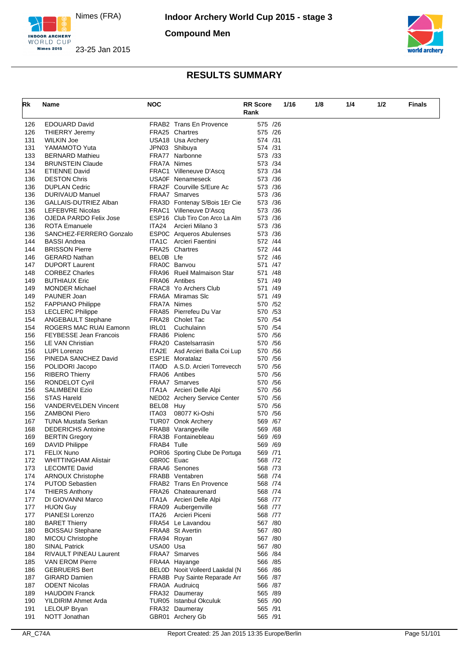

**Nimes 2015** 

**Compound Men**





| Rk         | Name                          | <b>NOC</b>  |                                                | <b>RR Score</b> | 1/16 | 1/8 | 1/4 | 1/2 | <b>Finals</b> |
|------------|-------------------------------|-------------|------------------------------------------------|-----------------|------|-----|-----|-----|---------------|
|            |                               |             |                                                | Rank            |      |     |     |     |               |
| 126        | <b>EDOUARD David</b>          |             | FRAB2 Trans En Provence                        | 575 /26         |      |     |     |     |               |
| 126        | <b>THIERRY Jeremy</b>         |             | FRA25 Chartres                                 | 575 /26         |      |     |     |     |               |
| 131        | <b>WILKIN Joe</b>             |             | USA18 Usa Archery                              | 574 /31         |      |     |     |     |               |
| 131        | YAMAMOTO Yuta                 |             | JPN03 Shibuya                                  | 574 /31         |      |     |     |     |               |
| 133        | <b>BERNARD Mathieu</b>        |             | FRA77 Narbonne                                 | 573 /33         |      |     |     |     |               |
| 134        | <b>BRUNSTEIN Claude</b>       | FRA7A Nimes |                                                | 573 /34         |      |     |     |     |               |
| 134        | <b>ETIENNE David</b>          |             | FRAC1 Villeneuve D'Ascq                        | 573 /34         |      |     |     |     |               |
| 136        | <b>DESTON Chris</b>           |             | USA0F Nenameseck                               | 573 /36         |      |     |     |     |               |
| 136        | <b>DUPLAN Cedric</b>          |             | FRA2F Courville S/Eure Ac                      | 573 /36         |      |     |     |     |               |
| 136        | DURIVAUD Manuel               |             | <b>FRAA7</b> Smarves                           | 573 /36         |      |     |     |     |               |
| 136        | GALLAIS-DUTRIEZ Alban         |             | FRA3D Fontenay S/Bois 1Er Cie                  | 573 /36         |      |     |     |     |               |
| 136        | <b>LEFEBVRE Nicolas</b>       |             | FRAC1 Villeneuve D'Ascq                        | 573 /36         |      |     |     |     |               |
| 136        | OJEDA PARDO Felix Jose        |             | ESP16 Club Tiro Con Arco La Alm                | 573 /36         |      |     |     |     |               |
| 136        | <b>ROTA Emanuele</b>          | ITA24       | Arcieri Milano 3                               | 573 /36         |      |     |     |     |               |
| 136        | SANCHEZ-FERRERO Gonzalo       |             | ESP0C Arqueros Abulenses                       | 573 / 36        |      |     |     |     |               |
| 144        | <b>BASSI Andrea</b>           |             | ITA1C Arcieri Faentini                         | 572 /44         |      |     |     |     |               |
| 144        | <b>BRISSON Pierre</b>         |             | FRA25 Chartres                                 | 572 /44         |      |     |     |     |               |
| 146        | <b>GERARD Nathan</b>          | BELOB Lfe   |                                                | 572 /46         |      |     |     |     |               |
| 147        | <b>DUPORT Laurent</b>         |             | FRA0C Banvou                                   | 571 /47         |      |     |     |     |               |
| 148        | <b>CORBEZ Charles</b>         |             | <b>FRA96</b> Rueil Malmaison Star              | 571 /48         |      |     |     |     |               |
| 149        | <b>BUTHIAUX Eric</b>          |             | FRA06 Antibes                                  | 571 /49         |      |     |     |     |               |
| 149        | <b>MONDER Michael</b>         |             | FRAC8 Yo Archers Club                          | 571 /49         |      |     |     |     |               |
| 149        | PAUNER Joan                   |             | FRA6A Miramas SIc                              | 571 /49         |      |     |     |     |               |
| 152        | <b>FAPPIANO Philippe</b>      | FRA7A Nimes |                                                | 570 / 52        |      |     |     |     |               |
| 153        | <b>LECLERC Philippe</b>       |             | FRA85 Pierrefeu Du Var                         | 570 /53         |      |     |     |     |               |
| 154        | <b>ANGEBAULT Stephane</b>     |             | FRA28 Cholet Tac                               | 570 / 54        |      |     |     |     |               |
| 154        | ROGERS MAC RUAI Eamonn        | IRL01       | Cuchulainn                                     | 570 / 54        |      |     |     |     |               |
| 156        | <b>FEYBESSE Jean Francois</b> |             | FRA86 Piolenc                                  | 570 / 56        |      |     |     |     |               |
| 156        | LE VAN Christian              |             | FRA20 Castelsarrasin                           | 570 / 56        |      |     |     |     |               |
| 156        | LUPI Lorenzo                  | ITA2E       | Asd Arcieri Balla Coi Lup                      | 570 / 56        |      |     |     |     |               |
| 156        | PINEDA SANCHEZ David          |             | ESP1E Moratalaz                                | 570 / 56        |      |     |     |     |               |
| 156        | POLIDORI Jacopo               |             | ITAOD A.S.D. Arcieri Torrevecch                | 570 / 56        |      |     |     |     |               |
| 156        | <b>RIBERO Thierry</b>         |             | FRA06 Antibes                                  | 570 / 56        |      |     |     |     |               |
| 156        | <b>RONDELOT Cyril</b>         |             | <b>FRAA7</b> Smarves                           | 570 / 56        |      |     |     |     |               |
| 156        | <b>SALIMBENI Ezio</b>         |             | ITA1A Arcieri Delle Alpi                       | 570 / 56        |      |     |     |     |               |
| 156        | <b>STAS Hareld</b>            |             | NED02 Archery Service Center                   | 570 / 56        |      |     |     |     |               |
| 156        | <b>VANDERVELDEN Vincent</b>   | BEL08 Huy   |                                                | 570 / 56        |      |     |     |     |               |
| 156        | <b>ZAMBONI Piero</b>          | ITA03       | 08077 Ki-Oshi                                  | 570 / 56        |      |     |     |     |               |
| 167        | <b>TUNA Mustafa Serkan</b>    |             | TUR07 Onok Archery                             | 569 /67         |      |     |     |     |               |
| 168        | <b>DEDERICHS Antoine</b>      |             | FRAB8 Varangeville                             | 569 /68         |      |     |     |     |               |
| 169        | <b>BERTIN Gregory</b>         |             | FRA3B Fontainebleau                            | 569 /69         |      |     |     |     |               |
| 169        | <b>DAVID Philippe</b>         | FRAB4 Tulle |                                                | 569 /69         |      |     |     |     |               |
| 171        | <b>FELIX Nuno</b>             |             | POR06 Sporting Clube De Portuga                | 569 /71         |      |     |     |     |               |
| 172        | <b>WHITTINGHAM Alistair</b>   | GBR0C Euac  |                                                | 568 /72         |      |     |     |     |               |
|            | <b>LECOMTE David</b>          |             | FRAA6 Senones                                  | 568 /73         |      |     |     |     |               |
| 173<br>174 |                               |             | FRABB Ventabren                                | 568 /74         |      |     |     |     |               |
|            | <b>ARNOUX Christophe</b>      |             |                                                | 568 /74         |      |     |     |     |               |
| 174        | <b>PUTOD Sebastien</b>        |             | FRAB2 Trans En Provence<br>FRA26 Chateaurenard |                 |      |     |     |     |               |
| 174        | <b>THIERS Anthony</b>         |             |                                                | 568 /74         |      |     |     |     |               |
| 177        | DI GIOVANNI Marco             |             | ITA1A Arcieri Delle Alpi                       | 568 /77         |      |     |     |     |               |
| 177        | <b>HUON Guy</b>               |             | FRA09 Aubergenville                            | 568 /77         |      |     |     |     |               |
| 177        | PIANESI Lorenzo               | ITA26       | Arcieri Piceni                                 | 568 /77         |      |     |     |     |               |
| 180        | <b>BARET Thierry</b>          |             | FRA54 Le Lavandou                              | 567 /80         |      |     |     |     |               |
| 180        | <b>BOISSAU Stephane</b>       |             | FRAA8 St Avertin                               | 567 /80         |      |     |     |     |               |
| 180        | <b>MICOU Christophe</b>       | FRA94 Royan |                                                | 567 /80         |      |     |     |     |               |
| 180        | <b>SINAL Patrick</b>          | USA00 Usa   |                                                | 567 /80         |      |     |     |     |               |
| 184        | RIVAULT PINEAU Laurent        |             | <b>FRAA7</b> Smarves                           | 566 /84         |      |     |     |     |               |
| 185        | <b>VAN EROM Pierre</b>        |             | FRA4A Hayange                                  | 566 / 85        |      |     |     |     |               |
| 186        | <b>GEBRUERS Bert</b>          |             | BELOD Nooit Volleerd Laakdal (N                | 566 /86         |      |     |     |     |               |
| 187        | <b>GIRARD Damien</b>          |             | FRA8B Puy Sainte Reparade Arr                  | 566 /87         |      |     |     |     |               |
| 187        | <b>ODENT Nicolas</b>          |             | FRA0A Audruicq                                 | 566 /87         |      |     |     |     |               |
| 189        | <b>HAUDOIN Franck</b>         |             | FRA32 Daumeray                                 | 565 /89         |      |     |     |     |               |
| 190        | YILDIRIM Ahmet Arda           |             | TUR05 Istanbul Okculuk                         | 565 /90         |      |     |     |     |               |
| 191        | LELOUP Bryan                  |             | FRA32 Daumeray                                 | 565 /91         |      |     |     |     |               |
| 191        | NOTT Jonathan                 |             | GBR01 Archery Gb                               | 565 /91         |      |     |     |     |               |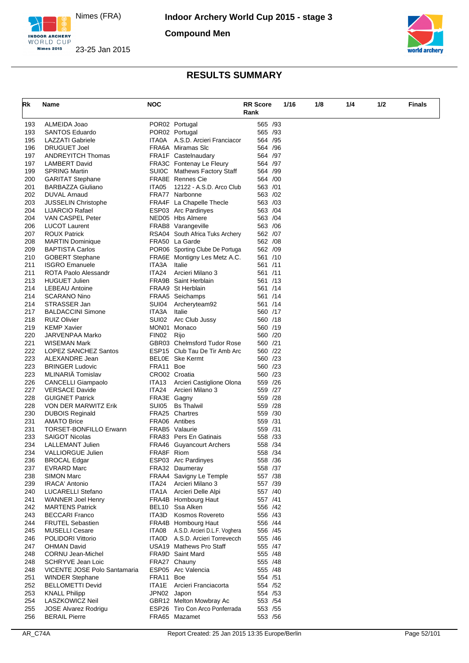

**Compound Men**





| Rk         | Name                                            | <b>NOC</b>     |                                           | <b>RR Score</b><br>Rank | 1/16 | 1/8 | 1/4 | 1/2 | <b>Finals</b> |
|------------|-------------------------------------------------|----------------|-------------------------------------------|-------------------------|------|-----|-----|-----|---------------|
| 193        | ALMEIDA Joao                                    |                | POR02 Portugal                            | 565 /93                 |      |     |     |     |               |
| 193        | <b>SANTOS Eduardo</b>                           |                | POR02 Portugal                            | 565 /93                 |      |     |     |     |               |
| 195        | LAZZATI Gabriele                                | ITA0A          | A.S.D. Arcieri Franciacor                 | 564 /95                 |      |     |     |     |               |
| 196        | <b>DRUGUET Joel</b>                             |                | FRA6A Miramas SIc                         | 564 / 96                |      |     |     |     |               |
| 197        | <b>ANDREYITCH Thomas</b>                        |                | FRA1F Castelnaudary                       | 564 /97                 |      |     |     |     |               |
| 197        | <b>LAMBERT David</b>                            |                | FRA3C Fontenay Le Fleury                  | 564 /97                 |      |     |     |     |               |
| 199        | <b>SPRING Martin</b>                            |                | SUI0C Mathews Factory Staff               | 564 /99                 |      |     |     |     |               |
| 200        | <b>GARITAT Stephane</b>                         |                | FRA8E Rennes Cie                          | 564 /00                 |      |     |     |     |               |
| 201        | <b>BARBAZZA Giuliano</b>                        | ITA05          | 12122 - A.S.D. Arco Club                  | 563 /01                 |      |     |     |     |               |
| 202        | DUVAL Arnaud                                    |                | FRA77 Narbonne                            | 563 /02                 |      |     |     |     |               |
| 203        | JUSSELIN Christophe                             |                | FRA4F La Chapelle Thecle                  | 563 /03                 |      |     |     |     |               |
| 204        | LIJARCIO Rafael                                 |                | ESP03 Arc Pardinyes                       | 563 /04                 |      |     |     |     |               |
| 204        | VAN CASPEL Peter                                |                | NED05 Hbs Almere                          | 563 /04                 |      |     |     |     |               |
| 206        | <b>LUCOT Laurent</b>                            |                | FRAB8 Varangeville                        | 563 / 06                |      |     |     |     |               |
| 207        | <b>ROUX Patrick</b>                             |                | RSA04 South Africa Tuks Archery           | 562 /07                 |      |     |     |     |               |
| 208        | <b>MARTIN Dominique</b>                         |                | FRA50 La Garde                            | 562 / 08                |      |     |     |     |               |
| 209        | <b>BAPTISTA Carlos</b>                          |                | POR06 Sporting Clube De Portuga           | 562 /09                 |      |     |     |     |               |
| 210        | <b>GOBERT Stephane</b><br><b>ISGRO Emanuele</b> |                | FRA6E Montigny Les Metz A.C.              | 561 /10                 |      |     |     |     |               |
| 211<br>211 | ROTA Paolo Alessandr                            | ITA3A<br>ITA24 | Italie<br>Arcieri Milano 3                | 561 /11<br>561 /11      |      |     |     |     |               |
| 213        | <b>HUGUET Julien</b>                            |                | <b>FRA9B</b> Saint Herblain               | 561 /13                 |      |     |     |     |               |
| 214        | <b>LEBEAU Antoine</b>                           |                | FRAA9 St Herblain                         | 561 /14                 |      |     |     |     |               |
| 214        | <b>SCARANO Nino</b>                             |                | FRAA5 Seichamps                           | 561 /14                 |      |     |     |     |               |
| 214        | STRASSER Jan                                    | SUI04          | Archeryteam92                             | 561 /14                 |      |     |     |     |               |
| 217        | <b>BALDACCINI Simone</b>                        | ITA3A          | Italie                                    | 560 /17                 |      |     |     |     |               |
| 218        | <b>RUIZ Olivier</b>                             | SUI02          | Arc Club Jussy                            | 560 /18                 |      |     |     |     |               |
| 219        | <b>KEMP Xavier</b>                              |                | MON01 Monaco                              | 560 /19                 |      |     |     |     |               |
| 220        | JARVENPAA Marko                                 | FIN02          | Rijo                                      | 560 /20                 |      |     |     |     |               |
| 221        | WISEMAN Mark                                    |                | GBR03 Chelmsford Tudor Rose               | 560 /21                 |      |     |     |     |               |
| 222        | LOPEZ SANCHEZ Santos                            |                | ESP15 Club Tau De Tir Amb Arc             | 560 /22                 |      |     |     |     |               |
| 223        | ALEXANDRE Jean                                  |                | BELOE Ske Kermt                           | 560 /23                 |      |     |     |     |               |
| 223        | <b>BRINGER Ludovic</b>                          | FRA11          | <b>Boe</b>                                | 560 /23                 |      |     |     |     |               |
| 223        | MLINARIÄ Tomislav                               |                | CRO02 Croatia                             | 560 /23                 |      |     |     |     |               |
| 226        | <b>CANCELLI Giampaolo</b>                       | ITA13          | Arcieri Castiglione Olona                 | 559 /26                 |      |     |     |     |               |
| 227        | <b>VERSACE Davide</b>                           | ITA24          | Arcieri Milano 3                          | 559 /27                 |      |     |     |     |               |
| 228        | <b>GUIGNET Patrick</b>                          | FRA3E Gagny    |                                           | 559 /28                 |      |     |     |     |               |
| 228        | <b>VON DER MARWITZ Erik</b>                     | SUI05          | <b>Bs Thalwil</b>                         | 559 /28                 |      |     |     |     |               |
| 230        | <b>DUBOIS Reginald</b>                          |                | FRA25 Chartres                            | 559 /30                 |      |     |     |     |               |
| 231        | <b>AMATO Brice</b>                              |                | FRA06 Antibes                             | 559 /31                 |      |     |     |     |               |
| 231        | <b>TORSET-BONFILLO Erwann</b>                   |                | FRAB5 Valaurie                            | 559 /31                 |      |     |     |     |               |
| 233        | <b>SAIGOT Nicolas</b>                           |                | FRA83 Pers En Gatinais                    | 558 /33                 |      |     |     |     |               |
| 234        | LALLEMANT Julien                                |                | <b>FRA46</b> Guyancourt Archers           | 558 /34                 |      |     |     |     |               |
| 234        | VALLIORGUE Julien                               | FRA8F Riom     |                                           | 558 /34                 |      |     |     |     |               |
| 236        | <b>BROCAL Edgar</b>                             |                | ESP03 Arc Pardinyes                       | 558 /36                 |      |     |     |     |               |
| 237        | <b>EVRARD Marc</b>                              |                | FRA32 Daumeray<br>FRAA4 Savigny Le Temple | 558 /37<br>557 /38      |      |     |     |     |               |
| 238<br>239 | <b>SIMON Marc</b><br><b>IRACA' Antonio</b>      | ITA24          | Arcieri Milano 3                          | 557 /39                 |      |     |     |     |               |
| 240        | LUCARELLI Stefano                               |                | ITA1A Arcieri Delle Alpi                  | 557 /40                 |      |     |     |     |               |
| 241        | <b>WANNER Joel Henry</b>                        |                | FRA4B Hombourg Haut                       | 557 /41                 |      |     |     |     |               |
| 242        | <b>MARTENS Patrick</b>                          |                | BEL10 Ssa Alken                           | 556 /42                 |      |     |     |     |               |
| 243        | <b>BECCARI Franco</b>                           |                | ITA3D Kosmos Rovereto                     | 556 /43                 |      |     |     |     |               |
| 244        | <b>FRUTEL Sebastien</b>                         |                | FRA4B Hombourg Haut                       | 556 /44                 |      |     |     |     |               |
| 245        | <b>MUSELLI Cesare</b>                           | ITA08          | A.S.D. Arcieri D.L.F. Voghera             | 556 /45                 |      |     |     |     |               |
| 246        | POLIDORI Vittorio                               |                | ITAOD A.S.D. Arcieri Torrevecch           | 555 /46                 |      |     |     |     |               |
| 247        | <b>OHMAN David</b>                              |                | <b>USA19 Mathews Pro Staff</b>            | 555 /47                 |      |     |     |     |               |
| 248        | <b>CORNU Jean-Michel</b>                        |                | FRA9D Saint Mard                          | 555 /48                 |      |     |     |     |               |
| 248        | SCHRYVE Jean Loic                               |                | FRA27 Chauny                              | 555 /48                 |      |     |     |     |               |
| 248        | VICENTE JOSE Polo Santamaria                    |                | ESP05 Arc Valencia                        | 555 /48                 |      |     |     |     |               |
| 251        | <b>WINDER Stephane</b>                          | FRA11          | Boe                                       | 554 /51                 |      |     |     |     |               |
| 252        | <b>BELLOMETTI Devid</b>                         | ITA1E          | Arcieri Franciacorta                      | 554 /52                 |      |     |     |     |               |
| 253        | <b>KNALL Philipp</b>                            | JPN02 Japon    |                                           | 554 /53                 |      |     |     |     |               |
| 254        | LASZKOWICZ Neil                                 |                | GBR12 Melton Mowbray Ac                   | 553 / 54                |      |     |     |     |               |
| 255        | <b>JOSE Alvarez Rodrigu</b>                     |                | ESP26 Tiro Con Arco Ponferrada            | 553 / 55                |      |     |     |     |               |
| 256        | <b>BERAIL Pierre</b>                            |                | FRA65 Mazamet                             | 553 /56                 |      |     |     |     |               |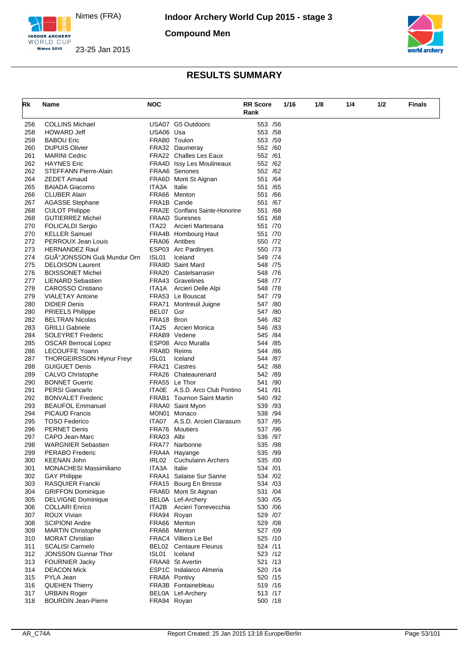

**Compound Men**





| Rk         | Name                                               | <b>NOC</b>  |                                                 | <b>RR Score</b>     |  | 1/16 | 1/8 | 1/4 | 1/2 | <b>Finals</b> |
|------------|----------------------------------------------------|-------------|-------------------------------------------------|---------------------|--|------|-----|-----|-----|---------------|
|            |                                                    |             |                                                 | Rank                |  |      |     |     |     |               |
| 256        | <b>COLLINS Michael</b>                             |             | USA07 G5 Outdoors                               | 553 /56             |  |      |     |     |     |               |
| 258        | <b>HOWARD Jeff</b>                                 | USA06 Usa   |                                                 | 553 /58             |  |      |     |     |     |               |
| 259        | <b>BABOU Eric</b>                                  |             | FRAB0 Toulon                                    | 553 /59             |  |      |     |     |     |               |
| 260        | <b>DUPUIS Olivier</b>                              |             | FRA32 Daumeray                                  | 552 /60             |  |      |     |     |     |               |
| 261        | <b>MARINI Cedric</b>                               |             | <b>FRA22</b> Challes Les Eaux                   | 552 /61             |  |      |     |     |     |               |
| 262        | <b>HAYNES Eric</b>                                 |             | <b>FRA4D</b> Issy Les Moulineaux                | 552 /62             |  |      |     |     |     |               |
| 262        | STEFFANN Pierre-Alain                              |             | FRAA6 Senones                                   | 552 /62             |  |      |     |     |     |               |
| 264        | <b>ZEDET Arnaud</b>                                |             | FRA6D Mont St Aignan                            | 551 /64             |  |      |     |     |     |               |
| 265        | <b>BAIADA Giacomo</b>                              | ITA3A       | Italie                                          | 551 / 65            |  |      |     |     |     |               |
| 266        | <b>CLUBER Alain</b>                                |             | FRA66 Menton                                    | 551 /66             |  |      |     |     |     |               |
| 267        | <b>AGASSE Stephane</b>                             | FRA1B Cande |                                                 | 551 /67             |  |      |     |     |     |               |
| 268        | <b>CULOT Philippe</b>                              |             | <b>FRA2E</b> Conflans Sainte-Honorine           | 551 /68             |  |      |     |     |     |               |
| 268        | <b>GUTIERREZ Michel</b>                            |             | <b>FRAAD Suresnes</b>                           | 551 /68             |  |      |     |     |     |               |
| 270        | <b>FOLICALDI Sergio</b>                            | ITA22       | Arcieri Martesana                               | 551 /70             |  |      |     |     |     |               |
| 270        | <b>KELLER Samuel</b>                               |             | FRA4B Hombourg Haut                             | 551 /70             |  |      |     |     |     |               |
| 272        | PERROUX Jean Louis                                 |             | FRA06 Antibes                                   | 550 /72             |  |      |     |     |     |               |
| 273        | <b>HERNANDEZ Raul</b>                              |             | ESP03 Arc Pardinyes                             | 550 /73             |  |      |     |     |     |               |
| 274        | GUİJONSSON Guä Mundur Orn                          | ISL01       | Iceland                                         | 549 /74             |  |      |     |     |     |               |
| 275        | <b>DELOISON Laurent</b>                            |             | FRA9D Saint Mard                                | 548 /75             |  |      |     |     |     |               |
| 276        | <b>BOISSONET Michel</b>                            |             | FRA20 Castelsarrasin                            | 548 /76             |  |      |     |     |     |               |
| 277        | <b>LIENARD Sebastien</b>                           |             | FRA43 Gravelines                                | 548 /77             |  |      |     |     |     |               |
| 278        | <b>CAROSSO Cristiano</b>                           |             | ITA1A Arcieri Delle Alpi                        | 548 /78             |  |      |     |     |     |               |
| 279        | <b>VIALETAY Antoine</b>                            |             | FRA53 Le Bouscat                                | 547 /79             |  |      |     |     |     |               |
| 280        | <b>DIDIER Denis</b>                                | FRA71       | Montreuil Juigne                                | 547 /80             |  |      |     |     |     |               |
| 280        | <b>PRIEELS Philippe</b>                            | BEL07 Gsr   |                                                 | 547 /80             |  |      |     |     |     |               |
| 282        | <b>BELTRAN Nicolas</b>                             | FRA18 Bron  |                                                 | 546 /82             |  |      |     |     |     |               |
| 283        | <b>GRILLI Gabriele</b>                             | ITA25       | Arcieri Monica                                  | 546 /83             |  |      |     |     |     |               |
| 284        | <b>SOLEYRET Frederic</b>                           |             | FRAB9 Vedene                                    | 545 /84             |  |      |     |     |     |               |
| 285        | <b>OSCAR Berrocal Lopez</b>                        |             | ESP08 Arco Muralla                              | 544 / 85            |  |      |     |     |     |               |
| 286        | LECOUFFE Yoann                                     | FRA8D Reims |                                                 | 544 /86             |  |      |     |     |     |               |
| 287        | <b>THORGEIRSSON Hlynur Freyr</b>                   | ISL01       | Iceland                                         | 544 /87             |  |      |     |     |     |               |
| 288        | <b>GUIGUET Denis</b>                               |             | FRA21 Castres                                   | 542 / 88            |  |      |     |     |     |               |
| 289        | CALVO Christophe                                   |             | FRA26 Chateaurenard                             | 542 /89             |  |      |     |     |     |               |
| 290        | <b>BONNET Guerric</b>                              |             | FRA55 Le Thor                                   | 541 /90             |  |      |     |     |     |               |
| 291        | <b>PERSI Giancarlo</b>                             |             | ITA0E A.S.D. Arco Club Pontino                  | 541 /91             |  |      |     |     |     |               |
| 292        | <b>BONVALET Frederic</b>                           |             | <b>FRAB1 Tournon Saint Martin</b>               | 540 /92             |  |      |     |     |     |               |
| 293        | <b>BEAUFOL Emmanuel</b>                            |             | FRAA0 Saint Myon                                | 539 /93             |  |      |     |     |     |               |
| 294        | <b>PICAUD Francis</b>                              |             | MON01 Monaco                                    | 538 /94             |  |      |     |     |     |               |
| 295        | <b>TOSO Federico</b>                               | ITA07       | A.S.D. Arcieri Clarasum                         | 537 /95             |  |      |     |     |     |               |
| 296        | <b>PERNET Denis</b>                                |             | FRA76 Moutiers                                  | 537 / 96            |  |      |     |     |     |               |
| 297        | CAPO Jean-Marc                                     | FRA03 Albi  |                                                 | 536 /97             |  |      |     |     |     |               |
| 298        | <b>WARGNIER Sebastien</b>                          |             | FRA77 Narbonne                                  | 535 /98             |  |      |     |     |     |               |
| 299        | PERABO Frederic                                    |             | FRA4A Hayange                                   | 535 /99             |  |      |     |     |     |               |
| 300        | <b>KEENAN John</b>                                 | IRL02       | <b>Cuchulainn Archers</b>                       | 535 /00             |  |      |     |     |     |               |
| 301        | <b>MONACHESI Massimiliano</b>                      | ITA3A       | Italie                                          | 534 /01             |  |      |     |     |     |               |
| 302        | <b>GAY Philippe</b>                                |             | FRAA1 Salaise Sur Sanne                         | 534 /02             |  |      |     |     |     |               |
|            | RASQUIER Francki                                   |             | FRA15 Bourg En Bresse                           | 534 /03             |  |      |     |     |     |               |
| 303<br>304 | <b>GRIFFON Dominique</b>                           |             |                                                 | 531 /04             |  |      |     |     |     |               |
|            |                                                    |             | FRA6D Mont St Aignan                            |                     |  |      |     |     |     |               |
| 305        | <b>DELVIGNE Dominique</b><br><b>COLLARI Enrico</b> |             | BEL0A Lef-Archery<br>ITA2B Arcieri Torrevecchia | 530 / 05<br>530 /06 |  |      |     |     |     |               |
| 306        |                                                    |             |                                                 |                     |  |      |     |     |     |               |
| 307        | ROUX Vivian                                        | FRA94 Royan |                                                 | 529 /07             |  |      |     |     |     |               |
| 308        | <b>SCIPIONI Andre</b>                              |             | FRA66 Menton                                    | 529 /08             |  |      |     |     |     |               |
| 309        | <b>MARTIN Christophe</b>                           |             | FRA66 Menton<br><b>FRAC4</b> Villiers Le Bel    | 527 /09             |  |      |     |     |     |               |
| 310        | <b>MORAT Christian</b>                             |             |                                                 | 525 /10             |  |      |     |     |     |               |
| 311        | <b>SCALISI Carmelo</b>                             |             | <b>BEL02</b> Centaure Fleurus                   | 524 /11             |  |      |     |     |     |               |
| 312        | <b>JONSSON Gunnar Thor</b>                         | ISL01       | Iceland                                         | 523 /12             |  |      |     |     |     |               |
| 313        | <b>FOURNIER Jacky</b>                              |             | FRAA8 St Avertin                                | 521 /13             |  |      |     |     |     |               |
| 314        | <b>DEACON Mick</b>                                 |             | ESP1C Indalarco Almeria                         | 520 /14             |  |      |     |     |     |               |
| 315        | PYLA Jean                                          |             | FRA8A Pontivy                                   | 520 /15             |  |      |     |     |     |               |
| 316        | <b>QUEHEN Thierry</b>                              |             | FRA3B Fontainebleau                             | 519 /16             |  |      |     |     |     |               |
| 317        | <b>URBAIN Roger</b>                                |             | BEL0A Lef-Archery                               | 513 /17             |  |      |     |     |     |               |
| 318        | <b>BOURDIN Jean-Pierre</b>                         | FRA94 Royan |                                                 | 500 /18             |  |      |     |     |     |               |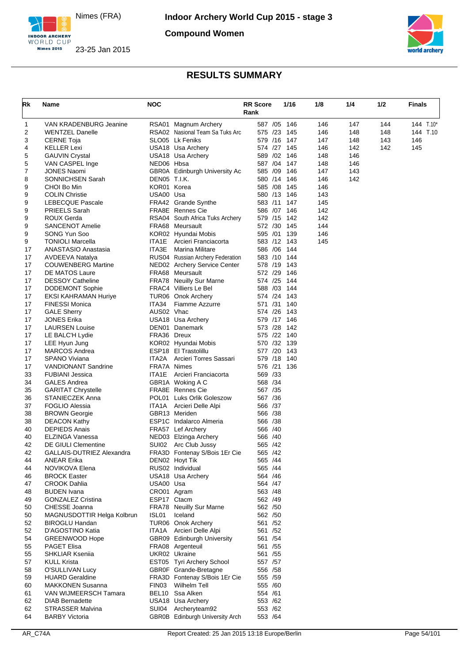

**Compound Women**





| Rk       | Name                                          | NOC                 |                                                        | 1/16<br><b>RR</b> Score<br>Rank | 1/8        | 1/4        | 1/2 | Finals      |
|----------|-----------------------------------------------|---------------------|--------------------------------------------------------|---------------------------------|------------|------------|-----|-------------|
| 1        | VAN KRADENBURG Jeanine                        |                     | RSA01 Magnum Archery                                   | 587 /05 146                     | 146        | 147        | 144 | 144 $T.10*$ |
| 2        | <b>WENTZEL Danelle</b>                        |                     | RSA02 Nasional Team Sa Tuks Arc                        | 575 /23 145                     | 146        | 148        | 148 | 144 T.10    |
| 3        | <b>CERNE Toja</b>                             |                     | SLO05 Lk Feniks                                        | 579 /16 147                     | 147        | 148        | 143 | 146         |
| 4        | <b>KELLER Lexi</b>                            |                     | USA18 Usa Archery                                      | 574 /27 145                     | 146        | 142        | 142 | 145         |
| 5<br>5   | <b>GAUVIN Crystal</b><br>VAN CASPEL Inge      | NED06 Hbsa          | USA18 Usa Archery                                      | 589 /02 146<br>587 /04 147      | 148<br>148 | 146<br>146 |     |             |
| 7        | <b>JONES Naomi</b>                            |                     | GBR0A Edinburgh University Ac                          | 585 /09<br>146                  | 147        | 143        |     |             |
| 8        | <b>SONNICHSEN Sarah</b>                       | <b>DEN05 T.I.K.</b> |                                                        | 580 /14 146                     | 146        | 142        |     |             |
| 9        | CHOI Bo Min                                   | KOR01 Korea         |                                                        | 585 /08 145                     | 146        |            |     |             |
| 9        | <b>COLIN Christie</b>                         | USA00 Usa           |                                                        | 580 /13 146                     | 143        |            |     |             |
| 9        | <b>LEBECQUE Pascale</b>                       |                     | FRA42 Grande Synthe                                    | 583 /11 147                     | 145        |            |     |             |
| 9        | <b>PRIEELS Sarah</b>                          |                     | FRA8E Rennes Cie                                       | 586 /07 146                     | 142        |            |     |             |
| 9        | ROUX Gerda                                    |                     | RSA04 South Africa Tuks Archery                        | 579 /15<br>- 142                | 142        |            |     |             |
| 9        | <b>SANCENOT Amelie</b>                        |                     | FRA68 Meursault                                        | 572 /30 145                     | 144        |            |     |             |
| 9        | SONG Yun Soo                                  |                     | KOR02 Hyundai Mobis                                    | 595 /01<br>139                  | 146        |            |     |             |
| 9        | <b>TONIOLI Marcella</b>                       |                     | ITA1E Arcieri Franciacorta                             | 583 /12 143                     | 145        |            |     |             |
| 17<br>17 | ANASTASIO Anastasia<br><b>AVDEEVA Natalya</b> | ITA3E               | Marina Militare<br>RUS04 Russian Archery Federation    | 586 /06 144<br>583 /10 144      |            |            |     |             |
| 17       | <b>COUWENBERG Martine</b>                     |                     | NED02 Archery Service Center                           | 578 /19 143                     |            |            |     |             |
| 17       | DE MATOS Laure                                |                     | FRA68 Meursault                                        | 572 /29 146                     |            |            |     |             |
| 17       | <b>DESSOY Catheline</b>                       |                     | FRA78 Neuilly Sur Marne                                | 574 /25<br>- 144                |            |            |     |             |
| 17       | <b>DODEMONT Sophie</b>                        |                     | FRAC4 Villiers Le Bel                                  | 588 /03 144                     |            |            |     |             |
| 17       | <b>EKSI KAHRAMAN Huriye</b>                   |                     | TUR06 Onok Archery                                     | 574 /24 143                     |            |            |     |             |
| 17       | <b>FINESSI Monica</b>                         | ITA34               | Fiamme Azzurre                                         | 571 /31 140                     |            |            |     |             |
| 17       | <b>GALE Sherry</b>                            | AUS02 Vhac          |                                                        | 574 /26 143                     |            |            |     |             |
| 17       | <b>JONES Erika</b>                            |                     | USA18 Usa Archery                                      | 579 /17 146                     |            |            |     |             |
| 17       | <b>LAURSEN Louise</b>                         |                     | DEN01 Danemark                                         | 573 /28<br>- 142                |            |            |     |             |
| 17       | LE BALC'H Lydie                               | FRA36 Dreux         |                                                        | 575 /22 140                     |            |            |     |             |
| 17       | LEE Hyun Jung                                 |                     | KOR02 Hyundai Mobis                                    | 570 /32 139                     |            |            |     |             |
| 17<br>17 | <b>MARCOS Andrea</b><br><b>SPANO Viviana</b>  | ITA2A               | ESP18 El Trastolillu<br>Arcieri Torres Sassari         | 577 /20<br>- 143<br>579 /18 140 |            |            |     |             |
| 17       | <b>VANDIONANT Sandrine</b>                    | FRA7A Nimes         |                                                        | 576 /21<br>136                  |            |            |     |             |
| 33       | <b>FUBIANI Jessica</b>                        |                     | ITA1E Arcieri Franciacorta                             | 569 /33                         |            |            |     |             |
| 34       | <b>GALES Andrea</b>                           |                     | GBR1A Woking A C                                       | 568 /34                         |            |            |     |             |
| 35       | <b>GARITAT Chrystelle</b>                     |                     | FRA8E Rennes Cie                                       | 567 /35                         |            |            |     |             |
| 36       | STANIECZEK Anna                               |                     | POL01 Luks Orlik Goleszow                              | 567 /36                         |            |            |     |             |
| 37       | <b>FOGLIO Alessia</b>                         | ITA1A               | Arcieri Delle Alpi                                     | 566 /37                         |            |            |     |             |
| 38       | <b>BROWN Georgie</b>                          |                     | GBR13 Meriden                                          | 566 /38                         |            |            |     |             |
| 38       | <b>DEACON Kathy</b>                           |                     | ESP1C Indalarco Almeria                                | 566 /38                         |            |            |     |             |
| 40       | <b>DEPIEDS Anais</b>                          |                     | FRA57 Lef Archery                                      | 566 /40                         |            |            |     |             |
| 40<br>42 | ELZINGA Vanessa<br>DE GIULI Clementine        |                     | NED03 Elzinga Archery<br>SUI02 Arc Club Jussy          | 566 /40<br>565 /42              |            |            |     |             |
| 42       | GALLAIS-DUTRIEZ Alexandra                     |                     | FRA3D Fontenay S/Bois 1 Er Cie                         | 565 /42                         |            |            |     |             |
| 44       | <b>ANEAR Erika</b>                            |                     | DEN02 Hoyt Tik                                         | 565 /44                         |            |            |     |             |
| 44       | NOVIKOVA Elena                                |                     | RUS02 Individual                                       | 565 /44                         |            |            |     |             |
| 46       | <b>BROCK Easter</b>                           |                     | USA18 Usa Archery                                      | 564 / 46                        |            |            |     |             |
| 47       | <b>CROOK Dahlia</b>                           | USA00 Usa           |                                                        | 564 /47                         |            |            |     |             |
| 48       | <b>BUDEN</b> Ivana                            | CRO01 Agram         |                                                        | 563 /48                         |            |            |     |             |
| 49       | <b>GONZALEZ Cristina</b>                      | ESP17 Ctacm         |                                                        | 562 /49                         |            |            |     |             |
| 50       | CHESSE Joanna                                 |                     | FRA78 Neuilly Sur Marne                                | 562 /50                         |            |            |     |             |
| 50       | MAGNUSDOTTIR Helga Kolbrun                    | ISL01               | Iceland                                                | 562 / 50                        |            |            |     |             |
| 52       | <b>BIROGLU Handan</b><br>D'AGOSTINO Katia     |                     | TUR06 Onok Archery                                     | 561 /52<br>561 / 52             |            |            |     |             |
| 52<br>54 | <b>GREENWOOD Hope</b>                         |                     | ITA1A Arcieri Delle Alpi<br>GBR09 Edinburgh University | 561 / 54                        |            |            |     |             |
| 55       | <b>PAGET Elisa</b>                            |                     | FRA08 Argenteuil                                       | 561 / 55                        |            |            |     |             |
| 55       | <b>SHKLIAR Ksenija</b>                        |                     | UKR02 Ukraine                                          | 561 / 55                        |            |            |     |             |
| 57       | <b>KULL Krista</b>                            |                     | EST05 Tyri Archery School                              | 557 /57                         |            |            |     |             |
| 58       | <b>O'SULLIVAN Lucy</b>                        |                     | GBR0F Grande-Bretagne                                  | 556 /58                         |            |            |     |             |
| 59       | <b>HUARD Geraldine</b>                        |                     | FRA3D Fontenay S/Bois 1Er Cie                          | 555 /59                         |            |            |     |             |
| 60       | <b>MAKKONEN Susanna</b>                       | FIN03               | Wilhelm Tell                                           | 555 /60                         |            |            |     |             |
| 61       | VAN WIJMEERSCH Tamara                         |                     | BEL10 Ssa Alken                                        | 554 /61                         |            |            |     |             |
| 62       | <b>DIAB Bernadette</b>                        |                     | USA18 Usa Archery                                      | 553 /62                         |            |            |     |             |
| 62       | <b>STRASSER Malvina</b>                       | SUI04               | Archeryteam92                                          | 553 /62                         |            |            |     |             |
| 64       | <b>BARBY Victoria</b>                         |                     | GBR0B Edinburgh University Arch                        | 553 /64                         |            |            |     |             |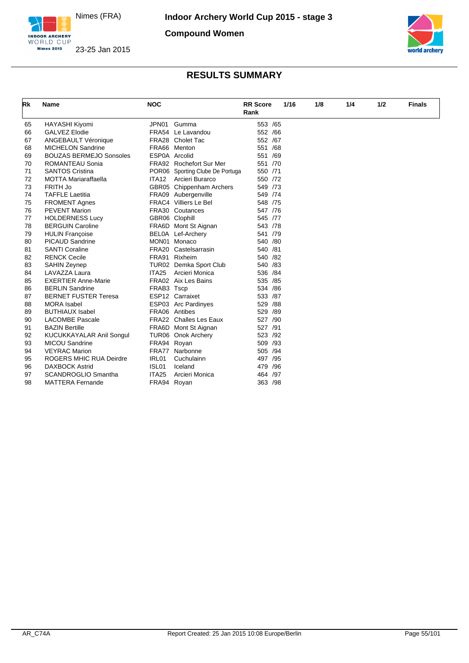

INDOOR ARCHERY **Nimes 2015** 

**Compound Women**





| Rk | Name                            | <b>NOC</b>        |                                 | <b>RR</b> Score<br>Rank |     | 1/16 | 1/8 | 1/4 | 1/2 | <b>Finals</b> |
|----|---------------------------------|-------------------|---------------------------------|-------------------------|-----|------|-----|-----|-----|---------------|
| 65 | <b>HAYASHI Kiyomi</b>           | JPN01             | Gumma                           | 553 /65                 |     |      |     |     |     |               |
| 66 | <b>GALVEZ Elodie</b>            |                   | FRA54 Le Lavandou               | 552 /66                 |     |      |     |     |     |               |
| 67 | <b>ANGEBAULT Véronique</b>      |                   | FRA28 Cholet Tac                | 552 /67                 |     |      |     |     |     |               |
| 68 | <b>MICHELON Sandrine</b>        |                   | FRA66 Menton                    | 551 /68                 |     |      |     |     |     |               |
| 69 | <b>BOUZAS BERMEJO Sonsoles</b>  |                   | ESP0A Arcolid                   | 551 /69                 |     |      |     |     |     |               |
| 70 | ROMANTEAU Sonia                 |                   | FRA92 Rochefort Sur Mer         | 551 /70                 |     |      |     |     |     |               |
| 71 | <b>SANTOS Cristina</b>          |                   | POR06 Sporting Clube De Portuga | 550 /71                 |     |      |     |     |     |               |
| 72 | <b>MOTTA Mariaraffaella</b>     | <b>ITA12</b>      | Arcieri Burarco                 | 550 /72                 |     |      |     |     |     |               |
| 73 | FRITH Jo                        |                   | GBR05 Chippenham Archers        | 549 /73                 |     |      |     |     |     |               |
| 74 | <b>TAFFLE Laetitia</b>          |                   | FRA09 Aubergenville             | 549 /74                 |     |      |     |     |     |               |
| 75 | <b>FROMENT Agnes</b>            |                   | FRAC4 Villiers Le Bel           | 548 /75                 |     |      |     |     |     |               |
| 76 | <b>PEVENT Marion</b>            |                   | FRA30 Coutances                 | 547 /76                 |     |      |     |     |     |               |
| 77 | <b>HOLDERNESS Lucy</b>          |                   | GBR06 Clophill                  | 545 /77                 |     |      |     |     |     |               |
| 78 | <b>BERGUIN Caroline</b>         |                   | FRA6D Mont St Aignan            | 543 /78                 |     |      |     |     |     |               |
| 79 | <b>HULIN Françoise</b>          |                   | BEL0A Lef-Archery               | 541 /79                 |     |      |     |     |     |               |
| 80 | <b>PICAUD Sandrine</b>          |                   | MON01 Monaco                    | 540 /80                 |     |      |     |     |     |               |
| 81 | <b>SANTI Coraline</b>           |                   | FRA20 Castelsarrasin            | 540 /81                 |     |      |     |     |     |               |
| 82 | <b>RENCK Cecile</b>             |                   | FRA91 Rixheim                   | 540 /82                 |     |      |     |     |     |               |
| 83 | <b>SAHIN Zeynep</b>             |                   | TUR02 Demka Sport Club          | 540 /83                 |     |      |     |     |     |               |
| 84 | LAVAZZA Laura                   | ITA <sub>25</sub> | Arcieri Monica                  | 536 /84                 |     |      |     |     |     |               |
| 85 | <b>EXERTIER Anne-Marie</b>      |                   | FRA02 Aix Les Bains             | 535 /85                 |     |      |     |     |     |               |
| 86 | <b>BERLIN Sandrine</b>          | FRAB3 Tscp        |                                 | 534 /86                 |     |      |     |     |     |               |
| 87 | <b>BERNET FUSTER Teresa</b>     |                   | ESP12 Carraixet                 | 533 /87                 |     |      |     |     |     |               |
| 88 | <b>MORA</b> Isabel              |                   | ESP03 Arc Pardinyes             | 529 /88                 |     |      |     |     |     |               |
| 89 | <b>BUTHIAUX Isabel</b>          |                   | FRA06 Antibes                   | 529 /89                 |     |      |     |     |     |               |
| 90 | <b>LACOMBE Pascale</b>          |                   | <b>FRA22</b> Challes Les Eaux   | 527 /90                 |     |      |     |     |     |               |
| 91 | <b>BAZIN Bertille</b>           |                   | FRA6D Mont St Aignan            | 527 /91                 |     |      |     |     |     |               |
| 92 | <b>KUCUKKAYALAR Anil Songul</b> |                   | TUR06 Onok Archery              | 523 /92                 |     |      |     |     |     |               |
| 93 | <b>MICOU Sandrine</b>           | FRA94 Royan       |                                 | 509 /93                 |     |      |     |     |     |               |
| 94 | <b>VEYRAC Marion</b>            |                   | FRA77 Narbonne                  | 505 /94                 |     |      |     |     |     |               |
| 95 | <b>ROGERS MHIC RUA Deirdre</b>  | IRL01             | Cuchulainn                      | 497 /95                 |     |      |     |     |     |               |
| 96 | <b>DAXBOCK Astrid</b>           | ISL <sub>01</sub> | Iceland                         | 479                     | /96 |      |     |     |     |               |
| 97 | <b>SCANDROGLIO Smantha</b>      | ITA25             | Arcieri Monica                  | 464 /97                 |     |      |     |     |     |               |
| 98 | <b>MATTERA Fernande</b>         | FRA94 Royan       |                                 | 363 /98                 |     |      |     |     |     |               |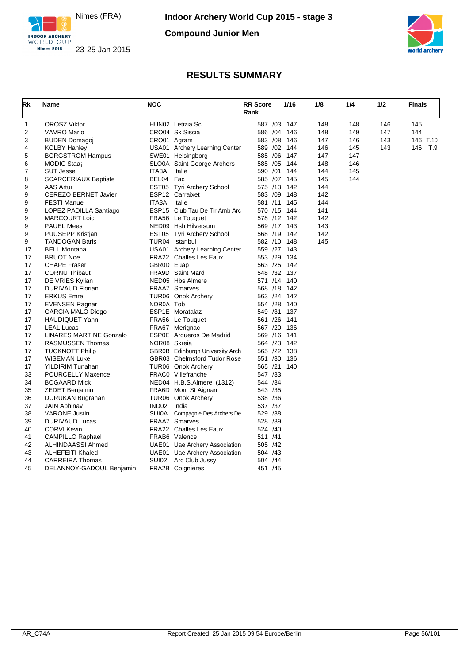

**Compound Junior Men**





| Rk       | Name                                         | <b>NOC</b>   |                                 | <b>RR Score</b><br>Rank | 1/16         | 1/8 | 1/4 | 1/2 | <b>Finals</b> |
|----------|----------------------------------------------|--------------|---------------------------------|-------------------------|--------------|-----|-----|-----|---------------|
| 1        | <b>OROSZ Viktor</b>                          |              | HUN02 Letizia Sc                |                         | 587 /03 147  | 148 | 148 | 146 | 145           |
| 2        | <b>VAVRO Mario</b>                           |              | CRO04 Sk Siscia                 |                         | 586 /04 146  | 148 | 149 | 147 | 144           |
| 3        | <b>BUDEN Domagoj</b>                         | CRO01 Agram  |                                 |                         | 583 /08 146  | 147 | 146 | 143 | 146 T.10      |
| 4        | <b>KOLBY Hanley</b>                          |              | USA01 Archery Learning Center   |                         | 589 /02 144  | 146 | 145 | 143 | 146<br>T.9    |
| 5        | <b>BORGSTROM Hampus</b>                      |              | SWE01 Helsingborg               |                         | 585 /06 147  | 147 | 147 |     |               |
| 6        | MODIC Staaj                                  |              | SLO0A Saint George Archers      |                         | 585 /05 144  | 148 | 146 |     |               |
| 7        | <b>SUT Jesse</b>                             | ITA3A        | Italie                          |                         | 590 /01 144  | 144 | 145 |     |               |
| 8        | <b>SCARCERIAUX Baptiste</b>                  | BEL04 Fac    |                                 |                         | 585 /07 145  | 145 | 144 |     |               |
| 9        | AAS Artur                                    |              | EST05 Tyri Archery School       |                         | 575 /13 142  | 144 |     |     |               |
| 9        | <b>CEREZO BERNET Javier</b>                  |              | ESP12 Carraixet                 |                         | 583 /09 148  | 142 |     |     |               |
| 9        | <b>FESTI Manuel</b>                          | ITA3A        | Italie                          |                         | 581 /11 145  | 144 |     |     |               |
| 9        | LOPEZ PADILLA Santiago                       |              | ESP15 Club Tau De Tir Amb Arc   |                         | 570 /15 144  | 141 |     |     |               |
| 9        | <b>MARCOURT Loic</b>                         |              | FRA56 Le Touquet                |                         | 578 /12 142  | 142 |     |     |               |
| 9        | <b>PAUEL Mees</b>                            |              | NED09 Hsh Hilversum             |                         | 569 /17 143  | 143 |     |     |               |
| 9        | PUUSEPP Kristjan                             |              | EST05 Tyri Archery School       |                         | 568 /19 142  | 142 |     |     |               |
| 9        | <b>TANDOGAN Baris</b>                        |              | TUR04 Istanbul                  |                         | 582 /10 148  | 145 |     |     |               |
| 17       | <b>BELL Montana</b>                          |              | USA01 Archery Learning Center   |                         | 559 /27 143  |     |     |     |               |
| 17       | <b>BRUOT Noe</b>                             |              | <b>FRA22</b> Challes Les Eaux   |                         | 553 /29 134  |     |     |     |               |
| 17       | <b>CHAPE Fraser</b>                          | GBR0D Euap   |                                 |                         | 563 /25 142  |     |     |     |               |
| 17       | <b>CORNU Thibaut</b>                         |              | FRA9D Saint Mard                |                         | 548 /32 137  |     |     |     |               |
| 17       | DE VRIES Kylian                              |              | NED05 Hbs Almere                |                         | 571 /14 140  |     |     |     |               |
| 17       | DURIVAUD Florian                             |              | <b>FRAA7</b> Smarves            |                         | 568 / 18 142 |     |     |     |               |
| 17       | <b>ERKUS Emre</b>                            |              | TUR06 Onok Archery              |                         | 563 /24 142  |     |     |     |               |
| 17       | <b>EVENSEN Ragnar</b>                        | NOR0A Tob    |                                 |                         | 554 /28 140  |     |     |     |               |
| 17       | <b>GARCIA MALO Diego</b>                     |              | ESP1E Moratalaz                 |                         | 549 /31 137  |     |     |     |               |
| 17       | <b>HAUDIQUET Yann</b>                        |              | FRA56 Le Touquet                |                         | 561 /26 141  |     |     |     |               |
| 17       | <b>LEAL Lucas</b>                            |              | FRA67 Merignac                  |                         | 567 /20 136  |     |     |     |               |
| 17       | <b>LINARES MARTINE Gonzalo</b>               |              | ESP0E Arqueros De Madrid        |                         | 569 /16 141  |     |     |     |               |
| 17       | <b>RASMUSSEN Thomas</b>                      | NOR08 Skreia |                                 |                         | 564 /23 142  |     |     |     |               |
| 17       | <b>TUCKNOTT Philip</b>                       |              | GBR0B Edinburgh University Arch |                         | 565 /22 138  |     |     |     |               |
| 17       | <b>WISEMAN Luke</b>                          |              | GBR03 Chelmsford Tudor Rose     |                         | 551 /30 136  |     |     |     |               |
| 17       | YILDIRIM Tunahan                             |              | TUR06 Onok Archery              |                         | 565 /21 140  |     |     |     |               |
| 33       | <b>POURCELLY Maxence</b>                     |              | FRAC0 Villefranche              | 547 /33                 |              |     |     |     |               |
|          |                                              |              | NED04 H.B.S.Almere (1312)       | 544 /34                 |              |     |     |     |               |
| 34<br>35 | <b>BOGAARD Mick</b><br><b>ZEDET Benjamin</b> |              | FRA6D Mont St Aignan            | 543 /35                 |              |     |     |     |               |
|          |                                              |              |                                 | 538 /36                 |              |     |     |     |               |
| 36       | DURUKAN Bugrahan                             | IND02 India  | TUR06 Onok Archery              |                         |              |     |     |     |               |
| 37       | <b>JAIN Abhinav</b>                          |              |                                 | 537 /37                 |              |     |     |     |               |
| 38       | <b>VARONE Justin</b>                         | <b>SUI0A</b> | Compagnie Des Archers De        | 529 /38                 |              |     |     |     |               |
| 39       | <b>DURIVAUD Lucas</b>                        |              | <b>FRAA7</b> Smarves            | 528 /39                 |              |     |     |     |               |
| 40       | <b>CORVI Kevin</b>                           |              | <b>FRA22</b> Challes Les Eaux   | 524 /40                 |              |     |     |     |               |
| 41       | <b>CAMPILLO Raphael</b>                      |              | FRAB6 Valence                   | 511 /41                 |              |     |     |     |               |
| 42       | ALHINDAASSI Ahmed                            |              | UAE01 Uae Archery Association   | 505 /42                 |              |     |     |     |               |
| 43       | <b>ALHEFEITI Khaled</b>                      |              | UAE01 Uae Archery Association   | 504 /43                 |              |     |     |     |               |
| 44       | <b>CARREIRA Thomas</b>                       |              | SUI02 Arc Club Jussy            | 504 /44                 |              |     |     |     |               |
| 45       | DELANNOY-GADOUL Benjamin                     |              | <b>FRA2B</b> Coignieres         | 451 /45                 |              |     |     |     |               |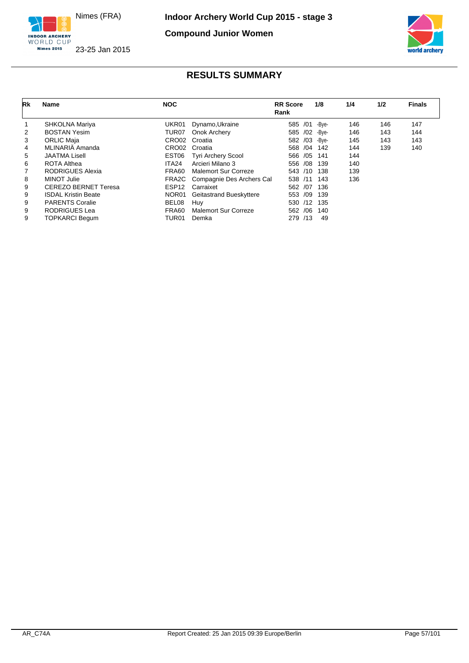

**Compound Junior Women**



23-25 Jan 2015

| Rk | <b>Name</b>                 | <b>NOC</b>        |                           | <b>RR</b> Score<br>Rank | 1/8   | 1/4 | 1/2 | <b>Finals</b> |
|----|-----------------------------|-------------------|---------------------------|-------------------------|-------|-----|-----|---------------|
|    | SHKOLNA Mariya              | UKR01             | Dynamo, Ukraine           | /01<br>585              | -Bye- | 146 | 146 | 147           |
| 2  | <b>BOSTAN Yesim</b>         | TUR <sub>07</sub> | Onok Archery              | 585 /02 -Bye-           |       | 146 | 143 | 144           |
| 3  | <b>ORLIC Maja</b>           | CRO02             | Croatia                   | /03<br>582              | -Bye- | 145 | 143 | 143           |
| 4  | MLINARIÄ Amanda             | CRO02             | Croatia                   | /04<br>568              | 142   | 144 | 139 | 140           |
| 5  | <b>JAATMA Lisell</b>        | EST06             | <b>Tyri Archery Scool</b> | 566 /05                 | 141   | 144 |     |               |
| 6  | <b>ROTA Althea</b>          | ITA <sub>24</sub> | Arcieri Milano 3          | /08<br>556              | 139   | 140 |     |               |
|    | RODRIGUES Alexia            | FRA60             | Malemort Sur Correze      | 543<br>/10              | 138   | 139 |     |               |
| 8  | MINOT Julie                 | FRA2C             | Compagnie Des Archers Cal | 538<br>/11              | 143   | 136 |     |               |
| 9  | <b>CEREZO BERNET Teresa</b> | ESP <sub>12</sub> | Carraixet                 | 562 /07                 | 136   |     |     |               |
| 9  | <b>ISDAL Kristin Beate</b>  | NOR01             | Geitastrand Bueskyttere   | /09<br>553              | 139   |     |     |               |
| 9  | <b>PARENTS Coralie</b>      | BEL08             | Huy                       | /12<br>530              | 135   |     |     |               |
| 9  | RODRIGUES Lea               | FRA60             | Malemort Sur Correze      | /06<br>562              | 140   |     |     |               |
| 9  | <b>TOPKARCI Begum</b>       | TUR01             | Demka                     | /13<br>279              | 49    |     |     |               |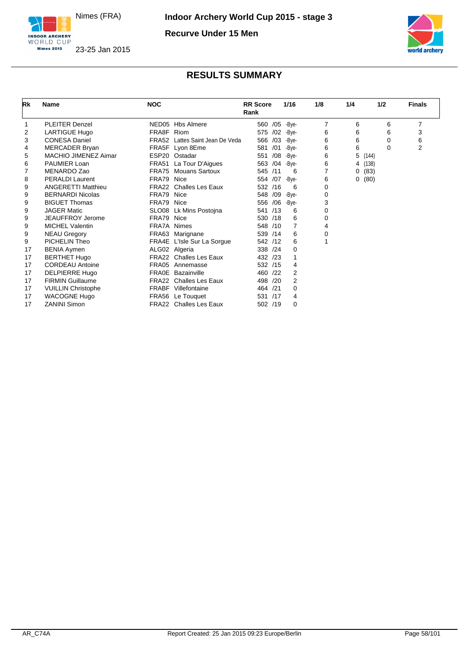

**Nimes 2015** 

**Recurve Under 15 Men**



#### INDOOR ARCHERY 23-25 Jan 2015

| Rk | Name                      | <b>NOC</b>   |                                 | <b>RR</b> Score<br>Rank |     | 1/16          | 1/8            | 1/4 | 1/2      | <b>Finals</b> |
|----|---------------------------|--------------|---------------------------------|-------------------------|-----|---------------|----------------|-----|----------|---------------|
|    | <b>PLEITER Denzel</b>     |              | NED05 Hbs Almere                | 560                     |     | /05 - Bye-    | $\overline{7}$ | 6   | 6        | 7             |
| 2  | <b>LARTIGUE Hugo</b>      | FRA8F        | Riom                            | 575                     | /02 | -Bve-         | 6              | 6   | 6        | 3             |
| 3  | <b>CONESA Daniel</b>      |              | FRA52 Lattes Saint Jean De Veda | 566 /03                 |     | -Bye-         | 6              | 6   | $\Omega$ | 6             |
| 4  | MERCADER Bryan            |              | FRA5F Lyon 8Eme                 | 581                     | /01 | -Bye-         | 6              | 6   | $\Omega$ | 2             |
| 5  | MACHIO JIMENEZ Aimar      |              | ESP20 Ostadar                   | 551                     | /08 | -Bye-         | 6              | 5   | (144)    |               |
| 6  | PAUMIER Loan              |              | FRA51 La Tour D'Aigues          | 563                     | /04 | -Bye-         | 6              | 4   | (138)    |               |
|    | MENARDO Zao               | FRA75        | <b>Mouans Sartoux</b>           | 545 /11                 |     | 6             |                | 0   | (83)     |               |
| 8  | <b>PERALDI Laurent</b>    | FRA79        | Nice                            | 554 /07                 |     | -Bye-         | 6              | 0   | (80)     |               |
| 9  | <b>ANGERETTI Matthieu</b> | FRA22        | <b>Challes Les Eaux</b>         | 532 /16                 |     | 6             | 0              |     |          |               |
| 9  | <b>BERNARDI Nicolas</b>   | FRA79 Nice   |                                 | 548 /09                 |     | -Bye-         | 0              |     |          |               |
| 9  | <b>BIGUET Thomas</b>      | FRA79 Nice   |                                 |                         |     | 556 /06 -Bye- | 3              |     |          |               |
| 9  | <b>JAGER Matic</b>        |              | SLO08 Lk Mins Postojna          | 541                     | /13 | 6             | 0              |     |          |               |
| 9  | JEAUFFROY Jerome          | FRA79        | Nice                            | 530 /18                 |     | 6             | 0              |     |          |               |
| 9  | <b>MICHEL Valentin</b>    | FRA7A Nimes  |                                 | 548 /10                 |     | 7             | 4              |     |          |               |
| 9  | <b>NEAU Gregory</b>       |              | FRA63 Marignane                 | 539 /14                 |     | 6             | 0              |     |          |               |
| 9  | PICHELIN Theo             |              | FRA4E L'Isle Sur La Sorgue      | 542 /12                 |     | 6             | 1              |     |          |               |
| 17 | <b>BENIA Aymen</b>        |              | ALG02 Algeria                   | 338 /24                 |     | 0             |                |     |          |               |
| 17 | <b>BERTHET Hugo</b>       | FRA22        | <b>Challes Les Eaux</b>         | 432 /23                 |     |               |                |     |          |               |
| 17 | <b>CORDEAU Antoine</b>    |              | FRA05 Annemasse                 | 532 /15                 |     | 4             |                |     |          |               |
| 17 | <b>DELPIERRE Hugo</b>     | <b>FRA0E</b> | Bazainville                     | 460 /22                 |     | 2             |                |     |          |               |
| 17 | <b>FIRMIN Guillaume</b>   |              | <b>FRA22</b> Challes Les Eaux   | 498 /20                 |     | 2             |                |     |          |               |
| 17 | <b>VUILLIN Christophe</b> |              | <b>FRABF</b> Villefontaine      | 464 /21                 |     | 0             |                |     |          |               |
| 17 | <b>WACOGNE Hugo</b>       |              | FRA56 Le Touquet                | 531                     | /17 | 4             |                |     |          |               |
| 17 | <b>ZANINI Simon</b>       |              | FRA22 Challes Les Eaux          | 502 /19                 |     | 0             |                |     |          |               |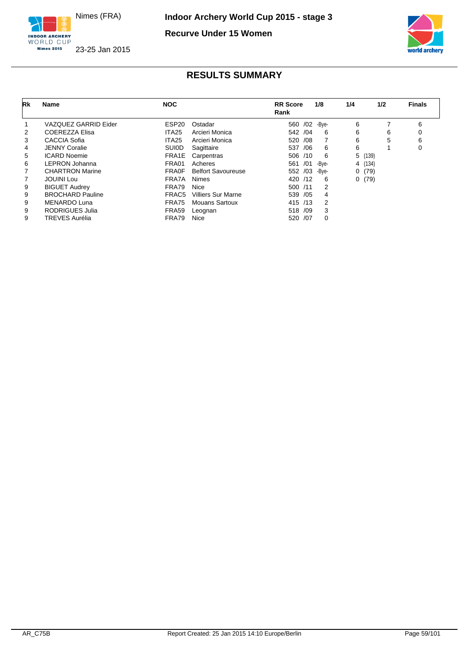

**Recurve Under 15 Women**



23-25 Jan 2015

| Rk | Name                    | <b>NOC</b>        |                           | <b>RR</b> Score<br>Rank | 1/8   | 1/4 | 1/2     | <b>Finals</b> |
|----|-------------------------|-------------------|---------------------------|-------------------------|-------|-----|---------|---------------|
|    | VAZQUEZ GARRID Eider    | ESP <sub>20</sub> | Ostadar                   | 560 /02                 | -Bve- | 6   |         | 6             |
| 2  | <b>COEREZZA Elisa</b>   | ITA <sub>25</sub> | Arcieri Monica            | 542 / 04                | 6     | 6   | 6       | 0             |
| 3  | <b>CACCIA Sofia</b>     | ITA <sub>25</sub> | Arcieri Monica            | 520<br>/08              |       | 6   | 5       | 6             |
| 4  | <b>JENNY Coralie</b>    | <b>SUIOD</b>      | Sagittaire                | /06<br>537              | 6     | 6   |         | 0             |
| 5  | <b>ICARD Noemie</b>     | FRA1E             | Carpentras                | 506 /10                 | 6     |     | 5(139)  |               |
| 6  | LEPRON Johanna          | FRA01             | Acheres                   | /01<br>561              | -Bve- |     | 4 (134) |               |
|    | <b>CHARTRON Marine</b>  | <b>FRA0F</b>      | <b>Belfort Savoureuse</b> | 552 /03                 | -Bve- | 0   | (79)    |               |
|    | <b>JOUINI Lou</b>       | FRA7A             | <b>Nimes</b>              | 420 /12                 | 6     |     | 0(79)   |               |
| 9  | <b>BIGUET Audrey</b>    | FRA79             | <b>Nice</b>               | 500 /11                 | 2     |     |         |               |
| 9  | <b>BROCHARD Pauline</b> | FRAC5             | <b>Villiers Sur Marne</b> | 539 / 05                | 4     |     |         |               |
| 9  | <b>MENARDO Luna</b>     | FRA75             | <b>Mouans Sartoux</b>     | 415 /13                 | 2     |     |         |               |
| 9  | <b>RODRIGUES Julia</b>  | FRA59             | Leognan                   | 518 /09                 | 3     |     |         |               |
| 9  | <b>TREVES Aurélia</b>   | FRA79             | Nice                      | 520 /07                 | 0     |     |         |               |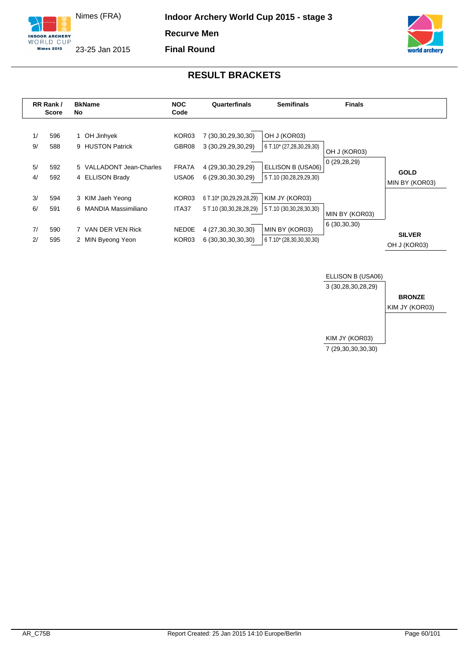

**Final Round**





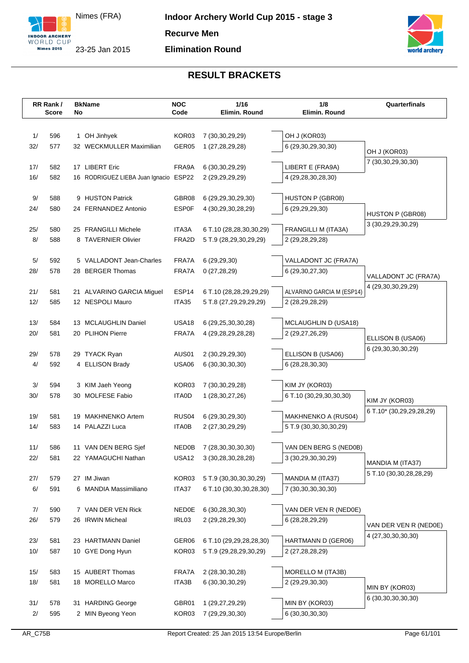



|            | RR Rank/<br><b>Score</b> | No | <b>BkName</b>                                 | <b>NOC</b><br>Code    | 1/16<br>Elimin. Round                             | 1/8<br>Elimin. Round                         | Quarterfinals                          |
|------------|--------------------------|----|-----------------------------------------------|-----------------------|---------------------------------------------------|----------------------------------------------|----------------------------------------|
|            |                          |    |                                               |                       |                                                   |                                              |                                        |
|            |                          |    |                                               |                       |                                                   |                                              |                                        |
| 1/<br>32/  | 596<br>577               |    | 1 OH Jinhyek<br>32 WECKMULLER Maximilian      | KOR03<br>GER05        | 7 (30, 30, 29, 29)<br>1 (27,28,29,28)             | OH J (KOR03)                                 |                                        |
|            |                          |    |                                               |                       |                                                   | 6 (29,30,29,30,30)                           | OH J (KOR03)                           |
| 17/        | 582                      |    | 17 LIBERT Eric                                | FRA9A                 | 6 (30, 30, 29, 29)                                | LIBERT E (FRA9A)                             | 7 (30,30,29,30,30)                     |
| 16/        | 582                      |    | 16 RODRIGUEZ LIEBA Juan Ignacio ESP22         |                       | 2 (29, 29, 29, 29)                                | 4 (29,28,30,28,30)                           |                                        |
|            |                          |    |                                               |                       |                                                   |                                              |                                        |
| 9/         | 588                      |    | 9 HUSTON Patrick                              | GBR08                 | 6 (29, 29, 30, 29, 30)                            | <b>HUSTON P (GBR08)</b>                      |                                        |
| 24/        | 580                      |    | 24 FERNANDEZ Antonio                          | <b>ESP0F</b>          | 4 (30,29,30,28,29)                                | 6 (29,29,29,30)                              |                                        |
|            |                          |    |                                               |                       |                                                   |                                              | HUSTON P (GBR08)<br>3 (30,29,29,30,29) |
| 25/        | 580                      |    | 25 FRANGILLI Michele                          | ITA3A                 | 6 T.10 (28,28,30,30,29)                           | FRANGILLI M (ITA3A)                          |                                        |
| 8/         | 588                      |    | 8 TAVERNIER Olivier                           | FRA2D                 | 5 T.9 (28,29,30,29,29)                            | 2 (29,28,29,28)                              |                                        |
|            |                          |    |                                               |                       |                                                   |                                              |                                        |
| $5/$       | 592                      |    | 5 VALLADONT Jean-Charles                      | FRA7A                 | 6 (29,29,30)                                      | VALLADONT JC (FRA7A)                         |                                        |
| 28/        | 578                      |    | 28 BERGER Thomas                              | FRA7A                 | 0(27, 28, 29)                                     | 6 (29, 30, 27, 30)                           | VALLADONT JC (FRA7A)                   |
|            |                          |    |                                               |                       |                                                   |                                              | 4 (29,30,30,29,29)                     |
| 21/<br>12/ | 581<br>585               |    | 21 ALVARINO GARCIA Miguel<br>12 NESPOLI Mauro | ESP14<br>ITA35        | 6 T.10 (28,28,29,29,29)<br>5 T.8 (27,29,29,29,29) | ALVARINO GARCIA M (ESP14)<br>2 (28,29,28,29) |                                        |
|            |                          |    |                                               |                       |                                                   |                                              |                                        |
| 13/        | 584                      |    | 13 MCLAUGHLIN Daniel                          | <b>USA18</b>          | 6 (29, 25, 30, 30, 28)                            | <b>MCLAUGHLIN D (USA18)</b>                  |                                        |
| 20/        | 581                      |    | 20 PLIHON Pierre                              | FRA7A                 | 4 (29, 28, 29, 28, 28)                            | 2 (29,27,26,29)                              |                                        |
|            |                          |    |                                               |                       |                                                   |                                              | ELLISON B (USA06)                      |
| 29/        | 578                      |    | 29 TYACK Ryan                                 | AUS01                 | 2 (30,29,29,30)                                   | ELLISON B (USA06)                            | 6 (29, 30, 30, 30, 29)                 |
| 4/         | 592                      |    | 4 ELLISON Brady                               | <b>USA06</b>          | 6 (30, 30, 30, 30)                                | 6 (28,28,30,30)                              |                                        |
|            |                          |    |                                               |                       |                                                   |                                              |                                        |
| $3/$       | 594                      |    | 3 KIM Jaeh Yeong                              | KOR03                 | 7 (30, 30, 29, 28)                                | KIM JY (KOR03)                               |                                        |
| 30/        | 578                      |    | 30 MOLFESE Fabio                              | <b>ITA0D</b>          | 1 (28, 30, 27, 26)                                | 6 T.10 (30,29,30,30,30)                      | KIM JY (KOR03)                         |
|            |                          |    |                                               |                       |                                                   |                                              | 6 T.10* (30,29,29,28,29)               |
| 19/        | 581                      |    | 19 MAKHNENKO Artem                            | RUS <sub>04</sub>     | 6 (29,30,29,30)                                   | MAKHNENKO A (RUS04)                          |                                        |
| 14/        | 583                      |    | 14 PALAZZI Luca                               | <b>ITA0B</b>          | 2 (27,30,29,29)                                   | 5 T.9 (30,30,30,30,29)                       |                                        |
|            |                          |    |                                               |                       |                                                   |                                              |                                        |
| 11/<br>22/ | 586<br>581               |    | 11 VAN DEN BERG Sjef<br>22 YAMAGUCHI Nathan   | NED0B<br><b>USA12</b> | 7 (28,30,30,30,30)<br>3 (30,28,30,28,28)          | VAN DEN BERG S (NED0B)<br>3 (30,29,30,30,29) |                                        |
|            |                          |    |                                               |                       |                                                   |                                              | MANDIA M (ITA37)                       |
| 27/        | 579                      |    | 27 IM Jiwan                                   | KOR03                 | 5 T.9 (30,30,30,30,29)                            | MANDIA M (ITA37)                             | 5 T.10 (30,30,28,28,29)                |
| $6/$       | 591                      |    | 6 MANDIA Massimiliano                         | ITA37                 | 6 T.10 (30,30,30,28,30)                           | 7 (30,30,30,30,30)                           |                                        |
|            |                          |    |                                               |                       |                                                   |                                              |                                        |
| 7/         | 590                      |    | 7 VAN DER VEN Rick                            | <b>NED0E</b>          | 6 (30,28,30,30)                                   | VAN DER VEN R (NED0E)                        |                                        |
| 26/        | 579                      |    | 26 IRWIN Micheal                              | IRL03                 | 2 (29,28,29,30)                                   | 6 (28,28,29,29)                              |                                        |
|            |                          |    |                                               |                       |                                                   |                                              | VAN DER VEN R (NED0E)                  |
| 23/        | 581                      |    | 23 HARTMANN Daniel                            | GER06                 | 6 T.10 (29,29,28,28,30)                           | HARTMANN D (GER06)                           | 4 (27,30,30,30,30)                     |
| 10/        | 587                      |    | 10 GYE Dong Hyun                              | KOR03                 | 5 T.9 (29,28,29,30,29)                            | 2 (27,28,28,29)                              |                                        |
|            |                          |    |                                               |                       |                                                   |                                              |                                        |
| 15/        | 583                      |    | 15 AUBERT Thomas                              | FRA7A                 | 2 (28, 30, 30, 28)                                | MORELLO M (ITA3B)                            |                                        |
| 18/        | 581                      |    | 18 MORELLO Marco                              | ITA3B                 | 6 (30, 30, 30, 29)                                | 2 (29,29,30,30)                              | MIN BY (KOR03)                         |
|            |                          |    |                                               |                       |                                                   |                                              | 6 (30, 30, 30, 30, 30)                 |
| 31/        | 578                      |    | 31 HARDING George                             | GBR01                 | 1 (29,27,29,29)                                   | MIN BY (KOR03)                               |                                        |
| 2/         | 595                      |    | 2 MIN Byeong Yeon                             | KOR03                 | 7 (29,29,30,30)                                   | 6 (30, 30, 30, 30)                           |                                        |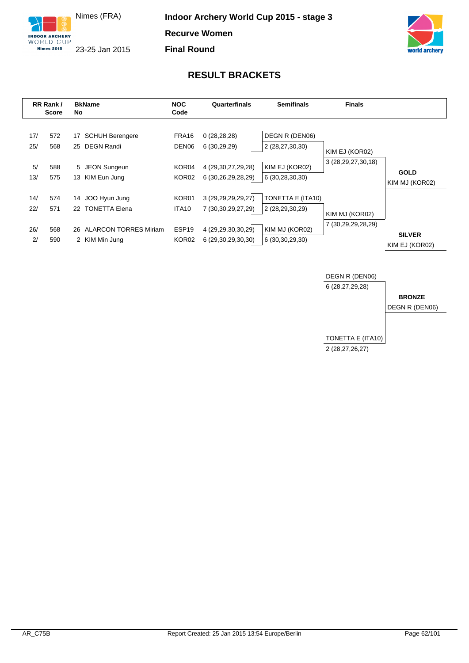

**Final Round**





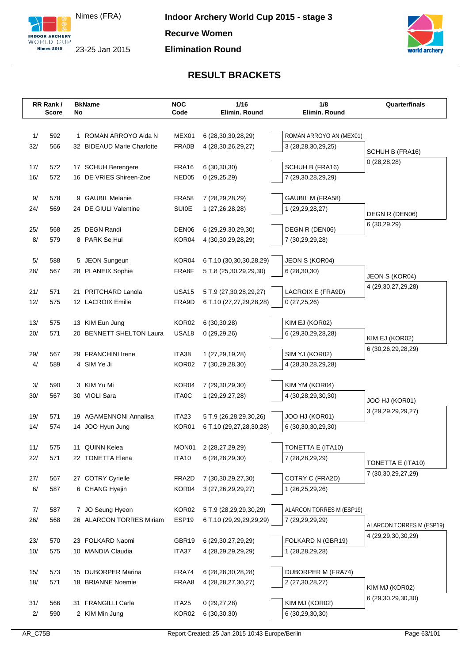



| 1/<br>592<br>1 ROMAN ARROYO Aida N<br>MEX01<br>6 (28, 30, 30, 28, 29)<br>ROMAN ARROYO AN (MEX01)<br>FRA0B<br>32/<br>566<br>32 BIDEAUD Marie Charlotte<br>3 (28,28,30,29,25)<br>4 (28, 30, 26, 29, 27)<br>SCHUH B (FRA16)<br>0(28, 28, 28)<br>FRA16<br>SCHUH B (FRA16)<br>17/<br>572<br>17 SCHUH Berengere<br>6(30,30,30)<br>16/<br>16 DE VRIES Shireen-Zoe<br>572<br>NED <sub>05</sub><br>0(29,25,29)<br>7 (29,30,28,29,29)<br>9/<br>578<br>9 GAUBIL Melanie<br><b>FRA58</b><br>GAUBIL M (FRA58)<br>7 (28,29,28,29)<br>24 DE GIULI Valentine<br><b>SUI0E</b><br>24/<br>1 (29,29,28,27)<br>569<br>1 (27,26,28,28)<br>DEGN R (DEN06)<br>6 (30,29,29)<br>25 DEGN Randi<br>DEN06<br>DEGN R (DEN06)<br>25/<br>6 (29,29,30,29,30)<br>568<br>8 PARK Se Hui<br>8/<br>579<br>KOR04<br>7 (30,29,29,28)<br>4 (30, 30, 29, 28, 29)<br>KOR04<br>5/<br>588<br>5 JEON Sungeun<br>6 T.10 (30,30,30,28,29)<br>JEON S (KOR04)<br>28/<br>567<br>28 PLANEIX Sophie<br>FRA8F<br>5 T.8 (25,30,29,29,30)<br>6(28, 30, 30)<br>JEON S (KOR04)<br>4 (29, 30, 27, 29, 28)<br>LACROIX E (FRA9D)<br>21/<br>571<br>21 PRITCHARD Lanola<br><b>USA15</b><br>5 T.9 (27,30,28,29,27)<br>12/<br>12 LACROIX Emilie<br>575<br>FRA9D<br>0(27,25,26)<br>6 T.10 (27,27,29,28,28)<br>KOR02<br>13/<br>575<br>13 KIM Eun Jung<br>6(30,30,28)<br>KIM EJ (KOR02)<br>USA18<br>20/<br>571<br>20 BENNETT SHELTON Laura<br>0(29,29,26)<br>6 (29,30,29,28,28)<br>KIM EJ (KOR02)<br>6 (30,26,29,28,29)<br>29 FRANCHINI Irene<br>ITA38<br>29/<br>567<br>1 (27,29,19,28)<br>SIM YJ (KOR02)<br>4/<br>4 SIM Ye Ji<br>KOR02<br>589<br>7 (30,29,28,30)<br>4 (28, 30, 28, 29, 28)<br>3/<br>KOR04<br>590<br>3 KIM Yu Mi<br>7 (29,30,29,30)<br>KIM YM (KOR04)<br>30 VIOLI Sara<br><b>ITA0C</b><br>30/<br>567<br>4 (30,28,29,30,30)<br>1 (29, 29, 27, 28)<br>JOO HJ (KOR01)<br>3 (29, 29, 29, 29, 27)<br><b>AGAMENNONI Annalisa</b><br>ITA23<br>JOO HJ (KOR01)<br>19/<br>571<br>5 T.9 (26,28,29,30,26)<br>19<br>14/<br>14 JOO Hyun Jung<br>KOR01<br>6 (30, 30, 30, 29, 30)<br>574<br>6 T.10 (29,27,28,30,28)<br>TONETTA E (ITA10)<br>11/<br>575<br>11 QUINN Kelea<br>MON <sub>01</sub><br>2 (28,27,29,29)<br>22 TONETTA Elena<br><b>ITA10</b><br>22/<br>571<br>6 (28, 28, 29, 30)<br>7 (28, 28, 29, 29)<br>TONETTA E (ITA10)<br>7 (30,30,29,27,29)<br>COTRY C (FRA2D)<br>27 COTRY Cyrielle<br>27/<br>FRA2D<br>7 (30, 30, 29, 27, 30)<br>567<br>6/<br>587<br>6 CHANG Hyejin<br>KOR04<br>1 (26,25,29,26)<br>3 (27, 26, 29, 29, 27)<br>KOR02<br>7/<br>7 JO Seung Hyeon<br>5 T.9 (28,29,29,30,29)<br>ALARCON TORRES M (ESP19)<br>587<br>ESP19<br>26/<br>568<br>26 ALARCON TORRES Miriam<br>6 T.10 (29,29,29,29,29)<br>7 (29,29,29,29)<br>ALARCON TORRES M (ESP19)<br>4 (29, 29, 30, 30, 29)<br>FOLKARD N (GBR19)<br>23/<br>570<br>23 FOLKARD Naomi<br>GBR19<br>6 (29, 30, 27, 29, 29)<br>10/<br>575<br>10 MANDIA Claudia<br>ITA37<br>4 (28,29,29,29,29)<br>1 (28,28,29,28)<br>15 DUBORPER Marina<br>15/<br>573<br>FRA74<br>6 (28,28,30,28,28)<br>DUBORPER M (FRA74)<br>18/<br>571<br>18 BRIANNE Noemie<br>FRAA8<br>4 (28, 28, 27, 30, 27)<br>2 (27,30,28,27)<br>KIM MJ (KOR02)<br>6 (29,30,29,30,30)<br>31 FRANGILLI Carla<br>KIM MJ (KOR02)<br>31/<br>ITA <sub>25</sub><br>0(29, 27, 28)<br>566<br>$2/$<br>KOR02<br>6 (30,29,30,30)<br>590<br>2 KIM Min Jung<br>6(30,30,30) | RR Rank/<br><b>Score</b> | <b>BkName</b><br>No | <b>NOC</b><br>Code | 1/16<br>Elimin. Round | 1/8<br>Elimin. Round | Quarterfinals |
|-------------------------------------------------------------------------------------------------------------------------------------------------------------------------------------------------------------------------------------------------------------------------------------------------------------------------------------------------------------------------------------------------------------------------------------------------------------------------------------------------------------------------------------------------------------------------------------------------------------------------------------------------------------------------------------------------------------------------------------------------------------------------------------------------------------------------------------------------------------------------------------------------------------------------------------------------------------------------------------------------------------------------------------------------------------------------------------------------------------------------------------------------------------------------------------------------------------------------------------------------------------------------------------------------------------------------------------------------------------------------------------------------------------------------------------------------------------------------------------------------------------------------------------------------------------------------------------------------------------------------------------------------------------------------------------------------------------------------------------------------------------------------------------------------------------------------------------------------------------------------------------------------------------------------------------------------------------------------------------------------------------------------------------------------------------------------------------------------------------------------------------------------------------------------------------------------------------------------------------------------------------------------------------------------------------------------------------------------------------------------------------------------------------------------------------------------------------------------------------------------------------------------------------------------------------------------------------------------------------------------------------------------------------------------------------------------------------------------------------------------------------------------------------------------------------------------------------------------------------------------------------------------------------------------------------------------------------------------------------------------------------------------------------------------------------------------------------------------------------------------------------------------------------------------------------------------------------------------------------------------------------------------------------------------------------|--------------------------|---------------------|--------------------|-----------------------|----------------------|---------------|
|                                                                                                                                                                                                                                                                                                                                                                                                                                                                                                                                                                                                                                                                                                                                                                                                                                                                                                                                                                                                                                                                                                                                                                                                                                                                                                                                                                                                                                                                                                                                                                                                                                                                                                                                                                                                                                                                                                                                                                                                                                                                                                                                                                                                                                                                                                                                                                                                                                                                                                                                                                                                                                                                                                                                                                                                                                                                                                                                                                                                                                                                                                                                                                                                                                                                                                             |                          |                     |                    |                       |                      |               |
|                                                                                                                                                                                                                                                                                                                                                                                                                                                                                                                                                                                                                                                                                                                                                                                                                                                                                                                                                                                                                                                                                                                                                                                                                                                                                                                                                                                                                                                                                                                                                                                                                                                                                                                                                                                                                                                                                                                                                                                                                                                                                                                                                                                                                                                                                                                                                                                                                                                                                                                                                                                                                                                                                                                                                                                                                                                                                                                                                                                                                                                                                                                                                                                                                                                                                                             |                          |                     |                    |                       |                      |               |
|                                                                                                                                                                                                                                                                                                                                                                                                                                                                                                                                                                                                                                                                                                                                                                                                                                                                                                                                                                                                                                                                                                                                                                                                                                                                                                                                                                                                                                                                                                                                                                                                                                                                                                                                                                                                                                                                                                                                                                                                                                                                                                                                                                                                                                                                                                                                                                                                                                                                                                                                                                                                                                                                                                                                                                                                                                                                                                                                                                                                                                                                                                                                                                                                                                                                                                             |                          |                     |                    |                       |                      |               |
|                                                                                                                                                                                                                                                                                                                                                                                                                                                                                                                                                                                                                                                                                                                                                                                                                                                                                                                                                                                                                                                                                                                                                                                                                                                                                                                                                                                                                                                                                                                                                                                                                                                                                                                                                                                                                                                                                                                                                                                                                                                                                                                                                                                                                                                                                                                                                                                                                                                                                                                                                                                                                                                                                                                                                                                                                                                                                                                                                                                                                                                                                                                                                                                                                                                                                                             |                          |                     |                    |                       |                      |               |
|                                                                                                                                                                                                                                                                                                                                                                                                                                                                                                                                                                                                                                                                                                                                                                                                                                                                                                                                                                                                                                                                                                                                                                                                                                                                                                                                                                                                                                                                                                                                                                                                                                                                                                                                                                                                                                                                                                                                                                                                                                                                                                                                                                                                                                                                                                                                                                                                                                                                                                                                                                                                                                                                                                                                                                                                                                                                                                                                                                                                                                                                                                                                                                                                                                                                                                             |                          |                     |                    |                       |                      |               |
|                                                                                                                                                                                                                                                                                                                                                                                                                                                                                                                                                                                                                                                                                                                                                                                                                                                                                                                                                                                                                                                                                                                                                                                                                                                                                                                                                                                                                                                                                                                                                                                                                                                                                                                                                                                                                                                                                                                                                                                                                                                                                                                                                                                                                                                                                                                                                                                                                                                                                                                                                                                                                                                                                                                                                                                                                                                                                                                                                                                                                                                                                                                                                                                                                                                                                                             |                          |                     |                    |                       |                      |               |
|                                                                                                                                                                                                                                                                                                                                                                                                                                                                                                                                                                                                                                                                                                                                                                                                                                                                                                                                                                                                                                                                                                                                                                                                                                                                                                                                                                                                                                                                                                                                                                                                                                                                                                                                                                                                                                                                                                                                                                                                                                                                                                                                                                                                                                                                                                                                                                                                                                                                                                                                                                                                                                                                                                                                                                                                                                                                                                                                                                                                                                                                                                                                                                                                                                                                                                             |                          |                     |                    |                       |                      |               |
|                                                                                                                                                                                                                                                                                                                                                                                                                                                                                                                                                                                                                                                                                                                                                                                                                                                                                                                                                                                                                                                                                                                                                                                                                                                                                                                                                                                                                                                                                                                                                                                                                                                                                                                                                                                                                                                                                                                                                                                                                                                                                                                                                                                                                                                                                                                                                                                                                                                                                                                                                                                                                                                                                                                                                                                                                                                                                                                                                                                                                                                                                                                                                                                                                                                                                                             |                          |                     |                    |                       |                      |               |
|                                                                                                                                                                                                                                                                                                                                                                                                                                                                                                                                                                                                                                                                                                                                                                                                                                                                                                                                                                                                                                                                                                                                                                                                                                                                                                                                                                                                                                                                                                                                                                                                                                                                                                                                                                                                                                                                                                                                                                                                                                                                                                                                                                                                                                                                                                                                                                                                                                                                                                                                                                                                                                                                                                                                                                                                                                                                                                                                                                                                                                                                                                                                                                                                                                                                                                             |                          |                     |                    |                       |                      |               |
|                                                                                                                                                                                                                                                                                                                                                                                                                                                                                                                                                                                                                                                                                                                                                                                                                                                                                                                                                                                                                                                                                                                                                                                                                                                                                                                                                                                                                                                                                                                                                                                                                                                                                                                                                                                                                                                                                                                                                                                                                                                                                                                                                                                                                                                                                                                                                                                                                                                                                                                                                                                                                                                                                                                                                                                                                                                                                                                                                                                                                                                                                                                                                                                                                                                                                                             |                          |                     |                    |                       |                      |               |
|                                                                                                                                                                                                                                                                                                                                                                                                                                                                                                                                                                                                                                                                                                                                                                                                                                                                                                                                                                                                                                                                                                                                                                                                                                                                                                                                                                                                                                                                                                                                                                                                                                                                                                                                                                                                                                                                                                                                                                                                                                                                                                                                                                                                                                                                                                                                                                                                                                                                                                                                                                                                                                                                                                                                                                                                                                                                                                                                                                                                                                                                                                                                                                                                                                                                                                             |                          |                     |                    |                       |                      |               |
|                                                                                                                                                                                                                                                                                                                                                                                                                                                                                                                                                                                                                                                                                                                                                                                                                                                                                                                                                                                                                                                                                                                                                                                                                                                                                                                                                                                                                                                                                                                                                                                                                                                                                                                                                                                                                                                                                                                                                                                                                                                                                                                                                                                                                                                                                                                                                                                                                                                                                                                                                                                                                                                                                                                                                                                                                                                                                                                                                                                                                                                                                                                                                                                                                                                                                                             |                          |                     |                    |                       |                      |               |
|                                                                                                                                                                                                                                                                                                                                                                                                                                                                                                                                                                                                                                                                                                                                                                                                                                                                                                                                                                                                                                                                                                                                                                                                                                                                                                                                                                                                                                                                                                                                                                                                                                                                                                                                                                                                                                                                                                                                                                                                                                                                                                                                                                                                                                                                                                                                                                                                                                                                                                                                                                                                                                                                                                                                                                                                                                                                                                                                                                                                                                                                                                                                                                                                                                                                                                             |                          |                     |                    |                       |                      |               |
|                                                                                                                                                                                                                                                                                                                                                                                                                                                                                                                                                                                                                                                                                                                                                                                                                                                                                                                                                                                                                                                                                                                                                                                                                                                                                                                                                                                                                                                                                                                                                                                                                                                                                                                                                                                                                                                                                                                                                                                                                                                                                                                                                                                                                                                                                                                                                                                                                                                                                                                                                                                                                                                                                                                                                                                                                                                                                                                                                                                                                                                                                                                                                                                                                                                                                                             |                          |                     |                    |                       |                      |               |
|                                                                                                                                                                                                                                                                                                                                                                                                                                                                                                                                                                                                                                                                                                                                                                                                                                                                                                                                                                                                                                                                                                                                                                                                                                                                                                                                                                                                                                                                                                                                                                                                                                                                                                                                                                                                                                                                                                                                                                                                                                                                                                                                                                                                                                                                                                                                                                                                                                                                                                                                                                                                                                                                                                                                                                                                                                                                                                                                                                                                                                                                                                                                                                                                                                                                                                             |                          |                     |                    |                       |                      |               |
|                                                                                                                                                                                                                                                                                                                                                                                                                                                                                                                                                                                                                                                                                                                                                                                                                                                                                                                                                                                                                                                                                                                                                                                                                                                                                                                                                                                                                                                                                                                                                                                                                                                                                                                                                                                                                                                                                                                                                                                                                                                                                                                                                                                                                                                                                                                                                                                                                                                                                                                                                                                                                                                                                                                                                                                                                                                                                                                                                                                                                                                                                                                                                                                                                                                                                                             |                          |                     |                    |                       |                      |               |
|                                                                                                                                                                                                                                                                                                                                                                                                                                                                                                                                                                                                                                                                                                                                                                                                                                                                                                                                                                                                                                                                                                                                                                                                                                                                                                                                                                                                                                                                                                                                                                                                                                                                                                                                                                                                                                                                                                                                                                                                                                                                                                                                                                                                                                                                                                                                                                                                                                                                                                                                                                                                                                                                                                                                                                                                                                                                                                                                                                                                                                                                                                                                                                                                                                                                                                             |                          |                     |                    |                       |                      |               |
|                                                                                                                                                                                                                                                                                                                                                                                                                                                                                                                                                                                                                                                                                                                                                                                                                                                                                                                                                                                                                                                                                                                                                                                                                                                                                                                                                                                                                                                                                                                                                                                                                                                                                                                                                                                                                                                                                                                                                                                                                                                                                                                                                                                                                                                                                                                                                                                                                                                                                                                                                                                                                                                                                                                                                                                                                                                                                                                                                                                                                                                                                                                                                                                                                                                                                                             |                          |                     |                    |                       |                      |               |
|                                                                                                                                                                                                                                                                                                                                                                                                                                                                                                                                                                                                                                                                                                                                                                                                                                                                                                                                                                                                                                                                                                                                                                                                                                                                                                                                                                                                                                                                                                                                                                                                                                                                                                                                                                                                                                                                                                                                                                                                                                                                                                                                                                                                                                                                                                                                                                                                                                                                                                                                                                                                                                                                                                                                                                                                                                                                                                                                                                                                                                                                                                                                                                                                                                                                                                             |                          |                     |                    |                       |                      |               |
|                                                                                                                                                                                                                                                                                                                                                                                                                                                                                                                                                                                                                                                                                                                                                                                                                                                                                                                                                                                                                                                                                                                                                                                                                                                                                                                                                                                                                                                                                                                                                                                                                                                                                                                                                                                                                                                                                                                                                                                                                                                                                                                                                                                                                                                                                                                                                                                                                                                                                                                                                                                                                                                                                                                                                                                                                                                                                                                                                                                                                                                                                                                                                                                                                                                                                                             |                          |                     |                    |                       |                      |               |
|                                                                                                                                                                                                                                                                                                                                                                                                                                                                                                                                                                                                                                                                                                                                                                                                                                                                                                                                                                                                                                                                                                                                                                                                                                                                                                                                                                                                                                                                                                                                                                                                                                                                                                                                                                                                                                                                                                                                                                                                                                                                                                                                                                                                                                                                                                                                                                                                                                                                                                                                                                                                                                                                                                                                                                                                                                                                                                                                                                                                                                                                                                                                                                                                                                                                                                             |                          |                     |                    |                       |                      |               |
|                                                                                                                                                                                                                                                                                                                                                                                                                                                                                                                                                                                                                                                                                                                                                                                                                                                                                                                                                                                                                                                                                                                                                                                                                                                                                                                                                                                                                                                                                                                                                                                                                                                                                                                                                                                                                                                                                                                                                                                                                                                                                                                                                                                                                                                                                                                                                                                                                                                                                                                                                                                                                                                                                                                                                                                                                                                                                                                                                                                                                                                                                                                                                                                                                                                                                                             |                          |                     |                    |                       |                      |               |
|                                                                                                                                                                                                                                                                                                                                                                                                                                                                                                                                                                                                                                                                                                                                                                                                                                                                                                                                                                                                                                                                                                                                                                                                                                                                                                                                                                                                                                                                                                                                                                                                                                                                                                                                                                                                                                                                                                                                                                                                                                                                                                                                                                                                                                                                                                                                                                                                                                                                                                                                                                                                                                                                                                                                                                                                                                                                                                                                                                                                                                                                                                                                                                                                                                                                                                             |                          |                     |                    |                       |                      |               |
|                                                                                                                                                                                                                                                                                                                                                                                                                                                                                                                                                                                                                                                                                                                                                                                                                                                                                                                                                                                                                                                                                                                                                                                                                                                                                                                                                                                                                                                                                                                                                                                                                                                                                                                                                                                                                                                                                                                                                                                                                                                                                                                                                                                                                                                                                                                                                                                                                                                                                                                                                                                                                                                                                                                                                                                                                                                                                                                                                                                                                                                                                                                                                                                                                                                                                                             |                          |                     |                    |                       |                      |               |
|                                                                                                                                                                                                                                                                                                                                                                                                                                                                                                                                                                                                                                                                                                                                                                                                                                                                                                                                                                                                                                                                                                                                                                                                                                                                                                                                                                                                                                                                                                                                                                                                                                                                                                                                                                                                                                                                                                                                                                                                                                                                                                                                                                                                                                                                                                                                                                                                                                                                                                                                                                                                                                                                                                                                                                                                                                                                                                                                                                                                                                                                                                                                                                                                                                                                                                             |                          |                     |                    |                       |                      |               |
|                                                                                                                                                                                                                                                                                                                                                                                                                                                                                                                                                                                                                                                                                                                                                                                                                                                                                                                                                                                                                                                                                                                                                                                                                                                                                                                                                                                                                                                                                                                                                                                                                                                                                                                                                                                                                                                                                                                                                                                                                                                                                                                                                                                                                                                                                                                                                                                                                                                                                                                                                                                                                                                                                                                                                                                                                                                                                                                                                                                                                                                                                                                                                                                                                                                                                                             |                          |                     |                    |                       |                      |               |
|                                                                                                                                                                                                                                                                                                                                                                                                                                                                                                                                                                                                                                                                                                                                                                                                                                                                                                                                                                                                                                                                                                                                                                                                                                                                                                                                                                                                                                                                                                                                                                                                                                                                                                                                                                                                                                                                                                                                                                                                                                                                                                                                                                                                                                                                                                                                                                                                                                                                                                                                                                                                                                                                                                                                                                                                                                                                                                                                                                                                                                                                                                                                                                                                                                                                                                             |                          |                     |                    |                       |                      |               |
|                                                                                                                                                                                                                                                                                                                                                                                                                                                                                                                                                                                                                                                                                                                                                                                                                                                                                                                                                                                                                                                                                                                                                                                                                                                                                                                                                                                                                                                                                                                                                                                                                                                                                                                                                                                                                                                                                                                                                                                                                                                                                                                                                                                                                                                                                                                                                                                                                                                                                                                                                                                                                                                                                                                                                                                                                                                                                                                                                                                                                                                                                                                                                                                                                                                                                                             |                          |                     |                    |                       |                      |               |
|                                                                                                                                                                                                                                                                                                                                                                                                                                                                                                                                                                                                                                                                                                                                                                                                                                                                                                                                                                                                                                                                                                                                                                                                                                                                                                                                                                                                                                                                                                                                                                                                                                                                                                                                                                                                                                                                                                                                                                                                                                                                                                                                                                                                                                                                                                                                                                                                                                                                                                                                                                                                                                                                                                                                                                                                                                                                                                                                                                                                                                                                                                                                                                                                                                                                                                             |                          |                     |                    |                       |                      |               |
|                                                                                                                                                                                                                                                                                                                                                                                                                                                                                                                                                                                                                                                                                                                                                                                                                                                                                                                                                                                                                                                                                                                                                                                                                                                                                                                                                                                                                                                                                                                                                                                                                                                                                                                                                                                                                                                                                                                                                                                                                                                                                                                                                                                                                                                                                                                                                                                                                                                                                                                                                                                                                                                                                                                                                                                                                                                                                                                                                                                                                                                                                                                                                                                                                                                                                                             |                          |                     |                    |                       |                      |               |
|                                                                                                                                                                                                                                                                                                                                                                                                                                                                                                                                                                                                                                                                                                                                                                                                                                                                                                                                                                                                                                                                                                                                                                                                                                                                                                                                                                                                                                                                                                                                                                                                                                                                                                                                                                                                                                                                                                                                                                                                                                                                                                                                                                                                                                                                                                                                                                                                                                                                                                                                                                                                                                                                                                                                                                                                                                                                                                                                                                                                                                                                                                                                                                                                                                                                                                             |                          |                     |                    |                       |                      |               |
|                                                                                                                                                                                                                                                                                                                                                                                                                                                                                                                                                                                                                                                                                                                                                                                                                                                                                                                                                                                                                                                                                                                                                                                                                                                                                                                                                                                                                                                                                                                                                                                                                                                                                                                                                                                                                                                                                                                                                                                                                                                                                                                                                                                                                                                                                                                                                                                                                                                                                                                                                                                                                                                                                                                                                                                                                                                                                                                                                                                                                                                                                                                                                                                                                                                                                                             |                          |                     |                    |                       |                      |               |
|                                                                                                                                                                                                                                                                                                                                                                                                                                                                                                                                                                                                                                                                                                                                                                                                                                                                                                                                                                                                                                                                                                                                                                                                                                                                                                                                                                                                                                                                                                                                                                                                                                                                                                                                                                                                                                                                                                                                                                                                                                                                                                                                                                                                                                                                                                                                                                                                                                                                                                                                                                                                                                                                                                                                                                                                                                                                                                                                                                                                                                                                                                                                                                                                                                                                                                             |                          |                     |                    |                       |                      |               |
|                                                                                                                                                                                                                                                                                                                                                                                                                                                                                                                                                                                                                                                                                                                                                                                                                                                                                                                                                                                                                                                                                                                                                                                                                                                                                                                                                                                                                                                                                                                                                                                                                                                                                                                                                                                                                                                                                                                                                                                                                                                                                                                                                                                                                                                                                                                                                                                                                                                                                                                                                                                                                                                                                                                                                                                                                                                                                                                                                                                                                                                                                                                                                                                                                                                                                                             |                          |                     |                    |                       |                      |               |
|                                                                                                                                                                                                                                                                                                                                                                                                                                                                                                                                                                                                                                                                                                                                                                                                                                                                                                                                                                                                                                                                                                                                                                                                                                                                                                                                                                                                                                                                                                                                                                                                                                                                                                                                                                                                                                                                                                                                                                                                                                                                                                                                                                                                                                                                                                                                                                                                                                                                                                                                                                                                                                                                                                                                                                                                                                                                                                                                                                                                                                                                                                                                                                                                                                                                                                             |                          |                     |                    |                       |                      |               |
|                                                                                                                                                                                                                                                                                                                                                                                                                                                                                                                                                                                                                                                                                                                                                                                                                                                                                                                                                                                                                                                                                                                                                                                                                                                                                                                                                                                                                                                                                                                                                                                                                                                                                                                                                                                                                                                                                                                                                                                                                                                                                                                                                                                                                                                                                                                                                                                                                                                                                                                                                                                                                                                                                                                                                                                                                                                                                                                                                                                                                                                                                                                                                                                                                                                                                                             |                          |                     |                    |                       |                      |               |
|                                                                                                                                                                                                                                                                                                                                                                                                                                                                                                                                                                                                                                                                                                                                                                                                                                                                                                                                                                                                                                                                                                                                                                                                                                                                                                                                                                                                                                                                                                                                                                                                                                                                                                                                                                                                                                                                                                                                                                                                                                                                                                                                                                                                                                                                                                                                                                                                                                                                                                                                                                                                                                                                                                                                                                                                                                                                                                                                                                                                                                                                                                                                                                                                                                                                                                             |                          |                     |                    |                       |                      |               |
|                                                                                                                                                                                                                                                                                                                                                                                                                                                                                                                                                                                                                                                                                                                                                                                                                                                                                                                                                                                                                                                                                                                                                                                                                                                                                                                                                                                                                                                                                                                                                                                                                                                                                                                                                                                                                                                                                                                                                                                                                                                                                                                                                                                                                                                                                                                                                                                                                                                                                                                                                                                                                                                                                                                                                                                                                                                                                                                                                                                                                                                                                                                                                                                                                                                                                                             |                          |                     |                    |                       |                      |               |
|                                                                                                                                                                                                                                                                                                                                                                                                                                                                                                                                                                                                                                                                                                                                                                                                                                                                                                                                                                                                                                                                                                                                                                                                                                                                                                                                                                                                                                                                                                                                                                                                                                                                                                                                                                                                                                                                                                                                                                                                                                                                                                                                                                                                                                                                                                                                                                                                                                                                                                                                                                                                                                                                                                                                                                                                                                                                                                                                                                                                                                                                                                                                                                                                                                                                                                             |                          |                     |                    |                       |                      |               |
|                                                                                                                                                                                                                                                                                                                                                                                                                                                                                                                                                                                                                                                                                                                                                                                                                                                                                                                                                                                                                                                                                                                                                                                                                                                                                                                                                                                                                                                                                                                                                                                                                                                                                                                                                                                                                                                                                                                                                                                                                                                                                                                                                                                                                                                                                                                                                                                                                                                                                                                                                                                                                                                                                                                                                                                                                                                                                                                                                                                                                                                                                                                                                                                                                                                                                                             |                          |                     |                    |                       |                      |               |
|                                                                                                                                                                                                                                                                                                                                                                                                                                                                                                                                                                                                                                                                                                                                                                                                                                                                                                                                                                                                                                                                                                                                                                                                                                                                                                                                                                                                                                                                                                                                                                                                                                                                                                                                                                                                                                                                                                                                                                                                                                                                                                                                                                                                                                                                                                                                                                                                                                                                                                                                                                                                                                                                                                                                                                                                                                                                                                                                                                                                                                                                                                                                                                                                                                                                                                             |                          |                     |                    |                       |                      |               |
|                                                                                                                                                                                                                                                                                                                                                                                                                                                                                                                                                                                                                                                                                                                                                                                                                                                                                                                                                                                                                                                                                                                                                                                                                                                                                                                                                                                                                                                                                                                                                                                                                                                                                                                                                                                                                                                                                                                                                                                                                                                                                                                                                                                                                                                                                                                                                                                                                                                                                                                                                                                                                                                                                                                                                                                                                                                                                                                                                                                                                                                                                                                                                                                                                                                                                                             |                          |                     |                    |                       |                      |               |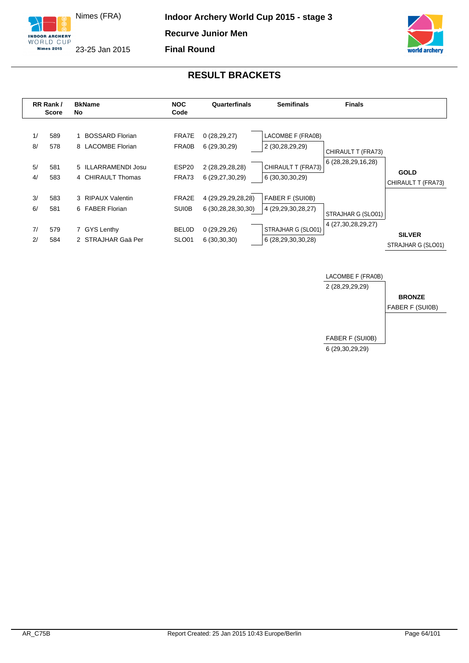



**Final Round**



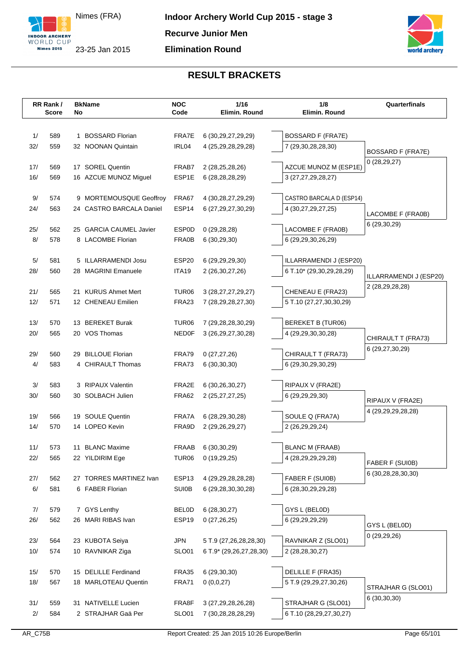



|     | RR Rank/<br><b>Score</b> | No | <b>BkName</b>            | <b>NOC</b><br>Code | 1/16<br>Elimin. Round              | 1/8<br>Elimin. Round                   | Quarterfinals                         |
|-----|--------------------------|----|--------------------------|--------------------|------------------------------------|----------------------------------------|---------------------------------------|
|     |                          |    |                          |                    |                                    |                                        |                                       |
| 1/  | 589                      | 1  | <b>BOSSARD Florian</b>   | FRA7E              | 6 (30, 29, 27, 29, 29)             | <b>BOSSARD F (FRA7E)</b>               |                                       |
| 32/ | 559                      |    | 32 NOONAN Quintain       | IRL04              | 4 (25,29,28,29,28)                 | 7 (29,30,28,28,30)                     | <b>BOSSARD F (FRA7E)</b>              |
| 17/ | 569                      |    | 17 SOREL Quentin         | FRAB7              | 2 (28,25,28,26)                    | AZCUE MUNOZ M (ESP1E)                  | 0(28, 29, 27)                         |
| 16/ | 569                      |    | 16 AZCUE MUNOZ Miquel    | ESP1E              | 6 (28,28,28,29)                    | 3 (27,27,29,28,27)                     |                                       |
|     |                          |    |                          |                    |                                    |                                        |                                       |
| 9/  | 574                      |    | 9 MORTEMOUSQUE Geoffroy  | FRA67              | 4 (30,28,27,29,29)                 | CASTRO BARCALA D (ESP14)               |                                       |
| 24/ | 563                      |    | 24 CASTRO BARCALA Daniel | ESP14              | 6 (27, 29, 27, 30, 29)             | 4 (30,27,29,27,25)                     | LACOMBE F (FRA0B)                     |
|     |                          |    |                          |                    |                                    |                                        | 6 (29,30,29)                          |
| 25/ | 562                      |    | 25 GARCIA CAUMEL Javier  | <b>ESP0D</b>       | 0(29, 28, 28)                      | LACOMBE F (FRA0B)                      |                                       |
| 8/  | 578                      |    | 8 LACOMBE Florian        | <b>FRA0B</b>       | 6(30, 29, 30)                      | 6 (29,29,30,26,29)                     |                                       |
| 5/  | 581                      |    | 5 ILLARRAMENDI Josu      | ESP20              | 6 (29,29,29,30)                    | ILLARRAMENDI J (ESP20)                 |                                       |
| 28/ | 560                      |    | 28 MAGRINI Emanuele      | ITA19              | 2 (26,30,27,26)                    | 6 T.10* (29,30,29,28,29)               | ILLARRAMENDI J (ESP20)                |
|     |                          |    |                          |                    |                                    |                                        | 2 (28, 29, 28, 28)                    |
| 21/ | 565                      |    | 21 KURUS Ahmet Mert      | TUR <sub>06</sub>  | 3 (28, 27, 27, 29, 27)             | CHENEAU E (FRA23)                      |                                       |
| 12/ | 571                      |    | 12 CHENEAU Emilien       | FRA <sub>23</sub>  | 7 (28,29,28,27,30)                 | 5 T.10 (27,27,30,30,29)                |                                       |
| 13/ | 570                      |    | 13 BEREKET Burak         | TUR <sub>06</sub>  | 7 (29,28,28,30,29)                 | BEREKET B (TUR06)                      |                                       |
| 20/ | 565                      |    | 20 VOS Thomas            | <b>NED0F</b>       | 3 (26, 29, 27, 30, 28)             | 4 (29,29,30,30,28)                     |                                       |
|     |                          |    |                          |                    |                                    |                                        | CHIRAULT T (FRA73)<br>6 (29,27,30,29) |
| 29/ | 560                      |    | 29 BILLOUE Florian       | FRA79              | 0(27, 27, 26)                      | CHIRAULT T (FRA73)                     |                                       |
| 4/  | 583                      |    | 4 CHIRAULT Thomas        | FRA73              | 6 (30,30,30)                       | 6 (29,30,29,30,29)                     |                                       |
| 3/  | 583                      |    | 3 RIPAUX Valentin        | FRA2E              |                                    |                                        |                                       |
| 30/ | 560                      |    | 30 SOLBACH Julien        | <b>FRA62</b>       | 6 (30,26,30,27)<br>2 (25,27,27,25) | RIPAUX V (FRA2E)<br>6 (29, 29, 29, 30) |                                       |
|     |                          |    |                          |                    |                                    |                                        | RIPAUX V (FRA2E)                      |
| 19/ | 566                      |    | 19 SOULE Quentin         | FRA7A              | 6 (28,29,30,28)                    | SOULE Q (FRA7A)                        | 4 (29, 29, 29, 28, 28)                |
| 14/ | 570                      |    | 14 LOPEO Kevin           | FRA9D              | 2 (29,26,29,27)                    | 2 (26,29,29,24)                        |                                       |
|     |                          |    |                          |                    |                                    |                                        |                                       |
| 11/ | 573                      |    | 11 BLANC Maxime          | FRAAB              | 6 (30, 30, 29)                     | <b>BLANC M (FRAAB)</b>                 |                                       |
| 22/ | 565                      |    | 22 YILDIRIM Ege          | TUR <sub>06</sub>  | 0(19,29,25)                        | 4 (28,29,29,29,28)                     | FABER F (SUI0B)                       |
| 27/ | 562                      |    | 27 TORRES MARTINEZ Ivan  | ESP <sub>13</sub>  | 4 (29, 29, 28, 28, 28)             | FABER F (SUI0B)                        | 6 (30,28,28,30,30)                    |
| 6/  | 581                      |    | 6 FABER Florian          | <b>SUI0B</b>       | 6 (29,28,30,30,28)                 | 6 (28, 30, 29, 29, 28)                 |                                       |
|     |                          |    |                          |                    |                                    |                                        |                                       |
| 7/  | 579                      |    | 7 GYS Lenthy             | <b>BELOD</b>       | 6(28, 30, 27)                      | GYS L (BELOD)                          |                                       |
| 26/ | 562                      |    | 26 MARI RIBAS Ivan       | ESP19              | 0(27,26,25)                        | 6 (29,29,29,29)                        | GYS L (BELOD)                         |
|     |                          |    |                          |                    |                                    |                                        | 0(29,29,26)                           |
| 23/ | 564                      |    | 23 KUBOTA Seiya          | JPN                | 5 T.9 (27,26,28,28,30)             | RAVNIKAR Z (SLO01)                     |                                       |
| 10/ | 574                      |    | 10 RAVNIKAR Ziga         | SLO01              | 6 T.9* (29,26,27,28,30)            | 2 (28,28,30,27)                        |                                       |
| 15/ | 570                      |    | 15 DELILLE Ferdinand     | FRA35              | 6 (29,30,30)                       | DELILLE F (FRA35)                      |                                       |
| 18/ | 567                      |    | 18 MARLOTEAU Quentin     | FRA71              | 0(0,0,27)                          | 5 T.9 (29,29,27,30,26)                 |                                       |
|     |                          |    |                          |                    |                                    |                                        | STRAJHAR G (SLO01)                    |
| 31/ | 559                      |    | 31 NATIVELLE Lucien      | FRA8F              | 3 (27,29,28,26,28)                 | STRAJHAR G (SLO01)                     | 6 (30,30,30)                          |
| 2/  | 584                      |    | 2 STRAJHAR Gaä Per       | <b>SLO01</b>       | 7 (30,28,28,28,29)                 | 6 T.10 (28,29,27,30,27)                |                                       |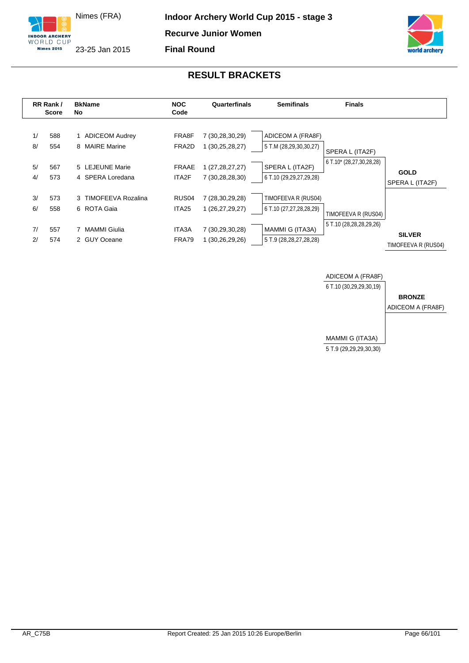





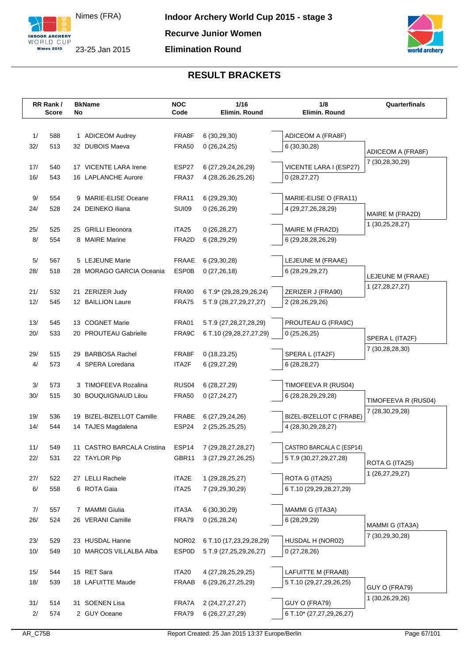



| 1/<br>588<br>1 ADICEOM Audrey<br>FRA8F<br>6(30, 29, 30)<br>ADICEOM A (FRA8F)<br>32/<br>513<br>32 DUBOIS Maeva<br><b>FRA50</b><br>0(26, 24, 25)<br>6(30,30,28)<br>ADICEOM A (FRA8F)<br>7 (30,28,30,29)<br>ESP27<br>VICENTE LARA I (ESP27)<br>17/<br>540<br>17 VICENTE LARA Irene<br>6 (27, 29, 24, 26, 29)<br>16/<br>543<br>16 LAPLANCHE Aurore<br>FRA37<br>4 (28, 26, 26, 25, 26)<br>0(28, 27, 27)<br>9 MARIE-ELISE Oceane<br>9/<br>554<br>FRA11<br>6 (29,29,30)<br>MARIE-ELISE O (FRA11)<br><b>SUI09</b><br>24/<br>528<br>24 DEINEKO Iliana<br>0(26,26,29)<br>4 (29,27,26,28,29)<br>MAIRE M (FRA2D)<br>1 (30,25,28,27)<br>MAIRE M (FRA2D)<br>25/<br>525<br>25 GRILLI Eleonora<br>ITA <sub>25</sub><br>0(26, 28, 27)<br>8/<br>8 MAIRE Marine<br>554<br>FRA2D<br>6 (29,28,28,26,29)<br>6(28, 29, 29)<br>5/<br>567<br>5 LEJEUNE Marie<br>FRAAE<br>6(29,30,28)<br>LEJEUNE M (FRAAE)<br>ESP0B<br>28/<br>518<br>28 MORAGO GARCIA Oceania<br>0(27, 26, 18)<br>6 (28,29,29,27)<br>LEJEUNE M (FRAAE)<br>1 (27, 28, 27, 27)<br>21 ZERIZER Judy<br>ZERIZER J (FRA90)<br>21/<br>532<br>FRA90<br>6 T.9* (29,28,29,26,24)<br>12/<br>545<br>12 BAILLION Laure<br>FRA75<br>5 T.9 (28,27,29,27,27)<br>2 (28,26,29,26)<br><b>FRA01</b><br>PROUTEAU G (FRA9C)<br>13/<br>545<br>13 COGNET Marie<br>5 T.9 (27,28,27,28,29)<br>20/<br>533<br>20 PROUTEAU Gabrielle<br>FRA9C<br>6 T.10 (29,28,27,27,29)<br>0(25,26,25)<br>SPERA L (ITA2F)<br>7 (30,28,28,30)<br>SPERA L (ITA2F)<br>29/<br>515<br>29 BARBOSA Rachel<br>FRA8F<br>0(18, 23, 25)<br>4/<br>573<br>4 SPERA Loredana<br>ITA2F<br>6(28, 28, 27)<br>6(29, 27, 29)<br>3/<br>RUS <sub>04</sub><br>573<br>3 TIMOFEEVA Rozalina<br>6(28, 27, 29)<br>TIMOFEEVA R (RUS04)<br>30/<br>515<br>30 BOUQUIGNAUD Lilou<br><b>FRA50</b><br>0(27, 24, 27)<br>6 (28,28,29,29,28)<br>TIMOFEEVA R (RUS04)<br>7 (28,30,29,28)<br>19/<br>19 BIZEL-BIZELLOT Camille<br><b>FRABE</b><br>BIZEL-BIZELLOT C (FRABE)<br>536<br>6 (27,29,24,26)<br>14/<br>ESP24<br>544<br>14 TAJES Magdalena<br>4 (28, 30, 29, 28, 27)<br>2 (25, 25, 25, 25)<br>ESP14<br>CASTRO BARCALA C (ESP14)<br>11/<br>549<br>11 CASTRO BARCALA Cristina<br>7 (29, 28, 27, 28, 27)<br>22/<br>531<br>22 TAYLOR Pip<br>GBR11<br>3 (27,29,27,26,25)<br>5 T.9 (30,27,29,27,28)<br>ROTA G (ITA25)<br>1 (26,27,29,27)<br>ROTA G (ITA25)<br>27 LELLI Rachele<br>27/<br>522<br>ITA2E<br>1 (29, 28, 25, 27)<br>6/<br>6 ROTA Gaia<br>558<br>ITA <sub>25</sub><br>7 (29,29,30,29)<br>6 T.10 (29,29,28,27,29)<br>7/<br>7 MAMMI Giulia<br>ITA3A<br>6 (30,30,29)<br>MAMMI G (ITA3A)<br>557<br>26/<br>26 VERANI Camille<br>FRA79<br>6 (28,29,29)<br>524<br>0(26, 28, 24)<br>MAMMI G (ITA3A)<br>7 (30,29,30,28)<br>23 HUSDAL Hanne<br>NOR02<br>HUSDAL H (NOR02)<br>23/<br>529<br>6 T.10 (17,23,29,28,29)<br>10/<br>549<br>10 MARCOS VILLALBA Alba<br><b>ESP0D</b><br>0(27, 28, 26)<br>5 T.9 (27,25,29,26,27)<br>15 RET Sara<br>ITA20<br>LAFUITTE M (FRAAB)<br>15/<br>544<br>4 (27, 28, 25, 29, 25)<br>18/<br>18 LAFUITTE Maude<br>539<br><b>FRAAB</b><br>6 (29, 26, 27, 25, 29)<br>5 T.10 (29,27,29,26,25)<br>GUY O (FRA79)<br>1 (30,26,29,26)<br>GUY O (FRA79)<br>31/<br>514<br>31 SOENEN Lisa<br>FRA7A<br>2 (24, 27, 27, 27)<br>2/<br>574<br>2 GUY Oceane<br>FRA79<br>6 (26, 27, 27, 29)<br>6 T.10* (27,27,29,26,27) | RR Rank/     | <b>BkName</b> | <b>NOC</b> | 1/16          | 1/8           | Quarterfinals |
|-----------------------------------------------------------------------------------------------------------------------------------------------------------------------------------------------------------------------------------------------------------------------------------------------------------------------------------------------------------------------------------------------------------------------------------------------------------------------------------------------------------------------------------------------------------------------------------------------------------------------------------------------------------------------------------------------------------------------------------------------------------------------------------------------------------------------------------------------------------------------------------------------------------------------------------------------------------------------------------------------------------------------------------------------------------------------------------------------------------------------------------------------------------------------------------------------------------------------------------------------------------------------------------------------------------------------------------------------------------------------------------------------------------------------------------------------------------------------------------------------------------------------------------------------------------------------------------------------------------------------------------------------------------------------------------------------------------------------------------------------------------------------------------------------------------------------------------------------------------------------------------------------------------------------------------------------------------------------------------------------------------------------------------------------------------------------------------------------------------------------------------------------------------------------------------------------------------------------------------------------------------------------------------------------------------------------------------------------------------------------------------------------------------------------------------------------------------------------------------------------------------------------------------------------------------------------------------------------------------------------------------------------------------------------------------------------------------------------------------------------------------------------------------------------------------------------------------------------------------------------------------------------------------------------------------------------------------------------------------------------------------------------------------------------------------------------------------------------------------------------------------------------------------------------------------------------------------------------------------------------------------------------------------|--------------|---------------|------------|---------------|---------------|---------------|
|                                                                                                                                                                                                                                                                                                                                                                                                                                                                                                                                                                                                                                                                                                                                                                                                                                                                                                                                                                                                                                                                                                                                                                                                                                                                                                                                                                                                                                                                                                                                                                                                                                                                                                                                                                                                                                                                                                                                                                                                                                                                                                                                                                                                                                                                                                                                                                                                                                                                                                                                                                                                                                                                                                                                                                                                                                                                                                                                                                                                                                                                                                                                                                                                                                                                                   | <b>Score</b> | No            | Code       | Elimin. Round | Elimin. Round |               |
|                                                                                                                                                                                                                                                                                                                                                                                                                                                                                                                                                                                                                                                                                                                                                                                                                                                                                                                                                                                                                                                                                                                                                                                                                                                                                                                                                                                                                                                                                                                                                                                                                                                                                                                                                                                                                                                                                                                                                                                                                                                                                                                                                                                                                                                                                                                                                                                                                                                                                                                                                                                                                                                                                                                                                                                                                                                                                                                                                                                                                                                                                                                                                                                                                                                                                   |              |               |            |               |               |               |
|                                                                                                                                                                                                                                                                                                                                                                                                                                                                                                                                                                                                                                                                                                                                                                                                                                                                                                                                                                                                                                                                                                                                                                                                                                                                                                                                                                                                                                                                                                                                                                                                                                                                                                                                                                                                                                                                                                                                                                                                                                                                                                                                                                                                                                                                                                                                                                                                                                                                                                                                                                                                                                                                                                                                                                                                                                                                                                                                                                                                                                                                                                                                                                                                                                                                                   |              |               |            |               |               |               |
|                                                                                                                                                                                                                                                                                                                                                                                                                                                                                                                                                                                                                                                                                                                                                                                                                                                                                                                                                                                                                                                                                                                                                                                                                                                                                                                                                                                                                                                                                                                                                                                                                                                                                                                                                                                                                                                                                                                                                                                                                                                                                                                                                                                                                                                                                                                                                                                                                                                                                                                                                                                                                                                                                                                                                                                                                                                                                                                                                                                                                                                                                                                                                                                                                                                                                   |              |               |            |               |               |               |
|                                                                                                                                                                                                                                                                                                                                                                                                                                                                                                                                                                                                                                                                                                                                                                                                                                                                                                                                                                                                                                                                                                                                                                                                                                                                                                                                                                                                                                                                                                                                                                                                                                                                                                                                                                                                                                                                                                                                                                                                                                                                                                                                                                                                                                                                                                                                                                                                                                                                                                                                                                                                                                                                                                                                                                                                                                                                                                                                                                                                                                                                                                                                                                                                                                                                                   |              |               |            |               |               |               |
|                                                                                                                                                                                                                                                                                                                                                                                                                                                                                                                                                                                                                                                                                                                                                                                                                                                                                                                                                                                                                                                                                                                                                                                                                                                                                                                                                                                                                                                                                                                                                                                                                                                                                                                                                                                                                                                                                                                                                                                                                                                                                                                                                                                                                                                                                                                                                                                                                                                                                                                                                                                                                                                                                                                                                                                                                                                                                                                                                                                                                                                                                                                                                                                                                                                                                   |              |               |            |               |               |               |
|                                                                                                                                                                                                                                                                                                                                                                                                                                                                                                                                                                                                                                                                                                                                                                                                                                                                                                                                                                                                                                                                                                                                                                                                                                                                                                                                                                                                                                                                                                                                                                                                                                                                                                                                                                                                                                                                                                                                                                                                                                                                                                                                                                                                                                                                                                                                                                                                                                                                                                                                                                                                                                                                                                                                                                                                                                                                                                                                                                                                                                                                                                                                                                                                                                                                                   |              |               |            |               |               |               |
|                                                                                                                                                                                                                                                                                                                                                                                                                                                                                                                                                                                                                                                                                                                                                                                                                                                                                                                                                                                                                                                                                                                                                                                                                                                                                                                                                                                                                                                                                                                                                                                                                                                                                                                                                                                                                                                                                                                                                                                                                                                                                                                                                                                                                                                                                                                                                                                                                                                                                                                                                                                                                                                                                                                                                                                                                                                                                                                                                                                                                                                                                                                                                                                                                                                                                   |              |               |            |               |               |               |
|                                                                                                                                                                                                                                                                                                                                                                                                                                                                                                                                                                                                                                                                                                                                                                                                                                                                                                                                                                                                                                                                                                                                                                                                                                                                                                                                                                                                                                                                                                                                                                                                                                                                                                                                                                                                                                                                                                                                                                                                                                                                                                                                                                                                                                                                                                                                                                                                                                                                                                                                                                                                                                                                                                                                                                                                                                                                                                                                                                                                                                                                                                                                                                                                                                                                                   |              |               |            |               |               |               |
|                                                                                                                                                                                                                                                                                                                                                                                                                                                                                                                                                                                                                                                                                                                                                                                                                                                                                                                                                                                                                                                                                                                                                                                                                                                                                                                                                                                                                                                                                                                                                                                                                                                                                                                                                                                                                                                                                                                                                                                                                                                                                                                                                                                                                                                                                                                                                                                                                                                                                                                                                                                                                                                                                                                                                                                                                                                                                                                                                                                                                                                                                                                                                                                                                                                                                   |              |               |            |               |               |               |
|                                                                                                                                                                                                                                                                                                                                                                                                                                                                                                                                                                                                                                                                                                                                                                                                                                                                                                                                                                                                                                                                                                                                                                                                                                                                                                                                                                                                                                                                                                                                                                                                                                                                                                                                                                                                                                                                                                                                                                                                                                                                                                                                                                                                                                                                                                                                                                                                                                                                                                                                                                                                                                                                                                                                                                                                                                                                                                                                                                                                                                                                                                                                                                                                                                                                                   |              |               |            |               |               |               |
|                                                                                                                                                                                                                                                                                                                                                                                                                                                                                                                                                                                                                                                                                                                                                                                                                                                                                                                                                                                                                                                                                                                                                                                                                                                                                                                                                                                                                                                                                                                                                                                                                                                                                                                                                                                                                                                                                                                                                                                                                                                                                                                                                                                                                                                                                                                                                                                                                                                                                                                                                                                                                                                                                                                                                                                                                                                                                                                                                                                                                                                                                                                                                                                                                                                                                   |              |               |            |               |               |               |
|                                                                                                                                                                                                                                                                                                                                                                                                                                                                                                                                                                                                                                                                                                                                                                                                                                                                                                                                                                                                                                                                                                                                                                                                                                                                                                                                                                                                                                                                                                                                                                                                                                                                                                                                                                                                                                                                                                                                                                                                                                                                                                                                                                                                                                                                                                                                                                                                                                                                                                                                                                                                                                                                                                                                                                                                                                                                                                                                                                                                                                                                                                                                                                                                                                                                                   |              |               |            |               |               |               |
|                                                                                                                                                                                                                                                                                                                                                                                                                                                                                                                                                                                                                                                                                                                                                                                                                                                                                                                                                                                                                                                                                                                                                                                                                                                                                                                                                                                                                                                                                                                                                                                                                                                                                                                                                                                                                                                                                                                                                                                                                                                                                                                                                                                                                                                                                                                                                                                                                                                                                                                                                                                                                                                                                                                                                                                                                                                                                                                                                                                                                                                                                                                                                                                                                                                                                   |              |               |            |               |               |               |
|                                                                                                                                                                                                                                                                                                                                                                                                                                                                                                                                                                                                                                                                                                                                                                                                                                                                                                                                                                                                                                                                                                                                                                                                                                                                                                                                                                                                                                                                                                                                                                                                                                                                                                                                                                                                                                                                                                                                                                                                                                                                                                                                                                                                                                                                                                                                                                                                                                                                                                                                                                                                                                                                                                                                                                                                                                                                                                                                                                                                                                                                                                                                                                                                                                                                                   |              |               |            |               |               |               |
|                                                                                                                                                                                                                                                                                                                                                                                                                                                                                                                                                                                                                                                                                                                                                                                                                                                                                                                                                                                                                                                                                                                                                                                                                                                                                                                                                                                                                                                                                                                                                                                                                                                                                                                                                                                                                                                                                                                                                                                                                                                                                                                                                                                                                                                                                                                                                                                                                                                                                                                                                                                                                                                                                                                                                                                                                                                                                                                                                                                                                                                                                                                                                                                                                                                                                   |              |               |            |               |               |               |
|                                                                                                                                                                                                                                                                                                                                                                                                                                                                                                                                                                                                                                                                                                                                                                                                                                                                                                                                                                                                                                                                                                                                                                                                                                                                                                                                                                                                                                                                                                                                                                                                                                                                                                                                                                                                                                                                                                                                                                                                                                                                                                                                                                                                                                                                                                                                                                                                                                                                                                                                                                                                                                                                                                                                                                                                                                                                                                                                                                                                                                                                                                                                                                                                                                                                                   |              |               |            |               |               |               |
|                                                                                                                                                                                                                                                                                                                                                                                                                                                                                                                                                                                                                                                                                                                                                                                                                                                                                                                                                                                                                                                                                                                                                                                                                                                                                                                                                                                                                                                                                                                                                                                                                                                                                                                                                                                                                                                                                                                                                                                                                                                                                                                                                                                                                                                                                                                                                                                                                                                                                                                                                                                                                                                                                                                                                                                                                                                                                                                                                                                                                                                                                                                                                                                                                                                                                   |              |               |            |               |               |               |
|                                                                                                                                                                                                                                                                                                                                                                                                                                                                                                                                                                                                                                                                                                                                                                                                                                                                                                                                                                                                                                                                                                                                                                                                                                                                                                                                                                                                                                                                                                                                                                                                                                                                                                                                                                                                                                                                                                                                                                                                                                                                                                                                                                                                                                                                                                                                                                                                                                                                                                                                                                                                                                                                                                                                                                                                                                                                                                                                                                                                                                                                                                                                                                                                                                                                                   |              |               |            |               |               |               |
|                                                                                                                                                                                                                                                                                                                                                                                                                                                                                                                                                                                                                                                                                                                                                                                                                                                                                                                                                                                                                                                                                                                                                                                                                                                                                                                                                                                                                                                                                                                                                                                                                                                                                                                                                                                                                                                                                                                                                                                                                                                                                                                                                                                                                                                                                                                                                                                                                                                                                                                                                                                                                                                                                                                                                                                                                                                                                                                                                                                                                                                                                                                                                                                                                                                                                   |              |               |            |               |               |               |
|                                                                                                                                                                                                                                                                                                                                                                                                                                                                                                                                                                                                                                                                                                                                                                                                                                                                                                                                                                                                                                                                                                                                                                                                                                                                                                                                                                                                                                                                                                                                                                                                                                                                                                                                                                                                                                                                                                                                                                                                                                                                                                                                                                                                                                                                                                                                                                                                                                                                                                                                                                                                                                                                                                                                                                                                                                                                                                                                                                                                                                                                                                                                                                                                                                                                                   |              |               |            |               |               |               |
|                                                                                                                                                                                                                                                                                                                                                                                                                                                                                                                                                                                                                                                                                                                                                                                                                                                                                                                                                                                                                                                                                                                                                                                                                                                                                                                                                                                                                                                                                                                                                                                                                                                                                                                                                                                                                                                                                                                                                                                                                                                                                                                                                                                                                                                                                                                                                                                                                                                                                                                                                                                                                                                                                                                                                                                                                                                                                                                                                                                                                                                                                                                                                                                                                                                                                   |              |               |            |               |               |               |
|                                                                                                                                                                                                                                                                                                                                                                                                                                                                                                                                                                                                                                                                                                                                                                                                                                                                                                                                                                                                                                                                                                                                                                                                                                                                                                                                                                                                                                                                                                                                                                                                                                                                                                                                                                                                                                                                                                                                                                                                                                                                                                                                                                                                                                                                                                                                                                                                                                                                                                                                                                                                                                                                                                                                                                                                                                                                                                                                                                                                                                                                                                                                                                                                                                                                                   |              |               |            |               |               |               |
|                                                                                                                                                                                                                                                                                                                                                                                                                                                                                                                                                                                                                                                                                                                                                                                                                                                                                                                                                                                                                                                                                                                                                                                                                                                                                                                                                                                                                                                                                                                                                                                                                                                                                                                                                                                                                                                                                                                                                                                                                                                                                                                                                                                                                                                                                                                                                                                                                                                                                                                                                                                                                                                                                                                                                                                                                                                                                                                                                                                                                                                                                                                                                                                                                                                                                   |              |               |            |               |               |               |
|                                                                                                                                                                                                                                                                                                                                                                                                                                                                                                                                                                                                                                                                                                                                                                                                                                                                                                                                                                                                                                                                                                                                                                                                                                                                                                                                                                                                                                                                                                                                                                                                                                                                                                                                                                                                                                                                                                                                                                                                                                                                                                                                                                                                                                                                                                                                                                                                                                                                                                                                                                                                                                                                                                                                                                                                                                                                                                                                                                                                                                                                                                                                                                                                                                                                                   |              |               |            |               |               |               |
|                                                                                                                                                                                                                                                                                                                                                                                                                                                                                                                                                                                                                                                                                                                                                                                                                                                                                                                                                                                                                                                                                                                                                                                                                                                                                                                                                                                                                                                                                                                                                                                                                                                                                                                                                                                                                                                                                                                                                                                                                                                                                                                                                                                                                                                                                                                                                                                                                                                                                                                                                                                                                                                                                                                                                                                                                                                                                                                                                                                                                                                                                                                                                                                                                                                                                   |              |               |            |               |               |               |
|                                                                                                                                                                                                                                                                                                                                                                                                                                                                                                                                                                                                                                                                                                                                                                                                                                                                                                                                                                                                                                                                                                                                                                                                                                                                                                                                                                                                                                                                                                                                                                                                                                                                                                                                                                                                                                                                                                                                                                                                                                                                                                                                                                                                                                                                                                                                                                                                                                                                                                                                                                                                                                                                                                                                                                                                                                                                                                                                                                                                                                                                                                                                                                                                                                                                                   |              |               |            |               |               |               |
|                                                                                                                                                                                                                                                                                                                                                                                                                                                                                                                                                                                                                                                                                                                                                                                                                                                                                                                                                                                                                                                                                                                                                                                                                                                                                                                                                                                                                                                                                                                                                                                                                                                                                                                                                                                                                                                                                                                                                                                                                                                                                                                                                                                                                                                                                                                                                                                                                                                                                                                                                                                                                                                                                                                                                                                                                                                                                                                                                                                                                                                                                                                                                                                                                                                                                   |              |               |            |               |               |               |
|                                                                                                                                                                                                                                                                                                                                                                                                                                                                                                                                                                                                                                                                                                                                                                                                                                                                                                                                                                                                                                                                                                                                                                                                                                                                                                                                                                                                                                                                                                                                                                                                                                                                                                                                                                                                                                                                                                                                                                                                                                                                                                                                                                                                                                                                                                                                                                                                                                                                                                                                                                                                                                                                                                                                                                                                                                                                                                                                                                                                                                                                                                                                                                                                                                                                                   |              |               |            |               |               |               |
|                                                                                                                                                                                                                                                                                                                                                                                                                                                                                                                                                                                                                                                                                                                                                                                                                                                                                                                                                                                                                                                                                                                                                                                                                                                                                                                                                                                                                                                                                                                                                                                                                                                                                                                                                                                                                                                                                                                                                                                                                                                                                                                                                                                                                                                                                                                                                                                                                                                                                                                                                                                                                                                                                                                                                                                                                                                                                                                                                                                                                                                                                                                                                                                                                                                                                   |              |               |            |               |               |               |
|                                                                                                                                                                                                                                                                                                                                                                                                                                                                                                                                                                                                                                                                                                                                                                                                                                                                                                                                                                                                                                                                                                                                                                                                                                                                                                                                                                                                                                                                                                                                                                                                                                                                                                                                                                                                                                                                                                                                                                                                                                                                                                                                                                                                                                                                                                                                                                                                                                                                                                                                                                                                                                                                                                                                                                                                                                                                                                                                                                                                                                                                                                                                                                                                                                                                                   |              |               |            |               |               |               |
|                                                                                                                                                                                                                                                                                                                                                                                                                                                                                                                                                                                                                                                                                                                                                                                                                                                                                                                                                                                                                                                                                                                                                                                                                                                                                                                                                                                                                                                                                                                                                                                                                                                                                                                                                                                                                                                                                                                                                                                                                                                                                                                                                                                                                                                                                                                                                                                                                                                                                                                                                                                                                                                                                                                                                                                                                                                                                                                                                                                                                                                                                                                                                                                                                                                                                   |              |               |            |               |               |               |
|                                                                                                                                                                                                                                                                                                                                                                                                                                                                                                                                                                                                                                                                                                                                                                                                                                                                                                                                                                                                                                                                                                                                                                                                                                                                                                                                                                                                                                                                                                                                                                                                                                                                                                                                                                                                                                                                                                                                                                                                                                                                                                                                                                                                                                                                                                                                                                                                                                                                                                                                                                                                                                                                                                                                                                                                                                                                                                                                                                                                                                                                                                                                                                                                                                                                                   |              |               |            |               |               |               |
|                                                                                                                                                                                                                                                                                                                                                                                                                                                                                                                                                                                                                                                                                                                                                                                                                                                                                                                                                                                                                                                                                                                                                                                                                                                                                                                                                                                                                                                                                                                                                                                                                                                                                                                                                                                                                                                                                                                                                                                                                                                                                                                                                                                                                                                                                                                                                                                                                                                                                                                                                                                                                                                                                                                                                                                                                                                                                                                                                                                                                                                                                                                                                                                                                                                                                   |              |               |            |               |               |               |
|                                                                                                                                                                                                                                                                                                                                                                                                                                                                                                                                                                                                                                                                                                                                                                                                                                                                                                                                                                                                                                                                                                                                                                                                                                                                                                                                                                                                                                                                                                                                                                                                                                                                                                                                                                                                                                                                                                                                                                                                                                                                                                                                                                                                                                                                                                                                                                                                                                                                                                                                                                                                                                                                                                                                                                                                                                                                                                                                                                                                                                                                                                                                                                                                                                                                                   |              |               |            |               |               |               |
|                                                                                                                                                                                                                                                                                                                                                                                                                                                                                                                                                                                                                                                                                                                                                                                                                                                                                                                                                                                                                                                                                                                                                                                                                                                                                                                                                                                                                                                                                                                                                                                                                                                                                                                                                                                                                                                                                                                                                                                                                                                                                                                                                                                                                                                                                                                                                                                                                                                                                                                                                                                                                                                                                                                                                                                                                                                                                                                                                                                                                                                                                                                                                                                                                                                                                   |              |               |            |               |               |               |
|                                                                                                                                                                                                                                                                                                                                                                                                                                                                                                                                                                                                                                                                                                                                                                                                                                                                                                                                                                                                                                                                                                                                                                                                                                                                                                                                                                                                                                                                                                                                                                                                                                                                                                                                                                                                                                                                                                                                                                                                                                                                                                                                                                                                                                                                                                                                                                                                                                                                                                                                                                                                                                                                                                                                                                                                                                                                                                                                                                                                                                                                                                                                                                                                                                                                                   |              |               |            |               |               |               |
|                                                                                                                                                                                                                                                                                                                                                                                                                                                                                                                                                                                                                                                                                                                                                                                                                                                                                                                                                                                                                                                                                                                                                                                                                                                                                                                                                                                                                                                                                                                                                                                                                                                                                                                                                                                                                                                                                                                                                                                                                                                                                                                                                                                                                                                                                                                                                                                                                                                                                                                                                                                                                                                                                                                                                                                                                                                                                                                                                                                                                                                                                                                                                                                                                                                                                   |              |               |            |               |               |               |
|                                                                                                                                                                                                                                                                                                                                                                                                                                                                                                                                                                                                                                                                                                                                                                                                                                                                                                                                                                                                                                                                                                                                                                                                                                                                                                                                                                                                                                                                                                                                                                                                                                                                                                                                                                                                                                                                                                                                                                                                                                                                                                                                                                                                                                                                                                                                                                                                                                                                                                                                                                                                                                                                                                                                                                                                                                                                                                                                                                                                                                                                                                                                                                                                                                                                                   |              |               |            |               |               |               |
|                                                                                                                                                                                                                                                                                                                                                                                                                                                                                                                                                                                                                                                                                                                                                                                                                                                                                                                                                                                                                                                                                                                                                                                                                                                                                                                                                                                                                                                                                                                                                                                                                                                                                                                                                                                                                                                                                                                                                                                                                                                                                                                                                                                                                                                                                                                                                                                                                                                                                                                                                                                                                                                                                                                                                                                                                                                                                                                                                                                                                                                                                                                                                                                                                                                                                   |              |               |            |               |               |               |
|                                                                                                                                                                                                                                                                                                                                                                                                                                                                                                                                                                                                                                                                                                                                                                                                                                                                                                                                                                                                                                                                                                                                                                                                                                                                                                                                                                                                                                                                                                                                                                                                                                                                                                                                                                                                                                                                                                                                                                                                                                                                                                                                                                                                                                                                                                                                                                                                                                                                                                                                                                                                                                                                                                                                                                                                                                                                                                                                                                                                                                                                                                                                                                                                                                                                                   |              |               |            |               |               |               |
|                                                                                                                                                                                                                                                                                                                                                                                                                                                                                                                                                                                                                                                                                                                                                                                                                                                                                                                                                                                                                                                                                                                                                                                                                                                                                                                                                                                                                                                                                                                                                                                                                                                                                                                                                                                                                                                                                                                                                                                                                                                                                                                                                                                                                                                                                                                                                                                                                                                                                                                                                                                                                                                                                                                                                                                                                                                                                                                                                                                                                                                                                                                                                                                                                                                                                   |              |               |            |               |               |               |
|                                                                                                                                                                                                                                                                                                                                                                                                                                                                                                                                                                                                                                                                                                                                                                                                                                                                                                                                                                                                                                                                                                                                                                                                                                                                                                                                                                                                                                                                                                                                                                                                                                                                                                                                                                                                                                                                                                                                                                                                                                                                                                                                                                                                                                                                                                                                                                                                                                                                                                                                                                                                                                                                                                                                                                                                                                                                                                                                                                                                                                                                                                                                                                                                                                                                                   |              |               |            |               |               |               |
|                                                                                                                                                                                                                                                                                                                                                                                                                                                                                                                                                                                                                                                                                                                                                                                                                                                                                                                                                                                                                                                                                                                                                                                                                                                                                                                                                                                                                                                                                                                                                                                                                                                                                                                                                                                                                                                                                                                                                                                                                                                                                                                                                                                                                                                                                                                                                                                                                                                                                                                                                                                                                                                                                                                                                                                                                                                                                                                                                                                                                                                                                                                                                                                                                                                                                   |              |               |            |               |               |               |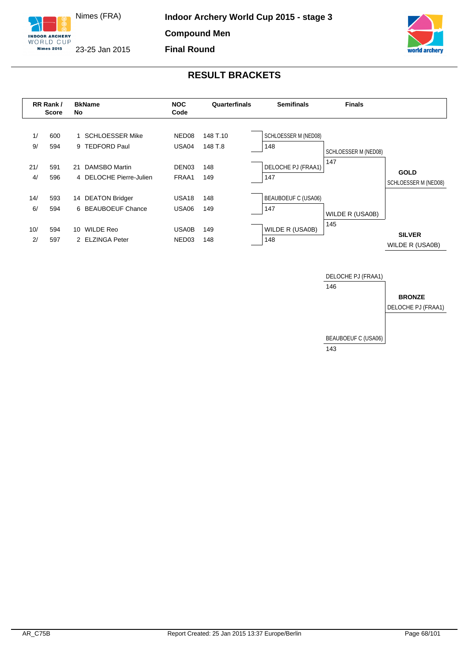





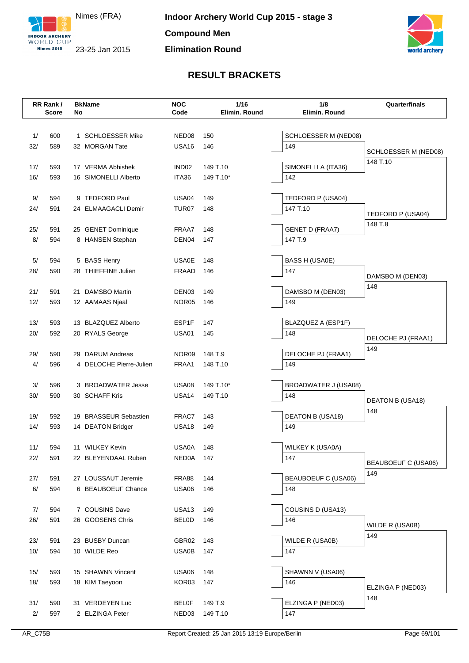

Nimes (FRA) 23-25 Jan 2015



|            | RR Rank/     |    | <b>BkName</b>           | <b>NOC</b>                             | 1/16          | 1/8                           | Quarterfinals              |
|------------|--------------|----|-------------------------|----------------------------------------|---------------|-------------------------------|----------------------------|
|            | <b>Score</b> | No |                         | Code                                   | Elimin. Round | Elimin. Round                 |                            |
|            |              |    |                         |                                        |               |                               |                            |
| 1/         | 600          |    | 1 SCHLOESSER Mike       | NED <sub>08</sub>                      | 150           | SCHLOESSER M (NED08)          |                            |
| 32/        | 589          |    | 32 MORGAN Tate          | <b>USA16</b>                           | 146           | 149                           | SCHLOESSER M (NED08)       |
|            |              |    |                         |                                        |               |                               | 148 T.10                   |
| 17/        | 593          |    | 17 VERMA Abhishek       | IND <sub>02</sub>                      | 149 T.10      | SIMONELLI A (ITA36)           |                            |
| 16/        | 593          |    | 16 SIMONELLI Alberto    | ITA36                                  | 149 T.10*     | 142                           |                            |
|            |              |    |                         |                                        |               |                               |                            |
| 9/         | 594          |    | 9 TEDFORD Paul          | USA <sub>04</sub><br>TUR <sub>07</sub> | 149           | TEDFORD P (USA04)<br>147 T.10 |                            |
| 24/        | 591          |    | 24 ELMAAGACLI Demir     |                                        | 148           |                               | TEDFORD P (USA04)          |
| 25/        | 591          |    | 25 GENET Dominique      | FRAA7                                  | 148           | <b>GENET D (FRAA7)</b>        | 148 T.8                    |
| 8/         | 594          |    | 8 HANSEN Stephan        | DEN <sub>04</sub>                      | 147           | 147 T.9                       |                            |
|            |              |    |                         |                                        |               |                               |                            |
| 5/         | 594          |    | 5 BASS Henry            | <b>USA0E</b>                           | 148           | BASS H (USA0E)                |                            |
| 28/        | 590          |    | 28 THIEFFINE Julien     | <b>FRAAD</b>                           | 146           | 147                           |                            |
|            |              |    |                         |                                        |               |                               | DAMSBO M (DEN03)           |
| 21/        | 591          |    | 21 DAMSBO Martin        | DEN <sub>03</sub>                      | 149           | DAMSBO M (DEN03)              | 148                        |
| 12/        | 593          |    | 12 AAMAAS Njaal         | NOR05                                  | 146           | 149                           |                            |
|            |              |    |                         |                                        |               |                               |                            |
| 13/        | 593          |    | 13 BLAZQUEZ Alberto     | ESP1F                                  | 147           | BLAZQUEZ A (ESP1F)            |                            |
| 20/        | 592          |    | 20 RYALS George         | USA01                                  | 145           | 148                           | DELOCHE PJ (FRAA1)         |
|            |              |    |                         |                                        |               |                               | 149                        |
| 29/        | 590          |    | 29 DARUM Andreas        | NOR09                                  | 148 T.9       | DELOCHE PJ (FRAA1)            |                            |
| 4/         | 596          |    | 4 DELOCHE Pierre-Julien | FRAA1                                  | 148 T.10      | 149                           |                            |
|            |              |    |                         |                                        |               |                               |                            |
| 3/         | 596          |    | 3 BROADWATER Jesse      | <b>USA08</b>                           | 149 T.10*     | BROADWATER J (USA08)          |                            |
| 30/        | 590          |    | 30 SCHAFF Kris          | USA <sub>14</sub>                      | 149 T.10      | 148                           | <b>DEATON B (USA18)</b>    |
|            |              |    |                         |                                        |               |                               | 148                        |
| 19/<br>14/ | 592<br>593   |    | 19 BRASSEUR Sebastien   | FRAC7<br><b>USA18</b>                  | 143<br>149    | DEATON B (USA18)<br>149       |                            |
|            |              |    | 14 DEATON Bridger       |                                        |               |                               |                            |
| 11/        | 594          |    | 11 WILKEY Kevin         | <b>USA0A</b>                           | 148           | WILKEY K (USA0A)              |                            |
| 22/        | 591          |    | 22 BLEYENDAAL Ruben     | NED0A 147                              |               | 147                           |                            |
|            |              |    |                         |                                        |               |                               | <b>BEAUBOEUF C (USA06)</b> |
| 27/        | 591          |    | 27 LOUSSAUT Jeremie     | FRA88                                  | 144           | <b>BEAUBOEUF C (USA06)</b>    | 149                        |
| 6/         | 594          |    | 6 BEAUBOEUF Chance      | <b>USA06</b>                           | 146           | 148                           |                            |
|            |              |    |                         |                                        |               |                               |                            |
| 7/         | 594          |    | 7 COUSINS Dave          | <b>USA13</b>                           | 149           | COUSINS D (USA13)             |                            |
| 26/        | 591          |    | 26 GOOSENS Chris        | <b>BELOD</b>                           | 146           | 146                           |                            |
|            |              |    |                         |                                        |               |                               | WILDE R (USA0B)<br>149     |
| 23/        | 591          |    | 23 BUSBY Duncan         | GBR02                                  | 143           | WILDE R (USA0B)               |                            |
| 10/        | 594          |    | 10 WILDE Reo            | <b>USA0B</b>                           | 147           | 147                           |                            |
|            |              |    |                         |                                        |               |                               |                            |
| 15/        | 593          |    | 15 SHAWNN Vincent       | <b>USA06</b>                           | 148           | SHAWNN V (USA06)              |                            |
| 18/        | 593          |    | 18 KIM Taeyoon          | KOR03                                  | 147           | 146                           | ELZINGA P (NED03)          |
|            |              |    |                         |                                        |               |                               | 148                        |
| 31/        | 590          |    | 31 VERDEYEN Luc         | <b>BEL0F</b>                           | 149 T.9       | ELZINGA P (NED03)             |                            |
| 2/         | 597          |    | 2 ELZINGA Peter         | NED03                                  | 149 T.10      | 147                           |                            |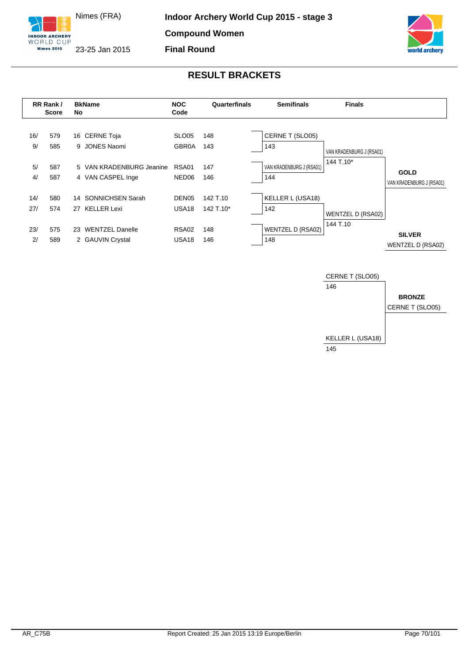





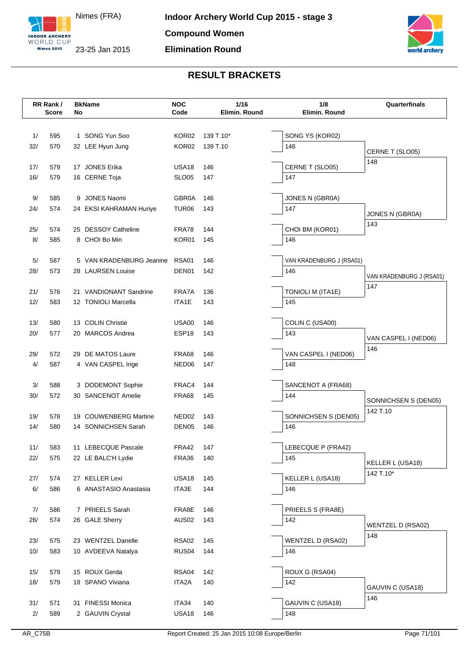



|     | RR Rank/<br><b>Score</b> | No | <b>BkName</b>            | <b>NOC</b><br>Code | 1/16<br>Elimin. Round | 1/8<br>Elimin. Round     | Quarterfinals            |
|-----|--------------------------|----|--------------------------|--------------------|-----------------------|--------------------------|--------------------------|
|     |                          |    |                          |                    |                       |                          |                          |
| 1/  | 595                      |    | 1 SONG Yun Soo           | KOR <sub>02</sub>  | 139 T.10*             | SONG YS (KOR02)          |                          |
| 32/ | 570                      |    | 32 LEE Hyun Jung         | KOR02              | 139 T.10              | 146                      | CERNE T (SLO05)          |
| 17/ | 579                      |    | 17 JONES Erika           | USA <sub>18</sub>  | 146                   | CERNE T (SLO05)          | 148                      |
| 16/ | 579                      |    | 16 CERNE Toja            | <b>SLO05</b>       | 147                   | 147                      |                          |
|     |                          |    |                          |                    |                       |                          |                          |
| 9/  | 585                      |    | 9 JONES Naomi            | <b>GBR0A</b>       | 146                   | JONES N (GBR0A)          |                          |
| 24/ | 574                      |    | 24 EKSI KAHRAMAN Huriye  | TUR <sub>06</sub>  | 143                   | 147                      | JONES N (GBR0A)          |
| 25/ | 574                      |    | 25 DESSOY Catheline      | FRA78              | 144                   | CHOI BM (KOR01)          | 143                      |
| 8/  | 585                      |    | 8 CHOI Bo Min            | KOR01              | 145                   | 146                      |                          |
|     |                          |    |                          |                    |                       |                          |                          |
| 5/  | 587                      |    | 5 VAN KRADENBURG Jeanine | <b>RSA01</b>       | 146                   | VAN KRADENBURG J (RSA01) |                          |
| 28/ | 573                      |    | 28 LAURSEN Louise        | DEN01              | 142                   | 146                      | VAN KRADENBURG J (RSA01) |
| 21/ | 576                      |    | 21 VANDIONANT Sandrine   | FRA7A              | 136                   | <b>TONIOLI M (ITA1E)</b> | 147                      |
| 12/ | 583                      |    | 12 TONIOLI Marcella      | ITA1E              | 143                   | 145                      |                          |
|     |                          |    |                          |                    |                       |                          |                          |
| 13/ | 580                      |    | 13 COLIN Christie        | <b>USA00</b>       | 146                   | COLIN C (USA00)          |                          |
| 20/ | 577                      |    | 20 MARCOS Andrea         | ESP <sub>18</sub>  | 143                   | 143                      | VAN CASPEL I (NED06)     |
| 29/ | 572                      |    | 29 DE MATOS Laure        | FRA68              | 146                   | VAN CASPEL I (NED06)     | 146                      |
| 4/  | 587                      |    | 4 VAN CASPEL Inge        | NED06              | 147                   | 148                      |                          |
|     |                          |    |                          |                    |                       |                          |                          |
| 3/  | 588                      |    | 3 DODEMONT Sophie        | FRAC4              | 144                   | SANCENOT A (FRA68)       |                          |
| 30/ | 572                      |    | 30 SANCENOT Amelie       | FRA68              | 145                   | 144                      | SONNICHSEN S (DEN05)     |
| 19/ | 578                      |    | 19 COUWENBERG Martine    | NED <sub>02</sub>  | 143                   | SONNICHSEN S (DEN05)     | 142 T.10                 |
| 14/ | 580                      |    | 14 SONNICHSEN Sarah      | DEN <sub>05</sub>  | 146                   | 146                      |                          |
|     |                          |    |                          |                    |                       |                          |                          |
| 11/ | 583                      |    | 11 LEBECQUE Pascale      | FRA42              | 147                   | LEBECQUE P (FRA42)       |                          |
| 22/ | 575                      |    | 22 LE BALC'H Lydie       | <b>FRA36</b>       | 140                   | 145                      | KELLER L (USA18)         |
| 27/ | 574                      |    | 27 KELLER Lexi           | USA18              | 145                   | KELLER L (USA18)         | 142 T.10*                |
| 6/  | 586                      |    | 6 ANASTASIO Anastasia    | ITA3E              | 144                   | 146                      |                          |
|     |                          |    |                          |                    |                       |                          |                          |
| 7/  | 586                      |    | 7 PRIEELS Sarah          | FRA8E              | 146                   | PRIEELS S (FRA8E)        |                          |
| 26/ | 574                      |    | 26 GALE Sherry           | <b>AUS02</b>       | 143                   | 142                      | WENTZEL D (RSA02)        |
| 23/ | 575                      |    | 23 WENTZEL Danelle       | <b>RSA02</b>       | 145                   | <b>WENTZEL D (RSA02)</b> | 148                      |
| 10/ | 583                      |    | 10 AVDEEVA Natalya       | RUS <sub>04</sub>  | 144                   | 146                      |                          |
|     |                          |    |                          |                    |                       |                          |                          |
| 15/ | 579                      |    | 15 ROUX Gerda            | RSA04              | 142                   | ROUX G (RSA04)           |                          |
| 18/ | 579                      |    | 18 SPANO Viviana         | ITA2A              | 140                   | 142                      | GAUVIN C (USA18)         |
|     |                          |    |                          |                    |                       |                          | 146                      |
| 31/ | 571                      |    | 31 FINESSI Monica        | ITA34              | 140                   | GAUVIN C (USA18)         |                          |
| 2/  | 589                      |    | 2 GAUVIN Crystal         | USA18              | 146                   | 148                      |                          |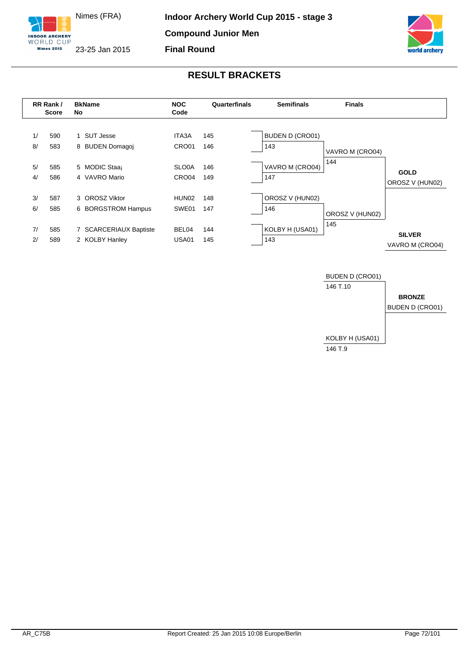





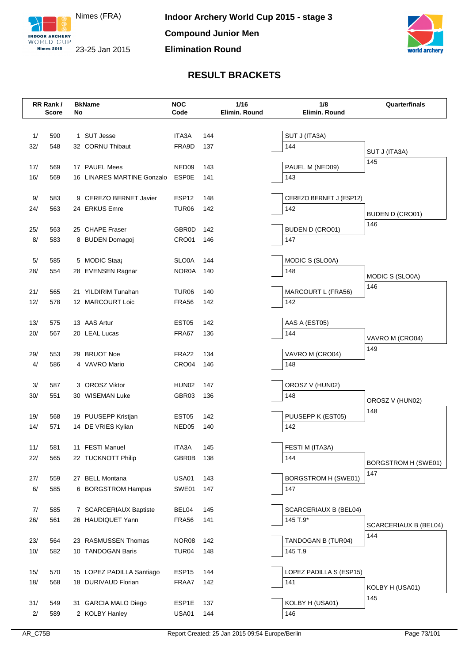



|            | RR Rank/<br><b>Score</b> | No | <b>BkName</b>              | <b>NOC</b><br>Code |            | 1/16<br>Elimin. Round | 1/8<br>Elimin. Round       | Quarterfinals                |
|------------|--------------------------|----|----------------------------|--------------------|------------|-----------------------|----------------------------|------------------------------|
|            |                          |    |                            |                    |            |                       |                            |                              |
| 1/         | 590                      |    | 1 SUT Jesse                | ITA3A              | 144        |                       | SUT J (ITA3A)              |                              |
| 32/        | 548                      |    | 32 CORNU Thibaut           | FRA9D              | 137        |                       | 144                        | SUT J (ITA3A)                |
|            |                          |    | 17 PAUEL Mees              | NED09              |            |                       |                            | 145                          |
| 17/<br>16/ | 569<br>569               |    | 16 LINARES MARTINE Gonzalo | <b>ESP0E</b>       | 143<br>141 |                       | PAUEL M (NED09)<br>143     |                              |
|            |                          |    |                            |                    |            |                       |                            |                              |
| 9/         | 583                      |    | 9 CEREZO BERNET Javier     | ESP <sub>12</sub>  | 148        |                       | CEREZO BERNET J (ESP12)    |                              |
| 24/        | 563                      |    | 24 ERKUS Emre              | TUR <sub>06</sub>  | 142        |                       | 142                        | BUDEN D (CRO01)              |
|            |                          |    |                            |                    |            |                       |                            | 146                          |
| 25/        | 563                      |    | 25 CHAPE Fraser            | <b>GBR0D</b>       | 142        |                       | <b>BUDEN D (CRO01)</b>     |                              |
| 8/         | 583                      |    | 8 BUDEN Domagoj            | CRO01              | 146        |                       | 147                        |                              |
| 5/         | 585                      |    | 5 MODIC Staaj              | SLO0A              | 144        |                       | MODIC S (SLO0A)            |                              |
| 28/        | 554                      |    | 28 EVENSEN Ragnar          | <b>NOR0A</b>       | 140        |                       | 148                        | MODIC S (SLO0A)              |
|            |                          |    |                            |                    |            |                       |                            | 146                          |
| 21/        | 565                      |    | 21 YILDIRIM Tunahan        | TUR <sub>06</sub>  | 140        |                       | MARCOURT L (FRA56)         |                              |
| 12/        | 578                      |    | 12 MARCOURT Loic           | <b>FRA56</b>       | 142        |                       | 142                        |                              |
| 13/        | 575                      |    | 13 AAS Artur               | EST05              | 142        |                       | AAS A (EST05)              |                              |
| 20/        | 567                      |    | 20 LEAL Lucas              | FRA67              | 136        |                       | 144                        |                              |
|            |                          |    |                            |                    |            |                       |                            | VAVRO M (CRO04)              |
| 29/        | 553                      |    | 29 BRUOT Noe               | FRA22              | 134        |                       | VAVRO M (CRO04)            | 149                          |
| 4/         | 586                      |    | 4 VAVRO Mario              | CRO04              | 146        |                       | 148                        |                              |
|            |                          |    |                            |                    |            |                       |                            |                              |
| 3/         | 587                      |    | 3 OROSZ Viktor             | HUN02              | 147        |                       | OROSZ V (HUN02)            |                              |
| 30/        | 551                      |    | 30 WISEMAN Luke            | GBR03              | 136        |                       | 148                        | OROSZ V (HUN02)              |
| 19/        | 568                      |    | 19 PUUSEPP Kristjan        | EST <sub>05</sub>  | 142        |                       | PUUSEPP K (EST05)          | 148                          |
| 14/        | 571                      |    | 14 DE VRIES Kylian         | NED <sub>05</sub>  | 140        |                       | 142                        |                              |
|            |                          |    |                            |                    |            |                       |                            |                              |
| 11/        | 581                      |    | 11 FESTI Manuel            | ITA3A              | 145        |                       | FESTI M (ITA3A)            |                              |
| 22/        | 565                      |    | 22 TUCKNOTT Philip         | <b>GBR0B</b>       | 138        |                       | 144                        | <b>BORGSTROM H (SWE01)</b>   |
|            |                          |    |                            |                    |            |                       |                            | 147                          |
| 27/        | 559                      |    | 27 BELL Montana            | <b>USA01</b>       | 143        |                       | <b>BORGSTROM H (SWE01)</b> |                              |
| 6/         | 585                      |    | 6 BORGSTROM Hampus         | SWE01              | 147        |                       | 147                        |                              |
| 7/         | 585                      |    | 7 SCARCERIAUX Baptiste     | BEL04              | 145        |                       | SCARCERIAUX B (BEL04)      |                              |
| 26/        | 561                      |    | 26 HAUDIQUET Yann          | <b>FRA56</b>       | 141        |                       | 145 T.9*                   |                              |
|            |                          |    |                            |                    |            |                       |                            | SCARCERIAUX B (BEL04)<br>144 |
| 23/        | 564                      |    | 23 RASMUSSEN Thomas        | NOR08              | 142        |                       | TANDOGAN B (TUR04)         |                              |
| 10/        | 582                      |    | 10 TANDOGAN Baris          | TUR <sub>04</sub>  | 148        |                       | 145 T.9                    |                              |
| 15/        | 570                      |    | 15 LOPEZ PADILLA Santiago  | ESP15              | 144        |                       | LOPEZ PADILLA S (ESP15)    |                              |
| 18/        | 568                      |    | 18 DURIVAUD Florian        | FRAA7              | 142        |                       | 141                        |                              |
|            |                          |    |                            |                    |            |                       |                            | KOLBY H (USA01)              |
| 31/        | 549                      |    | 31 GARCIA MALO Diego       | ESP1E              | 137        |                       | KOLBY H (USA01)            | 145                          |
| 2/         | 589                      |    | 2 KOLBY Hanley             | <b>USA01</b>       | 144        |                       | 146                        |                              |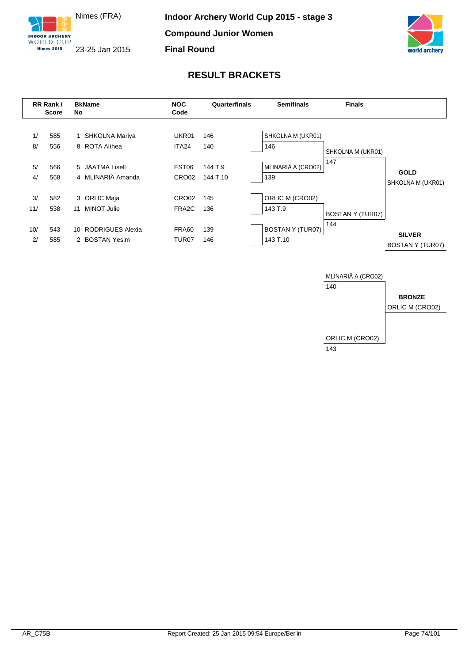





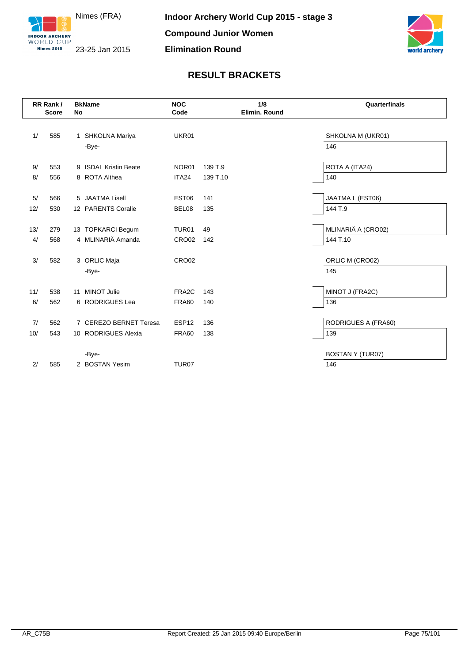



|     | RR Rank/<br><b>Score</b> | <b>BkName</b><br>No    | <b>NOC</b><br>Code |          | 1/8<br>Elimin. Round | Quarterfinals           |
|-----|--------------------------|------------------------|--------------------|----------|----------------------|-------------------------|
|     |                          |                        |                    |          |                      |                         |
| 1/  | 585                      | 1 SHKOLNA Mariya       | UKR01              |          |                      | SHKOLNA M (UKR01)       |
|     |                          | -Bye-                  |                    |          |                      | 146                     |
| 9/  | 553                      | 9 ISDAL Kristin Beate  | NOR01              | 139 T.9  |                      | ROTA A (ITA24)          |
| 8/  | 556                      | 8 ROTA Althea          | ITA24              | 139 T.10 |                      | 140                     |
|     |                          |                        |                    |          |                      |                         |
| 5/  | 566                      | 5 JAATMA Lisell        | EST <sub>06</sub>  | 141      |                      | JAATMA L (EST06)        |
| 12/ | 530                      | 12 PARENTS Coralie     | BEL08              | 135      |                      | 144 T.9                 |
|     |                          |                        |                    |          |                      |                         |
| 13/ | 279                      | 13 TOPKARCI Begum      | TUR01              | 49       |                      | MLINARIÄ A (CRO02)      |
| 4/  | 568                      | 4 MLINARIÄ Amanda      | CRO <sub>02</sub>  | 142      |                      | 144 T.10                |
|     |                          |                        |                    |          |                      |                         |
| 3/  | 582                      | 3 ORLIC Maja           | CRO02              |          |                      | ORLIC M (CRO02)         |
|     |                          | -Bye-                  |                    |          |                      | 145                     |
|     |                          |                        |                    |          |                      |                         |
| 11/ | 538                      | 11 MINOT Julie         | FRA <sub>2</sub> C | 143      |                      | MINOT J (FRA2C)         |
| 6/  | 562                      | 6 RODRIGUES Lea        | <b>FRA60</b>       | 140      |                      | 136                     |
|     |                          |                        |                    |          |                      |                         |
| 7/  | 562                      | 7 CEREZO BERNET Teresa | ESP <sub>12</sub>  | 136      |                      | RODRIGUES A (FRA60)     |
| 10/ | 543                      | 10 RODRIGUES Alexia    | <b>FRA60</b>       | 138      |                      | 139                     |
|     |                          |                        |                    |          |                      |                         |
|     |                          | -Bye-                  |                    |          |                      | <b>BOSTAN Y (TUR07)</b> |
| 2/  | 585                      | 2 BOSTAN Yesim         | TUR <sub>07</sub>  |          |                      | 146                     |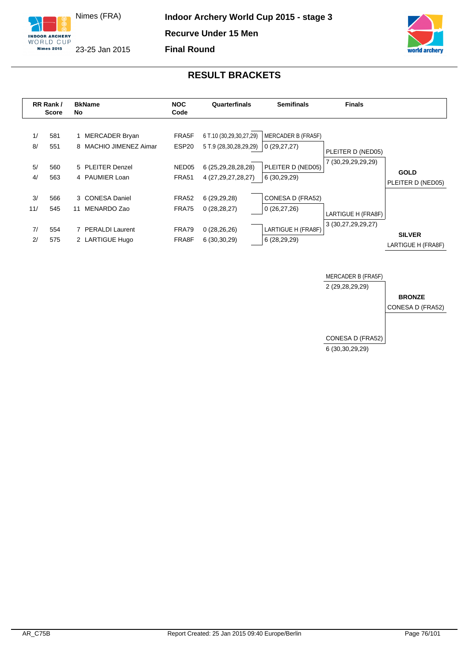

**Final Round**





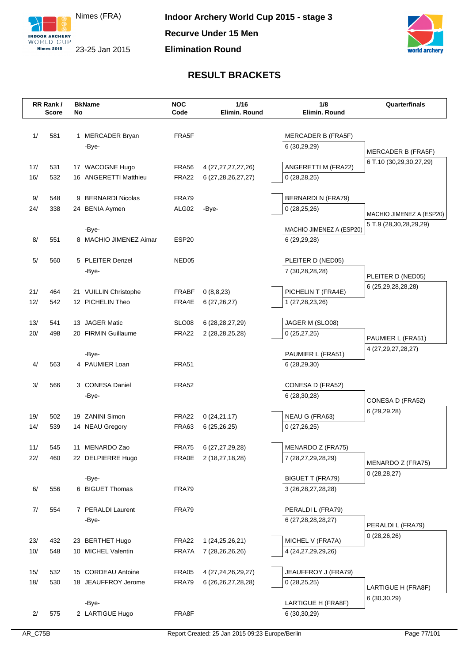



|            | RR Rank/<br><b>Score</b> | <b>BkName</b><br>No |                                    | <b>NOC</b><br>Code | 1/16<br>Elimin. Round        | 1/8<br>Elimin. Round                        | Quarterfinals                      |
|------------|--------------------------|---------------------|------------------------------------|--------------------|------------------------------|---------------------------------------------|------------------------------------|
|            |                          |                     |                                    |                    |                              |                                             |                                    |
|            |                          |                     |                                    |                    |                              |                                             |                                    |
| 1/         | 581                      | -Bye-               | 1 MERCADER Bryan                   | FRA5F              |                              | MERCADER B (FRA5F)<br>6(30,29,29)           |                                    |
|            |                          |                     |                                    |                    |                              |                                             | MERCADER B (FRA5F)                 |
| 17/        | 531                      |                     | 17 WACOGNE Hugo                    | <b>FRA56</b>       | 4 (27,27,27,27,26)           | ANGERETTI M (FRA22)                         | 6 T.10 (30,29,30,27,29)            |
| 16/        | 532                      |                     | 16 ANGERETTI Matthieu              | <b>FRA22</b>       | 6 (27, 28, 26, 27, 27)       | 0(28, 28, 25)                               |                                    |
|            |                          |                     |                                    |                    |                              |                                             |                                    |
| 9/         | 548                      |                     | 9 BERNARDI Nicolas                 | FRA79              |                              | <b>BERNARDI N (FRA79)</b>                   |                                    |
| 24/        | 338                      |                     | 24 BENIA Aymen                     | ALG02              | -Bye-                        | 0(28, 25, 26)                               | MACHIO JIMENEZ A (ESP20)           |
|            |                          |                     |                                    |                    |                              |                                             | 5 T.9 (28,30,28,29,29)             |
|            |                          | -Bye-               |                                    |                    |                              | MACHIO JIMENEZ A (ESP20)                    |                                    |
| 8/         | 551                      |                     | 8 MACHIO JIMENEZ Aimar             | ESP <sub>20</sub>  |                              | 6 (29,29,28)                                |                                    |
| 5/         | 560                      |                     | 5 PLEITER Denzel                   | NED05              |                              | PLEITER D (NED05)                           |                                    |
|            |                          | -Bye-               |                                    |                    |                              | 7 (30,28,28,28)                             |                                    |
|            |                          |                     |                                    |                    |                              |                                             | PLEITER D (NED05)                  |
| 21/        | 464                      |                     | 21 VUILLIN Christophe              | <b>FRABF</b>       | 0(8,8,23)                    | PICHELIN T (FRA4E)                          | 6 (25,29,28,28,28)                 |
| 12/        | 542                      |                     | 12 PICHELIN Theo                   | FRA4E              | 6(27, 26, 27)                | 1 (27,28,23,26)                             |                                    |
|            |                          |                     |                                    |                    |                              |                                             |                                    |
| 13/        | 541                      |                     | 13 JAGER Matic                     | SLO08              | 6 (28, 28, 27, 29)           | JAGER M (SLO08)                             |                                    |
| 20/        | 498                      |                     | 20 FIRMIN Guillaume                | <b>FRA22</b>       | 2 (28, 28, 25, 28)           | 0(25, 27, 25)                               | PAUMIER L (FRA51)                  |
|            |                          | -Bye-               |                                    |                    |                              | PAUMIER L (FRA51)                           | 4 (27, 29, 27, 28, 27)             |
| 4/         | 563                      |                     | 4 PAUMIER Loan                     | <b>FRA51</b>       |                              | 6(28, 29, 30)                               |                                    |
|            |                          |                     |                                    |                    |                              |                                             |                                    |
| 3/         | 566                      |                     | 3 CONESA Daniel                    | FRA52              |                              | CONESA D (FRA52)                            |                                    |
|            |                          | -Bye-               |                                    |                    |                              | 6 (28,30,28)                                | CONESA D (FRA52)                   |
|            |                          |                     |                                    |                    |                              |                                             | 6 (29,29,28)                       |
| 19/<br>14/ | 502<br>539               |                     | 19 ZANINI Simon<br>14 NEAU Gregory | FRA22<br>FRA63     | 0(24,21,17)<br>6(25, 26, 25) | NEAU G (FRA63)<br>0(27,26,25)               |                                    |
|            |                          |                     |                                    |                    |                              |                                             |                                    |
| 11/        | 545                      |                     | 11 MENARDO Zao                     | FRA75              | 6 (27,27,29,28)              | MENARDO Z (FRA75)                           |                                    |
| 22/        | 460                      |                     | 22 DELPIERRE Hugo                  | <b>FRA0E</b>       | 2 (18,27,18,28)              | 7 (28,27,29,28,29)                          |                                    |
|            |                          |                     |                                    |                    |                              |                                             | MENARDO Z (FRA75)<br>0(28, 28, 27) |
|            |                          | -Bye-               |                                    |                    |                              | <b>BIGUET T (FRA79)</b>                     |                                    |
| 6/         | 556                      |                     | 6 BIGUET Thomas                    | FRA79              |                              | 3 (26, 28, 27, 28, 28)                      |                                    |
|            |                          |                     |                                    |                    |                              |                                             |                                    |
| 7/         | 554                      | -Bye-               | 7 PERALDI Laurent                  | FRA79              |                              | PERALDI L (FRA79)<br>6 (27, 28, 28, 28, 27) |                                    |
|            |                          |                     |                                    |                    |                              |                                             | PERALDI L (FRA79)                  |
| 23/        | 432                      |                     | 23 BERTHET Hugo                    | FRA22              | 1 (24, 25, 26, 21)           | MICHEL V (FRA7A)                            | 0(28, 26, 26)                      |
| 10/        | 548                      |                     | 10 MICHEL Valentin                 | FRA7A              | 7 (28,26,26,26)              | 4 (24,27,29,29,26)                          |                                    |
|            |                          |                     |                                    |                    |                              |                                             |                                    |
| 15/        | 532                      |                     | 15 CORDEAU Antoine                 | FRA05              | 4 (27, 24, 26, 29, 27)       | JEAUFFROY J (FRA79)                         |                                    |
| 18/        | 530                      |                     | 18 JEAUFFROY Jerome                | FRA79              | 6 (26, 26, 27, 28, 28)       | 0(28,25,25)                                 | LARTIGUE H (FRA8F)                 |
|            |                          |                     |                                    |                    |                              |                                             | 6 (30, 30, 29)                     |
|            |                          | -Bye-               |                                    |                    |                              | LARTIGUE H (FRA8F)                          |                                    |
| 2/         | 575                      |                     | 2 LARTIGUE Hugo                    | FRA8F              |                              | 6 (30,30,29)                                |                                    |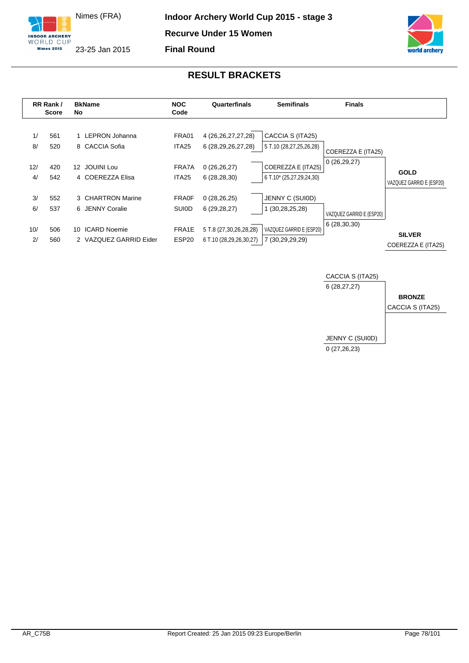





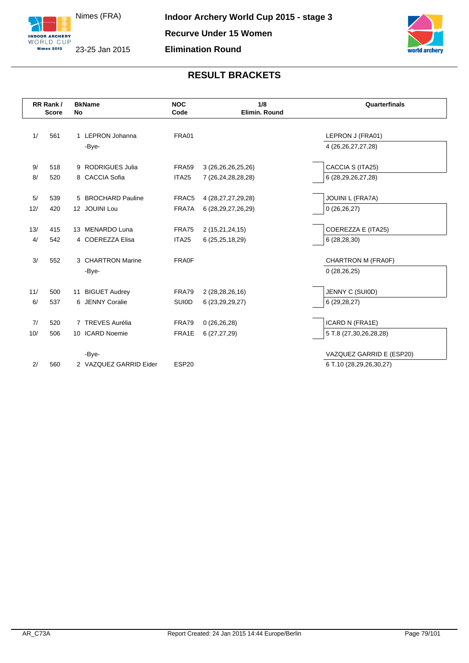



|     | RR Rank/<br><b>Score</b> | <b>BkName</b><br>No        | <b>NOC</b><br>Code | 1/8<br>Elimin, Round   | Quarterfinals            |
|-----|--------------------------|----------------------------|--------------------|------------------------|--------------------------|
|     |                          |                            |                    |                        |                          |
| 1/  | 561                      | 1 LEPRON Johanna           | <b>FRA01</b>       |                        | LEPRON J (FRA01)         |
|     |                          | -Bye-                      |                    |                        | 4 (26, 26, 27, 27, 28)   |
| 9/  | 518                      | 9 RODRIGUES Julia          | <b>FRA59</b>       | 3 (26, 26, 26, 25, 26) | CACCIA S (ITA25)         |
| 8/  | 520                      | 8 CACCIA Sofia             | ITA <sub>25</sub>  | 7 (26,24,28,28,28)     | 6 (28,29,26,27,28)       |
| 5/  | 539                      | 5 BROCHARD Pauline         | FRAC5              | 4 (28, 27, 27, 29, 28) | JOUINI L (FRA7A)         |
| 12/ | 420                      | 12 JOUINI Lou              | FRA7A              | 6 (28, 29, 27, 26, 29) | 0(26,26,27)              |
|     |                          |                            |                    |                        |                          |
| 13/ | 415                      | 13 MENARDO Luna            | <b>FRA75</b>       | 2 (15,21,24,15)        | COEREZZA E (ITA25)       |
| 4/  | 542                      | 4 COEREZZA Elisa           | ITA <sub>25</sub>  | 6(25, 25, 18, 29)      | 6(28, 28, 30)            |
| 3/  | 552                      | 3 CHARTRON Marine          | FRA0F              |                        | CHARTRON M (FRA0F)       |
|     |                          | -Bye-                      |                    |                        | 0(28, 26, 25)            |
|     |                          |                            |                    |                        |                          |
| 11/ | 500                      | <b>BIGUET Audrey</b><br>11 | <b>FRA79</b>       | 2 (28,28,26,16)        | JENNY C (SUI0D)          |
| 6/  | 537                      | 6 JENNY Coralie            | <b>SUIOD</b>       | 6 (23, 29, 29, 27)     | 6(29, 28, 27)            |
| 7/  | 520                      | 7 TREVES Aurélia           | <b>FRA79</b>       |                        |                          |
|     |                          |                            |                    | 0(26,26,28)            | ICARD N (FRA1E)          |
| 10/ | 506                      | 10 ICARD Noemie            | FRA1E              | 6(27, 27, 29)          | 5 T.8 (27,30,26,28,28)   |
|     |                          | -Bye-                      |                    |                        | VAZQUEZ GARRID E (ESP20) |
| 2/  | 560                      | 2 VAZQUEZ GARRID Eider     | ESP <sub>20</sub>  |                        | 6 T.10 (28,29,26,30,27)  |
|     |                          |                            |                    |                        |                          |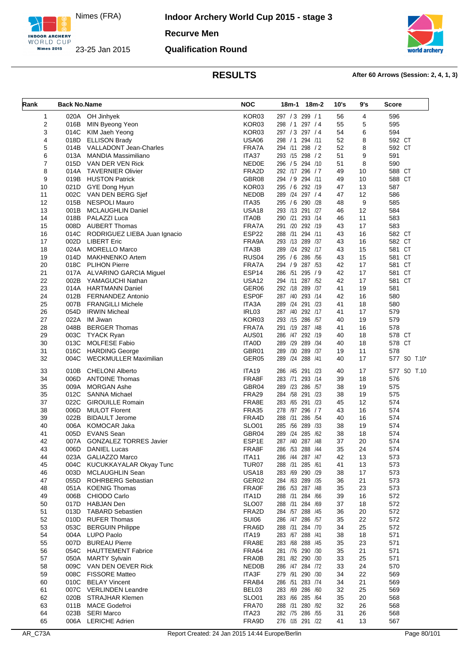

**Indoor Archery World Cup 2015 - stage 3**

**Recurve Men**

### **Qualification Round**



| Rank                    | <b>Back No.Name</b> |                                                  | <b>NOC</b>            | 18m-2<br>18m-1                        | 10's     | 9's      | Score        |
|-------------------------|---------------------|--------------------------------------------------|-----------------------|---------------------------------------|----------|----------|--------------|
| 1                       |                     | 020A OH Jinhyek                                  | KOR03                 | 297 / 3 299 / 1                       | 56       | 4        | 596          |
| $\overline{\mathbf{c}}$ | 016B                | MIN Byeong Yeon                                  | KOR03                 | 298 / 1 297 / 4                       | 55       | 5        | 595          |
| 3                       | 014C                | KIM Jaeh Yeong                                   | KOR03                 | 297 / 3<br>297/4                      | 54       | 6        | 594          |
| 4                       | 018D                | <b>ELLISON Brady</b>                             | <b>USA06</b>          | 298 / 1 294 / 11                      | 52       | 8        | 592 CT       |
| 5                       | 014B                | VALLADONT Jean-Charles                           | FRA7A                 | 294 /11 298 / 2                       | 52       | 8        | 592 CT       |
| 6                       | 013A                | MANDIA Massimiliano                              | ITA37                 | 293 /15 298 / 2                       | 51       | 9        | 591          |
| $\overline{7}$          | 015D                | VAN DER VEN Rick                                 | <b>NED0E</b>          | 296 / 5 294 / 10                      | 51       | 8        | 590          |
| 8                       | 014A                | <b>TAVERNIER Olivier</b>                         | FRA2D                 | 292 /17 296 / 7                       | 49       | 10       | 588 CT       |
| 9                       | 019B                | <b>HUSTON Patrick</b>                            | GBR08<br>KOR03        | 294 / 9<br>294 /11<br>295 / 6 292 /19 | 49       | 10       | 588 CT       |
| 10<br>11                | 021D<br>002C        | GYE Dong Hyun<br>VAN DEN BERG Sjef               | NED0B                 | 289 /24 297 / 4                       | 47<br>47 | 13<br>12 | 587<br>586   |
| 12                      | 015B                | <b>NESPOLI Mauro</b>                             | ITA35                 | 295 / 6 290 /28                       | 48       | 9        | 585          |
| 13                      | 001B                | <b>MCLAUGHLIN Daniel</b>                         | <b>USA18</b>          | 293 /13 291 /27                       | 46       | 12       | 584          |
| 14                      | 018B                | PALAZZI Luca                                     | <b>ITA0B</b>          | 293 /14<br>290 /21                    | 46       | 11       | 583          |
| 15                      | 008D                | <b>AUBERT Thomas</b>                             | FRA7A                 | 291 /20 292 /19                       | 43       | 17       | 583          |
| 16                      | 014C                | RODRIGUEZ LIEBA Juan Ignacio                     | ESP22                 | 288 /31 294 /11                       | 43       | 16       | 582 CT       |
| 17                      | 002D                | <b>LIBERT Eric</b>                               | FRA9A                 | 293 /13 289 /37                       | 43       | 16       | 582 CT       |
| 18                      | 024A                | <b>MORELLO Marco</b>                             | ITA3B                 | 289 /24 292 /17                       | 43       | 15       | 581 CT       |
| 19                      | 014D                | <b>MAKHNENKO Artem</b>                           | RUS <sub>04</sub>     | 295 / 6 286 / 56                      | 43       | 15       | 581 CT       |
| 20                      | 018C                | <b>PLIHON Pierre</b>                             | FRA7A                 | 294 / 9 287 / 53                      | 42       | 17       | 581 CT       |
| 21                      | 017A                | ALVARINO GARCIA Miguel                           | ESP14                 | 286 /51 295 / 9                       | 42       | 17       | 581 CT       |
| 22                      | 002B                | YAMAGUCHI Nathan                                 | <b>USA12</b>          | 294 /11 287 /52                       | 42       | 17       | 581 CT       |
| 23                      | 014A                | HARTMANN Daniel                                  | GER06                 | 292 /18 289 /37                       | 41       | 19       | 581          |
| 24                      | 012B                | FERNANDEZ Antonio                                | <b>ESP0F</b>          | 287 /40 293 /14                       | 42       | 16       | 580          |
| 25<br>26                | 007B<br>054D        | <b>FRANGILLI Michele</b><br><b>IRWIN Micheal</b> | ITA3A<br>IRL03        | 289 /24 291 /23<br>287 /40<br>292 /17 | 41<br>41 | 18<br>17 | 580<br>579   |
| 27                      | 022A                | IM Jiwan                                         | KOR <sub>03</sub>     | 293 /15 286 /57                       | 40       | 19       | 579          |
| 28                      | 048B                | <b>BERGER Thomas</b>                             | FRA7A                 | 291 /19 287 /48                       | 41       | 16       | 578          |
| 29                      | 003C                | <b>TYACK Ryan</b>                                | AUS01                 | 286 /47<br>292 /19                    | 40       | 18       | 578 CT       |
| 30                      | 013C                | <b>MOLFESE Fabio</b>                             | <b>ITA0D</b>          | 289 /29 289 /34                       | 40       | 18       | 578 CT       |
| 31                      | 016C                | <b>HARDING George</b>                            | GBR01                 | 289 /30 289 /37                       | 19       | 11       | 578          |
| 32                      | 004C                | WECKMULLER Maximilian                            | GER <sub>05</sub>     | 289 /24<br>288 /41                    | 40       | 17       | 577 SO T.10* |
| 33                      | 010B                | <b>CHELONI Alberto</b>                           | ITA <sub>19</sub>     | 286 /45 291 /23                       | 40       | 17       | 577 SO T.10  |
| 34                      | 006D                | <b>ANTOINE Thomas</b>                            | FRA8F                 | 293 /14<br>283 /71                    | 39       | 18       | 576          |
| 35                      | 009A                | <b>MORGAN Ashe</b>                               | GBR04                 | 289 /23<br>286 /57                    | 38       | 19       | 575          |
| 35                      | 012C                | <b>SANNA Michael</b>                             | <b>FRA29</b>          | 284 /58 291 /23                       | 38       | 19       | 575          |
| 37                      | 022C                | <b>GIROUILLE Romain</b>                          | FRA8E                 | 283 /65<br>291 /23                    | 45       | 12       | 574          |
| 38                      | 006D                | <b>MULOT Florent</b>                             | <b>FRA35</b><br>FRA4D | 278 /97 296 / 7<br>288 /31 286 /54    | 43       | 16       | 574          |
| 39<br>40                | 022B<br>006A        | <b>BIDAULT Jerome</b><br>KOMOCAR Jaka            | <b>SLO01</b>          | 289 /33<br>285 /56                    | 40<br>38 | 16<br>19 | 574<br>574   |
| 41                      | 005D                | <b>EVANS</b> Sean                                | GBR04                 | 289 /24<br>285 /62                    | 38       | 18       | 574          |
| 42                      |                     | 007A GONZALEZ TORRES Javier                      | ESP1E                 | 287 /40 287 /48                       | 37       | 20       | 574          |
| 43                      | 006D                | <b>DANIEL Lucas</b>                              | FRA8F                 | 286 /53 288 /44                       | 35       | 24       | 574          |
| 44                      |                     | 023A GALIAZZO Marco                              | <b>ITA11</b>          | 286 /44 287 /47                       | 42       | 13       | 573          |
| 45                      | 004C                | KUCUKKAYALAR Okyay Tunc                          | TUR07                 | 288 /31 285 /61                       | 41       | 13       | 573          |
| 46                      | 003D                | MCLAUGHLIN Sean                                  | <b>USA18</b>          | 283 /69 290 /29                       | 38       | 17       | 573          |
| 47                      | 055D                | ROHRBERG Sebastian                               | GER02                 | 284 /63 289 /35                       | 36       | 21       | 573          |
| 48                      | 051A                | <b>KOENIG Thomas</b>                             | <b>FRA0F</b>          | 286 /53 287 /48                       | 35       | 23       | 573          |
| 49                      | 006B                | CHIODO Carlo                                     | ITA1D                 | 288 /31 284 /66                       | 39       | 16       | 572          |
| 50                      | 017D                | <b>HABJAN Den</b>                                | SLO07                 | 288 /31 284 /69                       | 37       | 18       | 572          |
| 51                      | 013D                | <b>TABARD Sebastien</b>                          | FRA2D                 | 284 /57 288 /45                       | 36       | 20       | 572          |
| 52                      | 010D                | <b>RUFER Thomas</b>                              | <b>SUI06</b>          | 286 /47 286 /57                       | 35       | 22       | 572          |
| 53                      | 053C                | <b>BERGUIN Philippe</b>                          | FRA6D                 | 288 /31 284 /70                       | 34       | 25       | 572          |
| 54<br>55                | 004A<br>007D        | LUPO Paolo<br><b>BUREAU Pierre</b>               | <b>ITA19</b><br>FRA8E | 283 /67 288 /41<br>283 /68 288 /45    | 38<br>35 | 18<br>23 | 571<br>571   |
| 56                      | 054C                | <b>HAUTTEMENT Fabrice</b>                        | FRA64                 | 281 /76 290 /30                       | 35       | 21       | 571          |
| 57                      | 050A                | <b>MARTY Sylvain</b>                             | FRA0B                 | 281 /82 290 /30                       | 33       | 25       | 571          |
| 58                      | 009C                | VAN DEN OEVER Rick                               | <b>NED0B</b>          | 286 /47 284 /72                       | 33       | 24       | 570          |
| 59                      | 008C                | <b>FISSORE Matteo</b>                            | ITA3F                 | 279 /91 290 /30                       | 34       | 22       | 569          |
| 60                      | 010C                | <b>BELAY Vincent</b>                             | FRAB4                 | 286 /51 283 /74                       | 34       | 21       | 569          |
| 61                      |                     | 007C VERLINDEN Leandre                           | BEL03                 | 283 /69 286 /60                       | 32       | 25       | 569          |
| 62                      | 020B                | <b>STRAJHAR Klemen</b>                           | SLO01                 | 283 /66 285 /64                       | 35       | 20       | 568          |
| 63                      | 011B                | <b>MACE Godefroi</b>                             | FRA70                 | 288 /31 280 /92                       | 32       | 26       | 568          |
| 64                      |                     | 023B SERI Marco                                  | ITA23                 | 282 /75 286 /55                       | 31       | 26       | 568          |
| 65                      | 006A                | <b>LERICHE Adrien</b>                            | FRA9D                 | 276 /105 291 /22                      | 41       | 13       | 567          |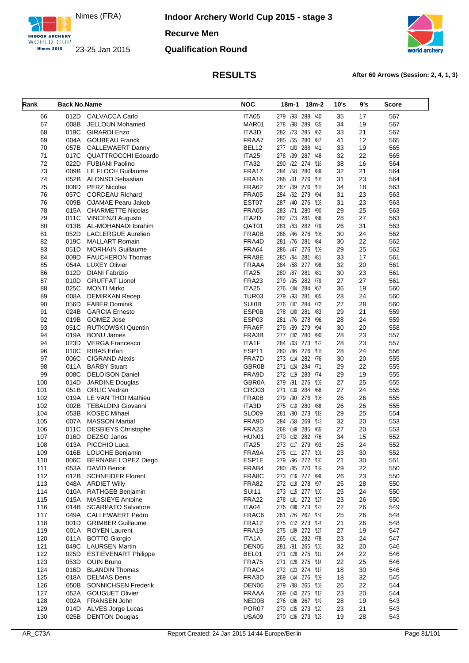

**Indoor Archery World Cup 2015 - stage 3**

**Recurve Men**

### **Qualification Round**



| Rank       | <b>Back No.Name</b> |                                                    | <b>NOC</b>                   | 18m-2<br>18m-1                          | 10's     | 9's      | <b>Score</b> |
|------------|---------------------|----------------------------------------------------|------------------------------|-----------------------------------------|----------|----------|--------------|
| 66         | 012D                | <b>CALVACCA Carlo</b>                              | ITA05                        | 279 /93 288 /40                         | 35       | 17       | 567          |
| 67         | 008B                | JELLOUN Mohamed                                    | MAR01                        | 278 /98 289 /35                         | 34       | 19       | 567          |
| 68         | 019C                | <b>GIRARDI Enzo</b>                                | ITA3D                        | 282 /73<br>285 /62                      | 33       | 21       | 567          |
| 69         | 004A                | <b>GOUBEAU Franck</b>                              | FRAA7                        | 285 /55 280 /87                         | 41       | 12       | 565          |
| 70         | 057B                | <b>CALLEWAERT Danny</b>                            | BEL12                        | 277 /103 288 /41                        | 33       | 19       | 565          |
| 71         | 017C                | <b>QUATTROCCHI Edoardo</b>                         | ITA25                        | 278 /99<br>287 /48                      | 32       | 22       | 565          |
| 72         | 022D                | <b>FUBIANI Paolino</b>                             | ITA32                        | 290 /22 274 /116                        | 38       | 16       | 564          |
| 73         | 009B                | LE FLOCH Guillaume                                 | FRA17                        | 284 /58 280 /89                         | 32       | 21       | 564          |
| 74         | 052B                | <b>ALONSO Sebastian</b>                            | FRA16                        | 288 /31<br>276 /106                     | 31       | 23       | 564          |
| 75         | 008D                | <b>PERZ Nicolas</b>                                | <b>FRA62</b>                 | 287 /39 276 /103                        | 34       | 18       | 563          |
| 76         | 057C                | <b>CORDEAU Richard</b>                             | <b>FRA05</b>                 | 284 /62 279 /94                         | 31       | 23       | 563          |
| 76         | 009B                | OJAMAE Pearu Jakob                                 | EST07                        | 287 /40 276 /103                        | 31       | 23       | 563          |
| 78         |                     | 015A CHARMETTE Nicolas                             | <b>FRA05</b>                 | 283 /71 280 /90                         | 29       | 25       | 563          |
| 79         |                     | 011C VINCENZI Augusto                              | ITA2D                        | 282 /73 281 /86                         | 28       | 27       | 563          |
| 80         | 013B                | AL-MOHANADI Ibrahim                                | QAT01                        | 281 /83 282 /79                         | 26       | 31       | 563          |
| 81         | 052D                | <b>LACLERGUE Aurelien</b>                          | FRA0B                        | 286 /46 276 /106                        | 30       | 24       | 562          |
| 82         | 019C                | <b>MALLART Romain</b>                              | FRA4D                        | 281 /84<br>281 /76                      | 30       | 22       | 562          |
| 83         | 051D                | <b>MORHAIN Guillaume</b>                           | <b>FRA64</b>                 | 286 /47 276 /109                        | 29       | 25       | 562          |
| 84         | 009D                | <b>FAUCHERON Thomas</b>                            | FRA8E                        | 280 / 84 281 / 81                       | 33       | 17       | 561          |
| 85         | 054A                | <b>LUXEY Olivier</b>                               | <b>FRAAA</b>                 | 284 /58 277 /98                         | 32       | 20       | 561          |
| 86         | 012D                | <b>DIANI Fabrizio</b>                              | ITA25                        | 280 /87 281 /81                         | 30       | 23       | 561          |
| 87         | 010D                | <b>GRUFFAT Lionel</b>                              | FRA23                        | 279 /95 282 /79                         | 27       | 27       | 561          |
| 88         | 025C                | <b>MONTI Mirko</b>                                 | ITA25                        | 276 /104<br>284 /67                     | 36       | 19       | 560          |
| 89         | 008A                | <b>DEMIRKAN Recep</b>                              | TUR03                        | /93 281 /85<br>279                      | 28       | 24       | 560          |
| 90         | 056D                | <b>FABER Dominik</b><br><b>GARCIA Ernesto</b>      | <b>SUI0B</b><br><b>ESP0B</b> | 276 /107 284 /72<br>281 /83<br>278 /100 | 27       | 28<br>21 | 560          |
| 91<br>92   | 024B<br>019B        | GOMEZ Jose                                         | ESP03                        | 281 /76 278 /96                         | 29<br>28 | 24       | 559<br>559   |
| 93         | 051C                | <b>RUTKOWSKI Quentin</b>                           | FRA6F                        | 279 /89 279 /94                         | 30       | 20       | 558          |
| 94         | 019A                | <b>BONU James</b>                                  | FRA3B                        | 277 /102<br>280 /90                     | 28       | 23       | 557          |
| 94         | 023D                | <b>VERGA Francesco</b>                             | ITA1F                        | 284 /63 273 /122                        | 28       | 23       | 557          |
| 96         | 010C                | RIBAS Erfan                                        | ESP11                        | 280 /86 276 /103                        | 28       | 24       | 556          |
| 97         | 006C                | <b>CIGRAND Alexis</b>                              | FRA7D                        | 273 /114<br>282 /76                     | 30       | 20       | 555          |
| 98         | 011A                | <b>BARBY Stuart</b>                                | <b>GBR0B</b>                 | 271 /124 284 /71                        | 29       | 22       | 555          |
| 99         | 008C                | <b>DELOISON Daniel</b>                             | FRA9D                        | 272 /119 283 /74                        | 29       | 19       | 555          |
| 100        | 014D                | <b>JARDINE Douglas</b>                             | GBR0A                        | 279 /91<br>276 /102                     | 27       | 25       | 555          |
| 101        |                     | 051B ORLIC Vedran                                  | CRO03                        | 271 /130 284 /68                        | 27       | 24       | 555          |
| 102        | 019A                | LE VAN THOI Mathieu                                | FRA0B                        | /90 276 /106<br>279                     | 26       | 26       | 555          |
| 102        | 002B                | <b>TEBALDINI Giovanni</b>                          | ITA3D                        | 275 /110<br>280 /88                     | 26       | 26       | 555          |
| 104        | 053B                | <b>KOSEC Mihael</b>                                | <b>SLO09</b>                 | 281 /80 273 /118                        | 29       | 25       | 554          |
| 105        | 007A                | <b>MASSON Martial</b>                              | FRA9D                        | 284 /58 269 /143                        | 32       | 20       | 553          |
| 106        | 011C                | <b>DESBIEYS Christophe</b>                         | FRA23                        | 268 /149<br>285 /65                     | 27       | 20       | 553          |
| 107        | 016D                | DEZSO Janos                                        | HUN01                        | 270 /132 282 /76                        | 34       | 15       | 552          |
| 108        |                     | 013A PICCHIO Luca                                  | ITA <sub>25</sub>            | 273 /117 279 /93                        | 25       | 24       | 552          |
| 109        |                     | 016B LOUCHE Benjamin                               | FRA9A                        | 275 /111 277 /101                       | 23       | 30       | 552          |
| 110        | 006C                | BERNABE LOPEZ Diego                                | ESP1E                        | 279 /96 272 /130                        | 21       | 30       | 551          |
| 111        | 053A                | DAVID Benoit                                       | FRAB4                        | 280 / 85 270 / 139                      | 29       | 22       | 550          |
| 112        | 012B                | <b>SCHNEIDER Florent</b>                           | FRA8C                        | 273 /116 277 /99                        | 26       | 23       | 550          |
| 113        | 048A                | <b>ARDIET Willy</b>                                | FRA82                        | 272 /118 278 /97                        | 25       | 28       | 550          |
| 114        | 010A                | RATHGEB Benjamin                                   | <b>SUI11</b>                 | 273 /115 277 /100                       | 25       | 24       | 550          |
| 115        | 015A                | <b>MASSIEYE Antoine</b>                            | <b>FRA22</b>                 | 278 /101 272 /127                       | 23       | 26       | 550          |
| 116        | 014B                | <b>SCARPATO Salvatore</b>                          | ITA04                        | 276 /108 273 /123                       | 22       | 26       | 549          |
| 117        | 049A                | <b>CALLEWAERT Pedro</b>                            | FRAC6                        | 281 /76 267 /151                        | 25       | 26       | 548          |
| 118        |                     | 001D GRIMBER Guillaume                             | FRA12                        | 275 /112 273 /124                       | 21       | 26       | 548          |
| 119        |                     | 001A ROYEN Laurent                                 | FRA19                        | 275 /109 272 /127                       | 27       | 19       | 547          |
| 120        | 011A                | <b>BOTTO Giorgio</b>                               | ITA1A                        | 265 /161 282 /78                        | 23       | 24       | 547          |
| 121        | 025D                | 049C LAURSEN Martin<br><b>ESTIEVENART Philippe</b> | DEN <sub>05</sub><br>BEL01   | 281 /81 265 /155<br>271 /128 275 /111   | 32       | 20<br>22 | 546          |
| 122        |                     |                                                    |                              |                                         | 24       |          | 546          |
| 123<br>124 | 016D                | 053D OUIN Bruno<br><b>BLANDIN Thomas</b>           | FRA75<br>FRAC4               | 271 /128 275 /114<br>272 /123 274 /117  | 22<br>18 | 25<br>30 | 546<br>546   |
| 125        | 018A                | <b>DELMAS Denis</b>                                | FRA3D                        | 269 /144 276 /109                       | 18       | 32       | 545          |
| 126        | 050B                | <b>SONNICHSEN Frederik</b>                         | DEN <sub>06</sub>            | 279 /88 265 /158                        | 26       | 22       | 544          |
| 127        | 052A                | <b>GOUGUET Olivier</b>                             | <b>FRAAA</b>                 | 269 /140 275 /112                       | 23       | 20       | 544          |
| 128        | 002A                | FRANSEN John                                       | NED0B                        | 276 /106 267 /149                       | 28       | 19       | 543          |
| 129        | 014D                | ALVES Jorge Lucas                                  | POR07                        | 270 /135 273 /120                       | 23       | 21       | 543          |
| 130        | 025B                | <b>DENTON Douglas</b>                              | USA09                        | 270 /136 273 /125                       | 19       | 28       | 543          |
|            |                     |                                                    |                              |                                         |          |          |              |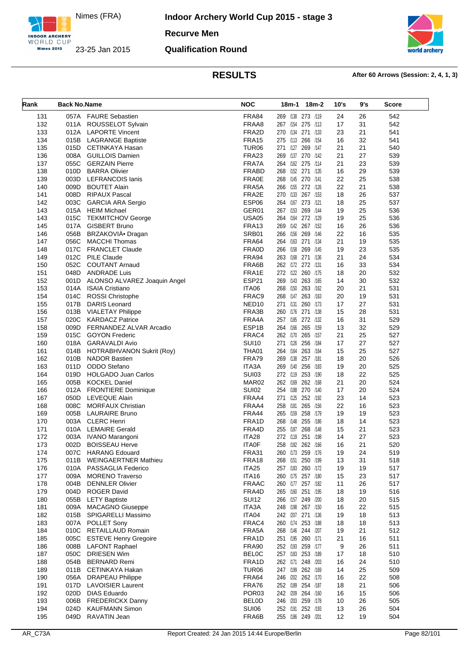

**Recurve Men**

### **Qualification Round**



| Rank       | <b>Back No.Name</b> |                                            | <b>NOC</b>            | 18m-1<br>18m-2                         | 10's     | 9's      | <b>Score</b> |
|------------|---------------------|--------------------------------------------|-----------------------|----------------------------------------|----------|----------|--------------|
| 131        |                     | 057A FAURE Sebastien                       | FRA84                 | 269 /138 273 /119                      | 24       | 26       | 542          |
| 132        | 011A                | ROUSSELOT Sylvain                          | FRAA8                 | 267 /154 275 /113                      | 17       | 31       | 542          |
| 133        | 012A                | <b>LAPORTE Vincent</b>                     | FRA2D                 | 270 /134<br>271 /133                   | 23       | 21       | 541          |
| 134        | 015B                | <b>LAGRANGE Baptiste</b>                   | FRA15                 | 275 /113 266 /154                      | 16       | 32       | 541          |
| 135        | 015D                | CETINKAYA Hasan                            | TUR <sub>06</sub>     | 271 /127 269 /147                      | 21       | 21       | 540          |
| 136        | 008A                | <b>GUILLOIS Damien</b>                     | FRA23                 | 269 /137 270 /142                      | 21       | 27       | 539          |
| 137        | 055C                | <b>GERZAIN Pierre</b>                      | FRA7A                 | 264 /162 275 /114                      | 21       | 23       | 539          |
| 138        | 010D                | <b>BARRA Olivier</b>                       | <b>FRABD</b>          | 268 /152 271 /135                      | 16       | 29       | 539          |
| 139        | 003D                | <b>LEFRANCOIS lanis</b>                    | <b>FRA0E</b>          | 268 /145 270 /141                      | 22       | 25       | 538          |
| 140        | 009D                | <b>BOUTET Alain</b>                        | FRA5A                 | 266 /155 272 /126                      | 22       | 21       | 538          |
| 141        | 008D                | <b>RIPAUX Pascal</b>                       | FRA2E                 | 270 /133<br>267 /153                   | 18       | 26       | 537          |
| 142        | 003C                | <b>GARCIA ARA Sergio</b>                   | ESP06                 | 264 /167 273 /121                      | 18       | 25       | 537          |
| 143        | 015A                | HEIM Michael                               | GER01                 | 267 /153 269 /144                      | 19       | 25       | 536          |
| 143        | 015C                | <b>TEKMITCHOV George</b>                   | <b>USA05</b>          | 264 /164<br>272 /129                   | 19       | 25       | 536          |
| 145        | 017A                | <b>GISBERT Bruno</b>                       | FRA <sub>13</sub>     | 269 /142 267 /152                      | 16       | 26       | 536          |
| 146        | 056B                | BRZAKOVIÄ <sup>®</sup> Dragan              | SRB01                 | 266 /156 269 /146                      | 22       | 16       | 535          |
| 147        | 056C                | <b>MACCHI Thomas</b>                       | FRA64                 | 264 /163<br>271 /134                   | 21       | 19       | 535          |
| 148        | 017C                | <b>FRANCLET Claude</b>                     | <b>FRA0D</b>          | 266 /158 269 /145                      | 19       | 23       | 535          |
| 149        | 012C                | <b>PILE Claude</b>                         | FRA94                 | 263 /168 271 /136                      | 21       | 24       | 534          |
| 150        | 052C                | <b>COUTANT Arnaud</b>                      | FRA6B                 | 262 /172<br>272 /131                   | 16       | 33       | 534          |
| 151        | 048D                | <b>ANDRADE Luis</b>                        | FRA1E                 | 272 /122 260 /175                      | 18       | 20       | 532          |
| 152        | 001D                | ALONSO ALVAREZ Joaquin Angel               | ESP21                 | 269 /143 263 /165                      | 14       | 30       | 532          |
| 153        | 014A                | <b>ISAIA Cristiano</b>                     | ITA06                 | 268 /150 263 /162                      | 20       | 21       | 531          |
| 154        | 014C                | <b>ROSSI Christophe</b>                    | FRAC9                 | 268 /147 263 /163                      | 20       | 19       | 531          |
| 155        | 017B                | <b>DARIS Leonard</b>                       | NED <sub>10</sub>     | 271 /131<br>260 /173                   | 17       | 27       | 531          |
| 156        | 013B                | <b>VIALETAY Philippe</b>                   | FRA3B                 | 260 /176<br>271 /138                   | 15       | 28       | 531          |
| 157        | 020C                | <b>KARDACZ Patrice</b>                     | FRA4A                 | 257 /185 272 /132                      | 16       | 31       | 529          |
| 158        | 009D                | FERNANDEZ ALVAR Arcadio                    | ESP1B                 | 264 /166 265 /159                      | 13       | 32       | 529          |
| 159        | 015C                | <b>GOYON Frederic</b>                      | FRAC4                 | 262 /170<br>265 /157                   | 21       | 25       | 527          |
| 160        | 018A                | GARAVALDI Avio                             | <b>SUI10</b>          | 271 /126 256 /184                      | 17       | 27       | 527          |
| 161        | 014B                | HOTRABHVANON Sukrit (Roy)                  | THA01                 | 264 /164 263 /164                      | 15       | 25       | 527          |
| 162        | 010B                | <b>NADOR Bastien</b>                       | FRA79                 | 269 /138 257 /181                      | 18       | 20       | 526          |
| 163<br>164 | 011D<br>019D        | ODDO Stefano<br><b>HOLGADO Juan Carlos</b> | ITA3A<br><b>SUI03</b> | 269 /140 256 /183<br>272 /119 253 /190 | 19<br>18 | 20<br>22 | 525<br>525   |
| 165        | 005B                | <b>KOCKEL Daniel</b>                       | MAR <sub>02</sub>     | 262 /169 262 /168                      | 21       | 20       | 524          |
| 166        | 012A                | <b>FRONTIERE Dominique</b>                 | SUI02                 | 254 /188 270 /140                      | 17       | 20       | 524          |
| 167        | 050D                | LEVEQUE Alain                              | FRAA4                 | 271 /125<br>252 /192                   | 23       | 14       | 523          |
| 168        | 008C                | <b>MORFAUX Christian</b>                   | FRAA4                 | 258 /181 265 /156                      | 22       | 16       | 523          |
| 169        | 005B                | <b>LAURAIRE Bruno</b>                      | FRA44                 | 265 /159 258 /179                      | 19       | 19       | 523          |
| 170        | 003A                | <b>CLERC Henri</b>                         | FRA1D                 | 268 /148<br>255 /186                   | 18       | 14       | 523          |
| 171        | 010A                | <b>LEMAIRE Gerald</b>                      | FRA4D                 | 255 /187 268 /148                      | 15       | 21       | 523          |
| 172        | 003A                | IVANO Marangoni                            | ITA28                 | 272 /119 251 /198                      | 14       | 27       | 523          |
| 173        | 002D                | <b>BOISSEAU Herve</b>                      | <b>ITA0F</b>          | 258 /182 262 /166                      | 16       | 21       | 520          |
| 174        | 007C                | <b>HARANG Edouard</b>                      | <b>FRA31</b>          | 260 /173 259 /176                      | 19       | 24       | 519          |
| 175        | 011B                | <b>WEINGAERTNER Mathieu</b>                | FRA18                 | 268 /151 250 /199                      | 13       | 31       | 518          |
| 176        | 010A                | PASSAGLIA Federico                         | ITA25                 | 257 /183<br>260 /172                   | 19       | 19       | 517          |
| 177        | 009A                | <b>MORENO Traverso</b>                     | ITA16                 | 260 /175 257 /180                      | 15       | 23       | 517          |
| 178        | 004B                | <b>DENNLER Olivier</b>                     | <b>FRAAC</b>          | 260 /177 257 /182                      | 11       | 26       | 517          |
| 179        | 004D                | <b>ROGER David</b>                         | FRA4D                 | 265 /160 251 /195                      | 18       | 19       | 516          |
| 180        | 055B                | <b>LETY Baptiste</b>                       | <b>SUI12</b>          | 266 /157 249 /200                      | 18       | 20       | 515          |
| 181        | 009A                | <b>MACAGNO Giuseppe</b>                    | ITA3A                 | 248 /198 267 /150                      | 16       | 22       | 515          |
| 182        | 015B                | SPIGARELLI Massimo                         | ITA04                 | 242 /207 271 /136                      | 19       | 18       | 513          |
| 183        | 007A                | POLLET Sony                                | FRAC4                 | 260 /174 253 /188                      | 18       | 18       | 513          |
| 184        | 010C                | RETAILLAUD Romain                          | FRA5A                 | 268 /146 244 /207                      | 19       | 21       | 512          |
| 185        | 005C                | <b>ESTEVE Henry Gregoire</b>               | FRA1D                 | 251 /195 260 /171                      | 21       | 16       | 511          |
| 186        | 008B                | <b>LAFONT Raphael</b>                      | FRA90                 | 252 /193 259 /177                      | 9        | 26       | 511          |
| 187        | 050C                | <b>DRIESEN Wim</b>                         | <b>BELOC</b>          | 257 /183 253 /189                      | 17       | 18       | 510          |
| 188        | 054B                | <b>BERNARD Remi</b>                        | FRA1D                 | 262 /171 248 /203                      | 16       | 24       | 510          |
| 189        | 011B                | CETINKAYA Hakan                            | TUR <sub>06</sub>     | 247 /199 262 /169                      | 14       | 25       | 509          |
| 190        | 056A                | <b>DRAPEAU Philippe</b>                    | FRA64                 | 246 /202 262 /170                      | 16       | 22       | 508          |
| 191        | 017D                | <b>LAVOISIER Laurent</b>                   | FRA76                 | 252 /189 254 /187                      | 18       | 21       | 506          |
| 192        | 020D                | <b>DIAS Eduardo</b>                        | POR <sub>03</sub>     | 242 /209 264 /160                      | 16       | 15       | 506          |
| 193        | 006B                | <b>FREDERICKX Danny</b>                    | <b>BELOD</b>          | 246 /203 259 /178                      | 10       | 26       | 505          |
| 194        | 024D                | <b>KAUFMANN Simon</b>                      | <b>SUI06</b>          | 252 /191 252 /193                      | 13       | 26       | 504          |
| 195        | 049D                | RAVATIN Jean                               | FRA6B                 | 255 /186 249 /201                      | 12       | 19       | 504          |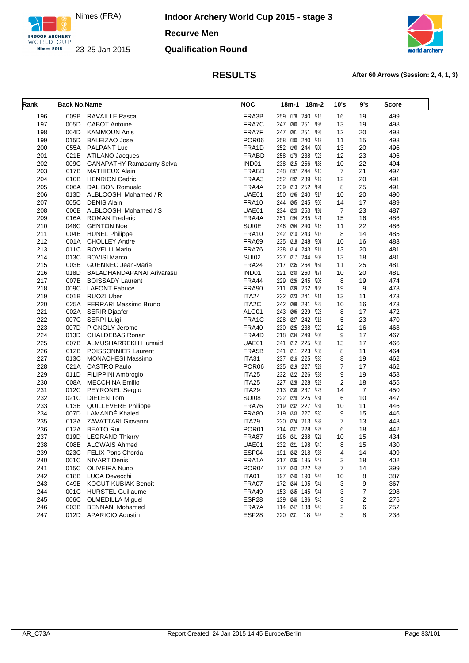

**Indoor Archery World Cup 2015 - stage 3**

**Recurve Men**

### **Qualification Round**



| Rank | <b>Back No.Name</b> |                                 | <b>NOC</b>         | 18m-1<br>18m-2             | 10's           | 9's            | Score |
|------|---------------------|---------------------------------|--------------------|----------------------------|----------------|----------------|-------|
| 196  | 009B                | <b>RAVAILLE Pascal</b>          | FRA3B              | 259 /178 240 /216          | 16             | 19             | 499   |
| 197  | 005D                | <b>CABOT Antoine</b>            | FRA7C              | 247 /200 251<br>/197       | 13             | 19             | 498   |
| 198  | 004D                | <b>KAMMOUN Anis</b>             | FRA7F              | 247 /201<br>251<br>/196    | 12             | 20             | 498   |
| 199  | 015D                | <b>BALEIZAO Jose</b>            | POR <sub>06</sub>  | 258 /180 240<br>/218       | 11             | 15             | 498   |
| 200  |                     | 055A PALPANT Luc                | FRA1D              | 252 /190 244<br>/209       | 13             | 20             | 496   |
| 201  |                     | 021B ATILANO Jacques            | <b>FRABD</b>       | 258 /179 238<br>1222       | 12             | 23             | 496   |
| 202  | 009C                | <b>GANAPATHY Ramasamy Selva</b> | IND01              | /215 256<br>/185<br>238    | 10             | 22             | 494   |
| 203  | 017B                | MATHIEUX Alain                  | <b>FRABD</b>       | /197<br>248<br>244<br>/210 | $\overline{7}$ | 21             | 492   |
| 204  | 010B                | <b>HENRION Cedric</b>           | FRAA3              | 252 /192 239<br>/219       | 12             | 20             | 491   |
| 205  | 006A                | DAL BON Romuald                 | FRA4A              | 239 /213 252 /194          | 8              | 25             | 491   |
| 206  | 013D                | ALBLOOSHI Mohamed / R           | UAE01              | 250 /196<br>240<br>/217    | 10             | 20             | 490   |
| 207  | 005C                | DENIS Alain                     | <b>FRA10</b>       | 244 /205 245<br>/205       | 14             | 17             | 489   |
| 208  | 006B                | ALBLOOSHI Mohamed / S           | UAE01              | 234 /220 253 /191          | 7              | 23             | 487   |
| 209  |                     | 016A ROMAN Frederic             | FRA4A              | 235<br>251<br>/194<br>/224 | 15             | 16             | 486   |
| 210  | 048C                | <b>GENTON Noe</b>               | <b>SUI0E</b>       | /204 240<br>/215<br>246    | 11             | 22             | 486   |
| 211  | 004B                | <b>HUNEL Philippe</b>           | <b>FRA10</b>       | 242 /210 243 /212          | 8              | 14             | 485   |
| 212  |                     | 001A CHOLLEY Andre              | <b>FRA69</b>       | 235<br>/218 248<br>/204    | 10             | 16             | 483   |
| 213  | 011C                | ROVELLI Mario                   | FRA76              | 238 /214 243 /211          | 13             | 20             | 481   |
| 214  | 013C                | <b>BOVISI Marco</b>             | <b>SUI02</b>       | 237 /217 244 /208          | 13             | 18             | 481   |
| 215  |                     | 003B GUENNEC Jean-Marie         | <b>FRA24</b>       | 217 /235 264 /161          | 11             | 25             | 481   |
| 216  | 018D                | BALADHANDAPANAI Arivarasu       | IND01              | /230 260 /174<br>221       | 10             | 20             | 481   |
| 217  | 007B                | <b>BOISSADY Laurent</b>         | FRA44              | 229<br>/226 245 /206       | 8              | 19             | 474   |
| 218  | 009C                | <b>LAFONT Fabrice</b>           | <b>FRA90</b>       | 211 /239<br>262 /167       | 19             | 9              | 473   |
| 219  |                     | 001B RUOZI Uber                 | ITA24              | 232 /223 241<br>/214       | 13             | 11             | 473   |
| 220  |                     | 025A FERRARI Massimo Bruno      | ITA <sub>2</sub> C | 242 /208 231<br>/225       | 10             | 16             | 473   |
| 221  |                     | 002A SERIR Djaafer              | ALG01              | 243 /206 229<br>/226       | 8              | 17             | 472   |
| 222  | 007C                | <b>SERPI Luigi</b>              | FRA1C              | 228 /227 242 /213          | 5              | 23             | 470   |
| 223  |                     | 007D PIGNOLY Jerome             | FRA40              | 230 /225 238<br>/220       | 12             | 16             | 468   |
| 224  | 013D                | CHALDEBAS Ronan                 | FRA4D              | 218 /234 249<br>/202       | 9              | 17             | 467   |
| 225  | 007B                | ALMUSHARREKH Humaid             | UAE01              | 241 /212 225<br>/233       | 13             | 17             | 466   |
| 226  | 012B                | POISSONNIER Laurent             | FRA5B              | 223<br>241 /211<br>/236    | 8              | 11             | 464   |
| 227  | 013C                | <b>MONACHESI Massimo</b>        | <b>ITA31</b>       | 237 /216 225<br>/235       | 8              | 19             | 462   |
| 228  | 021A                | CASTRO Paulo                    | POR <sub>06</sub>  | 235 /219 227 /229          | 7              | 17             | 462   |
| 229  |                     | 011D FILIPPINI Ambrogio         | <b>ITA25</b>       | 232 /222 226<br>/232       | 9              | 19             | 458   |
| 230  |                     | 008A MECCHINA Emilio            | ITA25              | 227 /228<br>228<br>/228    | 2              | 18             | 455   |
| 231  | 012C                | <b>PEYRONEL Sergio</b>          | <b>ITA29</b>       | 213 /238 237 /223          | 14             | $\overline{7}$ | 450   |
| 232  | 021C                | DIELEN Tom                      | <b>SUI08</b>       | 225<br>222 /229<br>/234    | 6              | 10             | 447   |
| 233  |                     | 013B QUILLEVERE Philippe        | <b>FRA76</b>       | /232 227 /231<br>219       | 10             | 11             | 446   |
| 234  | 007D                | LAMANDÉ Khaled                  | <b>FRA80</b>       | /233 227 /230<br>219       | 9              | 15             | 446   |
| 235  |                     | 013A ZAVATTARI Giovanni         | <b>ITA29</b>       | 230<br>/224 213<br>/239    | 7              | 13             | 443   |
| 236  | 012A                | <b>BEATO Rui</b>                | POR <sub>01</sub>  | 214 /237 228<br>/227       | 6              | 18             | 442   |
| 237  | 019D                | <b>LEGRAND Thierry</b>          | FRA87              | 196<br>238<br>/241<br>/221 | 10             | 15             | 434   |
| 238  |                     | 008B ALOWAIS Ahmed              | UAE01              | 232 /221<br>198<br>/240    | 8              | 15             | 430   |
| 239  | 023C                | FELIX Pons Chorda               | ESP04              | 191 /242 218 /238          | 4              | 14             | 409   |
| 240  | 001C                | <b>NIVART Denis</b>             | FRA1A              | 217 /236 185 /243          | 3              | 18             | 402   |
| 241  | 015C                | <b>OLIVEIRA Nuno</b>            | POR <sub>04</sub>  | 177 /243 222 /237          | 7              | 14             | 399   |
| 242  | 018B                | LUCA Devecchi                   | ITA01              | 197 /240 190 /242          | 10             | 8              | 387   |
| 243  | 049B                | <b>KOGUT KUBIAK Benoit</b>      | FRA07              | 172 /244 195 /241          | 3              | 9              | 367   |
| 244  | 001C                | <b>HURSTEL Guillaume</b>        | <b>FRA49</b>       | 153 /245 145 /244          | 3              | 7              | 298   |
| 245  | 006C                | <b>OLMEDILLA Miguel</b>         | ESP28              | 139 /246 136 /246          | 3              | 2              | 275   |
| 246  | 003B                | <b>BENNANI Mohamed</b>          | FRA7A              | 114 /247 138 /245          | 2              | 6              | 252   |
| 247  |                     | 012D APARICIO Agustin           | ESP28              | 220 /231<br>18 /247        | 3              | 8              | 238   |
|      |                     |                                 |                    |                            |                |                |       |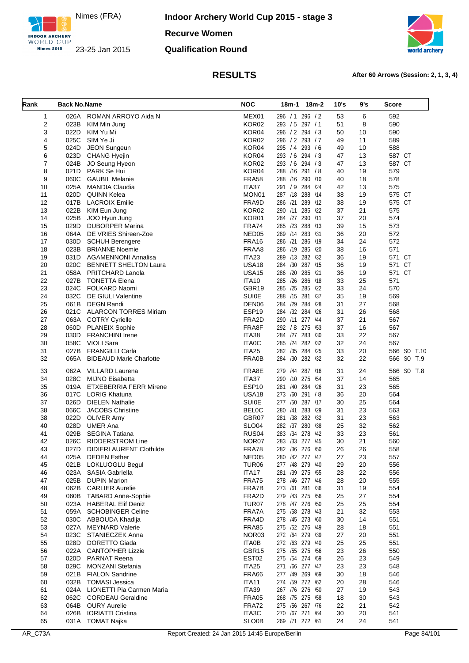

**Indoor Archery World Cup 2015 - stage 3 Recurve Women**

### **Qualification Round**



| Rank     | <b>Back No.Name</b> |                                          | <b>NOC</b>                        | 18m-1 18m-2                           | 10's     | 9's      | <b>Score</b>  |
|----------|---------------------|------------------------------------------|-----------------------------------|---------------------------------------|----------|----------|---------------|
| 1        | 026A                | ROMAN ARROYO Aida N                      | MEX01                             | 296 / 1 296 / 2                       | 53       | 6        | 592           |
| 2        | 023B                | KIM Min Jung                             | KOR <sub>02</sub>                 | 293 / 5 297 / 1                       | 51       | 8        | 590           |
| 3        | 022D                | KIM Yu Mi                                | KOR04                             | 296 / 2 294 / 3                       | 50       | 10       | 590           |
| 4        | 025C                | SIM Ye Ji                                | KOR02                             | 296 / 2 293 / 7                       | 49       | 11       | 589           |
| 5        | 024D                | <b>JEON Sungeun</b>                      | KOR04                             | 295 / 4 293 / 6                       | 49       | 10       | 588           |
| 6        | 023D                | <b>CHANG Hyejin</b>                      | KOR04                             | 293 / 6<br>294 / 3                    | 47       | 13       | 587 CT        |
| 7        | 024B                | JO Seung Hyeon                           | KOR02                             | 293 / 6 294 / 3                       | 47       | 13       | 587 CT        |
| 8        | 021D                | PARK Se Hui                              | KOR04                             | 288 /16 291 /8                        | 40       | 19       | 579           |
| 9        | 060C                | <b>GAUBIL Melanie</b>                    | <b>FRA58</b>                      | 288 /16<br>290 /10                    | 40       | 18       | 578           |
| 10       | 025A                | <b>MANDIA Claudia</b>                    | ITA37                             | 291 / 9 284 / 24                      | 42       | 13       | 575           |
| 11       | 020D                | <b>QUINN Kelea</b>                       | MON01                             | 287 /18 288 /14                       | 38       | 19       | 575 CT        |
| 12<br>13 | 017B<br>022B        | <b>LACROIX Emilie</b><br>KIM Eun Jung    | FRA9D<br>KOR02                    | 286 /21<br>289 /12<br>290 /11 285 /22 | 38<br>37 | 19<br>21 | 575 CT<br>575 |
| 14       | 025B                | JOO Hyun Jung                            | KOR01                             | 284 /27 290 /11                       | 37       | 20       | 574           |
| 15       | 029D                | <b>DUBORPER Marina</b>                   | FRA74                             | 288 /13<br>285 /23                    | 39       | 15       | 573           |
| 16       | 064A                | DE VRIES Shireen-Zoe                     | NED <sub>05</sub>                 | 289 /14 283 /31                       | 36       | 20       | 572           |
| 17       | 030D                | <b>SCHUH Berengere</b>                   | FRA16                             | 286 /19<br>286 /21                    | 34       | 24       | 572           |
| 18       | 023B                | <b>BRIANNE Noemie</b>                    | FRAA8                             | 286 /19<br>285 /20                    | 38       | 16       | 571           |
| 19       | 031D                | AGAMENNONI Annalisa                      | ITA23                             | 289 /13 282 /32                       | 36       | 19       | 571 CT        |
| 20       | 020C                | <b>BENNETT SHELTON Laura</b>             | <b>USA18</b>                      | 284 /30<br>287 /15                    | 36       | 19       | 571 CT        |
| 21       | 058A                | PRITCHARD Lanola                         | <b>USA15</b>                      | 286 /20<br>285 /21                    | 36       | 19       | 571 CT        |
| 22       | 027B                | <b>TONETTA Elena</b>                     | <b>ITA10</b>                      | 285 /26<br>286 /18                    | 33       | 25       | 571           |
| 23       | 024C                | FOLKARD Naomi                            | GBR19                             | 285 /25 285 /22                       | 33       | 24       | 570           |
| 24       | 032C                | DE GIULI Valentine                       | <b>SUI0E</b>                      | 288 /15 281 /37                       | 35       | 19       | 569           |
| 25       | 061B                | <b>DEGN Randi</b>                        | DEN <sub>06</sub>                 | 284 /28<br>284 /29                    | 31       | 27       | 568           |
| 26       | 021C                | <b>ALARCON TORRES Miriam</b>             | ESP19                             | 284 /32 284 /26                       | 31       | 26       | 568           |
| 27       |                     | 063A COTRY Cyrielle                      | FRA2D                             | 290 /11 277 /44                       | 37       | 21       | 567           |
| 28       | 060D                | <b>PLANEIX Sophie</b>                    | FRA8F                             | 292 / 8 275 / 53                      | 37       | 16       | 567           |
| 29       | 030D                | FRANCHINI Irene                          | ITA38                             | 284 /27 283 /30                       | 33       | 22       | 567           |
| 30       | 058C                | VIOLI Sara                               | ITA0C                             | 285 /24 282 /32                       | 32       | 24       | 567           |
| 31       | 027B                | <b>FRANGILLI Carla</b>                   | ITA25<br>FRA0B                    | 282 /35 284 /25                       | 33<br>32 | 20<br>22 | 566 SO T.10   |
| 32       | 065A                | <b>BIDEAUD Marie Charlotte</b>           |                                   | 284 /30<br>282 /32                    |          |          | 566 SO T.9    |
| 33       | 062A                | <b>VILLARD Laurena</b>                   | FRA8E                             | 279 /44 287 /16                       | 31       | 24       | 566 SO T.8    |
| 34       | 028C                | <b>MIJNO Eisabetta</b>                   | ITA37                             | 290 /10 275 /54                       | 37       | 14       | 565           |
| 35       | 019A                | <b>ETXEBERRIA FERR Mirene</b>            | ESP <sub>10</sub>                 | 281 /40<br>284 /26                    | 31       | 23       | 565           |
| 36       | 017C                | <b>LORIG Khatuna</b>                     | <b>USA18</b>                      | 273 /60 291 /8                        | 36       | 20       | 564           |
| 37       | 026D                | <b>DIELEN Nathalie</b>                   | <b>SUI0E</b>                      | 277 /50 287 /17                       | 30       | 25       | 564           |
| 38       | 066C                | <b>JACOBS Christine</b>                  | <b>BELOC</b>                      | 280 /41<br>283 /29                    | 31       | 23       | 563           |
| 38<br>40 | 022D<br>028D        | <b>OLIVER Amy</b><br><b>UMER Ana</b>     | GBR07<br>SLO <sub>04</sub>        | 281 /38 282 /32<br>282 /37 280 /38    | 31<br>25 | 23<br>32 | 563<br>562    |
| 41       | 029B                | <b>SEGINA Tatiana</b>                    | RUS <sub>04</sub>                 | 283 /34 278 /42                       | 33       | 23       | 561           |
| 42       | 026C                | <b>RIDDERSTROM Line</b>                  | NOR07                             | 283 /33 277 /45                       | 30       | 21       | 560           |
| 43       |                     | 027D DIDIERLAURENT Clothilde             | FRA78                             | 282 /36 276 /50                       | 26       | 26       | 558           |
| 44       | 025A                | <b>DEDEN</b> Esther                      | NED05                             | 280 /42 277 /47                       | 27       | 23       | 557           |
| 45       | 021B                | LOKLUOGLU Begul                          | TUR <sub>06</sub>                 | 277 /48 279 /40                       | 29       | 20       | 556           |
| 46       | 023A                | SASIA Gabriella                          | ITA17                             | 281 /39 275 /55                       | 28       | 22       | 556           |
| 47       | 025B                | <b>DUPIN Marion</b>                      | FRA75                             | 278 /46 277 /46                       | 28       | 20       | 555           |
| 48       | 062B                | <b>CARLIER Aurelie</b>                   | FRA7B                             | 273 /61 281 /36                       | 31       | 19       | 554           |
| 49       | 060B                | <b>TABARD Anne-Sophie</b>                | FRA2D                             | 279 /43 275 /56                       | 25       | 27       | 554           |
| 50       | 023A                | <b>HABERAL Elif Deniz</b>                | TUR07                             | 278 /47 276 /50                       | 25       | 25       | 554           |
| 51       | 059A                | <b>SCHOBINGER Celine</b>                 | FRA7A                             | 275 /58 278 /43                       | 21       | 32       | 553           |
| 52       | 030C                | ABBOUDA Khadija                          | FRA4D                             | 278 /45 273 /60                       | 30       | 14       | 551           |
| 53       |                     | 027A MEYNARD Valerie                     | <b>FRA85</b>                      | 275 /52 276 /49                       | 28       | 18       | 551           |
| 54       | 023C                | STANIECZEK Anna                          | NOR <sub>03</sub>                 | 272 /64 279 /39                       | 27       | 20       | 551           |
| 55<br>56 | 028D<br>022A        | DORETTO Giada<br><b>CANTOPHER Lizzie</b> | <b>ITA0B</b><br>GBR <sub>15</sub> | 272 /63 279 /40<br>275 /55 275 /56    | 25<br>23 | 25<br>26 | 551<br>550    |
| 57       | 020D                | <b>PARNAT Reena</b>                      | EST02                             | 275 /54 274 /59                       | 26       | 23       | 549           |
| 58       | 029C                | <b>MONZANI Stefania</b>                  | ITA25                             | 271 /66 277 /47                       | 23       | 23       | 548           |
| 59       |                     | 021B FIALON Sandrine                     | FRA66                             | 277 /49 269 /69                       | 30       | 18       | 546           |
| 60       | 032B                | <b>TOMASI Jessica</b>                    | ITA11                             | 274 /59 272 /62                       | 20       | 28       | 546           |
| 61       | 024A                | LIONETTI Pia Carmen Maria                | ITA39                             | 267 /76 276 /50                       | 27       | 19       | 543           |
| 62       | 062C                | <b>CORDEAU Geraldine</b>                 | FRA05                             | 268 /75 275 /58                       | 18       | 30       | 543           |
| 63       | 064B                | <b>OURY Aurelie</b>                      | FRA72                             | 275 /56 267 /76                       | 22       | 21       | 542           |
| 64       | 026B                | <b>IORIATTI Cristina</b>                 | ITA3C                             | 270 /67 271 /64                       | 30       | 20       | 541           |
| 65       | 031A                | <b>TOMAT Najka</b>                       | SLO0B                             | 269 /71 272 /61                       | 24       | 24       | 541           |
|          |                     |                                          |                                   |                                       |          |          |               |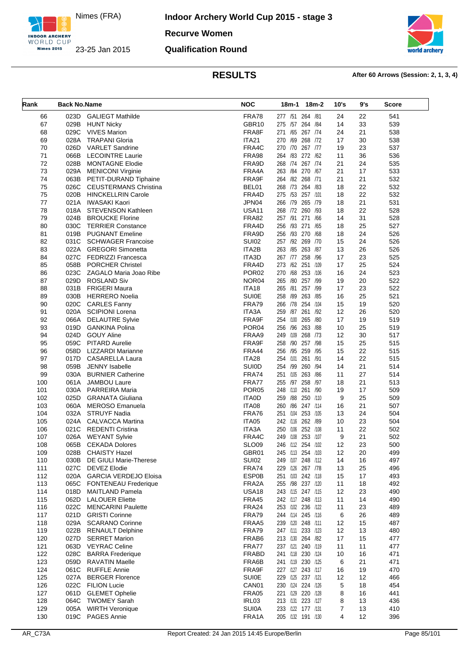

**Indoor Archery World Cup 2015 - stage 3**

**Recurve Women**

### **Qualification Round**



| Rank       | <b>Back No.Name</b> |                                                    | <b>NOC</b>                        | $18m-2$<br>18m-1                       | 10's           | 9's      | <b>Score</b> |
|------------|---------------------|----------------------------------------------------|-----------------------------------|----------------------------------------|----------------|----------|--------------|
| 66         | 023D                | <b>GALIEGT Mathilde</b>                            | FRA78                             | 277 /51 264 /81                        | 24             | 22       | 541          |
| 67         | 029B                | <b>HUNT Nicky</b>                                  | GBR10                             | 275 /57 264 /84                        | 14             | 33       | 539          |
| 68         | 029C                | <b>VIVES Marion</b>                                | FRA8F                             | 271 /65<br>267 /74                     | 24             | 21       | 538          |
| 69         | 028A                | <b>TRAPANI Gloria</b>                              | <b>ITA21</b>                      | 270 /69 268 /72                        | 17             | 30       | 538          |
| 70         | 026D                | <b>VARLET Sandrine</b>                             | FRA4C                             | 270 /70 267 /77                        | 19             | 23       | 537          |
| 71         | 066B                | <b>LECOINTRE Laurie</b>                            | <b>FRA98</b>                      | 264 /83 272 /62                        | 11             | 36       | 536          |
| 72         | 028B                | <b>MONTAGNE Elodie</b>                             | FRA9D                             | 268 /74 267 /74                        | 21             | 24       | 535          |
| 73         | 029A                | <b>MENICONI Virginie</b>                           | FRA4A                             | 263 /84<br>270 /67                     | 21             | 17       | 533          |
| 74         | 063B                | PETIT-DURAND Tiphaine                              | FRA9F                             | 264 /82 268 /71                        | 21             | 21       | 532          |
| 75         | 026C                | <b>CEUSTERMANS Christina</b>                       | BEL01                             | 268 /73 264 /83                        | 18             | 22       | 532          |
| 75         | 020B                | <b>HINCKELLRIN Carole</b>                          | FRA4D                             | 275 /53 257 /101                       | 18             | 22       | 532          |
| 77         | 021A                | IWASAKI Kaori                                      | JPN04                             | 266 /79 265 /79                        | 18             | 21       | 531          |
| 78         | 018A                | <b>STEVENSON Kathleen</b>                          | USA <sub>11</sub><br><b>FRA82</b> | 268 /72 260 /93<br>257 /91<br>271 /66  | 18             | 22<br>31 | 528          |
| 79<br>80   | 024B<br>030C        | <b>BROUCKE Florine</b><br><b>TERRIER Constance</b> | FRA4D                             | 256 /93 271 /65                        | 14<br>18       | 25       | 528<br>527   |
| 81         | 019B                | <b>PUGNANT Emeline</b>                             | FRA9D                             | 256 /93 270 /68                        | 18             | 24       | 526          |
| 82         | 031C                | <b>SCHWAGER Francoise</b>                          | <b>SUI02</b>                      | 257 /92 269 /70                        | 15             | 24       | 526          |
| 83         |                     | 022A GREGORI Simonetta                             | ITA2B                             | 263 /85 263 /87                        | 13             | 26       | 526          |
| 84         | 027C                | FEDRIZZI Francesca                                 | ITA3D                             | 267 /77 258 /96                        | 17             | 23       | 525          |
| 85         | 058B                | <b>PORCHER Christel</b>                            | FRA4D                             | 273 /62<br>251 /109                    | 17             | 25       | 524          |
| 86         | 023C                | ZAGALO Maria Joao Ribe                             | POR <sub>02</sub>                 | /68 253 /106<br>270                    | 16             | 24       | 523          |
| 87         | 029D                | <b>ROSLAND Siv</b>                                 | NOR <sub>04</sub>                 | 265 /80 257 /99                        | 19             | 20       | 522          |
| 88         | 031B                | FRIGERI Maura                                      | <b>ITA18</b>                      | 265 /81<br>257 /99                     | 17             | 23       | 522          |
| 89         | 030B                | <b>HERRERO Noelia</b>                              | <b>SUI0E</b>                      | 258 /89 263 /85                        | 16             | 25       | 521          |
| 90         | 020C                | <b>CARLES Fanny</b>                                | FRA79                             | 266 /78 254 /104                       | 15             | 19       | 520          |
| 91         |                     | 020A SCIPIONI Lorena                               | ITA3A                             | 261 /92<br>259 /87                     | 12             | 26       | 520          |
| 92         | 066A                | <b>DELAUTRE Sylvie</b>                             | FRA9F                             | 254 /100 265 /80                       | 17             | 19       | 519          |
| 93         | 019D                | <b>GANKINA Polina</b>                              | POR <sub>04</sub>                 | 256 /96 263 /88                        | 10             | 25       | 519          |
| 94         | 024D                | <b>GOUY Aline</b>                                  | FRAA9                             | 249 /109<br>268 /73                    | 12             | 30       | 517          |
| 95         | 059C<br>058D        | <b>PITARD Aurelie</b>                              | FRA9F<br>FRA44                    | 258 /90 257 /98                        | 15             | 25<br>22 | 515          |
| 96<br>97   | 017D                | LIZZARDI Marianne<br><b>CASARELLA Laura</b>        | ITA28                             | 256 /95 259 /95<br>254 /101<br>261 /91 | 15<br>14       | 22       | 515<br>515   |
| 98         | 059B                | <b>JENNY</b> Isabelle                              | <b>SUIOD</b>                      | 254 /99 260 /94                        | 14             | 21       | 514          |
| 99         | 030A                | <b>BURNIER Catherine</b>                           | FRA74                             | 251 /105 263 /86                       | 11             | 27       | 514          |
| 100        | 061A                | <b>JAMBOU Laure</b>                                | FRA77                             | 255 /97 258 /97                        | 18             | 21       | 513          |
| 101        | 030A                | PARREIRA Maria                                     | POR <sub>05</sub>                 | 248 /110 261 /90                       | 19             | 17       | 509          |
| 102        | 025D                | <b>GRANATA Giuliana</b>                            | <b>ITA0D</b>                      | 259 /88 250 /110                       | 9              | 25       | 509          |
| 103        | 060A                | <b>MEROSO Emanuela</b>                             | ITA08                             | /86 247 /114<br>260                    | 16             | 21       | 507          |
| 104        | 032A                | <b>STRUYF Nadia</b>                                | FRA76                             | 251 /104 253 /105                      | 13             | 24       | 504          |
| 105        |                     | 024A CALVACCA Martina                              | ITA05                             | 242 /116 262 /89                       | 10             | 23       | 504          |
| 106        | 021C                | <b>REDENTI Cristina</b>                            | ITA3A                             | 250 /106 252 /108                      | 11             | 22       | 502          |
| 107        | 026A                | <b>WEYANT Sylvie</b>                               | FRA4C                             | 249 /108 253 /107                      | 9              | 21       | 502          |
| 108        | 065B                | <b>CEKADA Dolores</b>                              | SLO09                             | 246 /112 254 /102                      | 12             | 23       | 500          |
| 109<br>110 | 028B<br>030B        | <b>CHAISTY Hazel</b><br>DE GIULI Marie-Therese     | GBR01<br><b>SUI02</b>             | 245 /113 254 /103<br>249 /107 248 /112 | 12<br>14       | 20<br>16 | 499<br>497   |
| 111        | 027C                | DEVEZ Elodie                                       | FRA74                             | 229 /126 267 /78                       | 13             | 25       | 496          |
| 112        | 020A                | GARCIA VERDEJO Eloisa                              | <b>ESP0B</b>                      | 251 /103 242 /118                      | 15             | 17       | 493          |
| 113        | 065C                | <b>FONTENEAU Frederique</b>                        | FRA2A                             | 255 /98 237 /120                       | 11             | 18       | 492          |
| 114        | 018D                | <b>MAITLAND Pamela</b>                             | <b>USA18</b>                      | 243 /115 247 /115                      | 12             | 23       | 490          |
| 115        | 062D                | <b>LALOUER Eliette</b>                             | FRA45                             | 242 /117 248 /113                      | 11             | 14       | 490          |
| 116        | 022C                | <b>MENCARINI Paulette</b>                          | FRA24                             | 253 /102 236 /122                      | 11             | 23       | 489          |
| 117        | 021D                | <b>GRISTI Corinne</b>                              | FRA79                             | 244 /114 245 /116                      | 6              | 26       | 489          |
| 118        | 029A                | <b>SCARANO Corinne</b>                             | FRAA5                             | 239 /120 248 /111                      | 12             | 15       | 487          |
| 119        | 022B                | <b>RENAULT Delphine</b>                            | FRA79                             | 247 /111 233 /123                      | 12             | 13       | 480          |
| 120        | 027D                | <b>SERRET Marion</b>                               | FRAB6                             | 213 /130 264 /82                       | 17             | 15       | 477          |
| 121        |                     | 063D VEYRAC Celine                                 | FRA77                             | 237 /121 240 /119                      | 11             | 11       | 477          |
| 122        | 028C                | <b>BARRA</b> Frederique                            | <b>FRABD</b>                      | 241 /118 230 /124                      | 10             | 16       | 471          |
| 123        | 059D                | RAVATIN Maelle                                     | FRA6B                             | 241 /119 230 /125                      | 6              | 21       | 471          |
| 124        | 061C                | <b>RUFFLE Annie</b>                                | FRA9F                             | 227 /127 243 /117                      | 16             | 19       | 470          |
| 125        | 027A                | <b>BERGER Florence</b>                             | <b>SUI0E</b>                      | 229 /125 237 /121                      | 12             | 12       | 466          |
| 126<br>127 | 061D                | 022C FILION Lucie<br><b>GLEMET Ophelie</b>         | CAN <sub>01</sub><br>FRA05        | 230 /124 224 /126<br>221 /129 220 /128 | 5<br>8         | 18<br>16 | 454<br>441   |
| 128        | 064C                | <b>TWOMEY Sarah</b>                                | IRL03                             | 213 /131 223 /127                      | 8              | 13       | 436          |
| 129        | 005A                | <b>WIRTH Veronique</b>                             | <b>SUI0A</b>                      | 233 /122 177 /131                      | $\overline{7}$ | 13       | 410          |
| 130        |                     | 019C PAGES Annie                                   | FRA1A                             | 205 /132 191 /130                      | 4              | 12       | 396          |
|            |                     |                                                    |                                   |                                        |                |          |              |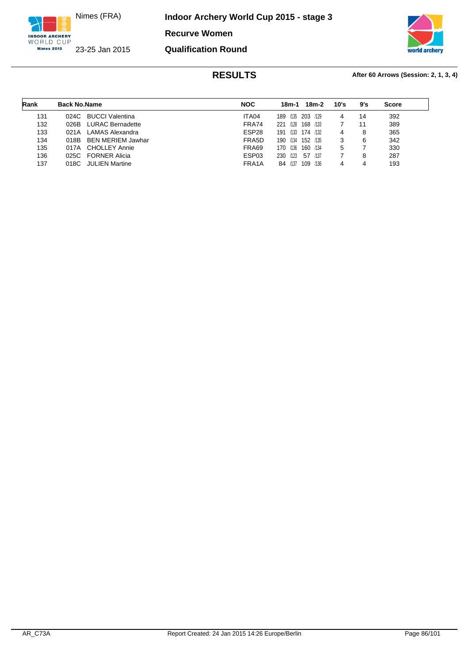

**Indoor Archery World Cup 2015 - stage 3**

**Recurve Women**

**Qualification Round**



| Rank | <b>Back No.Name</b> |                          | <b>NOC</b>        | 18m-1           | 18m-2         | 10's | 9's | <b>Score</b> |
|------|---------------------|--------------------------|-------------------|-----------------|---------------|------|-----|--------------|
| 131  | 024C                | <b>BUCCI Valentina</b>   | ITA04             | /135 203<br>189 | /129          | 4    | 14  | 392          |
| 132  | 026B                | <b>LURAC Bernadette</b>  | FRA74             | 221<br>/128     | 168<br>/133   |      | 11  | 389          |
| 133  | 021A                | LAMAS Alexandra          | ESP <sub>28</sub> | 191             | /133 174 /132 | 4    | 8   | 365          |
| 134  | 018B                | <b>BEN MERIEM Jawhar</b> | FRA5D             | 190<br>/134     | 152<br>/135   | 3    | 6   | 342          |
| 135  | 017A                | <b>CHOLLEY Annie</b>     | FRA69             | /136<br>170     | 160<br>/134   | 5    |     | 330          |
| 136  |                     | 025C FORNER Alicia       | ESP03             | 230 /123        | /137<br>57    |      | 8   | 287          |
| 137  | 018C                | <b>JULIEN Martine</b>    | FRA1A             | /137<br>84      | 109<br>/136   | 4    | 4   | 193          |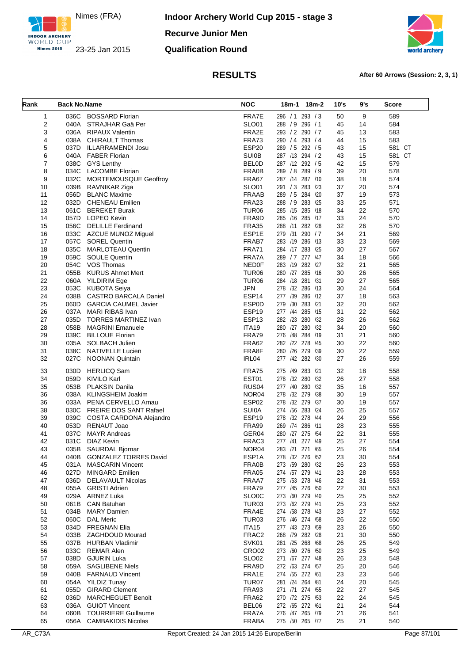

**Indoor Archery World Cup 2015 - stage 3 Recurve Junior Men Qualification Round**



| Rank     | <b>Back No.Name</b> |                                                    | <b>NOC</b>                        | 18m-1 18m-2                        | 10's     | 9's      | <b>Score</b> |
|----------|---------------------|----------------------------------------------------|-----------------------------------|------------------------------------|----------|----------|--------------|
| 1        | 036C                | <b>BOSSARD Florian</b>                             | FRA7E                             | 296 / 1 293 / 3                    | 50       | 9        | 589          |
| 2        | 040A                | STRAJHAR Gaä Per                                   | <b>SLO01</b>                      | 288 / 9 296 / 1                    | 45       | 14       | 584          |
| 3        |                     | 036A RIPAUX Valentin                               | FRA2E                             | 293 / 2 290 / 7                    | 45       | 13       | 583          |
| 4        |                     | 038A CHIRAULT Thomas                               | FRA73                             | 290 / 4 293 / 4                    | 44       | 15       | 583          |
| 5        | 037D                | ILLARRAMENDI Josu                                  | ESP20                             | 289 / 5 292 / 5                    | 43       | 15       | 581 CT       |
| 6        |                     | 040A FABER Florian                                 | <b>SUI0B</b>                      | 287 /13 294 / 2                    | 43       | 15       | 581 CT       |
| 7        |                     | 038C GYS Lenthy                                    | <b>BELOD</b>                      | 287 /12 292 / 5                    | 42       | 15       | 579          |
| 8        |                     | 034C LACOMBE Florian                               | FRA0B                             | 289 / 8 289 / 9<br>287 /14 287 /10 | 39       | 20       | 578          |
| 9<br>10  |                     | 032C MORTEMOUSQUE Geoffroy<br>039B RAVNIKAR Ziga   | FRA67<br><b>SLO01</b>             | 291 / 3 283 / 23                   | 38<br>37 | 18<br>20 | 574<br>574   |
| 11       | 056D                | <b>BLANC Maxime</b>                                | <b>FRAAB</b>                      | 289 / 5 284 /20                    | 37       | 19       | 573          |
| 12       |                     | 032D CHENEAU Emilien                               | FRA23                             | 288 / 9 283 / 25                   | 33       | 25       | 571          |
| 13       | 061C                | <b>BEREKET Burak</b>                               | TUR <sub>06</sub>                 | 285 /15 285 /18                    | 34       | 22       | 570          |
| 14       |                     | 057D LOPEO Kevin                                   | FRA9D                             | 285 /16 285 /17                    | 33       | 24       | 570          |
| 15       |                     | 056C DELILLE Ferdinand                             | <b>FRA35</b>                      | 288 /11 282 /28                    | 32       | 26       | 570          |
| 16       | 033C                | AZCUE MUNOZ Miguel                                 | ESP1E                             | 279 /31 290 / 7                    | 34       | 21       | 569          |
| 17       | 057C                | SOREL Quentin                                      | FRAB7                             | 283 /19 286 /13                    | 33       | 23       | 569          |
| 18       | 035C                | MARLOTEAU Quentin                                  | <b>FRA71</b>                      | 284 /17 283 /25                    | 30       | 27       | 567          |
| 19       | 059C                | <b>SOULE Quentin</b>                               | FRA7A                             | 289 / 7 277 / 47                   | 34       | 18       | 566          |
| 20       |                     | 054C VOS Thomas                                    | <b>NED0F</b>                      | 283 /19 282 /27                    | 32       | 21       | 565          |
| 21       | 055B                | <b>KURUS Ahmet Mert</b>                            | TUR <sub>06</sub>                 | 280 /27 285 /16                    | 30       | 26       | 565          |
| 22       | 060A                | YILDIRIM Ege                                       | TUR <sub>06</sub>                 | 284 /18 281 /31                    | 29       | 27       | 565          |
| 23       |                     | 053C KUBOTA Seiya                                  | <b>JPN</b>                        | 278 /32 286 /13                    | 30       | 24       | 564          |
| 24       |                     | 038B CASTRO BARCALA Daniel                         | ESP14                             | 277 /39 286 /12                    | 37       | 18       | 563          |
| 25       | 060D                | <b>GARCIA CAUMEL Javier</b>                        | <b>ESP0D</b>                      | 279 /30 283 /21                    | 32       | 20       | 562          |
| 26       |                     | 037A MARI RIBAS Ivan                               | ESP19                             | 285 /15<br>277 /44                 | 31       | 22       | 562          |
| 27       | 035D                | TORRES MARTINEZ Ivan                               | ESP <sub>13</sub><br><b>ITA19</b> | 282 /23 280 /32                    | 28       | 26       | 562          |
| 28<br>29 | 058B<br>039C        | <b>MAGRINI Emanuele</b><br><b>BILLOUE Florian</b>  | FRA79                             | 280 /27 280 /32<br>276 /48 284 /19 | 34<br>31 | 20<br>21 | 560<br>560   |
| 30       |                     | 035A SOLBACH Julien                                | <b>FRA62</b>                      | 282 /22 278 /45                    | 30       | 22       | 560          |
| 31       | 038C                | NATIVELLE Lucien                                   | FRA8F                             | 280 /26 279 /39                    | 30       | 22       | 559          |
| 32       | 027C                | <b>NOONAN Quintain</b>                             | IRL04                             | 277 /42 282 /30                    | 27       | 26       | 559          |
| 33       | 030D                | <b>HERLICQ Sam</b>                                 | FRA75                             | 275 /49 283 /21                    | 32       | 18       | 558          |
| 34       | 059D                | KIVILO Karl                                        | EST01                             | 278 /32 280 /32                    | 26       | 27       | 558          |
| 35       | 053B                | <b>PLAKSIN Danila</b>                              | RUS <sub>04</sub>                 | 277 /40 280 /32                    | 35       | 16       | 557          |
| 36       | 038A                | KLINGSHEIM Joakim                                  | NOR <sub>04</sub>                 | 278 /32 279 /38                    | 30       | 19       | 557          |
| 36       |                     | 033A PENA CERVELLO Arnau                           | ESP02                             | 278 /32 279 /37                    | 30       | 19       | 557          |
| 38       |                     | 030C FREIRE DOS SANT Rafael                        | <b>SUI0A</b>                      | 274 /56 283 /24                    | 26       | 25       | 557          |
| 39       |                     | 039C COSTA CARDONA Alejandro                       | ESP <sub>19</sub>                 | 278 /32 278 /44                    | 24       | 29       | 556          |
| 40       |                     | 053D RENAUT Joao                                   | FRA99                             | 269 /74 286 /11                    | 28       | 23       | 555          |
| 41       | 037C                | <b>MAYR Andreas</b>                                | GER04                             | 280 /27 275 /54                    | 22       | 31       | 555          |
| 42       |                     | 031C DIAZ Kevin                                    | FRAC3                             | 277 /41 277 /49                    | 25       | 27       | 554          |
| 43<br>44 |                     | 035B SAURDAL Bjornar<br>040B GONZALEZ TORRES David | NOR04<br>ESP1A                    | 283 /21 271 /65<br>278 /32 276 /52 | 25<br>23 | 26<br>30 | 554<br>554   |
| 45       | 031A                | <b>MASCARIN Vincent</b>                            | FRA0B                             | 273 /59 280 /32                    | 26       | 23       | 553          |
| 46       | 027D                | <b>MINGARD Emilien</b>                             | <b>FRA05</b>                      | 274 /57 279 /41                    | 23       | 28       | 553          |
| 47       | 036D                | <b>DELAVAULT Nicolas</b>                           | FRAA7                             | 275 /53 278 /46                    | 22       | 31       | 553          |
| 48       |                     | 055A GRISTI Adrien                                 | FRA79                             | 277 /45 276 /50                    | 22       | 30       | 553          |
| 49       | 029A                | ARNEZ Luka                                         | SLO0C                             | 273 /60 279 /40                    | 25       | 25       | 552          |
| 50       | 061B                | <b>CAN Batuhan</b>                                 | TUR <sub>03</sub>                 | 273 /62 279 /41                    | 25       | 23       | 552          |
| 51       | 034B                | <b>MARY Damien</b>                                 | FRA4E                             | 274 /58 278 /43                    | 23       | 27       | 552          |
| 52       | 060C                | <b>DAL Meric</b>                                   | TUR03                             | 276 /46 274 /58                    | 26       | 22       | 550          |
| 53       |                     | 034D FREGNAN Elia                                  | <b>ITA15</b>                      | 277 /43 273 /59                    | 23       | 26       | 550          |
| 54       | 033B                | <b>ZAGHDOUD Mourad</b>                             | FRAC2                             | 268 /79 282 /28                    | 21       | 30       | 550          |
| 55       |                     | 037B HURBAN Vladimir                               | SVK01                             | 281 /25 268 /68                    | 26       | 25       | 549          |
| 56       | 033C                | <b>REMAR Alen</b>                                  | CRO <sub>02</sub>                 | 273 /60 276 /50                    | 23       | 25       | 549          |
| 57       | 038D                | <b>GJURIN Luka</b>                                 | <b>SLO02</b>                      | 271 /67 277 /48                    | 26       | 23       | 548          |
| 58       | 059A                | <b>SAGLIBENE Niels</b>                             | FRA9D                             | 272 /63 274 /57                    | 25       | 20       | 546          |
| 59       |                     | 040B FARNAUD Vincent                               | FRA1E                             | 274 /55 272 /61                    | 23       | 23       | 546          |
| 60       | 054A<br>055D        | <b>YILDIZ Tunay</b><br><b>GIRARD Clement</b>       | TUR07<br>FRA93                    | 281 /24 264 /81<br>271 /71 274 /55 | 24<br>22 | 20<br>27 | 545<br>545   |
| 61<br>62 | 036D                | <b>MARCHEGUET Benoit</b>                           | <b>FRA62</b>                      | 270 /72 275 /53                    | 22       | 24       | 545          |
| 63       | 036A                | <b>GUIOT Vincent</b>                               | BEL06                             | 272 /65 272 /61                    | 21       | 24       | 544          |
| 64       | 060B                | <b>TOURRIERE Guillaume</b>                         | FRA7A                             | 276 /47 265 /79                    | 21       | 26       | 541          |
| 65       |                     | 056A CAMBAKIDIS Nicolas                            | <b>FRABA</b>                      | 275 /50 265 /77                    | 25       | 21       | 540          |
|          |                     |                                                    |                                   |                                    |          |          |              |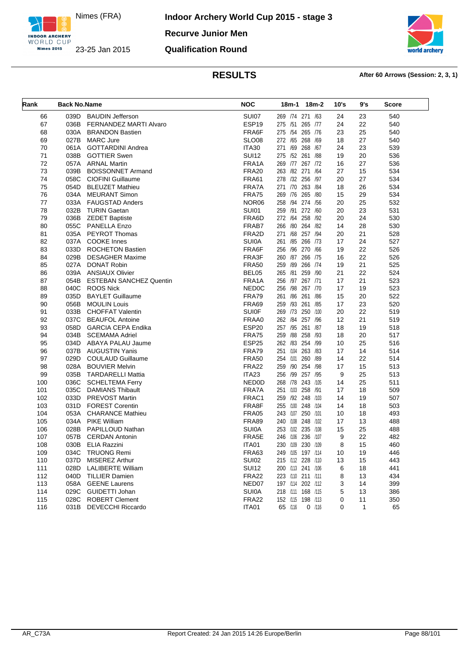

**Indoor Archery World Cup 2015 - stage 3 Recurve Junior Men Qualification Round**



| Rank       | <b>Back No.Name</b> |                                            | <b>NOC</b>                   | 18m-2<br>18m-1                         | 10's | 9's | Score      |
|------------|---------------------|--------------------------------------------|------------------------------|----------------------------------------|------|-----|------------|
| 66         | 039D                | <b>BAUDIN Jefferson</b>                    | SUI07                        | 269 /74 271 /63                        | 24   | 23  | 540        |
| 67         | 036B                | FERNANDEZ MARTI Alvaro                     | ESP19                        | 275 /51 265 /77                        | 24   | 22  | 540        |
| 68         | 030A                | <b>BRANDON Bastien</b>                     | FRA6F                        | 275 /54 265 /76                        | 23   | 25  | 540        |
| 69         | 027B                | <b>MARC Jure</b>                           | SLO <sub>08</sub>            | 272 /65 268<br>/69                     | 18   | 27  | 540        |
| 70         | 061A                | <b>GOTTARDINI Andrea</b>                   | <b>ITA30</b>                 | 271 /69 268 /67                        | 24   | 23  | 539        |
| 71         | 038B                | <b>GOTTIER Swen</b>                        | <b>SUI12</b>                 | 275 /52 261 /88                        | 19   | 20  | 536        |
| 72         | 057A                | <b>ARNAL Martin</b>                        | FRA1A                        | 269 /77 267 /72                        | 16   | 27  | 536        |
| 73         | 039B                | <b>BOISSONNET Armand</b>                   | <b>FRA20</b>                 | 263 /82 271 /64                        | 27   | 15  | 534        |
| 74         | 058C                | <b>CIOFINI Guillaume</b>                   | <b>FRA61</b>                 | 278 /32 256 /97                        | 20   | 27  | 534        |
| 75         | 054D                | <b>BLEUZET Mathieu</b>                     | FRA7A                        | 271 /70 263 /84                        | 18   | 26  | 534        |
| 76         |                     | 034A MEURANT Simon                         | <b>FRA75</b>                 | 269 /76 265 /80                        | 15   | 29  | 534        |
| 77         | 033A                | <b>FAUGSTAD Anders</b>                     | NOR <sub>06</sub>            | 258<br>/94 274 /56                     | 20   | 25  | 532        |
| 78         | 032B                | <b>TURIN Gaetan</b>                        | SUI01                        | 259 /91 272 /60                        | 20   | 23  | 531        |
| 79         | 036B                | <b>ZEDET Baptiste</b>                      | FRA6D                        | 272 /64 258 /92                        | 20   | 24  | 530        |
| 80         | 055C                | <b>PANELLA Enzo</b>                        | FRAB7                        | /80 264 /82<br>266                     | 14   | 28  | 530        |
| 81         | 035A                | <b>PEYROT Thomas</b>                       | FRA2D                        | 271 /68 257 /94                        | 20   | 21  | 528        |
| 82         | 037A                | <b>COOKE Innes</b>                         | <b>SUI0A</b>                 | 261 /85 266 /73                        | 17   | 24  | 527        |
| 83         | 033D                | <b>ROCHETON Bastien</b>                    | FRA6F                        | 256 /96 270 /66                        | 19   | 22  | 526        |
| 84         | 029B                | <b>DESAGHER Maxime</b>                     | FRA3F                        | 260 /87 266 /75                        | 16   | 22  | 526        |
| 85         | 027A                | <b>DONAT Robin</b>                         | <b>FRA50</b>                 | /89 266 /74<br>259                     | 19   | 21  | 525        |
| 86         | 039A                | <b>ANSIAUX Olivier</b>                     | BEL05                        | /81 259 /90<br>265                     | 21   | 22  | 524        |
| 87         | 054B                | <b>ESTEBAN SANCHEZ Quentin</b>             | FRA1A                        | 256 /97 267 /71                        | 17   | 21  | 523        |
| 88         | 040C                | <b>ROOS Nick</b>                           | NED <sub>0</sub> C           | /98<br>256<br>267 /70                  | 17   | 19  | 523        |
| 89         | 035D                | <b>BAYLET Guillaume</b>                    | FRA79                        | 261 /86 261<br>/86                     | 15   | 20  | 522        |
| 90         | 056B                | <b>MOULIN Louis</b>                        | FRA69                        | 259 /93 261 /85                        | 17   | 23  | 520        |
| 91         | 033B                | <b>CHOFFAT Valentin</b>                    | <b>SUI0F</b>                 | 269 /73 250 /100                       | 20   | 22  | 519        |
| 92         | 037C                | <b>BEAUFOL Antoine</b>                     | FRAA0                        | 262 /84 257 /96                        | 12   | 21  | 519        |
| 93         | 058D                | <b>GARCIA CEPA Endika</b>                  | ESP20                        | 257 /95 261 /87                        | 18   | 19  | 518        |
| 94         | 034B                | <b>SCEMAMA Adriel</b>                      | <b>FRA75</b>                 | /88 258 /93<br>259                     | 18   | 20  | 517        |
| 95         | 034D                | ABAYA PALAU Jaume                          | ESP25                        | 262 /83 254 /99                        | 10   | 25  | 516        |
| 96         | 037B                | AUGUSTIN Yanis                             | FRA79                        | 251 /104 263 /83                       | 17   | 14  | 514        |
| 97         | 029D                | <b>COULAUD Guillaume</b>                   | <b>FRA50</b>                 | 254 /101<br>260 /89                    | 14   | 22  | 514        |
| 98         | 028A                | <b>BOUVIER Melvin</b>                      | <b>FRA22</b>                 | 259 /90 254 /98                        | 17   | 15  | 513        |
| 99         | 035B                | <b>TARDARELLI Mattia</b>                   | ITA23                        | /99 257 /95<br>256                     | 9    | 25  | 513        |
| 100        | 036C                | <b>SCHELTEMA Ferry</b>                     | NED0D                        | 268 /78 243 /105                       | 14   | 25  | 511        |
| 101        | 035C                | <b>DAMIANS Thibault</b>                    | FRA7A                        | 251 /103 258 /91                       | 17   | 18  | 509        |
| 102        | 033D                | <b>PREVOST Martin</b>                      | FRAC1                        | /92 248<br>259<br>/103                 | 14   | 19  | 507        |
| 103        | 031D                | <b>FOREST Corentin</b>                     | FRA8F                        | 255 /100 248<br>/104                   | 14   | 18  | 503        |
| 104        |                     | 053A CHARANCE Mathieu                      | <b>FRA05</b>                 | 243 /107 250 /101                      | 10   | 18  | 493        |
| 105        |                     | 034A PIKE William                          | <b>FRA89</b>                 | 240 /108 248 /102                      | 17   | 13  | 488        |
| 106        | 028B                | PAPILLOUD Nathan                           | <b>SUI0A</b>                 | 253 /102 235<br>/108                   | 15   | 25  | 488        |
| 107        | 057B                | <b>CERDAN Antonin</b>                      | FRA5E                        | /106 236<br>/107<br>246                | 9    | 22  | 482        |
| 108        | 030B                | ELIA Razzini                               | ITA01                        | 230 /109 230 /109                      | 8    | 15  | 460        |
|            |                     |                                            |                              |                                        |      |     |            |
| 109        | 034C<br>037D        | <b>TRUONG Remi</b>                         | FRA63<br><b>SUI02</b>        | 249 /105 197 /114<br>215 /112 228 /110 | 10   | 19  | 446        |
| 110<br>111 | 028D                | MISEREZ Arthur<br><b>LALIBERTE William</b> | <b>SUI12</b>                 | 200 /113 241 /106                      | 13   | 15  | 443<br>441 |
|            | 040D                | <b>TILLIER Damien</b>                      | <b>FRA22</b>                 | 223 /110 211 /111                      | 6    | 18  | 434        |
| 112        |                     | <b>GEENE Laurens</b>                       |                              |                                        | 8    | 13  |            |
| 113        | 058A                |                                            | NED07                        | 197 /114 202 /112<br>218 /111 168 /115 | 3    | 14  | 399        |
| 114        | 029C                | GUIDETTI Johan<br><b>ROBERT Clement</b>    | <b>SUI0A</b><br><b>FRA22</b> |                                        | 5    | 13  | 386        |
| 115        | 028C                |                                            |                              | 152 /115 198 /113<br>65 /116           | 0    | 11  | 350        |
| 116        | 031B                | <b>DEVECCHI Riccardo</b>                   | ITA01                        | $0$ /116                               | 0    | 1   | 65         |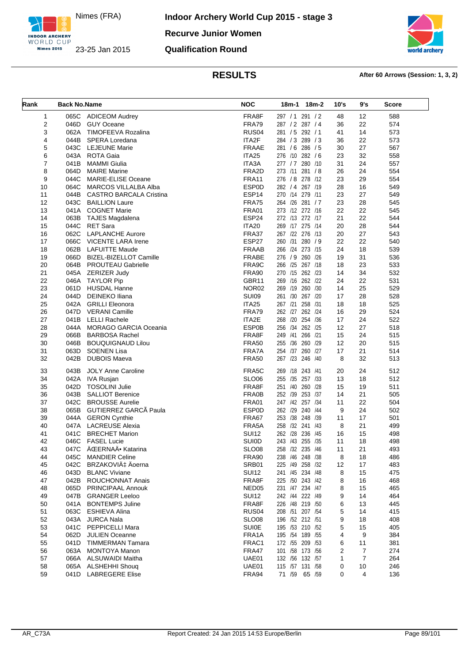

**Indoor Archery World Cup 2015 - stage 3 Recurve Junior Women Qualification Round**



| Rank                    | <b>Back No.Name</b> |                                             | <b>NOC</b>                   | 18m-1 18m-2                        | 10's    | 9's      | <b>Score</b> |
|-------------------------|---------------------|---------------------------------------------|------------------------------|------------------------------------|---------|----------|--------------|
| 1                       |                     | 065C ADICEOM Audrey                         | FRA8F                        | 297 / 1 291 / 2                    | 48      | 12       | 588          |
| $\overline{\mathbf{c}}$ | 046D                | <b>GUY Oceane</b>                           | FRA79                        | 287 / 2 287 / 4                    | 36      | 22       | 574          |
| 3                       | 062A                | TIMOFEEVA Rozalina                          | RUS <sub>04</sub>            | 281 / 5 292 / 1                    | 41      | 14       | 573          |
| 4                       |                     | 044B SPERA Loredana                         | ITA2F                        | 284 / 3 289 / 3                    | 36      | 22       | 573          |
| 5                       |                     | 043C LEJEUNE Marie                          | <b>FRAAE</b>                 | 281 / 6 286 / 5                    | 30      | 27       | 567          |
| 6                       |                     | 043A ROTA Gaia                              | ITA25                        | 276 /10 282 / 6                    | 23      | 32       | 558          |
| $\overline{7}$          | 041B                | MAMMI Giulia                                | ITA3A                        | 277 / 7 280 /10                    | 31      | 24       | 557          |
| 8                       | 064D                | <b>MAIRE Marine</b>                         | FRA2D                        | 273 /11 281 /8                     | 26      | 24       | 554          |
| 9                       | 044C                | <b>MARIE-ELISE Oceane</b>                   | <b>FRA11</b>                 | 276 / 8 278 /12                    | 23      | 29       | 554          |
| 10                      | 064C                | MARCOS VILLALBA Alba                        | <b>ESP0D</b>                 | 282 / 4 267 /19                    | 28      | 16       | 549          |
| 11                      |                     | 044B CASTRO BARCALA Cristina                | ESP14                        | 270 /14 279 /11                    | 23      | 27       | 549          |
| 12                      |                     | 043C BAILLION Laure                         | <b>FRA75</b>                 | 264 /26 281 / 7                    | 23      | 28       | 545          |
| 13                      |                     | 041A COGNET Marie                           | <b>FRA01</b>                 | 273 /12 272 /16                    | 22      | 22       | 545          |
| 14                      | 063B                | TAJES Magdalena                             | ESP24                        | 272 /13 272 /17                    | 21      | 22       | 544          |
| 15                      |                     | 044C RET Sara                               | <b>ITA20</b>                 | 269 /17 275 /14                    | 20      | 28       | 544          |
| 16                      | 062C                | <b>LAPLANCHE Aurore</b>                     | FRA37                        | 267 /22 276 /13                    | 20      | 27       | 543          |
| 17                      | 066C                | <b>VICENTE LARA Irene</b>                   | ESP27                        | 260 /31 280 / 9                    | 22      | 22       | 540          |
| 18                      |                     | 062B LAFUITTE Maude                         | <b>FRAAB</b>                 | 266 /24 273 /15                    | 24      | 18       | 539          |
| 19                      | 066D                | <b>BIZEL-BIZELLOT Camille</b>               | <b>FRABE</b>                 | 276 / 9 260 / 26                   | 19      | 31       | 536          |
| 20                      |                     | 064B PROUTEAU Gabrielle                     | FRA9C                        | 266 /25 267 /18                    | 18      | 23       | 533          |
| 21                      |                     | 045A ZERIZER Judy                           | <b>FRA90</b>                 | 270 /15 262 /23                    | 14      | 34       | 532          |
| 22                      | 046A                | <b>TAYLOR Pip</b>                           | GBR11                        | 269 /16 262 /22                    | 24      | 22       | 531          |
| 23                      |                     | 061D HUSDAL Hanne                           | NOR <sub>02</sub>            | 269 /19 260 /30                    | 14      | 25       | 529          |
| 24                      | 044D                | DEINEKO Iliana                              | <b>SUI09</b>                 | 261 /30 267 /20                    | 17      | 28       | 528          |
| 25                      |                     | 042A GRILLI Eleonora                        | ITA <sub>25</sub>            | 267 /21 258 /31                    | 18      | 18       | 525          |
| 26                      |                     | 047D VERANI Camille                         | FRA79                        | 262 /27 262 /24                    | 16      | 29       | 524          |
| 27                      |                     | 041B LELLI Rachele                          | ITA2E                        | 268 /20 254 /36                    | 17      | 24       | 522          |
| 28                      | 044A                | <b>MORAGO GARCIA Oceania</b>                | <b>ESP0B</b>                 | 256 /34 262 /25                    | 12      | 27       | 518          |
| 29                      | 066B                | BARBOSA Rachel                              | FRA8F                        | 249 /41 266 /21                    | 15      | 24       | 515          |
| 30                      |                     | 046B BOUQUIGNAUD Lilou                      | <b>FRA50</b>                 | 255 /36 260 /29                    | 12      | 20       | 515          |
| 31                      | 063D                | <b>SOENEN Lisa</b>                          | FRA7A                        | 254 /37 260 /27                    | 17      | 21       | 514          |
| 32                      | 042B                | <b>DUBOIS Maeva</b>                         | <b>FRA50</b>                 | 267 /23 246 /40                    | 8       | 32       | 513          |
| 33                      | 043B                | <b>JOLY Anne Caroline</b>                   | FRA5C                        | 269 /18 243 /41                    | 20      | 24       | 512          |
| 34                      |                     | 042A IVA Rusjan                             | <b>SLO06</b>                 | 255 /35 257 /33                    | 13      | 18       | 512          |
| 35                      | 042D                | <b>TOSOLINI Julie</b>                       | FRA8F                        | 251 /40 260 /28                    | 15      | 19       | 511          |
| 36                      | 043B                | <b>SALLIOT Berenice</b>                     | FRA0B                        | 252 /39 253 /37                    | 14      | 21       | 505          |
| 37                      |                     | 042C BROUSSE Aurelie                        | FRA01                        | 247 /42 257 /34                    | 11      | 22       | 504          |
| 38                      |                     | 065B GUTIERREZ GARCÃ Paula                  | <b>ESP0D</b>                 | 262 /29 240 /44                    | 9       | 24       | 502          |
| 39                      |                     | 044A GERON Cynthie                          | FRA67                        | 253 /38 248 /39                    | 11      | 17       | 501          |
| 40                      |                     | 047A LACREUSE Alexia                        | FRA5A                        | 258 /32 241 /43                    | 8       | 21       | 499          |
| 41                      |                     | 041C BRECHET Marion                         | <b>SUI12</b>                 | 262 /28 236 /45                    | 16      | 15       | 498          |
| 42                      |                     | 046C FASEL Lucie<br>047C ÄCEERNAÄ• Katarina | <b>SUIOD</b><br><b>SLO08</b> | 243 /43 255 /35<br>258 /32 235 /46 | 11      | 18<br>21 | 498<br>493   |
| 43                      |                     | 045C MANDIER Celine                         | <b>FRA90</b>                 | 238 /46 248 /38                    | 11      |          | 486          |
| 44<br>45                | 042C                | BRZAKOVIć Äoerna                            | SRB01                        | 225 /49 258 /32                    | 8<br>12 | 18<br>17 | 483          |
| 46                      |                     | 043D BLANC Viviane                          | <b>SUI12</b>                 | 241 /45 234 /48                    | 8       | 15       | 475          |
| 47                      |                     | 042B ROUCHONNAT Anais                       | FRA8F                        | 225 /50 243 /42                    | 8       | 16       | 468          |
| 48                      | 065D                | PRINCIPAAL Annouk                           | NED <sub>05</sub>            | 231 /47 234 /47                    | 8       | 15       | 465          |
| 49                      |                     | 047B GRANGER Leeloo                         | <b>SUI12</b>                 | 242 /44 222 /49                    | 9       | 14       | 464          |
| 50                      | 041A                | <b>BONTEMPS Juline</b>                      | FRA8F                        | 226 /48 219 /50                    | 6       | 13       | 445          |
| 51                      | 063C                | ESHIEVA Alina                               | RUS <sub>04</sub>            | 208 /51 207 /54                    | 5       | 14       | 415          |
| 52                      | 043A                | <b>JURCA Nala</b>                           | SLO <sub>08</sub>            | 196 /52 212 /51                    | 9       | 18       | 408          |
| 53                      | 041C                | PEPPICELLI Mara                             | <b>SUI0E</b>                 | 195 /53 210 /52                    | 5       | 15       | 405          |
| 54                      | 062D                | <b>JULIEN Oceanne</b>                       | FRA1A                        | 195 /54 189 /55                    | 4       | 9        | 384          |
| 55                      | 041D                | <b>TIMMERMAN Tamara</b>                     | FRAC1                        | 172 /55 209 /53                    | 6       | 11       | 381          |
| 56                      | 063A                | <b>MONTOYA Manon</b>                        | FRA47                        | 101 /58 173 /56                    | 2       | 7        | 274          |
| 57                      | 066A                | ALSUWAIDI Maitha                            | UAE01                        | 132 /56 132 /57                    | 1       | 7        | 264          |
| 58                      |                     | 065A ALSHEHHI Shoug                         | UAE01                        | 115 /57 131 /58                    | 0       | 10       | 246          |
| 59                      |                     | 041D LABREGERE Elise                        | FRA94                        | 71 /59 65 /59                      | 0       | 4        | 136          |
|                         |                     |                                             |                              |                                    |         |          |              |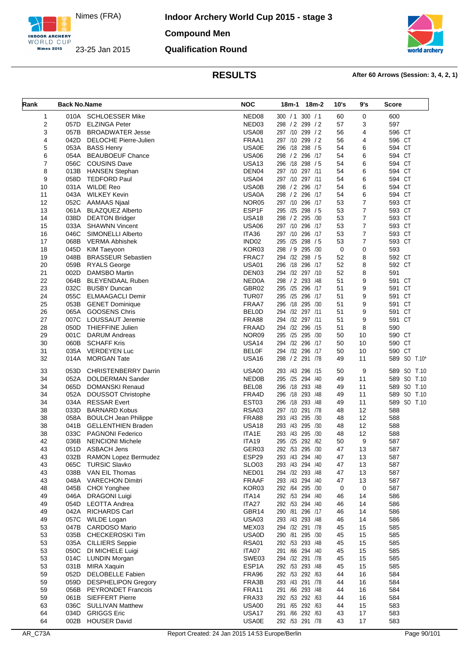

**Indoor Archery World Cup 2015 - stage 3 Compound Men Qualification Round**



| Rank           | <b>Back No.Name</b> |                              | <b>NOC</b>        | 18m-2<br>18m-1           | 10's | 9's            | <b>Score</b>         |
|----------------|---------------------|------------------------------|-------------------|--------------------------|------|----------------|----------------------|
| 1              | 010A                | <b>SCHLOESSER Mike</b>       | NED <sub>08</sub> | 300 / 1 300 / 1          | 60   | 0              | 600                  |
| 2              | 057D                | <b>ELZINGA Peter</b>         | NED <sub>03</sub> | 298 / 2 299 / 2          | 57   | 3              | 597                  |
| 3              | 057B                | <b>BROADWATER Jesse</b>      | <b>USA08</b>      | 297 /10 299 / 2          | 56   | 4              | 596 CT               |
| 4              | 042D                | <b>DELOCHE Pierre-Julien</b> | FRAA1             | 297 /10<br>299 / 2       | 56   | 4              | 596 CT               |
| 5              | 053A                | <b>BASS Henry</b>            | <b>USA0E</b>      | 296 /18 298 / 5          | 54   | 6              | 594 CT               |
| 6              | 054A                | <b>BEAUBOEUF Chance</b>      | <b>USA06</b>      | 298 / 2 296<br>/17       | 54   | 6              | 594 CT               |
| $\overline{7}$ | 056C                | <b>COUSINS Dave</b>          | <b>USA13</b>      | 296 /18 298 / 5          | 54   | 6              | 594 CT               |
| 8              | 013B                | <b>HANSEN Stephan</b>        | DEN <sub>04</sub> | 297 /10 297 /11          | 54   | 6              | 594 CT               |
| 9              | 058D                | <b>TEDFORD Paul</b>          | <b>USA04</b>      | 297 /10 297 /11          | 54   | 6              | 594 CT               |
| 10             | 031A                | <b>WILDE Reo</b>             | USA0B             | 298 / 2 296<br>/17       | 54   | 6              | 594 CT               |
| 11             | 043A                | <b>WILKEY Kevin</b>          | <b>USA0A</b>      | 298 / 2 296 /17          | 54   | 6              | 594 CT               |
| 12             | 052C                | <b>AAMAAS Njaal</b>          | NOR <sub>05</sub> | 297 /10 296 /17          | 53   | $\overline{7}$ | 593 CT               |
| 13             | 061A                | <b>BLAZQUEZ Alberto</b>      | ESP1F             | 295 /25 298 / 5          | 53   | $\overline{7}$ | 593 CT               |
| 14             | 038D                | <b>DEATON Bridger</b>        | USA <sub>18</sub> | 298 / 2 295 / 30         | 53   | $\overline{7}$ | 593 CT               |
| 15             | 033A                | <b>SHAWNN Vincent</b>        | <b>USA06</b>      | 297 /10<br>296<br>/17    | 53   | 7              | 593 CT               |
| 16             | 046C                | SIMONELLI Alberto            | ITA36             | 297 /10 296 /17          | 53   | $\overline{7}$ | 593 CT               |
| 17             | 068B                | <b>VERMA Abhishek</b>        | IND <sub>02</sub> | 295 /25 298 / 5          | 53   | 7              | 593 CT               |
| 18             | 045D                | <b>KIM Taeyoon</b>           | KOR03             | 298<br>/9<br>295<br>/30  | 0    | 0              | 593                  |
| 19             | 048B                | <b>BRASSEUR Sebastien</b>    | FRAC7             | 294 /32 298 / 5          | 52   | 8              | 592 CT               |
| 20             | 059B                | <b>RYALS George</b>          | <b>USA01</b>      | 296 /18 296 /17          | 52   | 8              | 592 CT               |
| 21             | 002D                | DAMSBO Martin                | DEN <sub>03</sub> | 294 /32<br>297 /10       | 52   | 8              | 591                  |
| 22             | 064B                | <b>BLEYENDAAL Ruben</b>      | NED0A             | 298 / 2 293 / 48         | 51   | 9              | 591 CT               |
| 23             | 032C                | <b>BUSBY Duncan</b>          | GBR02             | 295 /25 296 /17          | 51   | 9              | 591 CT               |
| 24             | 055C                | <b>ELMAAGACLI Demir</b>      | TUR <sub>07</sub> | 295 /25 296 /17          | 51   | 9              | 591 CT               |
| 25             | 053B                | <b>GENET Dominique</b>       | FRAA7             | 296 /18 295 /30          | 51   | 9              | 591 CT               |
| 26             | 065A                | <b>GOOSENS Chris</b>         | <b>BELOD</b>      | 294 /32 297 /11          | 51   | 9              | 591 CT               |
| 27             | 007C                | <b>LOUSSAUT Jeremie</b>      | <b>FRA88</b>      | 294 /32 297 /11          | 51   | 9              | 591 CT               |
| 28             | 050D                | <b>THIEFFINE Julien</b>      | <b>FRAAD</b>      | 294 /32 296 /15          | 51   | 8              | 590                  |
| 29             | 001C                | <b>DARUM Andreas</b>         | NOR09             | /25 295 /30<br>295       | 50   | 10             | 590 CT               |
| 30             | 060B                | <b>SCHAFF Kris</b>           | <b>USA14</b>      | 294 /32 296 /17          | 50   | 10             | 590 CT               |
| 31             | 035A                | <b>VERDEYEN Luc</b>          | <b>BEL0F</b>      | 294 /32 296 /17          | 50   | 10             | 590 CT               |
| 32             | 014A                | <b>MORGAN Tate</b>           | USA <sub>16</sub> | 298<br>/ 2 291 /78       | 49   | 11             | SO<br>589<br>$T.10*$ |
| 33             | 053D                | <b>CHRISTENBERRY Darrin</b>  | <b>USA00</b>      | 293<br>/43 296<br>/15    | 50   | 9              | 589 SO<br>T.10       |
| 34             | 052A                | DOLDERMAN Sander             | <b>NED0B</b>      | 295 /25<br>294 /40       | 49   | 11             | 589 SO<br>T.10       |
| 34             | 065D                | <b>DOMANSKI Renaud</b>       | BEL08             | /18 293<br>296<br>/48    | 49   | 11             | 589 SO<br>T.10       |
| 34             | 052A                | DOUSSOT Christophe           | FRA4D             | /18 293<br>296<br>/48    | 49   | 11             | 589 SO<br>T.10       |
| 34             | 034A                | <b>RESSAR Evert</b>          | EST <sub>03</sub> | 296 /18 293 /48          | 49   | 11             | 589 SO T.10          |
| 38             | 033D                | <b>BARNARD Kobus</b>         | <b>RSA03</b>      | 297 /10<br>291 /78       | 48   | 12             | 588                  |
| 38             | 058A                | <b>BOULCH Jean Philippe</b>  | <b>FRA88</b>      | 293 /43 295<br>/30       | 48   | 12             | 588                  |
| 38             | 041B                | <b>GELLENTHIEN Braden</b>    | <b>USA18</b>      | 293 /43 295 /30          | 48   | 12             | 588                  |
| 38             | 033C                | <b>PAGNONI Federico</b>      | ITA1E             | 293<br>/43<br>295<br>/30 | 48   | 12             | 588                  |
| 42             | 036B                | <b>NENCIONI Michele</b>      | <b>ITA19</b>      | 295 /25 292 /62          | 50   | 9              | 587                  |
| 43             | 051D                | ASBACH Jens                  | GER03             | 292 / 53 295 / 30        | 47   | 13             | 587                  |
| 43             | 032B                | RAMON Lopez Bermudez         | ESP29             | 293 /43 294 /40          | 47   | 13             | 587                  |
| 43             | 065C                | <b>TURSIC Slavko</b>         | <b>SLO03</b>      | 293 /43 294 /40          | 47   | 13             | 587                  |
| 43             | 038B                | VAN EIL Thomas               | NED01             | 294 /32 293 /48          | 47   | 13             | 587                  |
| 43             | 048A                | <b>VARECHON Dimitri</b>      | <b>FRAAF</b>      | 293 /43 294 /40          | 47   | 13             | 587                  |
| 48             | 045B                | CHOI Yonghee                 | KOR03             | 292 /64 295 /30          | 0    | 0              | 587                  |
| 49             | 046A                | <b>DRAGONI Luigi</b>         | ITA14             | 292 /53 294 /40          | 46   | 14             | 586                  |
| 49             | 054D                | <b>LEOTTA Andrea</b>         | ITA27             | 292 /53 294 /40          | 46   | 14             | 586                  |
| 49             | 042A                | <b>RICHARDS Carl</b>         | GBR14             | 290 /81 296 /17          | 46   | 14             | 586                  |
| 49             | 057C                | WILDE Logan                  | USA03             | 293 /43 293 /48          | 46   | 14             | 586                  |
| 53             | 047B                | <b>CARDOSO Mario</b>         | MEX03             | 294 /32 291 /78          | 45   | 15             | 585                  |
| 53             | 035B                | <b>CHECKEROSKI Tim</b>       | <b>USA0D</b>      | 290 /81 295 /30          | 45   | 15             | 585                  |
| 53             | 035A                | <b>CILLIERS Seppie</b>       | <b>RSA01</b>      | 292 /53 293 /48          | 45   | 15             | 585                  |
| 53             | 050C                | DI MICHELE Luigi             | ITA07             | 291 /66 294 /40          | 45   | 15             | 585                  |
| 53             | 014C                | <b>LUNDIN Morgan</b>         | SWE03             | 294 /32 291 /78          | 45   | 15             | 585                  |
| 53             | 031B                | <b>MIRA Xaquin</b>           | ESP1A             | 292 /53 293 /48          | 45   | 15             | 585                  |
| 59             | 052D                | <b>DELOBELLE Fabien</b>      | FRA96             | 292 /53 292 /63          | 44   | 16             | 584                  |
| 59             | 059D                | <b>DESPHELIPON Gregory</b>   | FRA3B             | 293 /43 291 /78          | 44   | 16             | 584                  |
| 59             | 056B                | <b>PEYRONDET Francois</b>    | FRA11             | 291 /66 293 /48          | 44   | 16             | 584                  |
| 59             | 061B                | <b>SIEFFERT Pierre</b>       | FRA33             | 292 /53 292 /63          | 44   | 16             | 584                  |
| 63             | 036C                | <b>SULLIVAN Matthew</b>      | <b>USA00</b>      | 291 /65 292 /63          | 44   | 15             | 583                  |
| 64             | 034D                | <b>GRIGGS Eric</b>           | USA17             | 291 /66 292 /63          | 43   | 17             | 583                  |
| 64             | 002B                | <b>HOUSER David</b>          | <b>USA0E</b>      | 292 /53 291 /78          | 43   | 17             | 583                  |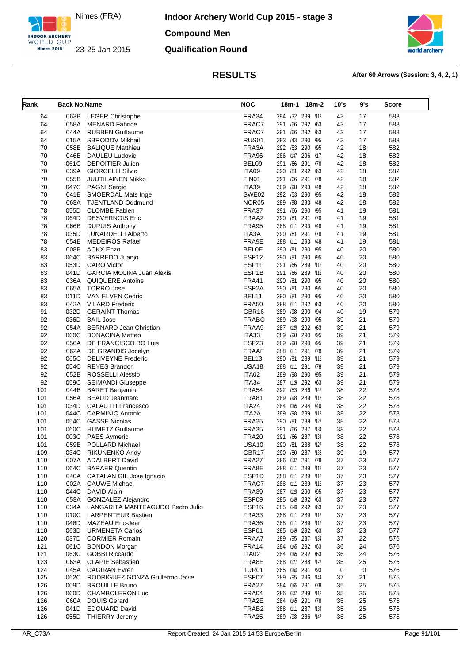

**Indoor Archery World Cup 2015 - stage 3 Compound Men Qualification Round**



| Rank | <b>Back No.Name</b> |                                  | <b>NOC</b>        | $18m-2$<br>18m-1          | 10's | 9's | Score |
|------|---------------------|----------------------------------|-------------------|---------------------------|------|-----|-------|
| 64   |                     | 063B LEGER Christophe            | FRA34             | 294 /32 289 /112          | 43   | 17  | 583   |
| 64   | 058A                | <b>MENARD Fabrice</b>            | FRAC7             | 291 /66 292 /63           | 43   | 17  | 583   |
| 64   | 044A                | <b>RUBBEN Guillaume</b>          | FRAC7             | 291 /66<br>292 /63        | 43   | 17  | 583   |
| 64   | 015A                | SBRODOV Mikhail                  | RUS01             | 293 /43 290 /95           | 43   | 17  | 583   |
| 70   | 058B                | <b>BALIQUE Matthieu</b>          | FRA3A             | 292 /53 290 /95           | 42   | 18  | 582   |
| 70   | 046B                | <b>DAULEU Ludovic</b>            | FRA96             | 286 /137 296 /17          | 42   | 18  | 582   |
| 70   | 061C                | <b>DEPOITIER Julien</b>          | BEL09             | 291 /66 291 /78           | 42   | 18  | 582   |
| 70   | 039A                | <b>GIORCELLI Silvio</b>          | ITA09             | 290<br>/81<br>292 /63     | 42   | 18  | 582   |
| 70   | 055B                | <b>JUUTILAINEN Mikko</b>         | FIN01             | 291 /66 291 /78           | 42   | 18  | 582   |
| 70   | 047C                | <b>PAGNI Sergio</b>              | ITA39             | 289 /98 293 /48           | 42   | 18  | 582   |
| 70   | 041B                | SMOERDAL Mats Inge               | SWE02             | 292 /53 290 /95           | 42   | 18  | 582   |
| 70   | 063A                | <b>TJENTLAND Oddmund</b>         | NOR <sub>05</sub> | /98 293 /48<br>289        | 42   | 18  | 582   |
| 78   | 055D                | <b>CLOMBE Fabien</b>             | FRA37             | 291 /66 290 /95           | 41   | 19  | 581   |
| 78   | 064D                | <b>DESVERNOIS Eric</b>           | FRAA2             | 291 /78<br>/81<br>290     | 41   | 19  | 581   |
| 78   | 066B                | <b>DUPUIS Anthony</b>            | <b>FRA95</b>      | /111 293 /48<br>288       | 41   | 19  | 581   |
| 78   | 035D                | <b>LUNARDELLI Alberto</b>        | ITA3A             | 290 /81 291 /78           | 41   | 19  | 581   |
| 78   | 054B                | <b>MEDEIROS Rafael</b>           | FRA9E             | 293 /48<br>288 /111       | 41   | 19  | 581   |
| 83   | 008B                | ACKX Enzo                        | <b>BELOE</b>      | /81 290 /95<br>290        | 40   | 20  | 580   |
| 83   | 064C                | <b>BARREDO Juanjo</b>            | ESP <sub>12</sub> | 290 /81 290 /95           | 40   | 20  | 580   |
| 83   | 053D                | <b>CARO Victor</b>               | ESP1F             | /66<br>289<br>/112<br>291 | 40   | 20  | 580   |
| 83   | 041D                | <b>GARCIA MOLINA Juan Alexis</b> | ESP1B             | /66 289 /112<br>291       | 40   | 20  | 580   |
| 83   | 036A                | QUIQUERE Antoine                 | <b>FRA41</b>      | 290 /81 290 /95           | 40   | 20  | 580   |
| 83   | 065A                | <b>TORRO Jose</b>                | ESP2A             | 290 /95<br>290<br>/81     | 40   | 20  | 580   |
| 83   | 011D                | VAN ELVEN Cedric                 | BEL11             | 290 /81 290 /95           | 40   | 20  | 580   |
| 83   | 042A                | <b>VILARD Frederic</b>           | <b>FRA50</b>      | 288 /111 292 /63          | 40   | 20  | 580   |
| 91   | 032D                | <b>GERAINT Thomas</b>            | GBR16             | 289 /98<br>290 /94        | 40   | 19  | 579   |
|      |                     | <b>BAIL Jose</b>                 | <b>FRABC</b>      | 289 /98 290 /95           |      | 21  | 579   |
| 92   | 036D                |                                  |                   | 287 /129 292 /63          | 39   | 21  |       |
| 92   | 054A                | <b>BERNARD Jean Christian</b>    | FRAA9             |                           | 39   |     | 579   |
| 92   | 060C                | <b>BONACINA Matteo</b>           | ITA33             | 289 /98 290 /95           | 39   | 21  | 579   |
| 92   | 056A                | DE FRANCISCO BO Luis             | ESP23             | 289 /98 290 /95           | 39   | 21  | 579   |
| 92   | 062A                | DE GRANDIS Jocelyn               | <b>FRAAF</b>      | 288 /111 291 /78          | 39   | 21  | 579   |
| 92   | 065C                | <b>DELIVEYNE Frederic</b>        | BEL <sub>13</sub> | 290 /81<br>289 /112       | 39   | 21  | 579   |
| 92   | 054C                | <b>REYES Brandon</b>             | <b>USA18</b>      | 288 /111 291 /78          | 39   | 21  | 579   |
| 92   | 052B                | <b>ROSSELLI Alessio</b>          | ITA02             | 289 /98 290 /95           | 39   | 21  | 579   |
| 92   | 059C                | SEIMANDI Giuseppe                | ITA34             | 287 /129<br>292 /63       | 39   | 21  | 579   |
| 101  | 044B                | <b>BARET Benjamin</b>            | <b>FRA54</b>      | 292 /53 286 /147          | 38   | 22  | 578   |
| 101  | 056A                | <b>BEAUD Jeanmarc</b>            | <b>FRA81</b>      | 289 /98 289 /112          | 38   | 22  | 578   |
| 101  | 034D                | <b>CALAUTTI Francesco</b>        | ITA24             | 284 /165 294 /40          | 38   | 22  | 578   |
| 101  | 044C                | <b>CARMINIO Antonio</b>          | ITA2A             | 289 /98 289 /112          | 38   | 22  | 578   |
| 101  | 054C                | <b>GASSE Nicolas</b>             | <b>FRA25</b>      | /81 288 /127<br>290       | 38   | 22  | 578   |
| 101  | 060C                | <b>HUMETZ Guillaume</b>          | <b>FRA35</b>      | /66 287 /134<br>291       | 38   | 22  | 578   |
| 101  | 003C                | <b>PAES Aymeric</b>              | <b>FRA20</b>      | 291 /66 287 /134          | 38   | 22  | 578   |
| 101  | 059B                | <b>POLLARD Michael</b>           | <b>USA10</b>      | 290 /81<br>288 /127       | 38   | 22  | 578   |
| 109  |                     | 034C RIKUNENKO Andy              | GBR17             | 290 /80 287 /133          | 39   | 19  | 577   |
| 110  | 007A                | ADALBERT David                   | FRA27             | 286 /137 291 /78          | 37   | 23  | 577   |
| 110  | 064C                | <b>BARAER Quentin</b>            | FRA8E             | 288 /111 289 /112         | 37   | 23  | 577   |
| 110  |                     | 040A CATALAN GIL Jose Ignacio    | ESP1D             | 288 /111 289 /112         | 37   | 23  | 577   |
| 110  | 002A                | <b>CAUWE Michael</b>             | FRAC7             | 288 /111 289 /112         | 37   | 23  | 577   |
| 110  | 044C                | DAVID Alain                      | <b>FRA39</b>      | 287 /129 290 /95          | 37   | 23  | 577   |
| 110  | 053A                | <b>GONZALEZ Alejandro</b>        | ESP09             | 285 /149 292 /63          | 37   | 23  | 577   |
| 110  | 034A                | LANGARITA MANTEAGUDO Pedro Julio | ESP <sub>16</sub> | 285 /149 292 /63          | 37   | 23  | 577   |
| 110  | 010C                | <b>LARPENTEUR Bastien</b>        | FRA33             | 288 /111 289 /112         | 37   | 23  | 577   |
| 110  | 046D                | MAZEAU Eric-Jean                 | FRA36             | 288 /111 289 /112         | 37   | 23  | 577   |
| 110  | 063D                | <b>URMENETA Carlos</b>           | ESP01             | 285 /149 292 /63          | 37   | 23  | 577   |
| 120  | 037D                | <b>CORMIER Romain</b>            | FRAA7             | 289 /95 287 /134          | 37   | 22  | 576   |
| 121  | 061C                | <b>BONDON Morgan</b>             | FRA14             | 284 /165 292 /63          | 36   | 24  | 576   |
| 121  | 063C                | <b>GOBBI Riccardo</b>            | ITA02             | 284 /165 292 /63          | 36   | 24  | 576   |
| 123  |                     | 063A CLAPIE Sebastien            | FRA8E             | 288 /127 288 /127         | 35   | 25  | 576   |
| 124  |                     | 045A CAGIRAN Evren               | <b>TUR01</b>      | 285 /160 291 /93          | 0    | 0   | 576   |
| 125  | 062C                | RODRIGUEZ GONZA Guillermo Javie  | ESP07             | 289 /95 286 /144          | 37   | 21  | 575   |
| 126  | 009D                | <b>BROUILLE Bruno</b>            | FRA27             | 284 /165 291 /78          | 35   | 25  | 575   |
| 126  | 060D                | CHAMBOLERON Luc                  | FRA04             | 286 /137 289 /112         | 35   | 25  | 575   |
| 126  | 060A                | <b>DOUIS Gerard</b>              | FRA2E             | 284 /165 291 /78          | 35   | 25  | 575   |
| 126  | 041D                | <b>EDOUARD David</b>             | FRAB <sub>2</sub> | 288 /111 287 /134         | 35   | 25  | 575   |
| 126  |                     | 055D THIERRY Jeremy              | <b>FRA25</b>      | 289 /98 286 /147          | 35   | 25  | 575   |
|      |                     |                                  |                   |                           |      |     |       |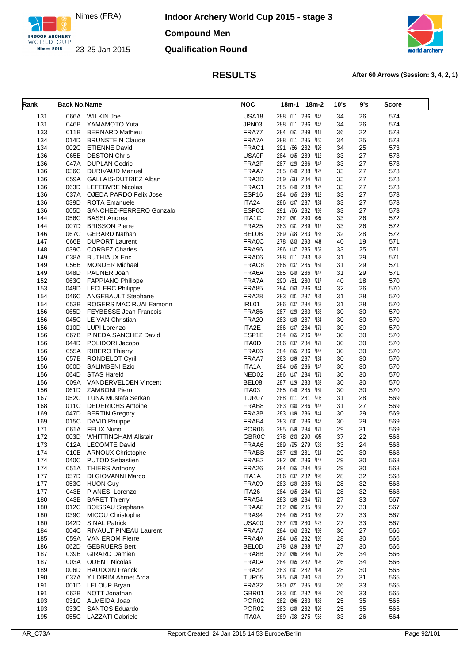

**Indoor Archery World Cup 2015 - stage 3 Compound Men Qualification Round**



| Rank       | <b>Back No.Name</b> |                                     | <b>NOC</b>                 | 18m-2<br>18m-1                         | 10's     | 9's      | <b>Score</b> |
|------------|---------------------|-------------------------------------|----------------------------|----------------------------------------|----------|----------|--------------|
| 131        | 066A                | <b>WILKIN Joe</b>                   | <b>USA18</b>               | 288 /111 286 /147                      | 34       | 26       | 574          |
| 131        | 046B                | YAMAMOTO Yuta                       | JPN03                      | 288 /111 286 /147                      | 34       | 26       | 574          |
| 133        | 011B                | <b>BERNARD Mathieu</b>              | FRA77                      | 284 /161<br>289 /111                   | 36       | 22       | 573          |
| 134        | 014D                | <b>BRUNSTEIN Claude</b>             | FRA7A                      | 288 /111 285 /160                      | 34       | 25       | 573          |
| 134        | 002C                | <b>ETIENNE David</b>                | FRAC1                      | 291 /66 282 /196                       | 34       | 25       | 573          |
| 136        | 065B                | <b>DESTON Chris</b>                 | <b>USA0F</b>               | 284 /165 289 /112                      | 33       | 27       | 573          |
| 136        | 047A                | <b>DUPLAN Cedric</b>                | FRA2F                      | 287 /129 286 /147                      | 33       | 27       | 573          |
| 136        | 036C                | DURIVAUD Manuel                     | FRAA7                      | 285 /149 288 /127                      | 33       | 27       | 573          |
| 136        |                     | 059A GALLAIS-DUTRIEZ Alban          | FRA3D                      | 289 /98 284 /171                       | 33       | 27       | 573          |
| 136        | 063D                | <b>LEFEBVRE Nicolas</b>             | FRAC1                      | 285 /149 288 /127                      | 33       | 27       | 573          |
| 136        | 037A                | OJEDA PARDO Felix Jose              | ESP <sub>16</sub>          | 284 /165 289 /112                      | 33       | 27       | 573          |
| 136        | 039D                | <b>ROTA Emanuele</b>                | ITA24                      | 286 /137 287 /134                      | 33       | 27       | 573          |
| 136        | 005D                | SANCHEZ-FERRERO Gonzalo             | <b>ESP0C</b>               | 291 /66 282 /198                       | 33       | 27       | 573          |
| 144        | 056C                | <b>BASSI Andrea</b>                 | ITA1C                      | 282 /201 290 /95                       | 33       | 26       | 572          |
| 144        | 007D                | <b>BRISSON Pierre</b>               | <b>FRA25</b>               | 283 /181 289 /112                      | 33       | 26       | 572          |
| 146        | 067C                | <b>GERARD Nathan</b>                | <b>BEL0B</b>               | 289 /98 283 /183                       | 32       | 28       | 572          |
| 147        | 066B                | <b>DUPORT Laurent</b>               | FRA0C                      | 278 /233 293 /48                       | 40       | 19       | 571          |
| 148        | 039C                | <b>CORBEZ Charles</b>               | FRA96                      | 286 /137 285 /159                      | 33       | 25       | 571          |
| 149        | 038A                | <b>BUTHIAUX Eric</b>                | <b>FRA06</b>               | 288 /111 283 /183                      | 31       | 29       | 571          |
| 149        | 056B                | <b>MONDER Michael</b>               | FRAC8                      | 286 /137 285 /161                      | 31       | 29       | 571          |
| 149        | 048D                | PAUNER Joan                         | FRA6A                      | 285 /149 286 /147                      | 31       | 29       | 571          |
| 152        | 063C                | <b>FAPPIANO Philippe</b>            | FRA7A                      | 290 /81 280 /217                       | 40       | 18       | 570          |
| 153        | 049D                | <b>LECLERC Philippe</b>             | <b>FRA85</b>               | 284 /163 286 /144                      | 32       | 26       | 570          |
| 154        | 046C                | <b>ANGEBAULT Stephane</b>           | <b>FRA28</b>               | 283 /181 287 /134                      | 31       | 28       | 570          |
| 154        | 053B                | ROGERS MAC RUAI Eamonn              | IRL01                      | 286 /137 284 /168                      | 31       | 28       | 570          |
| 156        |                     | 065D FEYBESSE Jean Francois         | <b>FRA86</b>               | 287 /129<br>283 /183                   | 30       | 30       | 570          |
| 156        | 045C                | <b>LE VAN Christian</b>             | <b>FRA20</b>               | 283 /189 287 /134                      | 30       | 30       | 570          |
| 156        | 010D                | LUPI Lorenzo                        | ITA2E                      | 286 /137 284 /171                      | 30       | 30       | 570          |
| 156        | 067B                | PINEDA SANCHEZ David                | ESP1E                      | 284 /165<br>286 /147                   | 30       | 30       | 570          |
| 156        | 044D                | POLIDORI Jacopo                     | <b>ITA0D</b>               | 286 /137 284 /171                      | 30       | 30       | 570          |
| 156        | 055A                | <b>RIBERO Thierry</b>               | <b>FRA06</b>               | 284 /165 286 /147                      | 30       | 30       | 570          |
| 156        | 057B                | <b>RONDELOT Cyril</b>               | FRAA7                      | 283 /189<br>287 /134                   | 30       | 30       | 570          |
| 156        | 060D                | <b>SALIMBENI Ezio</b>               | ITA1A                      | 284 /165 286 /147                      | 30       | 30       | 570          |
| 156        | 064D                | <b>STAS Hareld</b>                  | NED <sub>02</sub>          | 286 /137 284 /171                      | 30       | 30       | 570          |
| 156        | 009A                | <b>VANDERVELDEN Vincent</b>         | BEL08                      | 287 /129 283 /183                      | 30       | 30       | 570          |
| 156        | 061D                | <b>ZAMBONI Piero</b>                | ITA03                      | 285 /149 285 /161                      | 30       | 30       | 570          |
| 167        | 052C                | TUNA Mustafa Serkan                 | TUR07                      | 288 /111 281 /205                      | 31       | 28       | 569          |
| 168        | 011C                | <b>DEDERICHS Antoine</b>            | FRAB <sub>8</sub>          | 283 /180 286 /147                      | 31       | 27       | 569          |
| 169        | 047D                | <b>BERTIN Gregory</b>               | FRA3B                      | 283 /189 286 /144                      | 30       | 29       | 569          |
| 169<br>171 | 015C<br>061A        | DAVID Philippe<br><b>FELIX Nuno</b> | FRAB4<br>POR <sub>06</sub> | 283 /181 286 /147<br>285 /149 284 /171 | 30<br>29 | 29<br>31 | 569<br>569   |
| 172        | 003D                | <b>WHITTINGHAM Alistair</b>         | GBR <sub>0</sub> C         | 278 /233 290 /95                       | 37       | 22       | 568          |
| 173        | 012A                | <b>LECOMTE David</b>                | FRAA6                      | 289 /95 279 /233                       | 33       | 24       | 568          |
| 174        |                     | 010B ARNOUX Christophe              | FRABB                      | 287 /128 281 /214                      | 29       | 30       | 568          |
| 174        | 040C                | <b>PUTOD Sebastien</b>              | FRAB <sub>2</sub>          | 282 /201 286 /147                      | 29       | 30       | 568          |
| 174        | 051A                | <b>THIERS Anthony</b>               | FRA <sub>26</sub>          | 284 /165 284 /168                      | 29       | 30       | 568          |
| 177        | 057D                | DI GIOVANNI Marco                   | ITA1A                      | 286 /137 282 /198                      | 28       | 32       | 568          |
| 177        | 053C                | <b>HUON Guy</b>                     | FRA09                      | 283 /189 285 /161                      | 28       | 32       | 568          |
| 177        | 043B                | PIANESI Lorenzo                     | ITA26                      | 284 /165 284 /171                      | 28       | 32       | 568          |
| 180        | 043B                | <b>BARET Thierry</b>                | <b>FRA54</b>               | 283 /189 284 /171                      | 27       | 33       | 567          |
| 180        | 012C                | <b>BOISSAU Stephane</b>             | FRAA8                      | 282 /206 285 /161                      | 27       | 33       | 567          |
| 180        | 039C                | <b>MICOU Christophe</b>             | FRA94                      | 284 /165 283 /183                      | 27       | 33       | 567          |
| 180        | 042D                | <b>SINAL Patrick</b>                | <b>USA00</b>               | 287 /129 280 /228                      | 27       | 33       | 567          |
| 184        | 004C                | RIVAULT PINEAU Laurent              | FRAA7                      | 284 /163 282 /193                      | 30       | 27       | 566          |
| 185        | 059A                | <b>VAN EROM Pierre</b>              | FRA4A                      | 284 /165 282 /195                      | 28       | 30       | 566          |
| 186        | 062D                | <b>GEBRUERS Bert</b>                | <b>BELOD</b>               | 278 /239 288 /127                      | 27       | 30       | 566          |
| 187        | 039B                | <b>GIRARD Damien</b>                | FRA8B                      | 282 /206 284 /171                      | 26       | 34       | 566          |
| 187        | 003A                | <b>ODENT Nicolas</b>                | FRA0A                      | 284 /165 282 /198                      | 26       | 34       | 566          |
| 189        | 006D                | <b>HAUDOIN Franck</b>               | <b>FRA32</b>               | 283 /181 282 /194                      | 28       | 30       | 565          |
| 190        | 037A                | YILDIRIM Ahmet Arda                 | <b>TUR05</b>               | 285 /149 280 /221                      | 27       | 31       | 565          |
| 191        | 001D                | <b>LELOUP Bryan</b>                 | <b>FRA32</b>               | 280 /221 285 /161                      | 26       | 33       | 565          |
| 191        | 062B                | NOTT Jonathan                       | GBR01                      | 283 /181 282 /198                      | 26       | 33       | 565          |
| 193        | 031C                | ALMEIDA Joao                        | POR <sub>02</sub>          | 282 /206 283 /183                      | 25       | 35       | 565          |
| 193        | 033C                | SANTOS Eduardo                      | POR <sub>02</sub>          | 283 /189 282 /198                      | 25       | 35       | 565          |
| 195        | 055C                | LAZZATI Gabriele                    | <b>ITA0A</b>               | 289 /98 275 /266                       | 33       | 26       | 564          |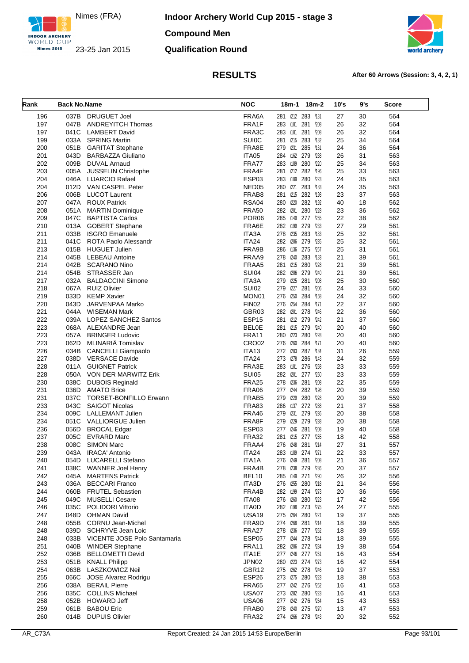

**Indoor Archery World Cup 2015 - stage 3 Compound Men Qualification Round**



| Rank       | <b>Back No.Name</b> |                                                  | <b>NOC</b>                   | 18m-1<br>18m-2                               | 10's     | 9's      | Score      |
|------------|---------------------|--------------------------------------------------|------------------------------|----------------------------------------------|----------|----------|------------|
| 196        | 037B                | DRUGUET Joel                                     | FRA6A                        | 281 /212 283 /181                            | 27       | 30       | 564        |
| 197        | 047B                | <b>ANDREYITCH Thomas</b>                         | FRA1F                        | 281 /208<br>283 /181                         | 26       | 32       | 564        |
| 197        | 041C                | <b>LAMBERT David</b>                             | FRA3C                        | 283 /181<br>281 /208                         | 26       | 32       | 564        |
| 199        | 033A                | <b>SPRING Martin</b>                             | <b>SUI0C</b>                 | 281 /215 283 /182                            | 25       | 34       | 564        |
| 200        | 051B                | <b>GARITAT Stephane</b>                          | FRA8E                        | 285 /161<br>279<br>/231                      | 24       | 36       | 564        |
| 201        | 043D                | <b>BARBAZZA Giuliano</b>                         | ITA05                        | 284 /162 279<br>/238                         | 26       | 31       | 563        |
| 202        | 009B                | <b>DUVAL Arnaud</b>                              | FRA77                        | 283 /189 280<br>/220                         | 25       | 34       | 563        |
| 203        | 005A                | <b>JUSSELIN Christophe</b>                       | FRA4F                        | /212 282 /196<br>281                         | 25       | 33       | 563        |
| 204        | 046A                | <b>LIJARCIO Rafael</b>                           | ESP03                        | 283 /189 280<br>/223                         | 24       | 35       | 563        |
| 204<br>206 | 012D<br>006B        | VAN CASPEL Peter<br><b>LUCOT Laurent</b>         | NED <sub>05</sub><br>FRAB8   | 280<br>/221 283 /183<br>/215 282 /198<br>281 | 24<br>23 | 35<br>37 | 563<br>563 |
| 207        | 047A                | <b>ROUX Patrick</b>                              | <b>RSA04</b>                 | /220 282 /192<br>280                         | 40       | 18       | 562        |
| 208        | 051A                | <b>MARTIN Dominique</b>                          | <b>FRA50</b>                 | 282 /201 280 /228                            | 23       | 36       | 562        |
| 209        | 047C                | <b>BAPTISTA Carlos</b>                           | POR <sub>06</sub>            | 285 /149<br>277<br>/255                      | 22       | 38       | 562        |
| 210        | 013A                | <b>GOBERT Stephane</b>                           | FRA6E                        | 282 /199 279<br>/233                         | 27       | 29       | 561        |
| 211        | 033B                | <b>ISGRO Emanuele</b>                            | ITA3A                        | 278 /235 283 /183                            | 25       | 32       | 561        |
| 211        | 041C                | <b>ROTA Paolo Alessandr</b>                      | ITA24                        | 282 /206<br>279<br>/235                      | 25       | 32       | 561        |
| 213        | 015B                | <b>HUGUET Julien</b>                             | FRA9B                        | /136 275<br>286<br>/267                      | 25       | 31       | 561        |
| 214        | 045B                | <b>LEBEAU Antoine</b>                            | FRAA9                        | 278 /240 283 /183                            | 21       | 39       | 561        |
| 214        | 042B                | <b>SCARANO Nino</b>                              | FRAA5                        | 280<br>281<br>/215<br>/228                   | 21       | 39       | 561        |
| 214        | 054B                | STRASSER Jan                                     | <b>SUI04</b>                 | 282 /206 279<br>/240                         | 21       | 39       | 561        |
| 217        | 032A                | <b>BALDACCINI Simone</b>                         | ITA3A                        | /225 281<br>279<br>/208                      | 25       | 30       | 560        |
| 218        | 067A                | <b>RUIZ Olivier</b>                              | <b>SUI02</b>                 | /227<br>281 /206<br>279                      | 24       | 33       | 560        |
| 219        | 033D                | <b>KEMP Xavier</b><br>JARVENPAA Marko            | MON01                        | /250 284 /168<br>276                         | 24       | 32<br>37 | 560        |
| 220<br>221 | 043D<br>044A        | WISEMAN Mark                                     | FIN <sub>02</sub><br>GBR03   | 276<br>/254 284 /171<br>278 /246<br>282 /201 | 22<br>22 | 36       | 560<br>560 |
| 222        | 039A                | <b>LOPEZ SANCHEZ Santos</b>                      | ESP <sub>15</sub>            | /212 279<br>281<br>/242                      | 21       | 37       | 560        |
| 223        | 068A                | ALEXANDRE Jean                                   | <b>BEL0E</b>                 | 281 /215 279<br>/240                         | 20       | 40       | 560        |
| 223        | 057A                | <b>BRINGER Ludovic</b>                           | <b>FRA11</b>                 | 280 /223<br>280<br>/228                      | 20       | 40       | 560        |
| 223        | 062D                | MLINARIÄ Tomislav                                | CRO02                        | 276 /260<br>284 /171                         | 20       | 40       | 560        |
| 226        | 034B                | <b>CANCELLI Giampaolo</b>                        | <b>ITA13</b>                 | 272 /283 287 /134                            | 31       | 26       | 559        |
| 227        | 038D                | <b>VERSACE Davide</b>                            | ITA24                        | /278<br>286<br>273<br>/143                   | 24       | 32       | 559        |
| 228        | 011A                | <b>GUIGNET Patrick</b>                           | FRA3E                        | 283 /181 276<br>/258                         | 23       | 33       | 559        |
| 228        | 050A                | VON DER MARWITZ Erik                             | <b>SUI05</b>                 | 282 /201<br>277 /250                         | 23       | 33       | 559        |
| 230        | 038C                | <b>DUBOIS Reginald</b>                           | <b>FRA25</b>                 | /236<br>281<br>278<br>/208                   | 22       | 35       | 559        |
| 231        | 036D                | <b>AMATO Brice</b>                               | <b>FRA06</b>                 | 277 /244 282 /198                            | 20       | 39       | 559        |
| 231        | 037C                | <b>TORSET-BONFILLO Erwann</b>                    | FRAB <sub>5</sub>            | 280 /228<br>/229<br>279<br>/137 272          | 20       | 39       | 559        |
| 233<br>234 | 043C<br>009C        | <b>SAIGOT Nicolas</b><br><b>LALLEMANT Julien</b> | <b>FRA83</b><br>FRA46        | 286<br>/288<br>/231 279<br>/236<br>279       | 21<br>20 | 37<br>38 | 558<br>558 |
| 234        | 051C                | <b>VALLIORGUE Julien</b>                         | FRA8F                        | /229<br>279<br>279<br>/238                   | 20       | 38       | 558        |
| 236        | 056D                | <b>BROCAL Edgar</b>                              | ESP03                        | /246 281<br>/208<br>277                      | 19       | 40       | 558        |
| 237        | 005C                | <b>EVRARD Marc</b>                               | <b>FRA32</b>                 | 281 /215 277 /255                            | 18       | 42       | 558        |
| 238        | 008C                | <b>SIMON Marc</b>                                | FRAA4                        | 276 /248<br>281 /214                         | 27       | 31       | 557        |
| 239        |                     | 043A IRACA' Antonio                              | ITA24                        | 283 /189 274 /271                            | 22       | 33       | 557        |
| 240        | 054D                | <b>LUCARELLI Stefano</b>                         | ITA1A                        | 276 /249 281 /208                            | 21       | 36       | 557        |
| 241        | 038C                | <b>WANNER Joel Henry</b>                         | FRA4B                        | 278 /238<br>279 /236                         | 20       | 37       | 557        |
| 242        | 045A                | <b>MARTENS Patrick</b>                           | BEL <sub>10</sub>            | 285 /149 271 /290                            | 26       | 32       | 556        |
| 243        | 036A                | <b>BECCARI Franco</b>                            | ITA3D                        | 276 /255 280 /218                            | 21       | 34       | 556        |
| 244        | 060B                | <b>FRUTEL Sebastien</b>                          | FRA4B                        | 282 /199 274 /273                            | 20       | 36       | 556        |
| 245        | 049C                | <b>MUSELLI Cesare</b>                            | ITA08                        | 276 /260 280 /223<br>282 /198 273 /275       | 17       | 42       | 556        |
| 246<br>247 | 035C<br>048D        | <b>POLIDORI Vittorio</b><br><b>OHMAN David</b>   | <b>ITA0D</b><br><b>USA19</b> | 275 /264 280 /221                            | 24<br>19 | 27<br>37 | 555<br>555 |
| 248        |                     | 055B CORNU Jean-Michel                           | FRA9D                        | 274 /268 281 /214                            | 18       | 39       | 555        |
| 248        | 039D                | SCHRYVE Jean Loic                                | FRA <sub>27</sub>            | 278 /236 277 /252                            | 18       | 39       | 555        |
| 248        |                     | 033B VICENTE JOSE Polo Santamaria                | ESP05                        | 277 /244 278 /244                            | 18       | 39       | 555        |
| 251        | 040B                | <b>WINDER Stephane</b>                           | <b>FRA11</b>                 | 282 /206 272 /284                            | 19       | 38       | 554        |
| 252        | 036B                | <b>BELLOMETTI Devid</b>                          | ITA1E                        | 277 /246 277 /251                            | 16       | 43       | 554        |
| 253        | 051B                | <b>KNALL Philipp</b>                             | JPN02                        | 280 /223 274 /273                            | 16       | 42       | 554        |
| 254        | 063B                | <b>LASZKOWICZ Neil</b>                           | GBR12                        | 275 /262 278 /246                            | 19       | 37       | 553        |
| 255        | 066C                | JOSE Alvarez Rodrigu                             | ESP26                        | 273 /275 280 /223                            | 18       | 38       | 553        |
| 256        | 038A                | <b>BERAIL Pierre</b>                             | <b>FRA65</b>                 | 277 /242 276 /262                            | 16       | 41       | 553        |
| 256        | 035C                | <b>COLLINS Michael</b>                           | USA07                        | 273 /282 280 /223                            | 16       | 41       | 553        |
| 258        |                     | 052B HOWARD Jeff                                 | USA06                        | 277 /242 276 /264                            | 15       | 43       | 553        |
| 259        | 061B                | <b>BABOU Eric</b>                                | FRAB0                        | 278 /240 275 /270                            | 13       | 47       | 553        |
| 260        |                     | 014B DUPUIS Olivier                              | <b>FRA32</b>                 | 274 /266 278 /243                            | 20       | 32       | 552        |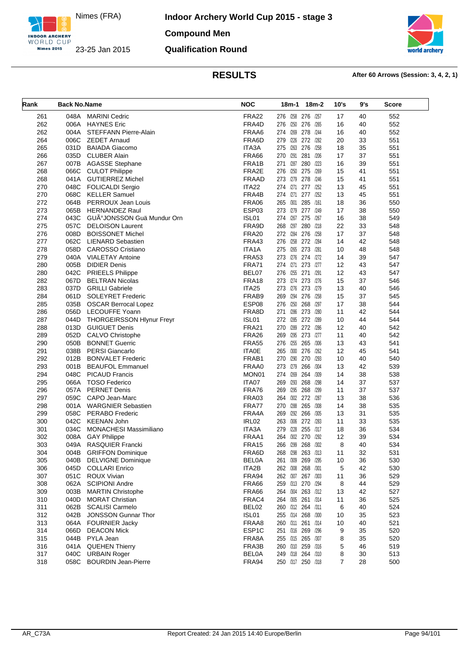

**Indoor Archery World Cup 2015 - stage 3 Compound Men Qualification Round**



| Rank       | <b>Back No.Name</b> |                                             | <b>NOC</b>        | $18m-2$<br>18m-1                    | 10's           | 9's      | Score      |
|------------|---------------------|---------------------------------------------|-------------------|-------------------------------------|----------------|----------|------------|
| 261        | 048A                | <b>MARINI Cedric</b>                        | FRA <sub>22</sub> | 276 /258 276 /257                   | 17             | 40       | 552        |
| 262        | 006A                | <b>HAYNES Eric</b>                          | FRA4D             | 276 /250 276 /265                   | 16             | 40       | 552        |
| 262        | 004A                | STEFFANN Pierre-Alain                       | FRAA6             | 274 /269<br>278<br>/244             | 16             | 40       | 552        |
| 264        | 006C                | <b>ZEDET Arnaud</b>                         | FRA6D             | 279 /226 272 /282                   | 20             | 33       | 551        |
| 265        | 031D                | <b>BAIADA Giacomo</b>                       | ITA3A             | 275 /263 276<br>/258                | 18             | 35       | 551        |
| 266        | 035D                | <b>CLUBER Alain</b>                         | <b>FRA66</b>      | /291<br>281 /206<br>270             | 17             | 37       | 551        |
| 267        | 007B                | <b>AGASSE Stephane</b>                      | FRA1B             | 271 /287 280<br>/223                | 16             | 39       | 551        |
| 268        | 066C                | <b>CULOT Philippe</b>                       | FRA2E             | 276 /250 275<br>/269                | 15             | 41       | 551        |
| 268        |                     | 041A GUTIERREZ Michel                       | <b>FRAAD</b>      | 273 /279<br>278<br>/246             | 15             | 41       | 551        |
| 270        | 048C                | <b>FOLICALDI Sergio</b>                     | ITA22             | 274 /271 277 /252                   | 13             | 45       | 551        |
| 270        | 068C                | <b>KELLER Samuel</b>                        | FRA4B             | 274 /271 277 /252                   | 13             | 45       | 551        |
| 272        | 064B                | PERROUX Jean Louis                          | FRA06             | /301<br>285<br>265<br>/161          | 18             | 36       | 550        |
| 273        | 065B                | <b>HERNANDEZ Raul</b>                       | ESP03             | 273 /279 277 /249                   | 17             | 38       | 550        |
| 274        | 043C                | GUðJONSSON Guä Mundur Orn                   | ISL01             | /267<br>275<br>274<br>/267          | 16             | 38       | 549        |
| 275        | 057C                | <b>DELOISON Laurent</b>                     | FRA9D             | /297<br>280 /218<br>268             | 22             | 33       | 548        |
| 276        | 008D                | <b>BOISSONET Michel</b>                     | <b>FRA20</b>      | 272 /284<br>276<br>/258             | 17             | 37       | 548        |
| 277        | 062C                | <b>LIENARD Sebastien</b>                    | FRA43             | /258 272 /284<br>276                | 14             | 42       | 548        |
| 278        | 058D                | <b>CAROSSO Cristiano</b>                    | ITA1A             | 275 /265<br>273<br>/281             | 10             | 48       | 548        |
| 279        | 040A                | <b>VIALETAY Antoine</b>                     | <b>FRA53</b>      | 273 /276 274 /272                   | 14             | 39       | 547        |
| 280        | 005B                | <b>DIDIER Denis</b>                         | FRA71             | 274 /271 273 /277                   | 12             | 43       | 547        |
| 280        | 042C                | PRIEELS Philippe                            | BEL07             | /255<br>276<br>271<br>/291          | 12             | 43       | 547        |
| 282        | 067D                | <b>BELTRAN Nicolas</b>                      | FRA <sub>18</sub> | 273 /274 273 /276                   | 15             | 37       | 546        |
| 283        | 037D                | <b>GRILLI Gabriele</b>                      | ITA25             | 273 /276 273 /279                   | 13             | 40       | 546        |
| 284        | 061D                | <b>SOLEYRET Frederic</b>                    | FRAB9             | /294 276<br>269<br>/258             | 15             | 37       | 545        |
| 285        | 035B                | <b>OSCAR Berrocal Lopez</b>                 | ESP08             | 276 /250 268<br>/297                | 17             | 38       | 544        |
| 286        | 056D                | <b>LECOUFFE Yoann</b>                       | FRA8D             | /286<br>271<br>273<br>/280          | 11             | 42       | 544        |
| 287        | 044D                | <b>THORGEIRSSON HIynur Freyr</b>            | ISL01             | 272 /285 272 /289                   | 10             | 44       | 544        |
| 288        | 013D                | <b>GUIGUET Denis</b>                        | <b>FRA21</b>      | 270 /289 272 /286                   | 12             | 40       | 542        |
| 289        | 052D                | CALVO Christophe                            | <b>FRA26</b>      | /295 273 /277<br>269                | 11             | 40       | 542        |
| 290        | 050B                | <b>BONNET Guerric</b>                       | <b>FRA55</b>      | /255 265 /306<br>276                | 13             | 43       | 541        |
| 291        | 038B                | <b>PERSI Giancarlo</b>                      | <b>ITA0E</b>      | 265 /300 276<br>/262                | 12             | 45       | 541        |
| 292        | 012B                | <b>BONVALET Frederic</b>                    | FRAB1             | 270 /290<br>270<br>/293             | 10             | 40       | 540        |
| 293        | 001B                | <b>BEAUFOL Emmanuel</b>                     | FRAA0             | 273 /279 266<br>/304                |                | 42       | 539        |
| 294        | 048C                | <b>PICAUD Francis</b>                       | MON01             | 274 /269<br>264<br>/309             | 13<br>14       | 38       | 538        |
|            |                     |                                             |                   | /293<br>268<br>/298                 | 14             |          |            |
| 295<br>296 | 066A<br>057A        | <b>TOSO Federico</b><br><b>PERNET Denis</b> | ITA07<br>FRA76    | 269<br>269 /295 268<br>/299         | 11             | 37<br>37 | 537<br>537 |
|            |                     |                                             |                   |                                     |                |          |            |
| 297        | 059C                | CAPO Jean-Marc                              | FRA03             | 264 /302 272 /287                   | 13             | 38       | 536        |
| 298        | 001A                | WARGNIER Sebastien                          | FRA77             | 270 /288<br>265<br>/308<br>/292 266 | 14             | 38       | 535        |
| 299        | 058C                | <b>PERABO Frederic</b>                      | FRA4A             | 269<br>/305                         | 13             | 31       | 535        |
| 300        | 042C                | <b>KEENAN John</b>                          | IRL <sub>02</sub> | /306 272 /283<br>263                | 11             | 33       | 535        |
| 301        | 034C                | <b>MONACHESI Massimiliano</b>               | ITA3A             | /228<br>279<br>255 /317             | 18             | 36       | 534        |
| 302        | 008A                | <b>GAY Philippe</b>                         | FRAA1             | 264<br>/302 270<br>/292             | 12             | 39       | 534        |
| 303        | 049A                | <b>RASQUIER Francki</b>                     | FRA <sub>15</sub> | /299<br>266<br>268<br>/302          | 8              | 40       | 534        |
| 304        | 004B                | <b>GRIFFON Dominique</b>                    | FRA6D             | 268 /298<br>263 /313                | 11             | 32       | 531        |
| 305        | 040B                | <b>DELVIGNE Dominique</b>                   | <b>BEL0A</b>      | 261 /309 269 /295                   | 10             | 36       | 530        |
| 306        | 045D                | <b>COLLARI Enrico</b>                       | ITA2B             | 262 /308 268 /301                   | 5              | 42       | 530        |
| 307        | 051C                | <b>ROUX Vivian</b>                          | FRA94             | 262 /307 267 /303                   | 11             | 36       | 529        |
| 308        | 062A                | <b>SCIPIONI Andre</b>                       | FRA66             | 259 /313 270 /294                   | 8              | 44       | 529        |
| 309        | 003B                | <b>MARTIN Christophe</b>                    | FRA66             | 264 /304 263 /312                   | 13             | 42       | 527        |
| 310        | 040D                | <b>MORAT Christian</b>                      | FRAC4             | 264 /305 261 /314                   | 11             | 36       | 525        |
| 311        | 062B                | <b>SCALISI Carmelo</b>                      | BEL02             | 260 /312 264 /311                   | 6              | 40       | 524        |
| 312        | 042B                | JONSSON Gunnar Thor                         | ISL01             | 255 /314 268 /300                   | 10             | 35       | 523        |
| 313        | 064A                | <b>FOURNIER Jacky</b>                       | FRAA8             | 260 /311 261 /314                   | 10             | 40       | 521        |
| 314        | 066D                | <b>DEACON Mick</b>                          | ESP1C             | 251 /316 269 /296                   | 9              | 35       | 520        |
| 315        | 044B                | PYLA Jean                                   | FRA8A             | 255 /315 265 /307                   | 8              | 35       | 520        |
| 316        | 041A                | <b>QUEHEN Thierry</b>                       | FRA3B             | 260 /310 259 /316                   | 5              | 46       | 519        |
| 317        | 040C                | <b>URBAIN Roger</b>                         | <b>BEL0A</b>      | 249 /318 264 /310                   | 8              | 30       | 513        |
| 318        | 058C                | <b>BOURDIN Jean-Pierre</b>                  | FRA94             | 250 /317 250 /318                   | $\overline{7}$ | 28       | 500        |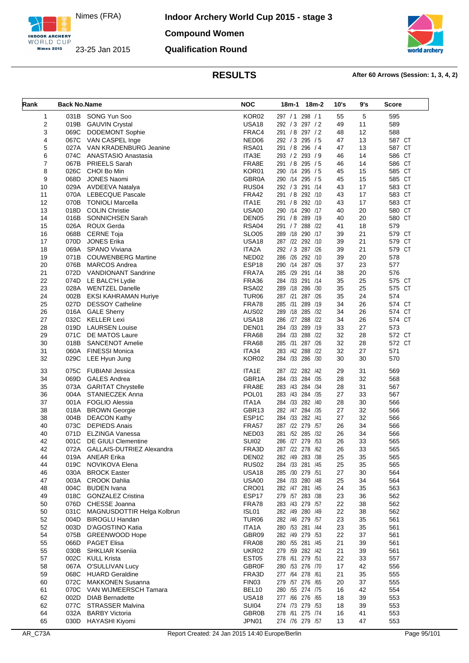

**Indoor Archery World Cup 2015 - stage 3 Compound Women**



**Qualification Round**

| Rank           | <b>Back No.Name</b> |                                 | <b>NOC</b>         | 18m-1 18m-2      | 10's | 9's | Score  |
|----------------|---------------------|---------------------------------|--------------------|------------------|------|-----|--------|
| 1              |                     | 031B SONG Yun Soo               | KOR <sub>02</sub>  | 297 / 1 298 / 1  | 55   | 5   | 595    |
| $\overline{2}$ |                     | 019B GAUVIN Crystal             | USA <sub>18</sub>  | 292 / 3 297 / 2  | 49   | 11  | 589    |
| 3              |                     | 069C DODEMONT Sophie            | FRAC4              | 291 / 8 297 / 2  | 48   | 12  | 588    |
| 4              |                     | 067C VAN CASPEL Inge            | NED <sub>06</sub>  | 292 / 3 295 / 5  | 47   | 13  | 587 CT |
| 5              |                     | 027A VAN KRADENBURG Jeanine     | <b>RSA01</b>       | 291 / 8 296 / 4  | 47   | 13  | 587 CT |
| 6              |                     | 074C ANASTASIO Anastasia        | ITA3E              | 293 / 2 293 / 9  | 46   | 14  | 586 CT |
| 7              |                     | 067B PRIEELS Sarah              | FRA8E              | 291 / 8 295 / 5  | 46   | 14  | 586 CT |
| 8              |                     | 026C CHOI Bo Min                | KOR01              | 290 /14 295 / 5  | 45   | 15  | 585 CT |
| 9              | 068D                | JONES Naomi                     | GBR0A              | 290 /14 295 / 5  | 45   | 15  | 585 CT |
| 10             |                     | 029A AVDEEVA Natalya            | RUS <sub>04</sub>  | 292 / 3 291 /14  | 43   | 17  | 583 CT |
| 11             |                     | 070A LEBECQUE Pascale           | FRA42              | 291 / 8 292 /10  | 43   | 17  | 583 CT |
|                |                     |                                 |                    |                  |      |     |        |
| 12             |                     | 070B TONIOLI Marcella           | ITA1E              | 291 / 8 292 /10  | 43   | 17  | 583 CT |
| 13             |                     | 018D COLIN Christie             | USA00              | 290 /14 290 /17  | 40   | 20  | 580 CT |
| 14             |                     | 016B SONNICHSEN Sarah           | DEN <sub>05</sub>  | 291 / 8 289 /19  | 40   | 20  | 580 CT |
| 15             |                     | 026A ROUX Gerda                 | <b>RSA04</b>       | 291 / 7 288 / 22 | 41   | 18  | 579    |
| 16             |                     | 068B CERNE Toja                 | SLO05              | 289 /18 290 /17  | 39   | 21  | 579 CT |
| 17             |                     | 070D JONES Erika                | <b>USA18</b>       | 287 /22 292 /10  | 39   | 21  | 579 CT |
| 18             |                     | 069A SPANO Viviana              | ITA2A              | 292 / 3 287 /26  | 39   | 21  | 579 CT |
| 19             |                     | 071B COUWENBERG Martine         | NED <sub>02</sub>  | 286 /26 292 /10  | 39   | 20  | 578    |
| 20             |                     | 076B MARCOS Andrea              | ESP <sub>18</sub>  | 290 /14 287 /26  | 37   | 23  | 577    |
| 21             |                     | 072D VANDIONANT Sandrine        | FRA7A              | 285 /29 291 /14  | 38   | 20  | 576    |
|                |                     |                                 |                    |                  |      |     |        |
| 22             |                     | 074D LE BALC'H Lydie            | FRA36              | 284 /33 291 /14  | 35   | 25  | 575 CT |
| 23             |                     | 028A WENTZEL Danelle            | <b>RSA02</b>       | 289 /18 286 /30  | 35   | 25  | 575 CT |
| 24             |                     | 002B EKSI KAHRAMAN Huriye       | TUR <sub>06</sub>  | 287 /21 287 /26  | 35   | 24  | 574    |
| 25             |                     | 027D DESSOY Catheline           | FRA78              | 285 /31 289 /19  | 34   | 26  | 574 CT |
| 26             |                     | 016A GALE Sherry                | AUS <sub>02</sub>  | 289 /18 285 /32  | 34   | 26  | 574 CT |
| 27             |                     | 032C KELLER Lexi                | USA <sub>18</sub>  | 286 /27 288 /22  | 34   | 26  | 574 CT |
| 28             |                     | 019D LAURSEN Louise             | DEN01              | 284 /33 289 /19  | 33   | 27  | 573    |
| 29             |                     | 071C DE MATOS Laure             | <b>FRA68</b>       | 284 /33 288 /22  | 32   | 28  | 572 CT |
| 30             |                     | 018B SANCENOT Amelie            | <b>FRA68</b>       | 285 /31 287 /26  | 32   | 28  | 572 CT |
| 31             |                     | 060A FINESSI Monica             | ITA34              | 283 /42 288 /22  | 32   | 27  | 571    |
| 32             | 029C                |                                 | KOR02              | 284 /33 286 /30  | 30   |     | 570    |
|                |                     | LEE Hyun Jung                   |                    |                  |      | 30  |        |
| 33             | 075C                | FUBIANI Jessica                 | ITA1E              | 287 /22 282 /42  | 29   | 31  | 569    |
| 34             |                     | 069D GALES Andrea               | GBR1A              | 284 /33 284 /35  | 28   | 32  | 568    |
| 35             | 073A                | <b>GARITAT Chrystelle</b>       | FRA8E              | 283 /43 284 /34  | 28   | 31  | 567    |
| 36             |                     | 004A STANIECZEK Anna            | POL <sub>01</sub>  | 283 /43 284 /35  | 27   | 33  | 567    |
| 37             |                     | 001A FOGLIO Alessia             | ITA <sub>1</sub> A | 284 /33 282 /40  | 28   | 30  | 566    |
| 38             |                     | 018A BROWN Georgie              | GBR13              | 282 /47 284 /35  | 27   | 32  | 566    |
| 38             | 004B                | <b>DEACON Kathy</b>             | ESP <sub>1</sub> C | 284 /33 282 /41  | 27   | 32  | 566    |
| 40             |                     | 073C DEPIEDS Anais              | <b>FRA57</b>       | 287 /22 279 /57  | 26   | 34  | 566    |
|                |                     |                                 |                    |                  |      |     |        |
| 40             | 071D                | ELZINGA Vanessa                 | NED03              | 281 /52 285 /32  | 26   | 34  | 566    |
| 42             |                     | 001C DE GIULI Clementine        | SUI02              | 286 /27 279 /53  | 26   | 33  | 565    |
| 42             |                     | 072A GALLAIS-DUTRIEZ Alexandra  | FRA3D              | 287 /22 278 /62  | 26   | 33  | 565    |
| 44             |                     | 019A ANEAR Erika                | DEN <sub>02</sub>  | 282 /49 283 /38  | 25   | 35  | 565    |
| 44             |                     | 019C NOVIKOVA Elena             | RUS <sub>02</sub>  | 284 /33 281 /45  | 25   | 35  | 565    |
| 46             |                     | 030A BROCK Easter               | <b>USA18</b>       | 285 /30 279 /51  | 27   | 30  | 564    |
| 47             |                     | 003A CROOK Dahlia               | <b>USA00</b>       | 284 /33 280 /48  | 25   | 34  | 564    |
| 48             |                     | 004C BUDEN Ivana                | CRO01              | 282 /47 281 /45  | 24   | 35  | 563    |
| 49             |                     | 018C GONZALEZ Cristina          | ESP17              | 279 /57 283 /38  | 23   | 36  | 562    |
| 50             |                     | 076D CHESSE Joanna              | FRA78              | 283 /43 279 /57  | 22   | 38  | 562    |
|                |                     |                                 |                    |                  | 22   | 38  | 562    |
| 50             |                     | 031C MAGNUSDOTTIR Helga Kolbrun | ISL01              | 282 /49 280 /49  |      |     |        |
| 52             |                     | 004D BIROGLU Handan             | TUR <sub>06</sub>  | 282 /46 279 /57  | 23   | 35  | 561    |
| 52             |                     | 003D D'AGOSTINO Katia           | ITA1A              | 280 /53 281 /44  | 23   | 35  | 561    |
| 54             |                     | 075B GREENWOOD Hope             | GBR09              | 282 /49 279 /53  | 22   | 37  | 561    |
| 55             |                     | 066D PAGET Elisa                | FRA08              | 280 /55 281 /45  | 21   | 39  | 561    |
| 55             |                     | 030B SHKLIAR Kseniia            | <b>UKR02</b>       | 279 /59 282 /42  | 21   | 39  | 561    |
| 57             |                     | 002C KULL Krista                | EST <sub>05</sub>  | 278 /61 279 /51  | 22   | 33  | 557    |
| 58             |                     | 067A O'SULLIVAN Lucy            | <b>GBR0F</b>       | 280 /53 276 /70  | 17   | 42  | 556    |
| 59             |                     | 068C HUARD Geraldine            | FRA3D              | 277 /64 278 /61  | 21   | 35  | 555    |
| 60             |                     | 072C MAKKONEN Susanna           | FIN <sub>03</sub>  | 279 /57 276 /65  | 20   | 37  | 555    |
|                |                     |                                 |                    |                  |      |     |        |
| 61             |                     | 070C VAN WIJMEERSCH Tamara      | BEL10              | 280 /55 274 /75  | 16   | 42  | 554    |
| 62             |                     | 002D DIAB Bernadette            | <b>USA18</b>       | 277 /66 276 /65  | 18   | 39  | 553    |
| 62             |                     | 077C STRASSER Malvina           | <b>SUI04</b>       | 274 /73 279 /53  | 18   | 39  | 553    |
| 64             |                     | 032A BARBY Victoria             | <b>GBR0B</b>       | 278 /61 275 /74  | 16   | 41  | 553    |
|                |                     | 030D HAYASHI Kiyomi             | JPN01              | 274 /76 279 /57  | 13   | 47  | 553    |
| 65             |                     |                                 |                    |                  |      |     |        |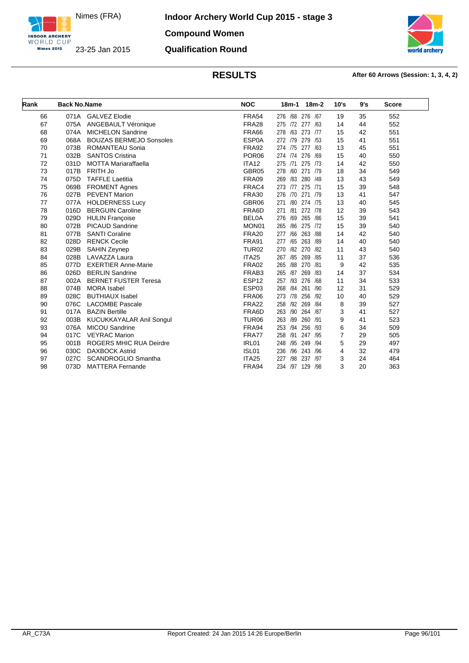

**Indoor Archery World Cup 2015 - stage 3 Compound Women**

# **Qualification Round**



| Rank | <b>Back No.Name</b> |                                | <b>NOC</b>        | $18m-2$<br>$18m-1$       | 10's | 9's | <b>Score</b> |
|------|---------------------|--------------------------------|-------------------|--------------------------|------|-----|--------------|
| 66   | 071A                | <b>GALVEZ Elodie</b>           | <b>FRA54</b>      | 276 /68 276 /67          | 19   | 35  | 552          |
| 67   | 075A                | ANGEBAULT Véronique            | FRA <sub>28</sub> | 275 /72 277<br>/63       | 14   | 44  | 552          |
| 68   | 074A                | <b>MICHELON Sandrine</b>       | <b>FRA66</b>      | /63<br>273 /77<br>278    | 15   | 42  | 551          |
| 69   | 068A                | <b>BOUZAS BERMEJO Sonsoles</b> | ESP0A             | 279 /53<br>272<br>/79    | 15   | 41  | 551          |
| 70   | 073B                | <b>ROMANTEAU Sonia</b>         | <b>FRA92</b>      | 274 /75 277 /63          | 13   | 45  | 551          |
| 71   | 032B                | <b>SANTOS Cristina</b>         | POR <sub>06</sub> | 274 /74 276 /69          | 15   | 40  | 550          |
| 72   | 031D                | <b>MOTTA Mariaraffaella</b>    | ITA <sub>12</sub> | 275 /71<br>275 /73       | 14   | 42  | 550          |
| 73   | 017B                | FRITH Jo                       | GBR05             | /60<br>271 /79<br>278    | 18   | 34  | 549          |
| 74   | 075D                | <b>TAFFLE Laetitia</b>         | FRA09             | /83<br>280<br>/49<br>269 | 13   | 43  | 549          |
| 75   | 069B                | <b>FROMENT Agnes</b>           | FRAC4             | 275 /71<br>273<br>/77    | 15   | 39  | 548          |
| 76   | 027B                | <b>PEVENT Marion</b>           | <b>FRA30</b>      | 271 /79<br>276 /70       | 13   | 41  | 547          |
| 77   | 077A                | <b>HOLDERNESS Lucy</b>         | GBR06             | /80<br>274 /75<br>271    | 13   | 40  | 545          |
| 78   | 016D                | <b>BERGUIN Caroline</b>        | FRA6D             | /81<br>272 /78<br>271    | 12   | 39  | 543          |
| 79   | 029D                | <b>HULIN Françoise</b>         | <b>BELOA</b>      | /69<br>265 /86<br>276    | 15   | 39  | 541          |
| 80   | 072B                | <b>PICAUD Sandrine</b>         | MON01             | 275 /72<br>/86<br>265    | 15   | 39  | 540          |
| 81   | 077B                | <b>SANTI Coraline</b>          | <b>FRA20</b>      | /66<br>263 /88<br>277    | 14   | 42  | 540          |
| 82   | 028D                | <b>RENCK Cecile</b>            | <b>FRA91</b>      | 263<br>/89<br>277<br>/65 | 14   | 40  | 540          |
| 83   | 029B                | <b>SAHIN Zeynep</b>            | TUR <sub>02</sub> | /82<br>270<br>/82<br>270 | 11   | 43  | 540          |
| 84   | 028B                | LAVAZZA Laura                  | ITA <sub>25</sub> | 269<br>/85<br>/85<br>267 | 11   | 37  | 536          |
| 85   | 077D                | <b>EXERTIER Anne-Marie</b>     | FRA02             | /88<br>270<br>/81<br>265 | 9    | 42  | 535          |
| 86   | 026D                | <b>BERLIN Sandrine</b>         | FRAB3             | 269<br>265<br>/87<br>/83 | 14   | 37  | 534          |
| 87   | 002A                | <b>BERNET FUSTER Teresa</b>    | ESP <sub>12</sub> | /93<br>276<br>/68<br>257 | 11   | 34  | 533          |
| 88   | 074B                | <b>MORA</b> Isabel             | ESP03             | 268<br>/84<br>261<br>/90 | 12   | 31  | 529          |
| 89   | 028C                | <b>BUTHIAUX Isabel</b>         | FRA06             | 256<br>/92<br>273<br>/78 | 10   | 40  | 529          |
| 90   | 076C                | <b>LACOMBE Pascale</b>         | FRA22             | /92<br>269<br>258<br>/84 | 8    | 39  | 527          |
| 91   | 017A                | <b>BAZIN Bertille</b>          | FRA6D             | 263<br>/90<br>264 /87    | 3    | 41  | 527          |
| 92   | 003B                | KUCUKKAYALAR Anil Songul       | TUR <sub>06</sub> | /89<br>260<br>/91<br>263 | 9    | 41  | 523          |
| 93   | 076A                | <b>MICOU Sandrine</b>          | FRA94             | /94<br>256<br>/93<br>253 | 6    | 34  | 509          |
| 94   | 017C                | <b>VEYRAC Marion</b>           | FRA77             | /91<br>/95<br>258<br>247 | 7    | 29  | 505          |
| 95   | 001B                | <b>ROGERS MHIC RUA Deirdre</b> | IRL01             | 248<br>/95<br>249<br>/94 | 5    | 29  | 497          |
| 96   | 030C                | <b>DAXBOCK Astrid</b>          | ISL01             | /96<br>243<br>236<br>/96 | 4    | 32  | 479          |
| 97   | 027C                | SCANDROGLIO Smantha            | ITA <sub>25</sub> | /98<br>237 /97<br>227    | 3    | 24  | 464          |
| 98   | 073D                | <b>MATTERA Fernande</b>        | FRA94             | 234 /97 129 /98          | 3    | 20  | 363          |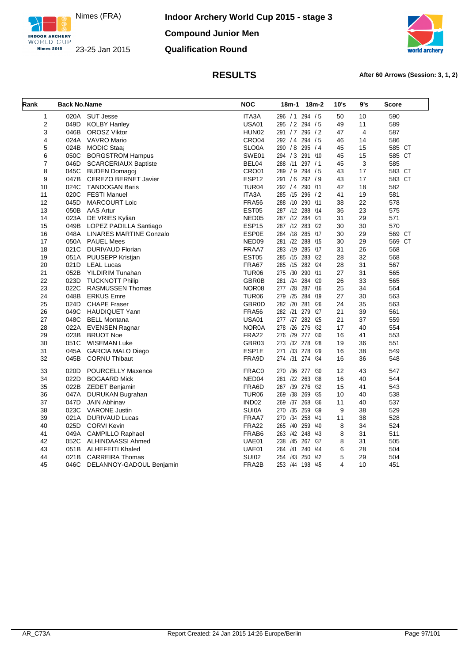



| Rank           | <b>Back No.Name</b> |                                | <b>NOC</b>        | 18m-1<br>18m-2        | 10's | 9's            | <b>Score</b> |
|----------------|---------------------|--------------------------------|-------------------|-----------------------|------|----------------|--------------|
| 1              | 020A                | SUT Jesse                      | ITA3A             | 296 / 1 294 / 5       | 50   | 10             | 590          |
| 2              | 049D                | <b>KOLBY Hanley</b>            | <b>USA01</b>      | 295 / 2 294 / 5       | 49   | 11             | 589          |
| 3              | 046B                | <b>OROSZ Viktor</b>            | HUN <sub>02</sub> | 291 / 7 296 / 2       | 47   | $\overline{4}$ | 587          |
| 4              | 024A                | VAVRO Mario                    | CRO04             | 292 / 4 294 / 5       | 46   | 14             | 586          |
| 5              | 024B                | MODIC Staaj                    | SLO0A             | 290 / 8 295 / 4       | 45   | 15             | 585 CT       |
| 6              | 050C                | <b>BORGSTROM Hampus</b>        | SWE01             | 294 / 3 291 /10       | 45   | 15             | 585 CT       |
| $\overline{7}$ | 046D                | <b>SCARCERIAUX Baptiste</b>    | BEL04             | 288 /11 297 / 1       | 45   | 3              | 585          |
| 8              | 045C                | <b>BUDEN Domagoj</b>           | CRO01             | 289 / 9 294 / 5       | 43   | 17             | 583 CT       |
| 9              | 047B                | <b>CEREZO BERNET Javier</b>    | ESP <sub>12</sub> | 291 / 6 292 / 9       | 43   | 17             | 583 CT       |
| 10             | 024C                | <b>TANDOGAN Baris</b>          | <b>TUR04</b>      | 292 / 4 290 /11       | 42   | 18             | 582          |
| 11             | 020C                | <b>FESTI Manuel</b>            | ITA3A             | 285 /15 296 / 2       | 41   | 19             | 581          |
| 12             | 045D                | <b>MARCOURT Loic</b>           | <b>FRA56</b>      | 288 /10 290 /11       | 38   | 22             | 578          |
| 13             | 050B                | <b>AAS Artur</b>               | EST <sub>05</sub> | 287 /12 288 /14       | 36   | 23             | 575          |
| 14             | 023A                | DE VRIES Kylian                | NED <sub>05</sub> | 287 /12 284 /21       | 31   | 29             | 571          |
| 15             | 049B                | LOPEZ PADILLA Santiago         | ESP <sub>15</sub> | 287 /12 283 /22       | 30   | 30             | 570          |
| 16             | 048A                | <b>LINARES MARTINE Gonzalo</b> | <b>ESP0E</b>      | 284 /18 285 /17       | 30   | 29             | 569 CT       |
| 17             | 050A                | <b>PAUEL Mees</b>              | NED <sub>09</sub> | 281 /22 288 /15       | 30   | 29             | 569 CT       |
| 18             | 021C                | DURIVAUD Florian               | FRAA7             | 283 /19 285 /17       | 31   | 26             | 568          |
| 19             | 051A                | PUUSEPP Kristjan               | EST <sub>05</sub> | 285 /15 283 /22       | 28   | 32             | 568          |
| 20             | 021D                | <b>LEAL Lucas</b>              | <b>FRA67</b>      | 285 /15 282 /24       | 28   | 31             | 567          |
| 21             | 052B                | YILDIRIM Tunahan               | TUR <sub>06</sub> | 275 /30 290 /11       | 27   | 31             | 565          |
| 22             | 023D                | <b>TUCKNOTT Philip</b>         | GBR0B             | 281 /24 284 /20       | 26   | 33             | 565          |
| 23             | 022C                | <b>RASMUSSEN Thomas</b>        | NOR08             | 277 /28 287 /16       | 25   | 34             | 564          |
| 24             | 048B                | <b>ERKUS Emre</b>              | TUR <sub>06</sub> | 279 /25 284 /19       | 27   | 30             | 563          |
| 25             | 024D                | <b>CHAPE Fraser</b>            | <b>GBR0D</b>      | 282 /20 281 /26       | 24   | 35             | 563          |
| 26             | 049C                | <b>HAUDIQUET Yann</b>          | <b>FRA56</b>      | 282 /21 279 /27       | 21   | 39             | 561          |
| 27             | 048C                | <b>BELL Montana</b>            | <b>USA01</b>      | 277 /27 282 /25       | 21   | 37             | 559          |
| 28             | 022A                | <b>EVENSEN Ragnar</b>          | <b>NOR0A</b>      | 278 /26 276 /32       | 17   | 40             | 554          |
| 29             | 023B                | <b>BRUOT Noe</b>               | <b>FRA22</b>      | 276 /29 277 /30       | 16   | 41             | 553          |
| 30             | 051C                | <b>WISEMAN Luke</b>            | GBR03             | 273 /32 278 /28       | 19   | 36             | 551          |
| 31             | 045A                | <b>GARCIA MALO Diego</b>       | ESP1E             | 271 /33 278 /29       | 16   | 38             | 549          |
| 32             | 045B                | <b>CORNU Thibaut</b>           | FRA9D             | 274 /31 274 /34       | 16   | 36             | 548          |
| 33             | 020D                | <b>POURCELLY Maxence</b>       | FRAC0             | 270 /36 277 /30       | 12   | 43             | 547          |
| 34             | 022D                | <b>BOGAARD Mick</b>            | NED <sub>04</sub> | 281 /22 263 /38       | 16   | 40             | 544          |
| 35             | 022B                | <b>ZEDET Benjamin</b>          | FRA6D             | 267 /39 276 /32       | 15   | 41             | 543          |
| 36             | 047A                | DURUKAN Bugrahan               | TUR <sub>06</sub> | 269 /38 269 /35       | 10   | 40             | 538          |
| 37             | 047D                | <b>JAIN Abhinav</b>            | IND <sub>02</sub> | 269 /37 268 /36       | 11   | 40             | 537          |
| 38             | 023C                | <b>VARONE Justin</b>           | <b>SUI0A</b>      | 270 /35 259 /39       | 9    | 38             | 529          |
| 39             | 021A                | <b>DURIVAUD Lucas</b>          | FRAA7             | 270 /34 258 /41       | 11   | 38             | 528          |
| 40             | 025D                | <b>CORVI Kevin</b>             | <b>FRA22</b>      | /40<br>259 /40<br>265 | 8    | 34             | 524          |
| 41             | 049A                | CAMPILLO Raphael               | FRAB6             | 263 /42 248 /43       | 8    | 31             | 511          |
| 42             | 052C                | ALHINDAASSI Ahmed              | UAE01             | 238 /45 267 /37       | 8    | 31             | 505          |
| 43             | 051B                | <b>ALHEFEITI Khaled</b>        | UAE01             | 264 /41 240 /44       | 6    | 28             | 504          |
| 44             | 021B                | <b>CARREIRA Thomas</b>         | <b>SUI02</b>      | 254 /43 250 /42       | 5    | 29             | 504          |
| 45             | 046C                | DELANNOY-GADOUL Benjamin       | FRA2B             | 253 /44 198 /45       | 4    | 10             | 451          |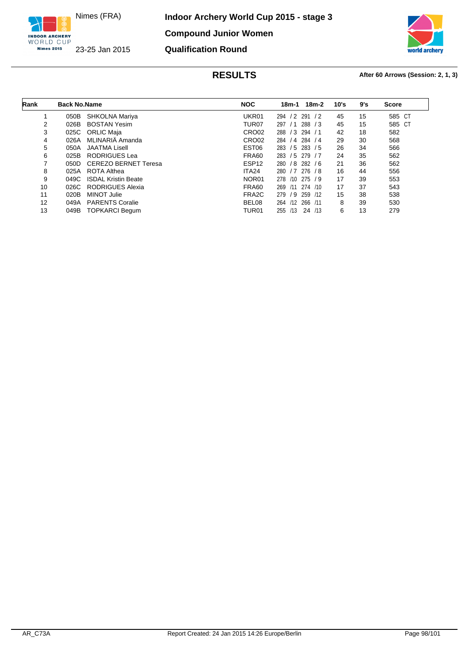

**Indoor Archery World Cup 2015 - stage 3 Compound Junior Women Qualification Round**



| Rank | <b>Back No.Name</b> |                             | <b>NOC</b>         | 18m-2<br>18m-1           | 10's | 9's | <b>Score</b> |
|------|---------------------|-----------------------------|--------------------|--------------------------|------|-----|--------------|
|      | 050B                | SHKOLNA Mariya              | UKR01              | /2<br>291<br>294<br>/2   | 45   | 15  | 585 CT       |
| 2    | 026B                | <b>BOSTAN Yesim</b>         | TUR <sub>07</sub>  | 288<br>/3<br>297<br>/1   | 45   | 15  | 585 CT       |
| 3    | 025C                | ORLIC Maja                  | CRO <sub>02</sub>  | /3<br>294/1<br>288       | 42   | 18  | 582          |
| 4    | 026A                | MLINARIÄ Amanda             | CRO <sub>02</sub>  | /4<br>284/4<br>284       | 29   | 30  | 568          |
| 5    | 050A                | JAATMA Lisell               | EST <sub>06</sub>  | $/5$ 283 $/5$<br>283     | 26   | 34  | 566          |
| 6    | 025B                | RODRIGUES Lea               | FRA60              | $/5$ 279 $/7$<br>283     | 24   | 35  | 562          |
|      | 050D                | <b>CEREZO BERNET Teresa</b> | ESP <sub>12</sub>  | $/8$ 282 $/6$<br>280     | 21   | 36  | 562          |
| 8    | 025A                | ROTA Althea                 | ITA <sub>24</sub>  | $/7$ 276 $/8$<br>280     | 16   | 44  | 556          |
| 9    | 049C                | <b>ISDAL Kristin Beate</b>  | NOR <sub>01</sub>  | /10<br>275/9<br>278      | 17   | 39  | 553          |
| 10   | 026C                | RODRIGUES Alexia            | FRA60              | 274 /10<br>269<br>/11    | 17   | 37  | 543          |
| 11   | 020B                | MINOT Julie                 | FRA <sub>2</sub> C | 259<br>279<br>/9<br>/12  | 15   | 38  | 538          |
| 12   | 049A                | <b>PARENTS Coralie</b>      | BEL08              | /12<br>266<br>264<br>/11 | 8    | 39  | 530          |
| 13   | 049B                | <b>TOPKARCI Begum</b>       | TUR <sub>01</sub>  | 24 /13<br>255<br>/13     | 6    | 13  | 279          |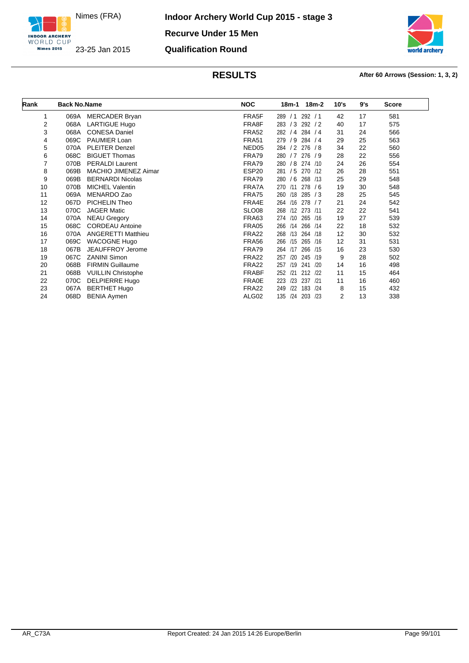



| Rank | <b>Back No.Name</b> |                           | <b>NOC</b>        | 18m-2<br>18m-1           | 10's | 9's | <b>Score</b> |
|------|---------------------|---------------------------|-------------------|--------------------------|------|-----|--------------|
|      |                     |                           |                   |                          |      |     |              |
| 1    | 069A                | <b>MERCADER Bryan</b>     | FRA5F             | 292 / 1<br>289/1         | 42   | 17  | 581          |
| 2    | 068A                | <b>LARTIGUE Hugo</b>      | FRA8F             | 283 / 3<br>292 / 2       | 40   | 17  | 575          |
| 3    | 068A                | <b>CONESA Daniel</b>      | <b>FRA52</b>      | 282 / 4 284 / 4          | 31   | 24  | 566          |
| 4    | 069C                | PAUMIER Loan              | <b>FRA51</b>      | /9<br>284 / 4<br>279     | 29   | 25  | 563          |
| 5    | 070A                | <b>PLEITER Denzel</b>     | NED <sub>05</sub> | /2<br>276/8<br>284       | 34   | 22  | 560          |
| 6    | 068C                | <b>BIGUET Thomas</b>      | FRA79             | 280 / 7 276 / 9          | 28   | 22  | 556          |
| 7    | 070B                | <b>PERALDI Laurent</b>    | FRA79             | 280 / 8 274 /10          | 24   | 26  | 554          |
| 8    | 069B                | MACHIO JIMENEZ Aimar      | ESP <sub>20</sub> | 281 / 5<br>270 /12       | 26   | 28  | 551          |
| 9    | 069B                | <b>BERNARDI Nicolas</b>   | FRA79             | 280<br>/6<br>268 /13     | 25   | 29  | 548          |
| 10   | 070B                | <b>MICHEL Valentin</b>    | FRA7A             | 270 /11<br>278/6         | 19   | 30  | 548          |
| 11   | 069A                | MENARDO Zao               | <b>FRA75</b>      | /18<br>285 / 3<br>260    | 28   | 25  | 545          |
| 12   | 067D                | PICHELIN Theo             | FRA4E             | /16<br>278 / 7<br>264    | 21   | 24  | 542          |
| 13   | 070C                | <b>JAGER Matic</b>        | <b>SLO08</b>      | 268 /12 273 /11          | 22   | 22  | 541          |
| 14   | 070A                | <b>NEAU Gregory</b>       | FRA63             | 274 /10<br>265 /16       | 19   | 27  | 539          |
| 15   | 068C                | <b>CORDEAU Antoine</b>    | FRA05             | /14<br>266 /14<br>266    | 22   | 18  | 532          |
| 16   | 070A                | <b>ANGERETTI Matthieu</b> | <b>FRA22</b>      | 268 /13<br>264 /18       | 12   | 30  | 532          |
| 17   | 069C                | <b>WACOGNE Hugo</b>       | FRA56             | 266<br>/15<br>265 /16    | 12   | 31  | 531          |
| 18   | 067B                | JEAUFFROY Jerome          | FRA79             | /17<br>266<br>264<br>/15 | 16   | 23  | 530          |
| 19   | 067C                | <b>ZANINI Simon</b>       | FRA <sub>22</sub> | /20<br>245 /19<br>257    | 9    | 28  | 502          |
| 20   | 068B                | <b>FIRMIN Guillaume</b>   | FRA <sub>22</sub> | 257 /19<br>241<br>/20    | 14   | 16  | 498          |
| 21   | 068B                | <b>VUILLIN Christophe</b> | <b>FRABF</b>      | /21<br>212 /22<br>252    | 11   | 15  | 464          |
| 22   | 070C                | DELPIERRE Hugo            | <b>FRA0E</b>      | 223<br>/23<br>237<br>121 | 11   | 16  | 460          |
| 23   | 067A                | <b>BERTHET Hugo</b>       | <b>FRA22</b>      | /22<br>249<br>183<br>124 | 8    | 15  | 432          |
| 24   | 068D                | <b>BENIA Aymen</b>        | ALG02             | 135<br>/24<br>203<br>/23 | 2    | 13  | 338          |